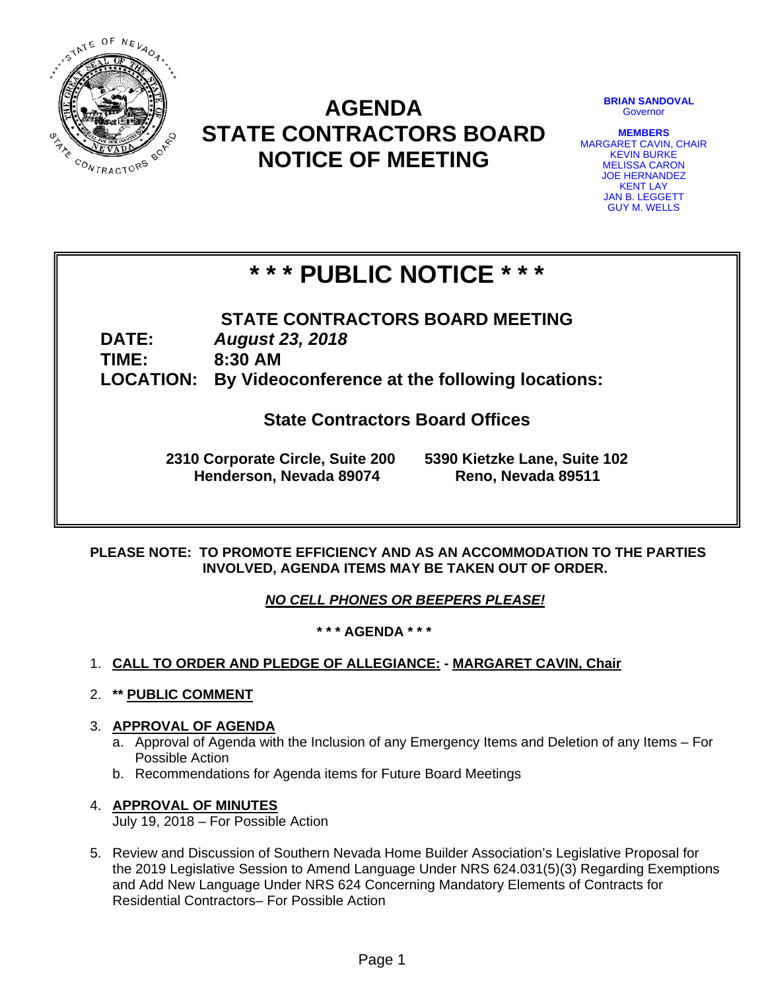

# **AGENDA STATE CONTRACTORS BOARD NOTICE OF MEETING**

**BRIAN SANDOVAL Governor** 

**MEMBERS**  MARGARET CAVIN, CHAIR KEVIN BURKE MELISSA CARON JOE HERNANDEZ KENT LAY JAN B. LEGGETT GUY M. WELLS

# **\* \* \* PUBLIC NOTICE \* \* \***

**STATE CONTRACTORS BOARD MEETING DATE:** *August 23, 2018*  **TIME: 8:30 AM LOCATION: By Videoconference at the following locations:** 

**State Contractors Board Offices** 

**2310 Corporate Circle, Suite 200 5390 Kietzke Lane, Suite 102 Henderson, Nevada 89074 Reno, Nevada 89511** 

## **PLEASE NOTE: TO PROMOTE EFFICIENCY AND AS AN ACCOMMODATION TO THE PARTIES INVOLVED, AGENDA ITEMS MAY BE TAKEN OUT OF ORDER.**

*NO CELL PHONES OR BEEPERS PLEASE!* 

**\* \* \* AGENDA \* \* \*** 

- 1. **CALL TO ORDER AND PLEDGE OF ALLEGIANCE: MARGARET CAVIN, Chair**
- 2. **\*\* PUBLIC COMMENT**
- 3. **APPROVAL OF AGENDA**
	- a. Approval of Agenda with the Inclusion of any Emergency Items and Deletion of any Items For Possible Action
	- b. Recommendations for Agenda items for Future Board Meetings

## 4. **APPROVAL OF MINUTES**

July 19, 2018 – For Possible Action

5. Review and Discussion of Southern Nevada Home Builder Association's Legislative Proposal for the 2019 Legislative Session to Amend Language Under NRS 624.031(5)(3) Regarding Exemptions and Add New Language Under NRS 624 Concerning Mandatory Elements of Contracts for Residential Contractors– For Possible Action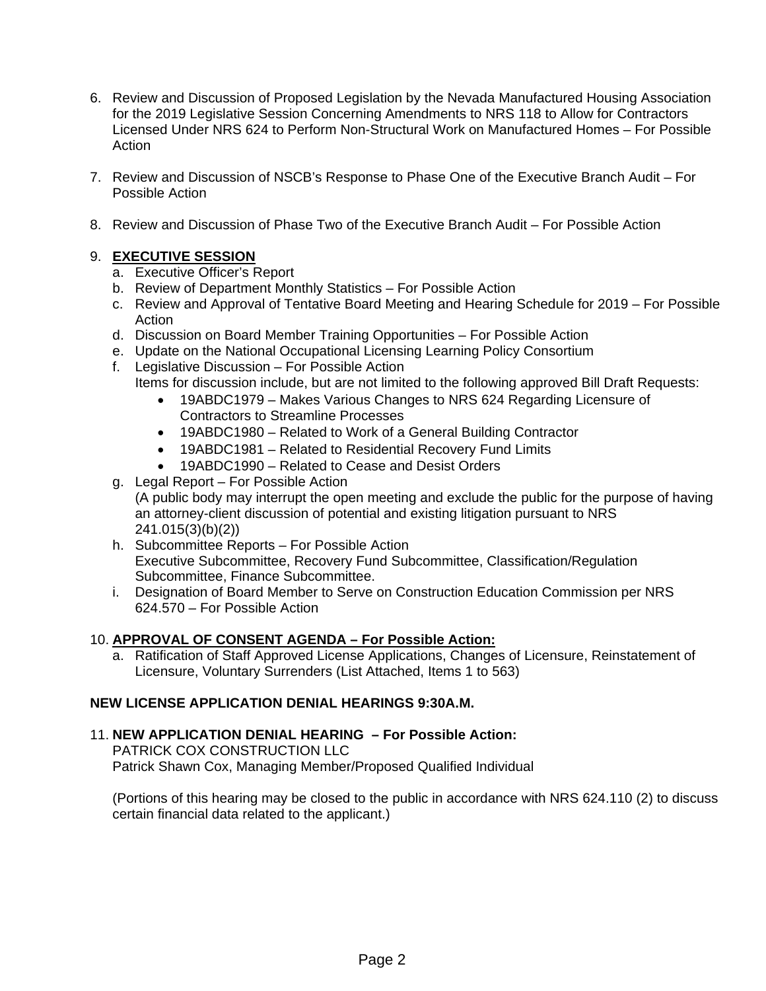- 6. Review and Discussion of Proposed Legislation by the Nevada Manufactured Housing Association for the 2019 Legislative Session Concerning Amendments to NRS 118 to Allow for Contractors Licensed Under NRS 624 to Perform Non-Structural Work on Manufactured Homes – For Possible Action
- 7. Review and Discussion of NSCB's Response to Phase One of the Executive Branch Audit For Possible Action
- 8. Review and Discussion of Phase Two of the Executive Branch Audit For Possible Action

## 9. **EXECUTIVE SESSION**

- a. Executive Officer's Report
- b. Review of Department Monthly Statistics For Possible Action
- c. Review and Approval of Tentative Board Meeting and Hearing Schedule for 2019 For Possible Action
- d. Discussion on Board Member Training Opportunities For Possible Action
- e. Update on the National Occupational Licensing Learning Policy Consortium f. Legislative Discussion – For Possible Action
	- Items for discussion include, but are not limited to the following approved Bill Draft Requests:
		- 19ABDC1979 Makes Various Changes to NRS 624 Regarding Licensure of Contractors to Streamline Processes
		- 19ABDC1980 Related to Work of a General Building Contractor
		- 19ABDC1981 Related to Residential Recovery Fund Limits
		- 19ABDC1990 Related to Cease and Desist Orders
- g. Legal Report For Possible Action (A public body may interrupt the open meeting and exclude the public for the purpose of having an attorney-client discussion of potential and existing litigation pursuant to NRS 241.015(3)(b)(2))
- h. Subcommittee Reports For Possible Action Executive Subcommittee, Recovery Fund Subcommittee, Classification/Regulation Subcommittee, Finance Subcommittee.
- i. Designation of Board Member to Serve on Construction Education Commission per NRS 624.570 – For Possible Action

## 10. **APPROVAL OF CONSENT AGENDA – For Possible Action:**

a. Ratification of Staff Approved License Applications, Changes of Licensure, Reinstatement of Licensure, Voluntary Surrenders (List Attached, Items 1 to 563)

## **NEW LICENSE APPLICATION DENIAL HEARINGS 9:30A.M.**

## 11. **NEW APPLICATION DENIAL HEARING – For Possible Action:**

PATRICK COX CONSTRUCTION LLC Patrick Shawn Cox, Managing Member/Proposed Qualified Individual

(Portions of this hearing may be closed to the public in accordance with NRS 624.110 (2) to discuss certain financial data related to the applicant.)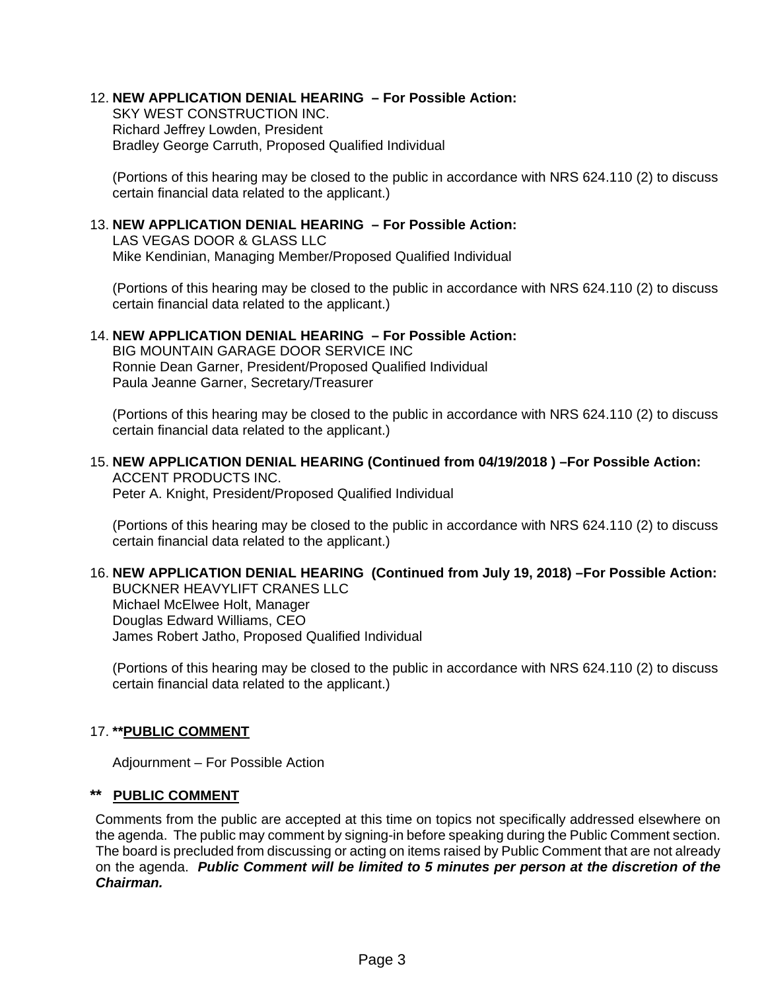## 12. **NEW APPLICATION DENIAL HEARING – For Possible Action:**

SKY WEST CONSTRUCTION INC. Richard Jeffrey Lowden, President Bradley George Carruth, Proposed Qualified Individual

(Portions of this hearing may be closed to the public in accordance with NRS 624.110 (2) to discuss certain financial data related to the applicant.)

## 13. **NEW APPLICATION DENIAL HEARING – For Possible Action:**

LAS VEGAS DOOR & GLASS LLC Mike Kendinian, Managing Member/Proposed Qualified Individual

(Portions of this hearing may be closed to the public in accordance with NRS 624.110 (2) to discuss certain financial data related to the applicant.)

#### 14. **NEW APPLICATION DENIAL HEARING – For Possible Action:**

BIG MOUNTAIN GARAGE DOOR SERVICE INC Ronnie Dean Garner, President/Proposed Qualified Individual Paula Jeanne Garner, Secretary/Treasurer

(Portions of this hearing may be closed to the public in accordance with NRS 624.110 (2) to discuss certain financial data related to the applicant.)

#### 15. **NEW APPLICATION DENIAL HEARING (Continued from 04/19/2018 ) –For Possible Action:**  ACCENT PRODUCTS INC.

Peter A. Knight, President/Proposed Qualified Individual

(Portions of this hearing may be closed to the public in accordance with NRS 624.110 (2) to discuss certain financial data related to the applicant.)

## 16. **NEW APPLICATION DENIAL HEARING (Continued from July 19, 2018) –For Possible Action:**

BUCKNER HEAVYLIFT CRANES LLC Michael McElwee Holt, Manager Douglas Edward Williams, CEO James Robert Jatho, Proposed Qualified Individual

(Portions of this hearing may be closed to the public in accordance with NRS 624.110 (2) to discuss certain financial data related to the applicant.)

## 17. **\*\*PUBLIC COMMENT**

Adjournment – For Possible Action

## **\*\* PUBLIC COMMENT**

Comments from the public are accepted at this time on topics not specifically addressed elsewhere on the agenda. The public may comment by signing-in before speaking during the Public Comment section. The board is precluded from discussing or acting on items raised by Public Comment that are not already on the agenda. *Public Comment will be limited to 5 minutes per person at the discretion of the Chairman.*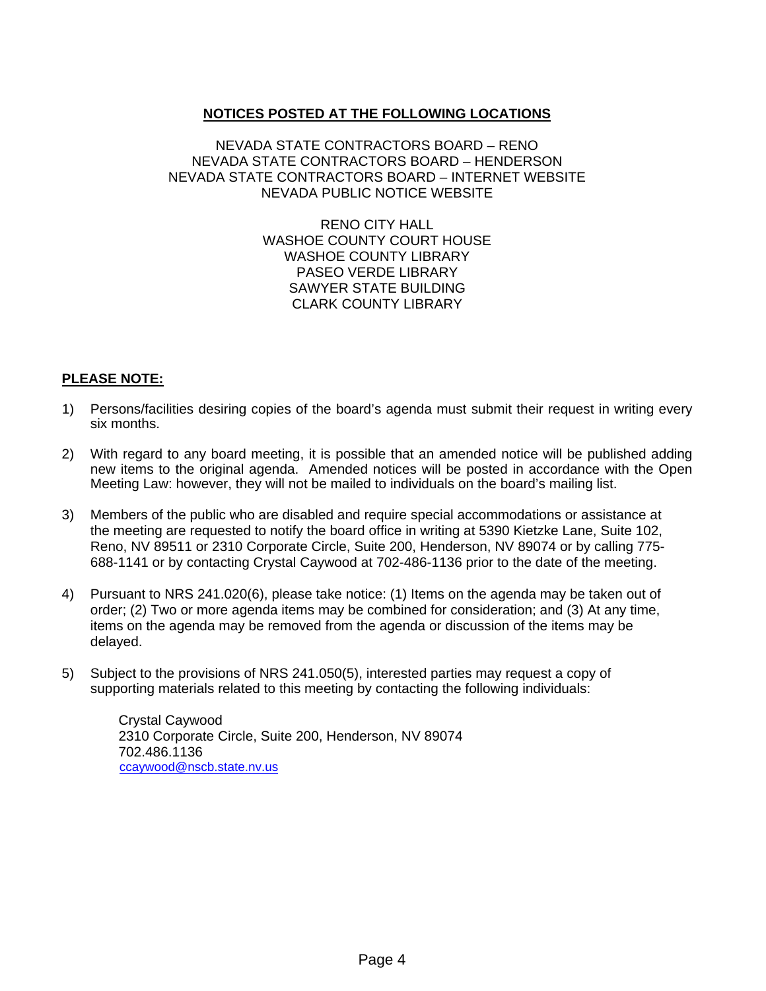## **NOTICES POSTED AT THE FOLLOWING LOCATIONS**

## NEVADA STATE CONTRACTORS BOARD – RENO NEVADA STATE CONTRACTORS BOARD – HENDERSON NEVADA STATE CONTRACTORS BOARD – INTERNET WEBSITE NEVADA PUBLIC NOTICE WEBSITE

RENO CITY HALL WASHOE COUNTY COURT HOUSE WASHOE COUNTY LIBRARY PASEO VERDE LIBRARY SAWYER STATE BUILDING CLARK COUNTY LIBRARY

## **PLEASE NOTE:**

- 1) Persons/facilities desiring copies of the board's agenda must submit their request in writing every six months.
- 2) With regard to any board meeting, it is possible that an amended notice will be published adding new items to the original agenda. Amended notices will be posted in accordance with the Open Meeting Law: however, they will not be mailed to individuals on the board's mailing list.
- 3) Members of the public who are disabled and require special accommodations or assistance at the meeting are requested to notify the board office in writing at 5390 Kietzke Lane, Suite 102, Reno, NV 89511 or 2310 Corporate Circle, Suite 200, Henderson, NV 89074 or by calling 775- 688-1141 or by contacting Crystal Caywood at 702-486-1136 prior to the date of the meeting.
- 4) Pursuant to NRS 241.020(6), please take notice: (1) Items on the agenda may be taken out of order; (2) Two or more agenda items may be combined for consideration; and (3) At any time, items on the agenda may be removed from the agenda or discussion of the items may be delayed.
- 5) Subject to the provisions of NRS 241.050(5), interested parties may request a copy of supporting materials related to this meeting by contacting the following individuals:

Crystal Caywood 2310 Corporate Circle, Suite 200, Henderson, NV 89074 702.486.1136 ccaywood@nscb.state.nv.us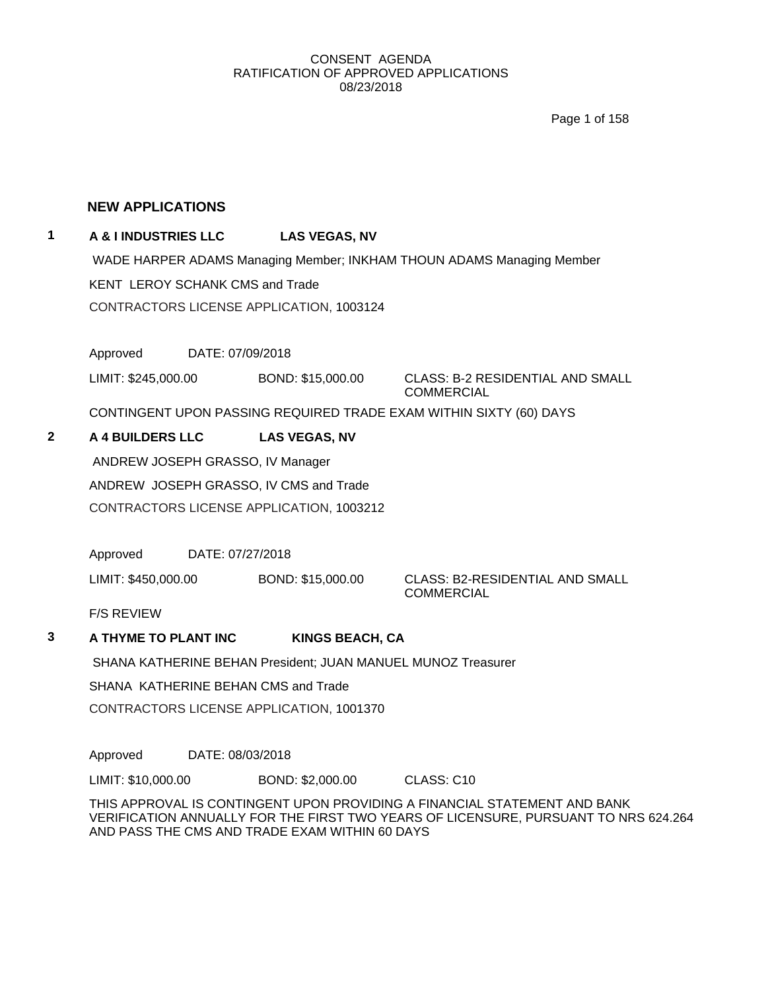Page 1 of 158

## **NEW APPLICATIONS**

## **1 A & I INDUSTRIES LLC LAS VEGAS, NV**

WADE HARPER ADAMS Managing Member; INKHAM THOUN ADAMS Managing Member KENT LEROY SCHANK CMS and Trade CONTRACTORS LICENSE APPLICATION, 1003124

Approved DATE: 07/09/2018

LIMIT: \$245,000.00 BOND: \$15,000.00 CLASS: B-2 RESIDENTIAL AND SMALL

COMMERCIAL

CONTINGENT UPON PASSING REQUIRED TRADE EXAM WITHIN SIXTY (60) DAYS

## **2 A 4 BUILDERS LLC LAS VEGAS, NV**

ANDREW JOSEPH GRASSO, IV Manager

ANDREW JOSEPH GRASSO, IV CMS and Trade

CONTRACTORS LICENSE APPLICATION, 1003212

Approved DATE: 07/27/2018

LIMIT: \$450,000.00 BOND: \$15,000.00 CLASS: B2-RESIDENTIAL AND SMALL

**COMMERCIAL** 

F/S REVIEW

## **3 A THYME TO PLANT INC KINGS BEACH, CA**

SHANA KATHERINE BEHAN President; JUAN MANUEL MUNOZ Treasurer

SHANA KATHERINE BEHAN CMS and Trade

CONTRACTORS LICENSE APPLICATION, 1001370

Approved DATE: 08/03/2018

LIMIT: \$10,000.00 BOND: \$2,000.00 CLASS: C10

THIS APPROVAL IS CONTINGENT UPON PROVIDING A FINANCIAL STATEMENT AND BANK VERIFICATION ANNUALLY FOR THE FIRST TWO YEARS OF LICENSURE, PURSUANT TO NRS 624.264 AND PASS THE CMS AND TRADE EXAM WITHIN 60 DAYS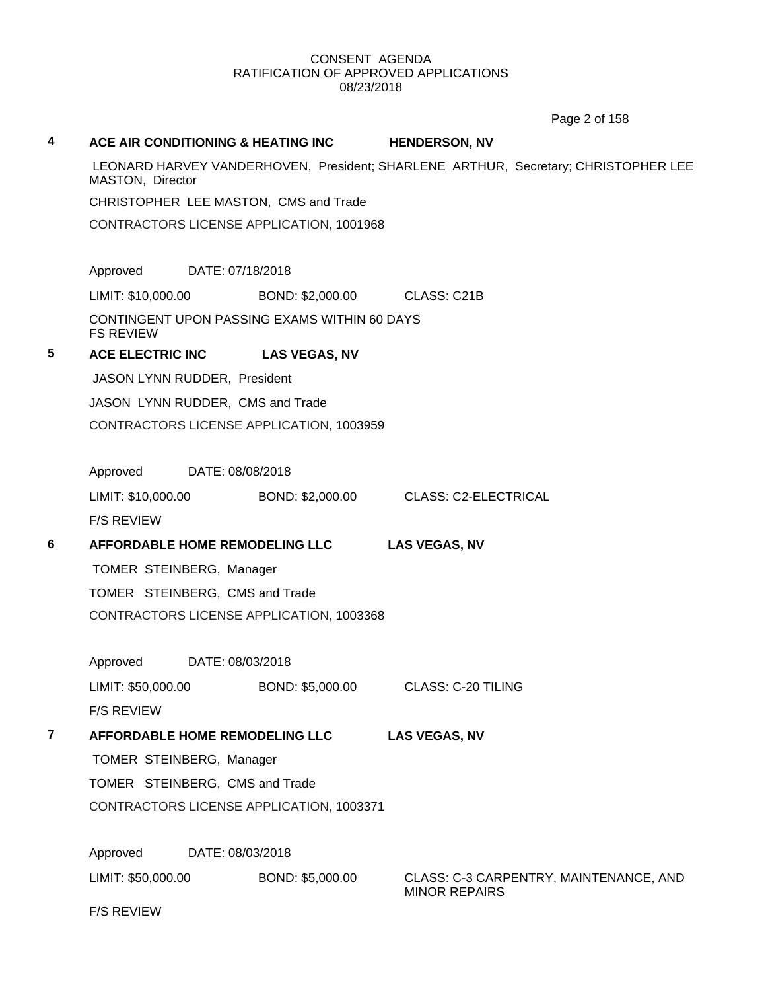Page 2 of 158

| 4              | ACE AIR CONDITIONING & HEATING INC                               |                  | <b>HENDERSON, NV</b> |                                                                                    |  |  |
|----------------|------------------------------------------------------------------|------------------|----------------------|------------------------------------------------------------------------------------|--|--|
|                | MASTON, Director                                                 |                  |                      | LEONARD HARVEY VANDERHOVEN, President; SHARLENE ARTHUR, Secretary; CHRISTOPHER LEE |  |  |
|                | CHRISTOPHER LEE MASTON, CMS and Trade                            |                  |                      |                                                                                    |  |  |
|                | CONTRACTORS LICENSE APPLICATION, 1001968                         |                  |                      |                                                                                    |  |  |
|                | Approved<br>DATE: 07/18/2018                                     |                  |                      |                                                                                    |  |  |
|                | LIMIT: \$10,000.00                                               | BOND: \$2,000.00 | CLASS: C21B          |                                                                                    |  |  |
|                | CONTINGENT UPON PASSING EXAMS WITHIN 60 DAYS<br><b>FS REVIEW</b> |                  |                      |                                                                                    |  |  |
| 5              | ACE ELECTRIC INC LAS VEGAS, NV                                   |                  |                      |                                                                                    |  |  |
|                | JASON LYNN RUDDER, President                                     |                  |                      |                                                                                    |  |  |
|                | JASON LYNN RUDDER, CMS and Trade                                 |                  |                      |                                                                                    |  |  |
|                | CONTRACTORS LICENSE APPLICATION, 1003959                         |                  |                      |                                                                                    |  |  |
|                |                                                                  |                  |                      |                                                                                    |  |  |
|                | Approved<br>DATE: 08/08/2018                                     |                  |                      |                                                                                    |  |  |
|                | LIMIT: \$10,000.00 BOND: \$2,000.00 CLASS: C2-ELECTRICAL         |                  |                      |                                                                                    |  |  |
|                | <b>F/S REVIEW</b>                                                |                  |                      |                                                                                    |  |  |
| 6              | AFFORDABLE HOME REMODELING LLC                                   |                  | <b>LAS VEGAS, NV</b> |                                                                                    |  |  |
|                | TOMER STEINBERG, Manager                                         |                  |                      |                                                                                    |  |  |
|                | TOMER STEINBERG, CMS and Trade                                   |                  |                      |                                                                                    |  |  |
|                | CONTRACTORS LICENSE APPLICATION, 1003368                         |                  |                      |                                                                                    |  |  |
|                | Approved<br>DATE: 08/03/2018                                     |                  |                      |                                                                                    |  |  |
|                | LIMIT: \$50,000.00                                               | BOND: \$5,000.00 | CLASS: C-20 TILING   |                                                                                    |  |  |
|                | <b>F/S REVIEW</b>                                                |                  |                      |                                                                                    |  |  |
| $\overline{7}$ | <b>AFFORDABLE HOME REMODELING LLC</b>                            |                  | <b>LAS VEGAS, NV</b> |                                                                                    |  |  |
|                | TOMER STEINBERG, Manager                                         |                  |                      |                                                                                    |  |  |
|                | TOMER STEINBERG, CMS and Trade                                   |                  |                      |                                                                                    |  |  |
|                | CONTRACTORS LICENSE APPLICATION, 1003371                         |                  |                      |                                                                                    |  |  |
|                | Approved<br>DATE: 08/03/2018                                     |                  |                      |                                                                                    |  |  |
|                | LIMIT: \$50,000.00                                               | BOND: \$5,000.00 | <b>MINOR REPAIRS</b> | CLASS: C-3 CARPENTRY, MAINTENANCE, AND                                             |  |  |
|                | <b>F/S REVIEW</b>                                                |                  |                      |                                                                                    |  |  |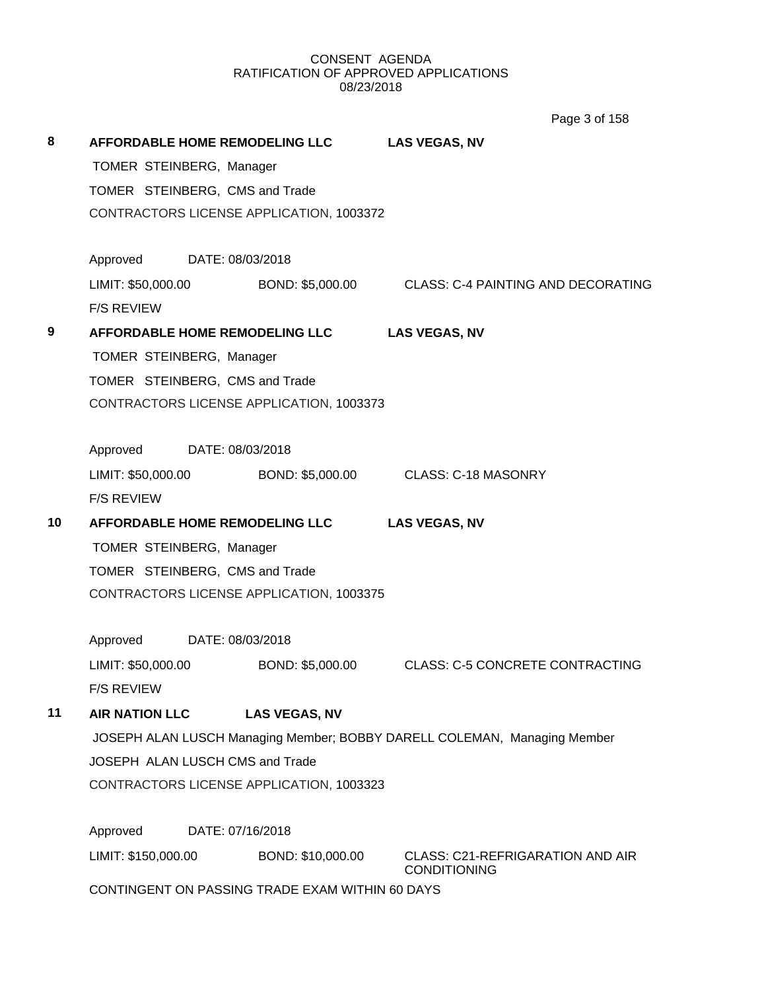**8 AFFORDABLE HOME REMODELING LLC LAS VEGAS, NV** TOMER STEINBERG, Manager TOMER STEINBERG, CMS and Trade CONTRACTORS LICENSE APPLICATION, 1003372 Approved DATE: 08/03/2018 LIMIT: \$50,000.00 BOND: \$5,000.00 CLASS: C-4 PAINTING AND DECORATING F/S REVIEW **9 AFFORDABLE HOME REMODELING LLC LAS VEGAS, NV** TOMER STEINBERG, Manager TOMER STEINBERG, CMS and Trade CONTRACTORS LICENSE APPLICATION, 1003373 Approved DATE: 08/03/2018 LIMIT: \$50,000.00 BOND: \$5,000.00 CLASS: C-18 MASONRY F/S REVIEW **10 AFFORDABLE HOME REMODELING LLC LAS VEGAS, NV** TOMER STEINBERG, Manager TOMER STEINBERG, CMS and Trade CONTRACTORS LICENSE APPLICATION, 1003375 Approved DATE: 08/03/2018 LIMIT: \$50,000.00 BOND: \$5,000.00 CLASS: C-5 CONCRETE CONTRACTING F/S REVIEW **11 AIR NATION LLC LAS VEGAS, NV** JOSEPH ALAN LUSCH Managing Member; BOBBY DARELL COLEMAN, Managing Member JOSEPH ALAN LUSCH CMS and Trade CONTRACTORS LICENSE APPLICATION, 1003323 Approved DATE: 07/16/2018 LIMIT: \$150,000.00 BOND: \$10,000.00 CLASS: C21-REFRIGARATION AND AIR **CONDITIONING** CONTINGENT ON PASSING TRADE EXAM WITHIN 60 DAYS Page 3 of 158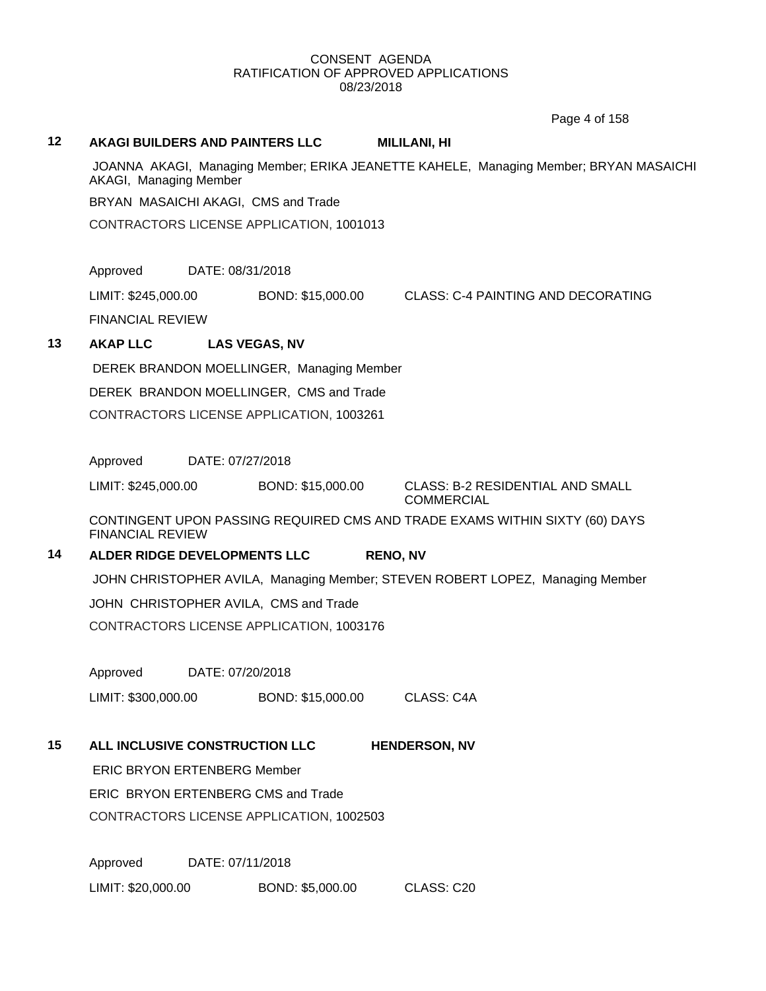Page 4 of 158

#### **12 AKAGI BUILDERS AND PAINTERS LLC MILILANI, HI**

JOANNA AKAGI, Managing Member; ERIKA JEANETTE KAHELE, Managing Member; BRYAN MASAICHI AKAGI, Managing Member

BRYAN MASAICHI AKAGI, CMS and Trade

CONTRACTORS LICENSE APPLICATION, 1001013

Approved DATE: 08/31/2018

LIMIT: \$245,000.00 BOND: \$15,000.00 CLASS: C-4 PAINTING AND DECORATING

FINANCIAL REVIEW

## **13 AKAP LLC LAS VEGAS, NV**

DEREK BRANDON MOELLINGER, Managing Member DEREK BRANDON MOELLINGER, CMS and Trade

CONTRACTORS LICENSE APPLICATION, 1003261

Approved DATE: 07/27/2018

LIMIT: \$245,000.00 BOND: \$15,000.00 CLASS: B-2 RESIDENTIAL AND SMALL

**COMMERCIAL** 

CONTINGENT UPON PASSING REQUIRED CMS AND TRADE EXAMS WITHIN SIXTY (60) DAYS FINANCIAL REVIEW

#### **14 ALDER RIDGE DEVELOPMENTS LLC RENO, NV**

JOHN CHRISTOPHER AVILA, Managing Member; STEVEN ROBERT LOPEZ, Managing Member

JOHN CHRISTOPHER AVILA, CMS and Trade

CONTRACTORS LICENSE APPLICATION, 1003176

Approved DATE: 07/20/2018

LIMIT: \$300,000.00 BOND: \$15,000.00 CLASS: C4A

## **15 ALL INCLUSIVE CONSTRUCTION LLC HENDERSON, NV**

ERIC BRYON ERTENBERG Member

ERIC BRYON ERTENBERG CMS and Trade

CONTRACTORS LICENSE APPLICATION, 1002503

Approved DATE: 07/11/2018 LIMIT: \$20,000.00 BOND: \$5,000.00 CLASS: C20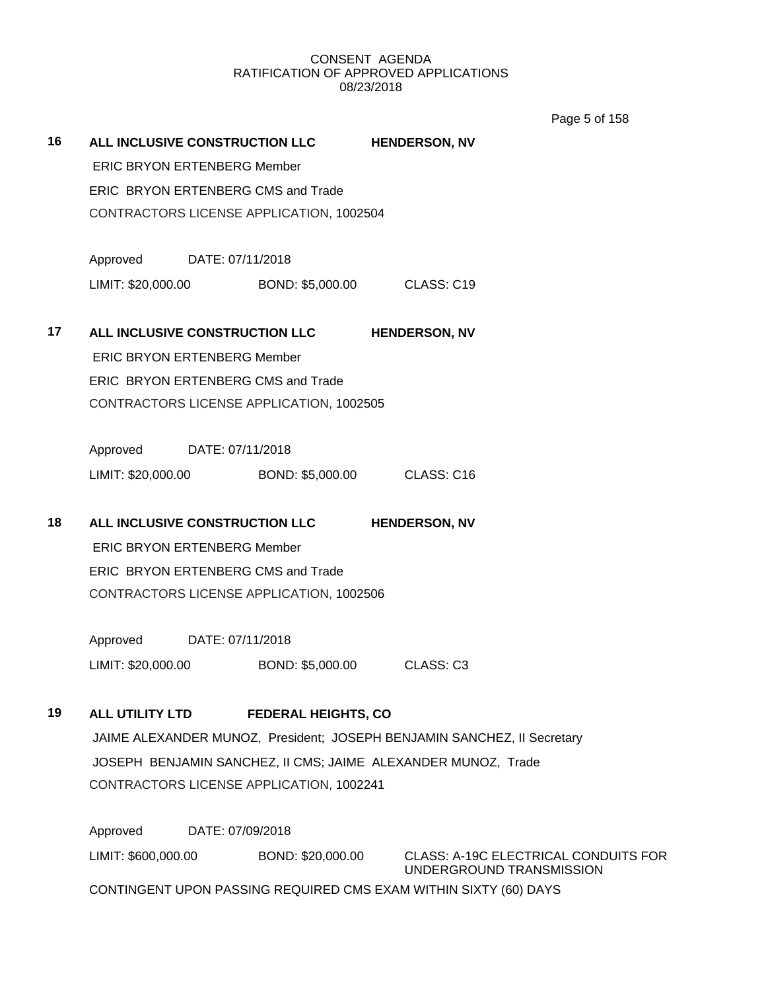Page 5 of 158

| 16 | ALL INCLUSIVE CONSTRUCTION LLC           |                                          |                                          | <b>HENDERSON, NV</b>                                                    |  |  |
|----|------------------------------------------|------------------------------------------|------------------------------------------|-------------------------------------------------------------------------|--|--|
|    | <b>ERIC BRYON ERTENBERG Member</b>       |                                          |                                          |                                                                         |  |  |
|    | ERIC BRYON ERTENBERG CMS and Trade       |                                          |                                          |                                                                         |  |  |
|    | CONTRACTORS LICENSE APPLICATION, 1002504 |                                          |                                          |                                                                         |  |  |
|    | Approved DATE: 07/11/2018                |                                          |                                          |                                                                         |  |  |
|    | LIMIT: \$20,000.00                       |                                          |                                          | BOND: \$5,000.00 CLASS: C19                                             |  |  |
| 17 | ALL INCLUSIVE CONSTRUCTION LLC           |                                          |                                          | <b>HENDERSON, NV</b>                                                    |  |  |
|    | <b>ERIC BRYON ERTENBERG Member</b>       |                                          |                                          |                                                                         |  |  |
|    |                                          |                                          | ERIC BRYON ERTENBERG CMS and Trade       |                                                                         |  |  |
|    |                                          | CONTRACTORS LICENSE APPLICATION, 1002505 |                                          |                                                                         |  |  |
|    | Approved DATE: 07/11/2018                |                                          |                                          |                                                                         |  |  |
|    | LIMIT: \$20,000.00                       |                                          |                                          | BOND: \$5,000.00 CLASS: C16                                             |  |  |
| 18 | ALL INCLUSIVE CONSTRUCTION LLC           |                                          |                                          | <b>HENDERSON, NV</b>                                                    |  |  |
|    | <b>ERIC BRYON ERTENBERG Member</b>       |                                          |                                          |                                                                         |  |  |
|    | ERIC BRYON ERTENBERG CMS and Trade       |                                          |                                          |                                                                         |  |  |
|    | CONTRACTORS LICENSE APPLICATION, 1002506 |                                          |                                          |                                                                         |  |  |
|    |                                          |                                          |                                          |                                                                         |  |  |
|    | Approved DATE: 07/11/2018                |                                          |                                          |                                                                         |  |  |
|    | LIMIT: \$20,000.00                       |                                          | BOND: \$5,000.00                         | CLASS: C3                                                               |  |  |
| 19 | ALL UTILITY LTD                          |                                          | <b>FEDERAL HEIGHTS, CO</b>               |                                                                         |  |  |
|    |                                          |                                          |                                          | JAIME ALEXANDER MUNOZ, President; JOSEPH BENJAMIN SANCHEZ, II Secretary |  |  |
|    |                                          |                                          |                                          | JOSEPH BENJAMIN SANCHEZ, II CMS; JAIME ALEXANDER MUNOZ, Trade           |  |  |
|    |                                          |                                          | CONTRACTORS LICENSE APPLICATION, 1002241 |                                                                         |  |  |
|    | Approved                                 | DATE: 07/09/2018                         |                                          |                                                                         |  |  |

CONTINGENT UPON PASSING REQUIRED CMS EXAM WITHIN SIXTY (60) DAYS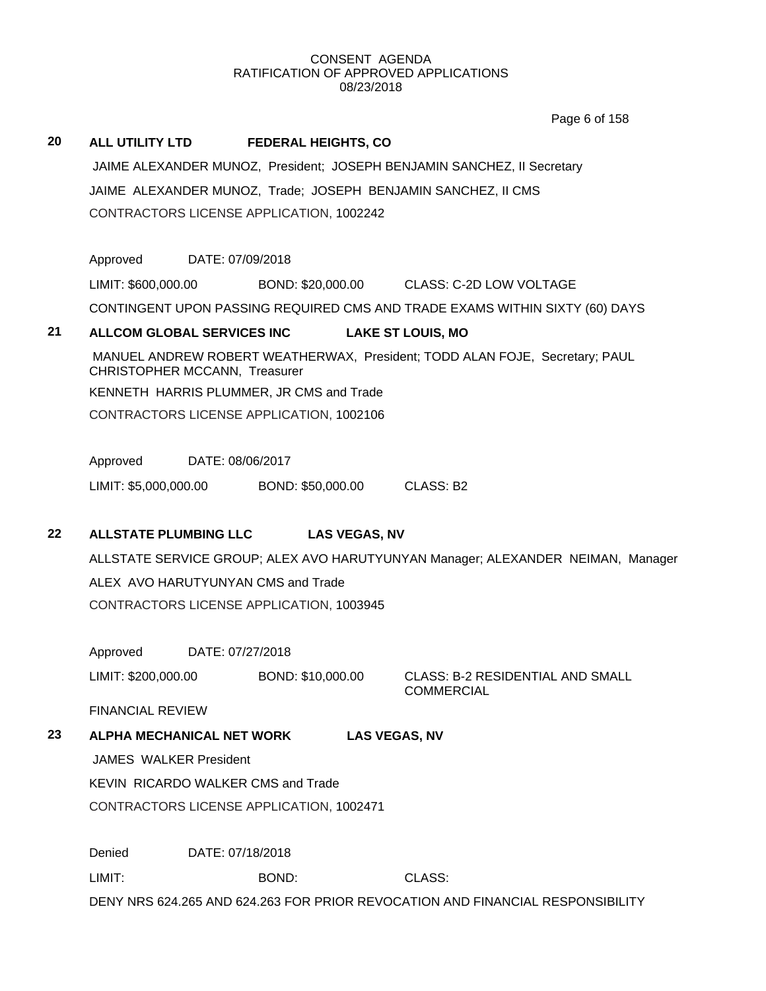Page 6 of 158

## **20 ALL UTILITY LTD FEDERAL HEIGHTS, CO**

JAIME ALEXANDER MUNOZ, President; JOSEPH BENJAMIN SANCHEZ, II Secretary JAIME ALEXANDER MUNOZ, Trade; JOSEPH BENJAMIN SANCHEZ, II CMS CONTRACTORS LICENSE APPLICATION, 1002242

Approved DATE: 07/09/2018

LIMIT: \$600,000.00 BOND: \$20,000.00 CLASS: C-2D LOW VOLTAGE

CONTINGENT UPON PASSING REQUIRED CMS AND TRADE EXAMS WITHIN SIXTY (60) DAYS

#### **21 ALLCOM GLOBAL SERVICES INC LAKE ST LOUIS, MO**

MANUEL ANDREW ROBERT WEATHERWAX, President; TODD ALAN FOJE, Secretary; PAUL CHRISTOPHER MCCANN, Treasurer KENNETH HARRIS PLUMMER, JR CMS and Trade CONTRACTORS LICENSE APPLICATION, 1002106

Approved DATE: 08/06/2017

LIMIT: \$5,000,000.00 BOND: \$50,000.00 CLASS: B2

## **22 ALLSTATE PLUMBING LLC LAS VEGAS, NV**

ALLSTATE SERVICE GROUP; ALEX AVO HARUTYUNYAN Manager; ALEXANDER NEIMAN, Manager ALEX AVO HARUTYUNYAN CMS and Trade CONTRACTORS LICENSE APPLICATION, 1003945

Approved DATE: 07/27/2018

LIMIT: \$200,000.00 BOND: \$10,000.00 CLASS: B-2 RESIDENTIAL AND SMALL

COMMERCIAL

FINANCIAL REVIEW

## **23 ALPHA MECHANICAL NET WORK LAS VEGAS, NV**

JAMES WALKER President

KEVIN RICARDO WALKER CMS and Trade

CONTRACTORS LICENSE APPLICATION, 1002471

Denied DATE: 07/18/2018 LIMIT: BOND: CLASS: DENY NRS 624.265 AND 624.263 FOR PRIOR REVOCATION AND FINANCIAL RESPONSIBILITY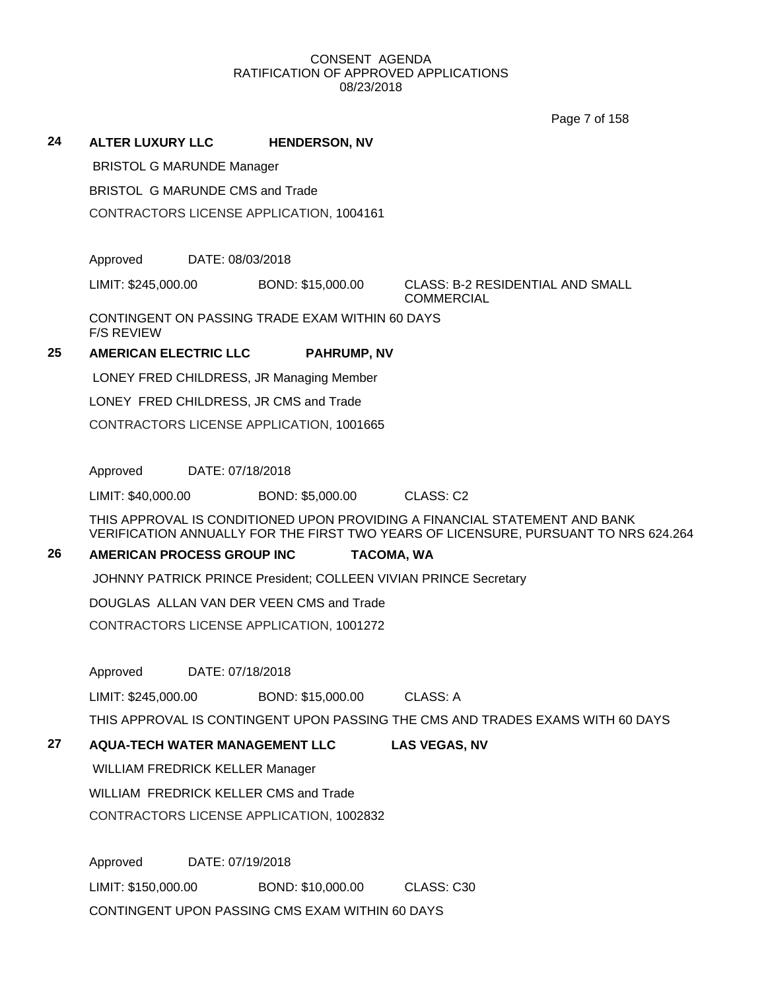Page 7 of 158

## **24 ALTER LUXURY LLC HENDERSON, NV**

BRISTOL G MARUNDE Manager

BRISTOL G MARUNDE CMS and Trade

CONTRACTORS LICENSE APPLICATION, 1004161

Approved DATE: 08/03/2018

LIMIT: \$245,000.00 BOND: \$15,000.00 CLASS: B-2 RESIDENTIAL AND SMALL

**COMMERCIAL** 

CONTINGENT ON PASSING TRADE EXAM WITHIN 60 DAYS F/S REVIEW

## **25 AMERICAN ELECTRIC LLC PAHRUMP, NV**

LONEY FRED CHILDRESS, JR Managing Member

LONEY FRED CHILDRESS, JR CMS and Trade

CONTRACTORS LICENSE APPLICATION, 1001665

Approved DATE: 07/18/2018

LIMIT: \$40,000.00 BOND: \$5,000.00 CLASS: C2

THIS APPROVAL IS CONDITIONED UPON PROVIDING A FINANCIAL STATEMENT AND BANK VERIFICATION ANNUALLY FOR THE FIRST TWO YEARS OF LICENSURE, PURSUANT TO NRS 624.264

## **26 AMERICAN PROCESS GROUP INC TACOMA, WA**

JOHNNY PATRICK PRINCE President; COLLEEN VIVIAN PRINCE Secretary

DOUGLAS ALLAN VAN DER VEEN CMS and Trade

CONTRACTORS LICENSE APPLICATION, 1001272

Approved DATE: 07/18/2018

LIMIT: \$245,000.00 BOND: \$15,000.00 CLASS: A

THIS APPROVAL IS CONTINGENT UPON PASSING THE CMS AND TRADES EXAMS WITH 60 DAYS

## **27 AQUA-TECH WATER MANAGEMENT LLC LAS VEGAS, NV**

WILLIAM FREDRICK KELLER Manager

WILLIAM FREDRICK KELLER CMS and Trade

CONTRACTORS LICENSE APPLICATION, 1002832

Approved DATE: 07/19/2018 LIMIT: \$150,000.00 BOND: \$10,000.00 CLASS: C30 CONTINGENT UPON PASSING CMS EXAM WITHIN 60 DAYS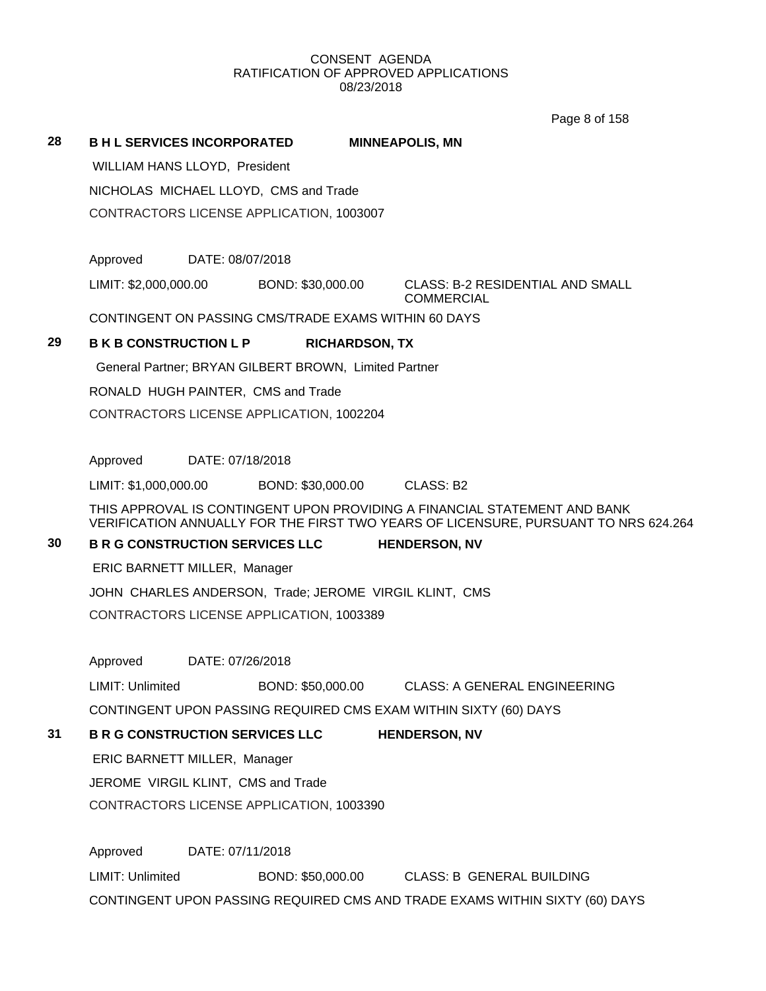Page 8 of 158

**28 B H L SERVICES INCORPORATED MINNEAPOLIS, MN**

WILLIAM HANS LLOYD, President

NICHOLAS MICHAEL LLOYD, CMS and Trade

CONTRACTORS LICENSE APPLICATION, 1003007

Approved DATE: 08/07/2018

LIMIT: \$2,000,000.00 BOND: \$30,000.00 CLASS: B-2 RESIDENTIAL AND SMALL

**COMMERCIAL** 

CONTINGENT ON PASSING CMS/TRADE EXAMS WITHIN 60 DAYS

## **29 B K B CONSTRUCTION L P RICHARDSON, TX**

General Partner; BRYAN GILBERT BROWN, Limited Partner

RONALD HUGH PAINTER, CMS and Trade

CONTRACTORS LICENSE APPLICATION, 1002204

Approved DATE: 07/18/2018

LIMIT: \$1,000,000.00 BOND: \$30,000.00 CLASS: B2

THIS APPROVAL IS CONTINGENT UPON PROVIDING A FINANCIAL STATEMENT AND BANK VERIFICATION ANNUALLY FOR THE FIRST TWO YEARS OF LICENSURE, PURSUANT TO NRS 624.264

## **30 B R G CONSTRUCTION SERVICES LLC HENDERSON, NV**

ERIC BARNETT MILLER, Manager

JOHN CHARLES ANDERSON, Trade; JEROME VIRGIL KLINT, CMS CONTRACTORS LICENSE APPLICATION, 1003389

Approved DATE: 07/26/2018

LIMIT: Unlimited BOND: \$50,000.00 CLASS: A GENERAL ENGINEERING

CONTINGENT UPON PASSING REQUIRED CMS EXAM WITHIN SIXTY (60) DAYS

## **31 B R G CONSTRUCTION SERVICES LLC HENDERSON, NV**

ERIC BARNETT MILLER, Manager

JEROME VIRGIL KLINT, CMS and Trade

CONTRACTORS LICENSE APPLICATION, 1003390

Approved DATE: 07/11/2018 LIMIT: Unlimited BOND: \$50,000.00 CLASS: B GENERAL BUILDING CONTINGENT UPON PASSING REQUIRED CMS AND TRADE EXAMS WITHIN SIXTY (60) DAYS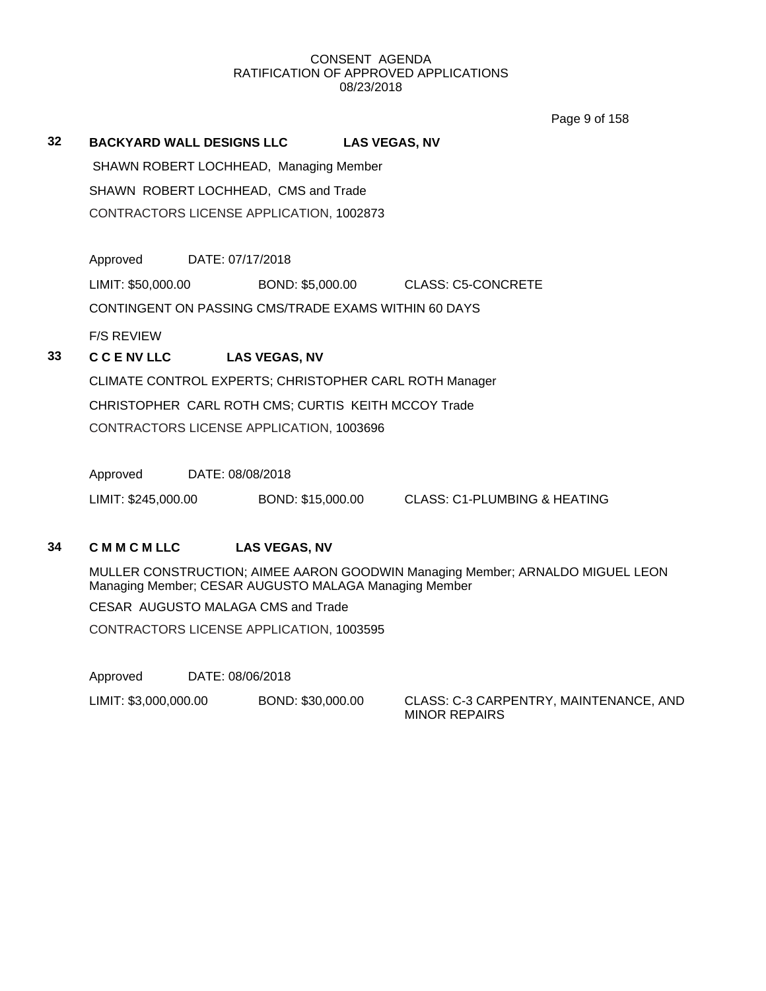Page 9 of 158

## **32 BACKYARD WALL DESIGNS LLC LAS VEGAS, NV**

SHAWN ROBERT LOCHHEAD, Managing Member SHAWN ROBERT LOCHHEAD, CMS and Trade CONTRACTORS LICENSE APPLICATION, 1002873

Approved DATE: 07/17/2018

LIMIT: \$50,000.00 BOND: \$5,000.00 CLASS: C5-CONCRETE

CONTINGENT ON PASSING CMS/TRADE EXAMS WITHIN 60 DAYS

F/S REVIEW

## **33 C C E NV LLC LAS VEGAS, NV**

CLIMATE CONTROL EXPERTS; CHRISTOPHER CARL ROTH Manager CHRISTOPHER CARL ROTH CMS; CURTIS KEITH MCCOY Trade CONTRACTORS LICENSE APPLICATION, 1003696

Approved DATE: 08/08/2018

LIMIT: \$245,000.00 BOND: \$15,000.00 CLASS: C1-PLUMBING & HEATING

## **34 C M M C M LLC LAS VEGAS, NV**

MULLER CONSTRUCTION; AIMEE AARON GOODWIN Managing Member; ARNALDO MIGUEL LEON Managing Member; CESAR AUGUSTO MALAGA Managing Member

CESAR AUGUSTO MALAGA CMS and Trade

CONTRACTORS LICENSE APPLICATION, 1003595

Approved DATE: 08/06/2018

LIMIT: \$3,000,000.00 BOND: \$30,000.00 CLASS: C-3 CARPENTRY, MAINTENANCE, AND

MINOR REPAIRS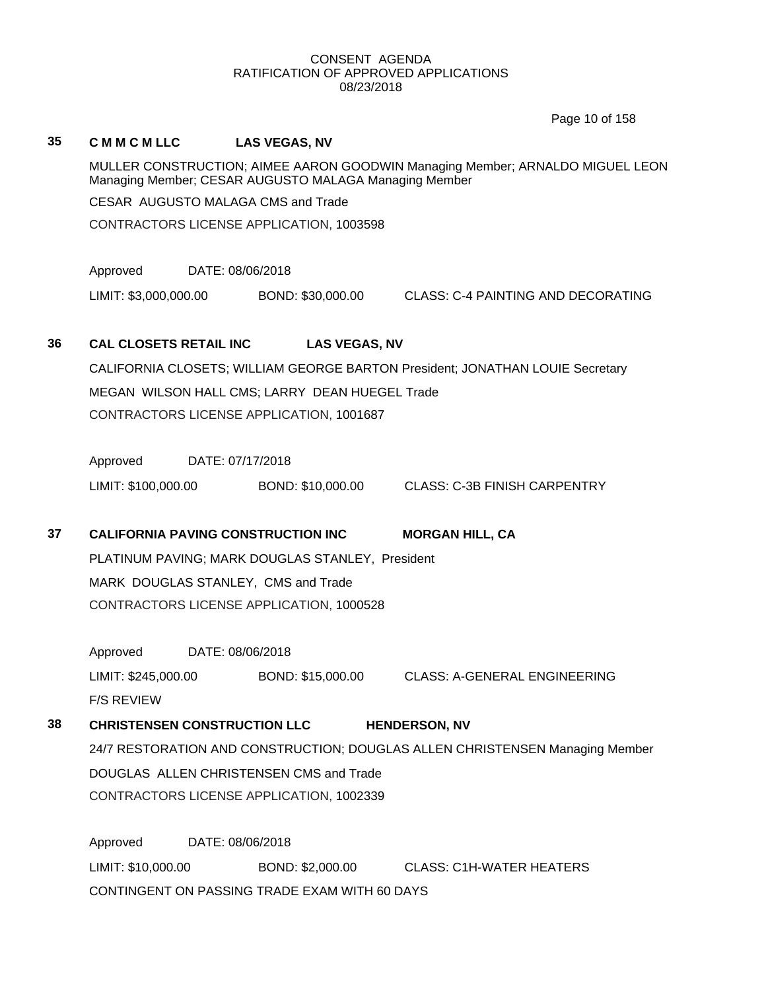Page 10 of 158

| 35 | <b>CMMCMLLC</b>                                                                                                                        |                                                                                            | <b>LAS VEGAS, NV</b> |                                                                               |  |  |
|----|----------------------------------------------------------------------------------------------------------------------------------------|--------------------------------------------------------------------------------------------|----------------------|-------------------------------------------------------------------------------|--|--|
|    | MULLER CONSTRUCTION; AIMEE AARON GOODWIN Managing Member; ARNALDO MIGUEL LEON<br>Managing Member; CESAR AUGUSTO MALAGA Managing Member |                                                                                            |                      |                                                                               |  |  |
|    | CESAR AUGUSTO MALAGA CMS and Trade                                                                                                     |                                                                                            |                      |                                                                               |  |  |
|    | CONTRACTORS LICENSE APPLICATION, 1003598                                                                                               |                                                                                            |                      |                                                                               |  |  |
|    | Approved                                                                                                                               | DATE: 08/06/2018                                                                           |                      |                                                                               |  |  |
|    | LIMIT: \$3,000,000.00                                                                                                                  |                                                                                            | BOND: \$30,000.00    | <b>CLASS: C-4 PAINTING AND DECORATING</b>                                     |  |  |
| 36 | <b>CAL CLOSETS RETAIL INC</b>                                                                                                          |                                                                                            | <b>LAS VEGAS, NV</b> |                                                                               |  |  |
|    |                                                                                                                                        |                                                                                            |                      | CALIFORNIA CLOSETS; WILLIAM GEORGE BARTON President; JONATHAN LOUIE Secretary |  |  |
|    |                                                                                                                                        |                                                                                            |                      |                                                                               |  |  |
|    |                                                                                                                                        | MEGAN WILSON HALL CMS; LARRY DEAN HUEGEL Trade<br>CONTRACTORS LICENSE APPLICATION, 1001687 |                      |                                                                               |  |  |
|    | Approved                                                                                                                               | DATE: 07/17/2018                                                                           |                      |                                                                               |  |  |
|    | LIMIT: \$100,000.00                                                                                                                    |                                                                                            | BOND: \$10,000.00    | <b>CLASS: C-3B FINISH CARPENTRY</b>                                           |  |  |
| 37 | <b>CALIFORNIA PAVING CONSTRUCTION INC</b><br><b>MORGAN HILL, CA</b>                                                                    |                                                                                            |                      |                                                                               |  |  |
|    | PLATINUM PAVING; MARK DOUGLAS STANLEY, President                                                                                       |                                                                                            |                      |                                                                               |  |  |
|    | MARK DOUGLAS STANLEY, CMS and Trade                                                                                                    |                                                                                            |                      |                                                                               |  |  |
|    | CONTRACTORS LICENSE APPLICATION, 1000528                                                                                               |                                                                                            |                      |                                                                               |  |  |
|    | Approved                                                                                                                               | DATE: 08/06/2018                                                                           |                      |                                                                               |  |  |
|    | LIMIT: \$245,000.00                                                                                                                    |                                                                                            | BOND: \$15,000.00    | CLASS: A-GENERAL ENGINEERING                                                  |  |  |
|    | <b>F/S REVIEW</b>                                                                                                                      |                                                                                            |                      |                                                                               |  |  |
| 38 | <b>CHRISTENSEN CONSTRUCTION LLC</b><br><b>HENDERSON, NV</b>                                                                            |                                                                                            |                      |                                                                               |  |  |
|    | 24/7 RESTORATION AND CONSTRUCTION; DOUGLAS ALLEN CHRISTENSEN Managing Member                                                           |                                                                                            |                      |                                                                               |  |  |
|    | DOUGLAS ALLEN CHRISTENSEN CMS and Trade                                                                                                |                                                                                            |                      |                                                                               |  |  |
|    | CONTRACTORS LICENSE APPLICATION, 1002339                                                                                               |                                                                                            |                      |                                                                               |  |  |
|    | Approved                                                                                                                               | DATE: 08/06/2018                                                                           |                      |                                                                               |  |  |
|    | LIMIT: \$10,000.00                                                                                                                     |                                                                                            | BOND: \$2,000.00     | CLASS: C1H-WATER HEATERS                                                      |  |  |
|    | CONTINGENT ON PASSING TRADE EXAM WITH 60 DAYS                                                                                          |                                                                                            |                      |                                                                               |  |  |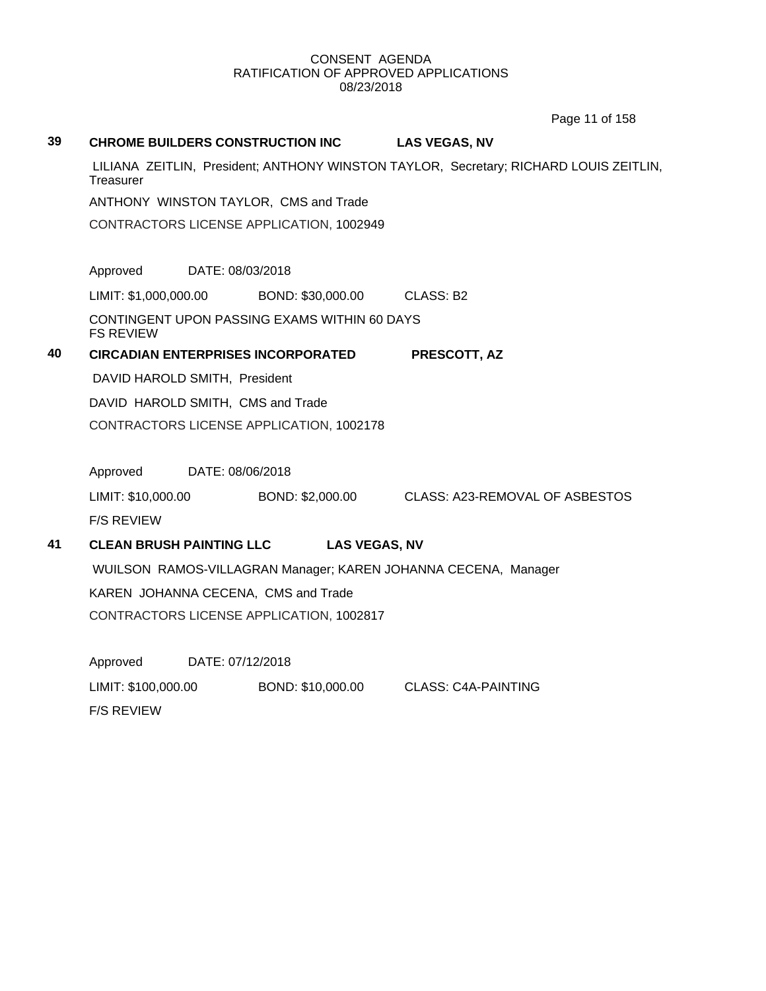Page 11 of 158

# **39 CHROME BUILDERS CONSTRUCTION INC LAS VEGAS, NV** LILIANA ZEITLIN, President; ANTHONY WINSTON TAYLOR, Secretary; RICHARD LOUIS ZEITLIN, **Treasurer** ANTHONY WINSTON TAYLOR, CMS and Trade CONTRACTORS LICENSE APPLICATION, 1002949 Approved DATE: 08/03/2018 LIMIT: \$1,000,000.00 BOND: \$30,000.00 CLASS: B2 CONTINGENT UPON PASSING EXAMS WITHIN 60 DAYS FS REVIEW **40 CIRCADIAN ENTERPRISES INCORPORATED PRESCOTT, AZ** DAVID HAROLD SMITH, President DAVID HAROLD SMITH, CMS and Trade CONTRACTORS LICENSE APPLICATION, 1002178 Approved DATE: 08/06/2018 LIMIT: \$10,000.00 BOND: \$2,000.00 CLASS: A23-REMOVAL OF ASBESTOS F/S REVIEW **41 CLEAN BRUSH PAINTING LLC LAS VEGAS, NV** WUILSON RAMOS-VILLAGRAN Manager; KAREN JOHANNA CECENA, Manager KAREN JOHANNA CECENA, CMS and Trade CONTRACTORS LICENSE APPLICATION, 1002817 Approved DATE: 07/12/2018 LIMIT: \$100,000.00 BOND: \$10,000.00 CLASS: C4A-PAINTING F/S REVIEW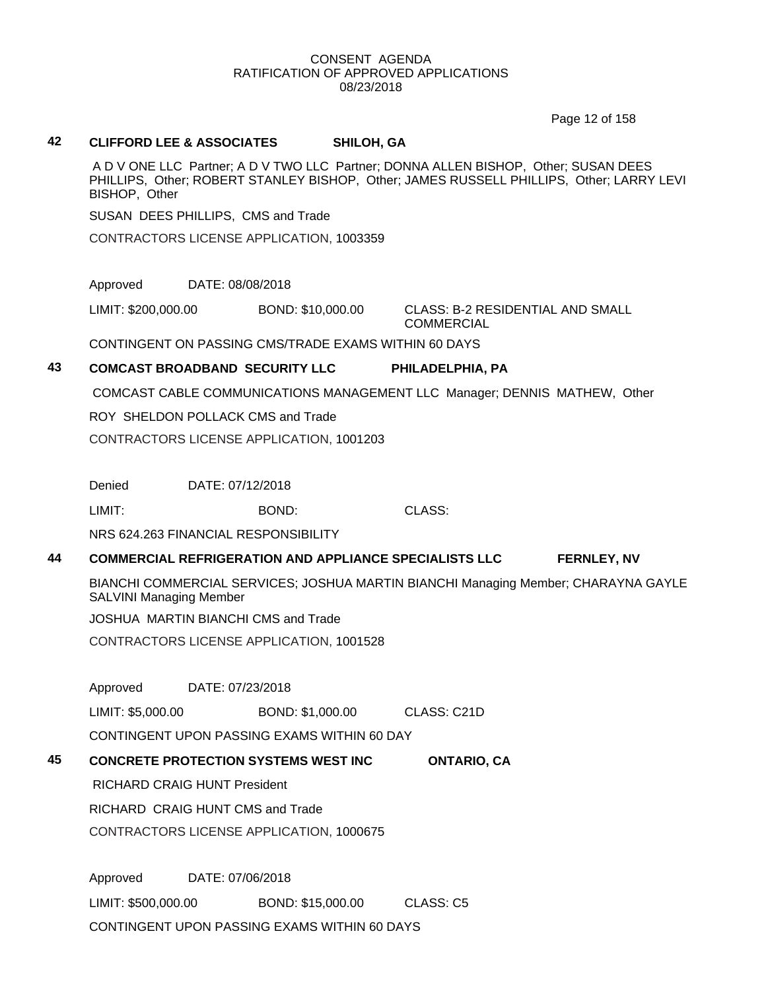Page 12 of 158

#### **42 CLIFFORD LEE & ASSOCIATES SHILOH, GA**

A D V ONE LLC Partner; A D V TWO LLC Partner; DONNA ALLEN BISHOP, Other; SUSAN DEES PHILLIPS, Other; ROBERT STANLEY BISHOP, Other; JAMES RUSSELL PHILLIPS, Other; LARRY LEVI BISHOP, Other

SUSAN DEES PHILLIPS, CMS and Trade

CONTRACTORS LICENSE APPLICATION, 1003359

Approved DATE: 08/08/2018

LIMIT: \$200,000.00 BOND: \$10,000.00 CLASS: B-2 RESIDENTIAL AND SMALL COMMERCIAL

CONTINGENT ON PASSING CMS/TRADE EXAMS WITHIN 60 DAYS

## **43 COMCAST BROADBAND SECURITY LLC PHILADELPHIA, PA**

COMCAST CABLE COMMUNICATIONS MANAGEMENT LLC Manager; DENNIS MATHEW, Other

ROY SHELDON POLLACK CMS and Trade

CONTRACTORS LICENSE APPLICATION, 1001203

Denied DATE: 07/12/2018

LIMIT: BOND: CLASS:

NRS 624.263 FINANCIAL RESPONSIBILITY

## **44 COMMERCIAL REFRIGERATION AND APPLIANCE SPECIALISTS LLC FERNLEY, NV**

BIANCHI COMMERCIAL SERVICES; JOSHUA MARTIN BIANCHI Managing Member; CHARAYNA GAYLE SALVINI Managing Member

JOSHUA MARTIN BIANCHI CMS and Trade

CONTRACTORS LICENSE APPLICATION, 1001528

Approved DATE: 07/23/2018

LIMIT: \$5,000.00 BOND: \$1,000.00 CLASS: C21D

CONTINGENT UPON PASSING EXAMS WITHIN 60 DAY

## **45 CONCRETE PROTECTION SYSTEMS WEST INC ONTARIO, CA**

RICHARD CRAIG HUNT President

RICHARD CRAIG HUNT CMS and Trade

CONTRACTORS LICENSE APPLICATION, 1000675

Approved DATE: 07/06/2018 LIMIT: \$500,000.00 BOND: \$15,000.00 CLASS: C5 CONTINGENT UPON PASSING EXAMS WITHIN 60 DAYS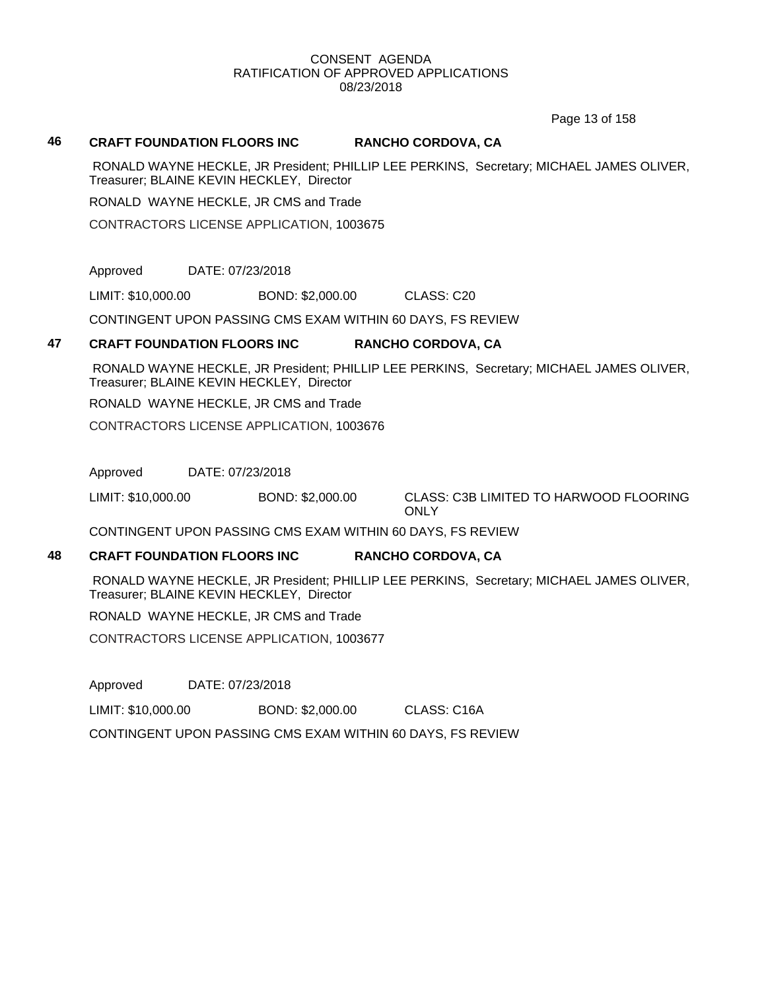Page 13 of 158

#### **46 CRAFT FOUNDATION FLOORS INC RANCHO CORDOVA, CA**

RONALD WAYNE HECKLE, JR President; PHILLIP LEE PERKINS, Secretary; MICHAEL JAMES OLIVER, Treasurer; BLAINE KEVIN HECKLEY, Director

RONALD WAYNE HECKLE, JR CMS and Trade

CONTRACTORS LICENSE APPLICATION, 1003675

Approved DATE: 07/23/2018

LIMIT: \$10,000.00 BOND: \$2,000.00 CLASS: C20

CONTINGENT UPON PASSING CMS EXAM WITHIN 60 DAYS, FS REVIEW

## **47 CRAFT FOUNDATION FLOORS INC RANCHO CORDOVA, CA**

RONALD WAYNE HECKLE, JR President; PHILLIP LEE PERKINS, Secretary; MICHAEL JAMES OLIVER, Treasurer; BLAINE KEVIN HECKLEY, Director

RONALD WAYNE HECKLE, JR CMS and Trade

CONTRACTORS LICENSE APPLICATION, 1003676

Approved DATE: 07/23/2018

LIMIT: \$10,000.00 BOND: \$2,000.00 CLASS: C3B LIMITED TO HARWOOD FLOORING **ONLY** 

CONTINGENT UPON PASSING CMS EXAM WITHIN 60 DAYS, FS REVIEW

#### **48 CRAFT FOUNDATION FLOORS INC RANCHO CORDOVA, CA**

RONALD WAYNE HECKLE, JR President; PHILLIP LEE PERKINS, Secretary; MICHAEL JAMES OLIVER, Treasurer; BLAINE KEVIN HECKLEY, Director

RONALD WAYNE HECKLE, JR CMS and Trade

CONTRACTORS LICENSE APPLICATION, 1003677

Approved DATE: 07/23/2018

LIMIT: \$10,000.00 BOND: \$2,000.00 CLASS: C16A

CONTINGENT UPON PASSING CMS EXAM WITHIN 60 DAYS, FS REVIEW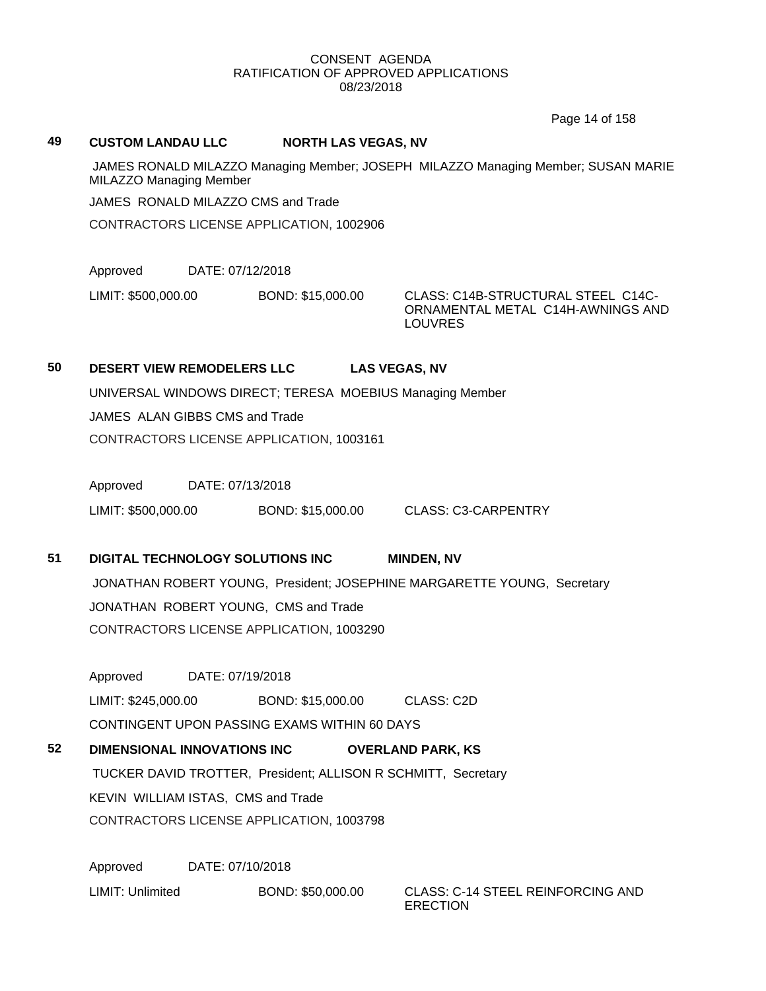Page 14 of 158

#### **49 CUSTOM LANDAU LLC NORTH LAS VEGAS, NV**

JAMES RONALD MILAZZO Managing Member; JOSEPH MILAZZO Managing Member; SUSAN MARIE MILAZZO Managing Member

JAMES RONALD MILAZZO CMS and Trade

CONTRACTORS LICENSE APPLICATION, 1002906

Approved DATE: 07/12/2018

LIMIT: \$500,000.00 BOND: \$15,000.00 CLASS: C14B-STRUCTURAL STEEL C14C-

ORNAMENTAL METAL C14H-AWNINGS AND LOUVRES

## **50 DESERT VIEW REMODELERS LLC LAS VEGAS, NV**

UNIVERSAL WINDOWS DIRECT; TERESA MOEBIUS Managing Member JAMES ALAN GIBBS CMS and Trade CONTRACTORS LICENSE APPLICATION, 1003161

Approved DATE: 07/13/2018

LIMIT: \$500,000.00 BOND: \$15,000.00 CLASS: C3-CARPENTRY

## **51 DIGITAL TECHNOLOGY SOLUTIONS INC MINDEN, NV** JONATHAN ROBERT YOUNG, President; JOSEPHINE MARGARETTE YOUNG, Secretary

JONATHAN ROBERT YOUNG, CMS and Trade

CONTRACTORS LICENSE APPLICATION, 1003290

Approved DATE: 07/19/2018

LIMIT: \$245,000.00 BOND: \$15,000.00 CLASS: C2D

CONTINGENT UPON PASSING EXAMS WITHIN 60 DAYS

## **52 DIMENSIONAL INNOVATIONS INC OVERLAND PARK, KS**

TUCKER DAVID TROTTER, President; ALLISON R SCHMITT, Secretary KEVIN WILLIAM ISTAS, CMS and Trade CONTRACTORS LICENSE APPLICATION, 1003798

Approved DATE: 07/10/2018 LIMIT: Unlimited BOND: \$50,000.00 CLASS: C-14 STEEL REINFORCING AND

ERECTION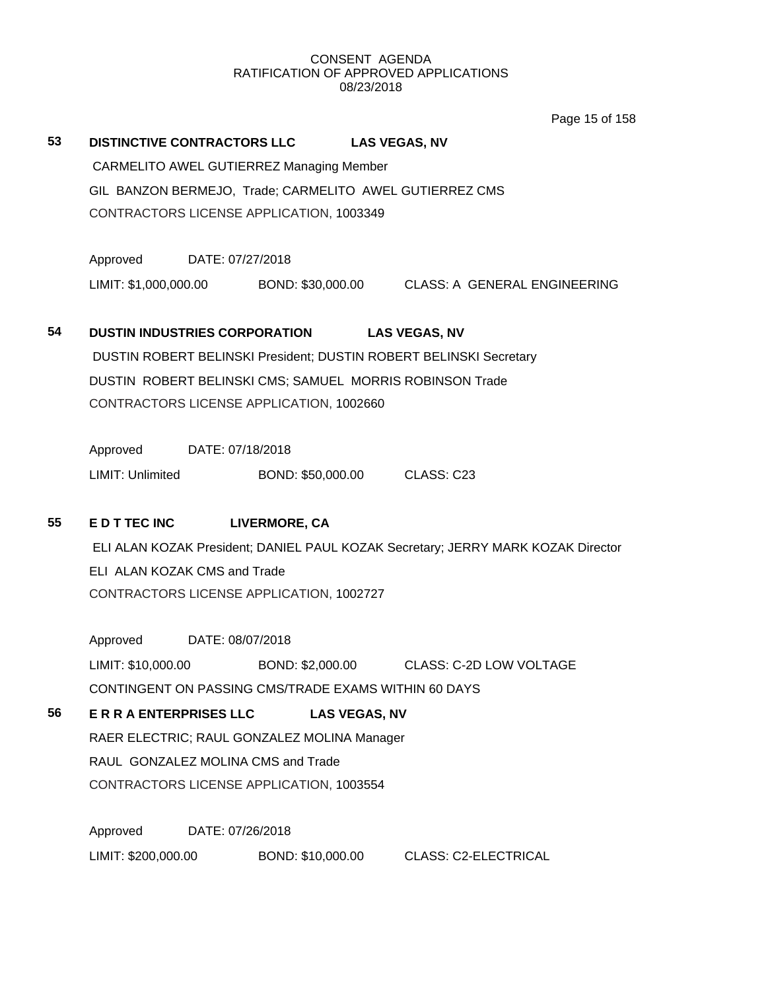Page 15 of 158

# **53 DISTINCTIVE CONTRACTORS LLC LAS VEGAS, NV** CARMELITO AWEL GUTIERREZ Managing Member GIL BANZON BERMEJO, Trade; CARMELITO AWEL GUTIERREZ CMS CONTRACTORS LICENSE APPLICATION, 1003349 Approved DATE: 07/27/2018 LIMIT: \$1,000,000.00 BOND: \$30,000.00 CLASS: A GENERAL ENGINEERING **54 DUSTIN INDUSTRIES CORPORATION LAS VEGAS, NV** DUSTIN ROBERT BELINSKI President; DUSTIN ROBERT BELINSKI Secretary DUSTIN ROBERT BELINSKI CMS; SAMUEL MORRIS ROBINSON Trade CONTRACTORS LICENSE APPLICATION, 1002660 Approved DATE: 07/18/2018 LIMIT: Unlimited BOND: \$50,000.00 CLASS: C23 **55 E D T TEC INC LIVERMORE, CA** ELI ALAN KOZAK President; DANIEL PAUL KOZAK Secretary; JERRY MARK KOZAK Director ELI ALAN KOZAK CMS and Trade CONTRACTORS LICENSE APPLICATION, 1002727 Approved DATE: 08/07/2018 LIMIT: \$10,000.00 BOND: \$2,000.00 CLASS: C-2D LOW VOLTAGE CONTINGENT ON PASSING CMS/TRADE EXAMS WITHIN 60 DAYS **56 E R R A ENTERPRISES LLC LAS VEGAS, NV** RAER ELECTRIC; RAUL GONZALEZ MOLINA Manager RAUL GONZALEZ MOLINA CMS and Trade CONTRACTORS LICENSE APPLICATION, 1003554 Approved DATE: 07/26/2018 LIMIT: \$200,000.00 BOND: \$10,000.00 CLASS: C2-ELECTRICAL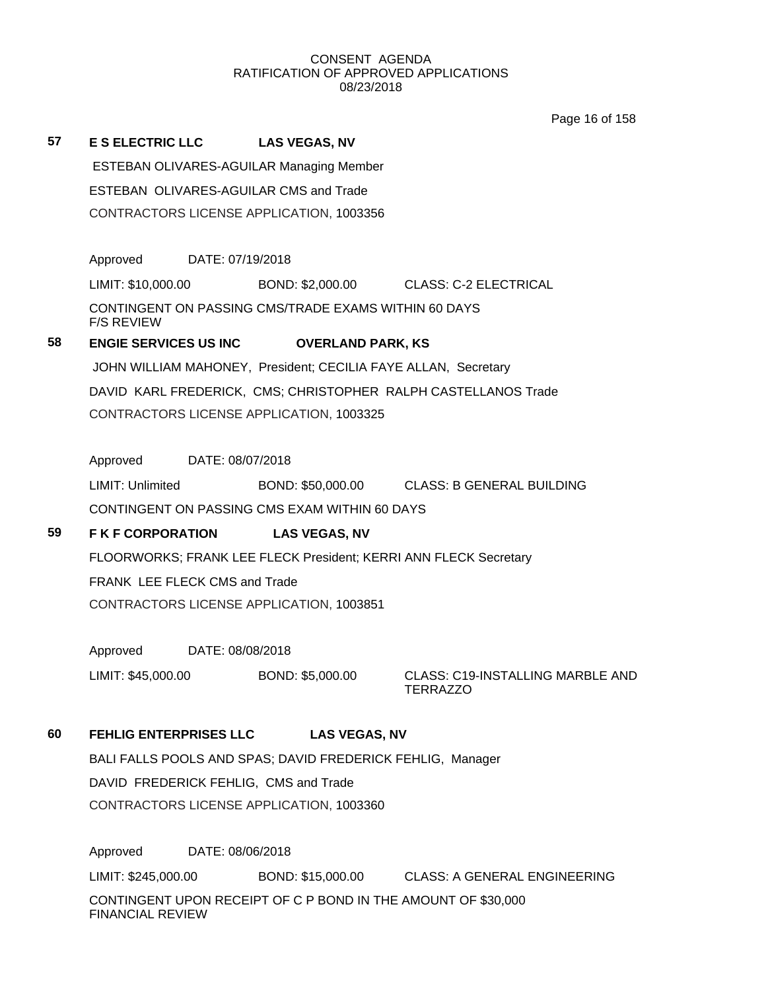Page 16 of 158

**57 E S ELECTRIC LLC LAS VEGAS, NV** ESTEBAN OLIVARES-AGUILAR Managing Member ESTEBAN OLIVARES-AGUILAR CMS and Trade CONTRACTORS LICENSE APPLICATION, 1003356 Approved DATE: 07/19/2018 LIMIT: \$10,000.00 BOND: \$2,000.00 CLASS: C-2 ELECTRICAL CONTINGENT ON PASSING CMS/TRADE EXAMS WITHIN 60 DAYS F/S REVIEW **58 ENGIE SERVICES US INC OVERLAND PARK, KS** JOHN WILLIAM MAHONEY, President; CECILIA FAYE ALLAN, Secretary DAVID KARL FREDERICK, CMS; CHRISTOPHER RALPH CASTELLANOS Trade CONTRACTORS LICENSE APPLICATION, 1003325 Approved DATE: 08/07/2018 LIMIT: Unlimited BOND: \$50,000.00 CLASS: B GENERAL BUILDING

CONTINGENT ON PASSING CMS EXAM WITHIN 60 DAYS

## **59 F K F CORPORATION LAS VEGAS, NV**

FLOORWORKS; FRANK LEE FLECK President; KERRI ANN FLECK Secretary FRANK LEE FLECK CMS and Trade CONTRACTORS LICENSE APPLICATION, 1003851

Approved DATE: 08/08/2018

LIMIT: \$45,000.00 BOND: \$5,000.00 CLASS: C19-INSTALLING MARBLE AND

TERRAZZO

**60 FEHLIG ENTERPRISES LLC LAS VEGAS, NV**

BALI FALLS POOLS AND SPAS; DAVID FREDERICK FEHLIG, Manager DAVID FREDERICK FEHLIG, CMS and Trade CONTRACTORS LICENSE APPLICATION, 1003360

Approved DATE: 08/06/2018 LIMIT: \$245,000.00 BOND: \$15,000.00 CLASS: A GENERAL ENGINEERING CONTINGENT UPON RECEIPT OF C P BOND IN THE AMOUNT OF \$30,000 FINANCIAL REVIEW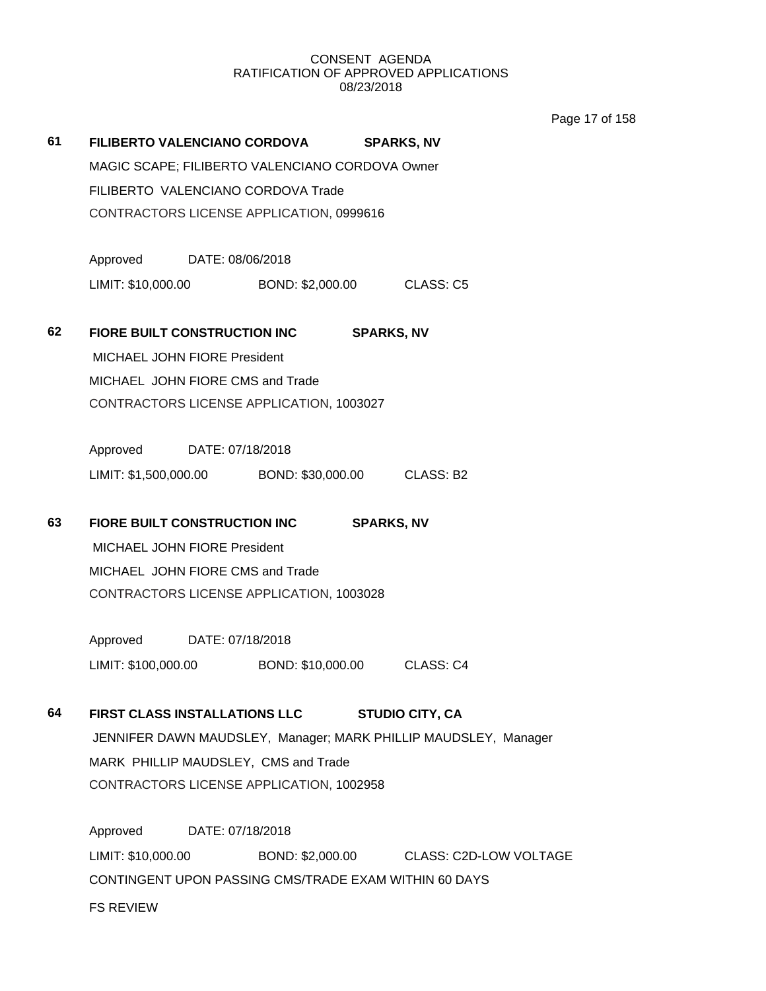Page 17 of 158

| 61 | FILIBERTO VALENCIANO CORDOVA                                                                            |                            | <b>SPARKS, NV</b>                       |  |  |  |
|----|---------------------------------------------------------------------------------------------------------|----------------------------|-----------------------------------------|--|--|--|
|    | MAGIC SCAPE; FILIBERTO VALENCIANO CORDOVA Owner                                                         |                            |                                         |  |  |  |
|    | FILIBERTO VALENCIANO CORDOVA Trade                                                                      |                            |                                         |  |  |  |
|    | CONTRACTORS LICENSE APPLICATION, 0999616                                                                |                            |                                         |  |  |  |
|    |                                                                                                         |                            |                                         |  |  |  |
|    | Approved DATE: 08/06/2018                                                                               |                            |                                         |  |  |  |
|    | LIMIT: \$10,000.00                                                                                      | BOND: \$2,000.00 CLASS: C5 |                                         |  |  |  |
|    |                                                                                                         |                            |                                         |  |  |  |
| 62 | FIORE BUILT CONSTRUCTION INC                                                                            |                            | <b>SPARKS, NV</b>                       |  |  |  |
|    | MICHAEL JOHN FIORE President                                                                            |                            |                                         |  |  |  |
|    | MICHAEL JOHN FIORE CMS and Trade                                                                        |                            |                                         |  |  |  |
|    | CONTRACTORS LICENSE APPLICATION, 1003027                                                                |                            |                                         |  |  |  |
|    | Approved DATE: 07/18/2018                                                                               |                            |                                         |  |  |  |
|    | LIMIT: \$1,500,000.00 BOND: \$30,000.00 CLASS: B2                                                       |                            |                                         |  |  |  |
|    |                                                                                                         |                            |                                         |  |  |  |
| 63 | FIORE BUILT CONSTRUCTION INC<br><b>SPARKS, NV</b>                                                       |                            |                                         |  |  |  |
|    | MICHAEL JOHN FIORE President                                                                            |                            |                                         |  |  |  |
|    | MICHAEL JOHN FIORE CMS and Trade                                                                        |                            |                                         |  |  |  |
|    | CONTRACTORS LICENSE APPLICATION, 1003028                                                                |                            |                                         |  |  |  |
|    |                                                                                                         |                            |                                         |  |  |  |
|    | Approved DATE: 07/18/2018                                                                               |                            |                                         |  |  |  |
|    | LIMIT: \$100,000.00 BOND: \$10,000.00 CLASS: C4                                                         |                            |                                         |  |  |  |
| 64 | FIRST CLASS INSTALLATIONS LLC                                                                           |                            | <b>STUDIO CITY, CA</b>                  |  |  |  |
|    |                                                                                                         |                            |                                         |  |  |  |
|    | JENNIFER DAWN MAUDSLEY, Manager; MARK PHILLIP MAUDSLEY, Manager<br>MARK PHILLIP MAUDSLEY, CMS and Trade |                            |                                         |  |  |  |
|    | CONTRACTORS LICENSE APPLICATION, 1002958                                                                |                            |                                         |  |  |  |
|    |                                                                                                         |                            |                                         |  |  |  |
|    | Approved                                                                                                | DATE: 07/18/2018           |                                         |  |  |  |
|    | LIMIT: \$10,000.00                                                                                      |                            | BOND: \$2,000.00 CLASS: C2D-LOW VOLTAGE |  |  |  |
|    | CONTINGENT UPON PASSING CMS/TRADE EXAM WITHIN 60 DAYS                                                   |                            |                                         |  |  |  |
|    | <b>FS REVIEW</b>                                                                                        |                            |                                         |  |  |  |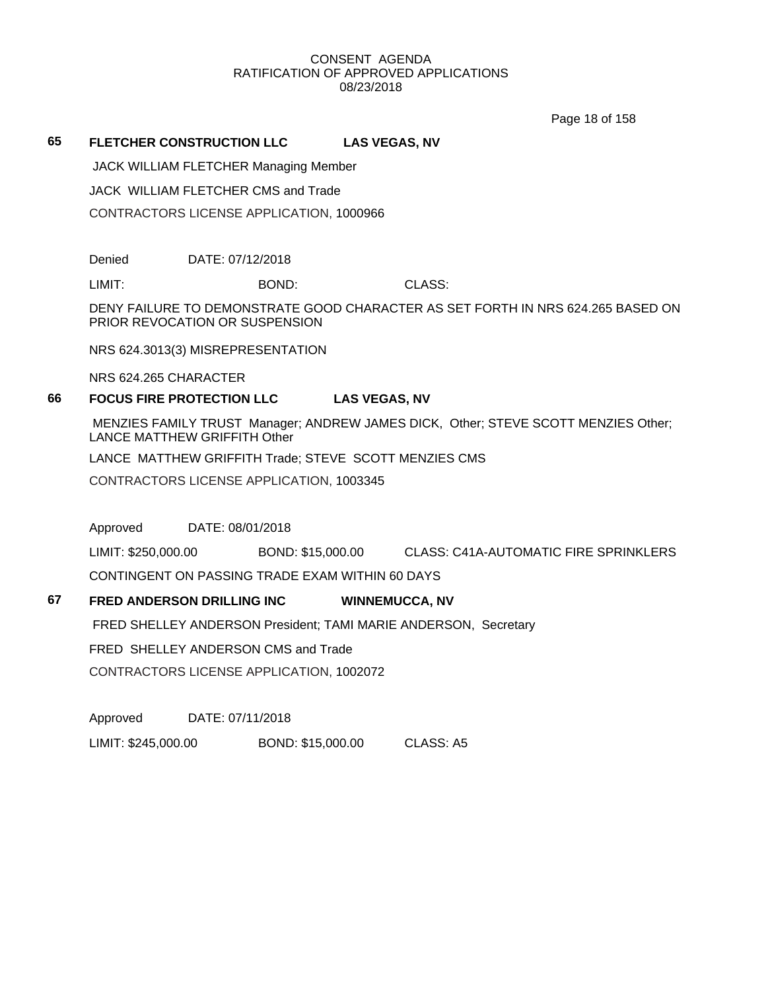Page 18 of 158

## **65 FLETCHER CONSTRUCTION LLC LAS VEGAS, NV**

JACK WILLIAM FLETCHER Managing Member

JACK WILLIAM FLETCHER CMS and Trade

CONTRACTORS LICENSE APPLICATION, 1000966

Denied DATE: 07/12/2018

LIMIT: BOND: CLASS:

DENY FAILURE TO DEMONSTRATE GOOD CHARACTER AS SET FORTH IN NRS 624.265 BASED ON PRIOR REVOCATION OR SUSPENSION

NRS 624.3013(3) MISREPRESENTATION

NRS 624.265 CHARACTER

## **66 FOCUS FIRE PROTECTION LLC LAS VEGAS, NV**

MENZIES FAMILY TRUST Manager; ANDREW JAMES DICK, Other; STEVE SCOTT MENZIES Other; LANCE MATTHEW GRIFFITH Other

LANCE MATTHEW GRIFFITH Trade; STEVE SCOTT MENZIES CMS

CONTRACTORS LICENSE APPLICATION, 1003345

Approved DATE: 08/01/2018

LIMIT: \$250,000.00 BOND: \$15,000.00 CLASS: C41A-AUTOMATIC FIRE SPRINKLERS

CONTINGENT ON PASSING TRADE EXAM WITHIN 60 DAYS

### **67 FRED ANDERSON DRILLING INC WINNEMUCCA, NV**

FRED SHELLEY ANDERSON President; TAMI MARIE ANDERSON, Secretary

FRED SHELLEY ANDERSON CMS and Trade

CONTRACTORS LICENSE APPLICATION, 1002072

Approved DATE: 07/11/2018

LIMIT: \$245,000.00 BOND: \$15,000.00 CLASS: A5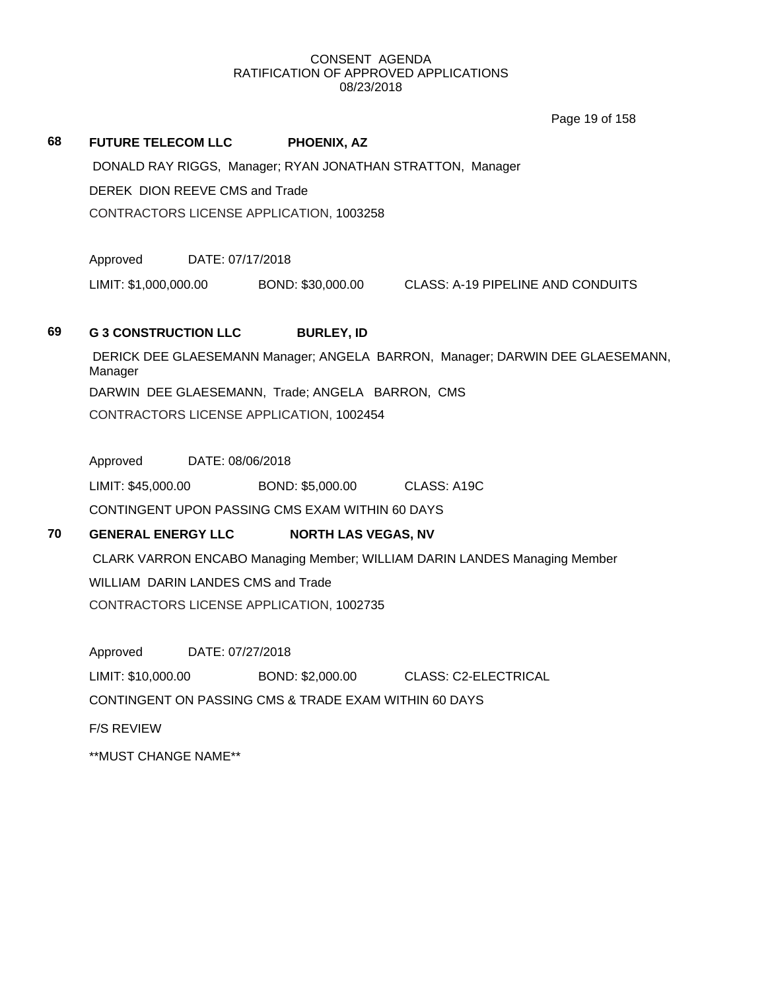Page 19 of 158

## **68 FUTURE TELECOM LLC PHOENIX, AZ** DONALD RAY RIGGS, Manager; RYAN JONATHAN STRATTON, Manager DEREK DION REEVE CMS and Trade CONTRACTORS LICENSE APPLICATION, 1003258

Approved DATE: 07/17/2018

LIMIT: \$1,000,000.00 BOND: \$30,000.00 CLASS: A-19 PIPELINE AND CONDUITS

## **69 G 3 CONSTRUCTION LLC BURLEY, ID**

DERICK DEE GLAESEMANN Manager; ANGELA BARRON, Manager; DARWIN DEE GLAESEMANN, Manager DARWIN DEE GLAESEMANN, Trade; ANGELA BARRON, CMS CONTRACTORS LICENSE APPLICATION, 1002454

Approved DATE: 08/06/2018

LIMIT: \$45,000.00 BOND: \$5,000.00 CLASS: A19C CONTINGENT UPON PASSING CMS EXAM WITHIN 60 DAYS

## **70 GENERAL ENERGY LLC NORTH LAS VEGAS, NV**

CLARK VARRON ENCABO Managing Member; WILLIAM DARIN LANDES Managing Member WILLIAM DARIN LANDES CMS and Trade CONTRACTORS LICENSE APPLICATION, 1002735

Approved DATE: 07/27/2018 LIMIT: \$10,000.00 BOND: \$2,000.00 CLASS: C2-ELECTRICAL CONTINGENT ON PASSING CMS & TRADE EXAM WITHIN 60 DAYS F/S REVIEW \*\*MUST CHANGE NAME\*\*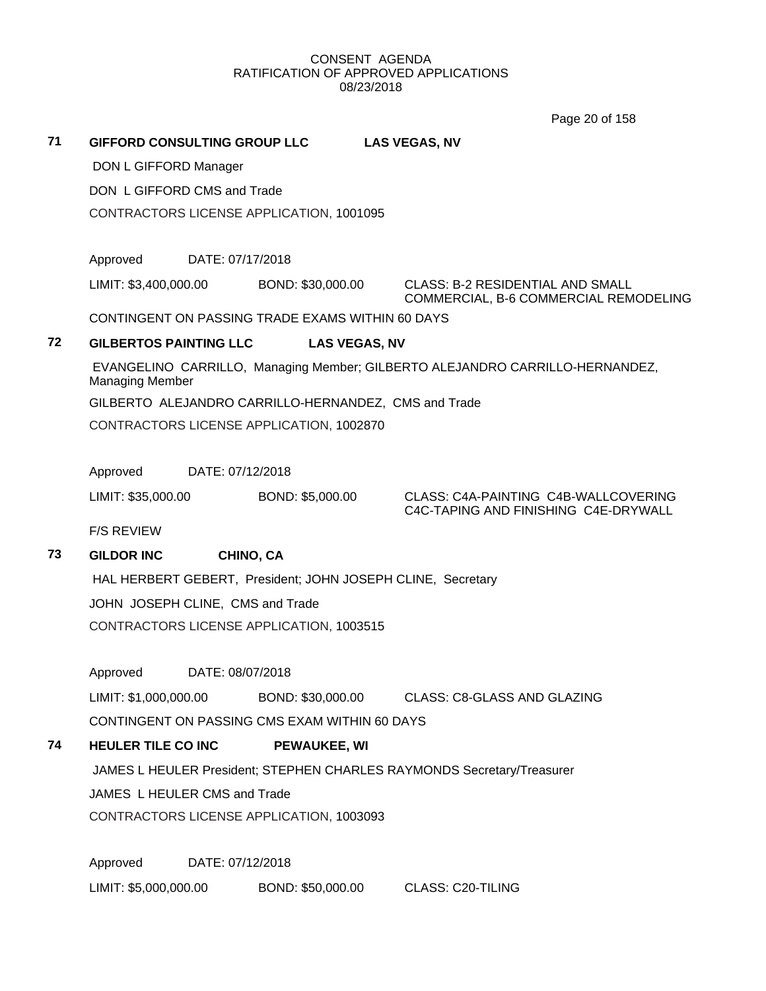Page 20 of 158

**71 GIFFORD CONSULTING GROUP LLC LAS VEGAS, NV** DON L GIFFORD Manager DON L GIFFORD CMS and Trade CONTRACTORS LICENSE APPLICATION, 1001095 Approved DATE: 07/17/2018 LIMIT: \$3,400,000.00 BOND: \$30,000.00 CLASS: B-2 RESIDENTIAL AND SMALL COMMERCIAL, B-6 COMMERCIAL REMODELING CONTINGENT ON PASSING TRADE EXAMS WITHIN 60 DAYS **72 GILBERTOS PAINTING LLC LAS VEGAS, NV** EVANGELINO CARRILLO, Managing Member; GILBERTO ALEJANDRO CARRILLO-HERNANDEZ, Managing Member GILBERTO ALEJANDRO CARRILLO-HERNANDEZ, CMS and Trade CONTRACTORS LICENSE APPLICATION, 1002870 Approved DATE: 07/12/2018 LIMIT: \$35,000.00 BOND: \$5,000.00 CLASS: C4A-PAINTING C4B-WALLCOVERING C4C-TAPING AND FINISHING C4E-DRYWALL F/S REVIEW

## **73 GILDOR INC CHINO, CA**

HAL HERBERT GEBERT, President; JOHN JOSEPH CLINE, Secretary JOHN JOSEPH CLINE, CMS and Trade CONTRACTORS LICENSE APPLICATION, 1003515

Approved DATE: 08/07/2018

LIMIT: \$1,000,000.00 BOND: \$30,000.00 CLASS: C8-GLASS AND GLAZING CONTINGENT ON PASSING CMS EXAM WITHIN 60 DAYS

# **74 HEULER TILE CO INC PEWAUKEE, WI** JAMES L HEULER President; STEPHEN CHARLES RAYMONDS Secretary/Treasurer JAMES L HEULER CMS and Trade

CONTRACTORS LICENSE APPLICATION, 1003093

Approved DATE: 07/12/2018 LIMIT: \$5,000,000.00 BOND: \$50,000.00 CLASS: C20-TILING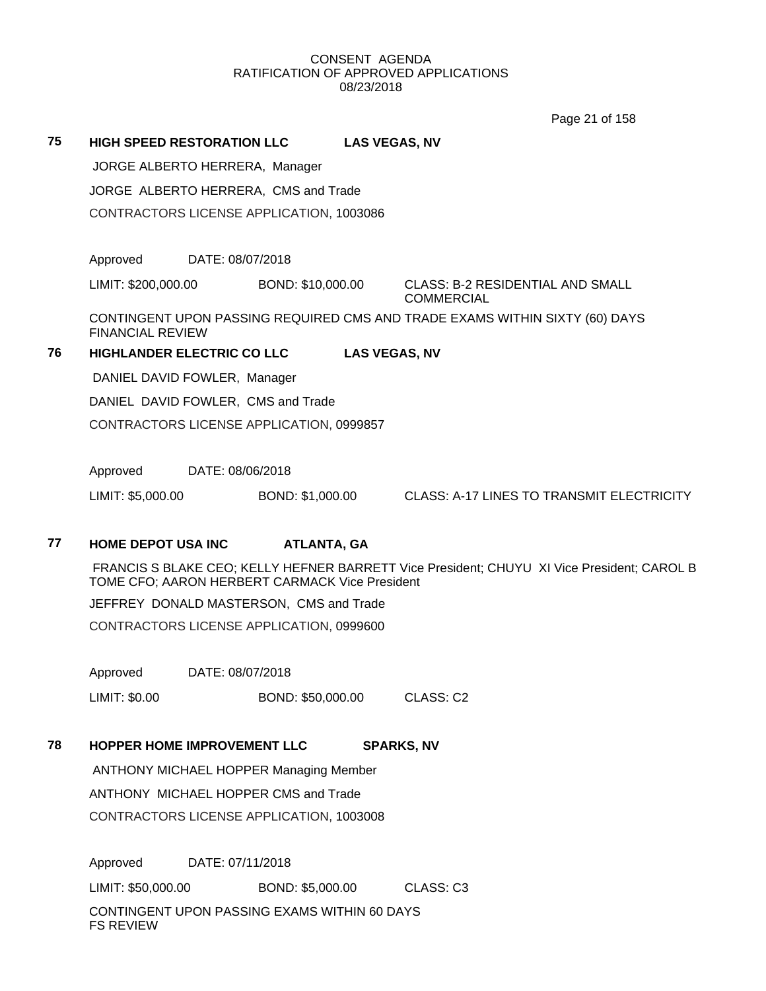Page 21 of 158

**75 HIGH SPEED RESTORATION LLC LAS VEGAS, NV** JORGE ALBERTO HERRERA, Manager JORGE ALBERTO HERRERA, CMS and Trade CONTRACTORS LICENSE APPLICATION, 1003086 Approved DATE: 08/07/2018 LIMIT: \$200,000.00 BOND: \$10,000.00 CLASS: B-2 RESIDENTIAL AND SMALL **COMMERCIAL** CONTINGENT UPON PASSING REQUIRED CMS AND TRADE EXAMS WITHIN SIXTY (60) DAYS FINANCIAL REVIEW **76 HIGHLANDER ELECTRIC CO LLC LAS VEGAS, NV** DANIEL DAVID FOWLER, Manager

DANIEL DAVID FOWLER, CMS and Trade CONTRACTORS LICENSE APPLICATION, 0999857

Approved DATE: 08/06/2018

LIMIT: \$5,000.00 BOND: \$1,000.00 CLASS: A-17 LINES TO TRANSMIT ELECTRICITY

## **77 HOME DEPOT USA INC ATLANTA, GA**

FRANCIS S BLAKE CEO; KELLY HEFNER BARRETT Vice President; CHUYU XI Vice President; CAROL B TOME CFO; AARON HERBERT CARMACK Vice President

JEFFREY DONALD MASTERSON, CMS and Trade

CONTRACTORS LICENSE APPLICATION, 0999600

Approved DATE: 08/07/2018

LIMIT: \$0.00 BOND: \$50,000.00 CLASS: C2

## **78 HOPPER HOME IMPROVEMENT LLC SPARKS, NV**

ANTHONY MICHAEL HOPPER Managing Member ANTHONY MICHAEL HOPPER CMS and Trade CONTRACTORS LICENSE APPLICATION, 1003008

Approved DATE: 07/11/2018 LIMIT: \$50,000.00 BOND: \$5,000.00 CLASS: C3

CONTINGENT UPON PASSING EXAMS WITHIN 60 DAYS FS REVIEW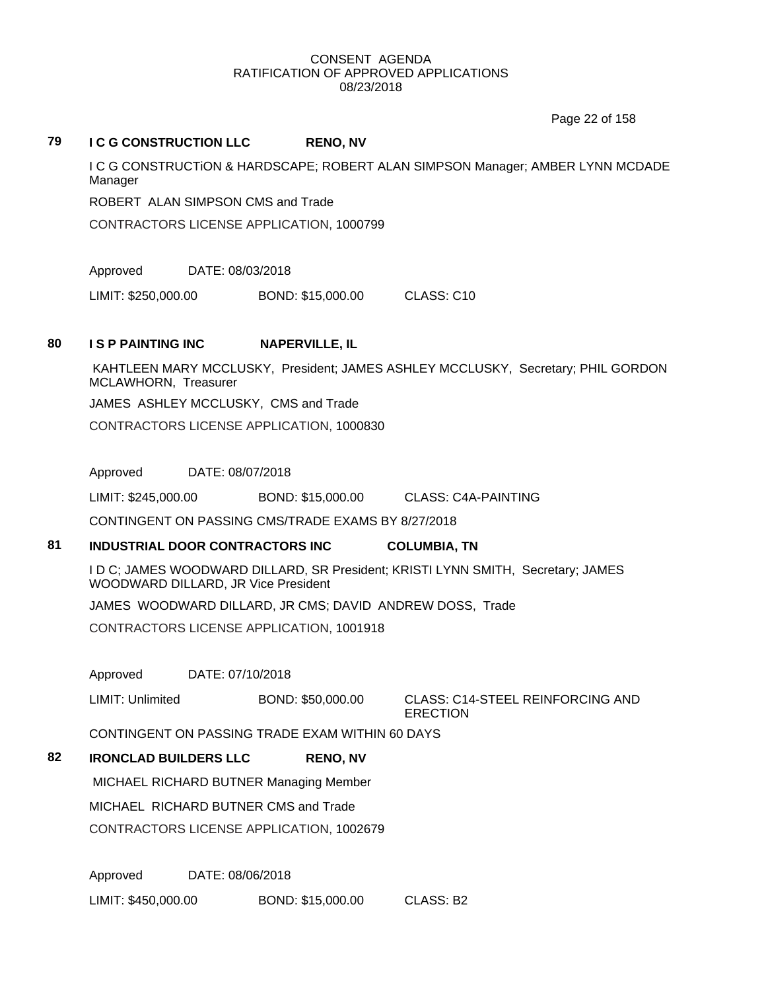Page 22 of 158

#### **79 I C G CONSTRUCTION LLC RENO, NV**

I C G CONSTRUCTiON & HARDSCAPE; ROBERT ALAN SIMPSON Manager; AMBER LYNN MCDADE Manager

ROBERT ALAN SIMPSON CMS and Trade

CONTRACTORS LICENSE APPLICATION, 1000799

Approved DATE: 08/03/2018

LIMIT: \$250,000.00 BOND: \$15,000.00 CLASS: C10

#### **80 I S P PAINTING INC NAPERVILLE, IL**

KAHTLEEN MARY MCCLUSKY, President; JAMES ASHLEY MCCLUSKY, Secretary; PHIL GORDON MCLAWHORN, Treasurer

JAMES ASHLEY MCCLUSKY, CMS and Trade

CONTRACTORS LICENSE APPLICATION, 1000830

Approved DATE: 08/07/2018

LIMIT: \$245,000.00 BOND: \$15,000.00 CLASS: C4A-PAINTING

CONTINGENT ON PASSING CMS/TRADE EXAMS BY 8/27/2018

## **81 INDUSTRIAL DOOR CONTRACTORS INC COLUMBIA, TN**

I D C; JAMES WOODWARD DILLARD, SR President; KRISTI LYNN SMITH, Secretary; JAMES WOODWARD DILLARD, JR Vice President

JAMES WOODWARD DILLARD, JR CMS; DAVID ANDREW DOSS, Trade

CONTRACTORS LICENSE APPLICATION, 1001918

Approved DATE: 07/10/2018

LIMIT: Unlimited BOND: \$50,000.00 CLASS: C14-STEEL REINFORCING AND ERECTION

CONTINGENT ON PASSING TRADE EXAM WITHIN 60 DAYS

## **82 IRONCLAD BUILDERS LLC RENO, NV**

MICHAEL RICHARD BUTNER Managing Member

MICHAEL RICHARD BUTNER CMS and Trade

CONTRACTORS LICENSE APPLICATION, 1002679

Approved DATE: 08/06/2018 LIMIT: \$450,000.00 BOND: \$15,000.00 CLASS: B2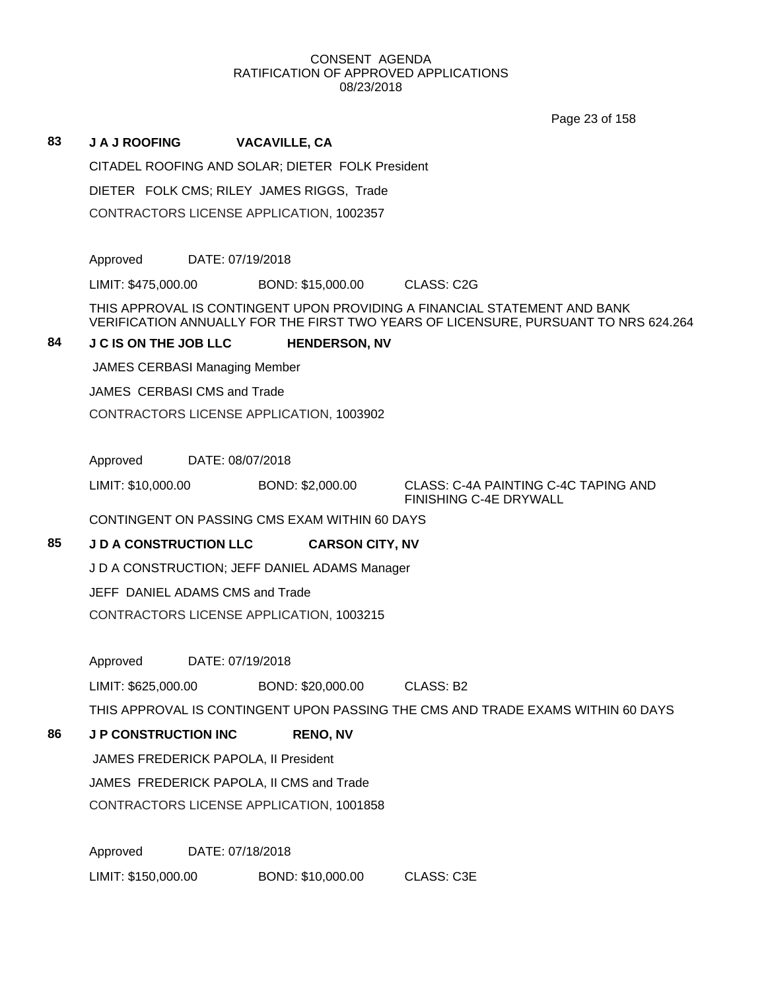Page 23 of 158

## **83 J A J ROOFING VACAVILLE, CA**

CITADEL ROOFING AND SOLAR; DIETER FOLK President

DIETER FOLK CMS; RILEY JAMES RIGGS, Trade

CONTRACTORS LICENSE APPLICATION, 1002357

Approved DATE: 07/19/2018

LIMIT: \$475,000.00 BOND: \$15,000.00 CLASS: C2G

THIS APPROVAL IS CONTINGENT UPON PROVIDING A FINANCIAL STATEMENT AND BANK VERIFICATION ANNUALLY FOR THE FIRST TWO YEARS OF LICENSURE, PURSUANT TO NRS 624.264

## **84 J C IS ON THE JOB LLC HENDERSON, NV**

JAMES CERBASI Managing Member

JAMES CERBASI CMS and Trade

CONTRACTORS LICENSE APPLICATION, 1003902

Approved DATE: 08/07/2018

LIMIT: \$10,000.00 BOND: \$2,000.00 CLASS: C-4A PAINTING C-4C TAPING AND

FINISHING C-4E DRYWALL

CONTINGENT ON PASSING CMS EXAM WITHIN 60 DAYS

## **85 J D A CONSTRUCTION LLC CARSON CITY, NV**

J D A CONSTRUCTION; JEFF DANIEL ADAMS Manager

JEFF DANIEL ADAMS CMS and Trade

CONTRACTORS LICENSE APPLICATION, 1003215

Approved DATE: 07/19/2018

LIMIT: \$625,000.00 BOND: \$20,000.00 CLASS: B2

THIS APPROVAL IS CONTINGENT UPON PASSING THE CMS AND TRADE EXAMS WITHIN 60 DAYS

## **86 J P CONSTRUCTION INC RENO, NV**

JAMES FREDERICK PAPOLA, II President JAMES FREDERICK PAPOLA, II CMS and Trade

CONTRACTORS LICENSE APPLICATION, 1001858

Approved DATE: 07/18/2018 LIMIT: \$150,000.00 BOND: \$10,000.00 CLASS: C3E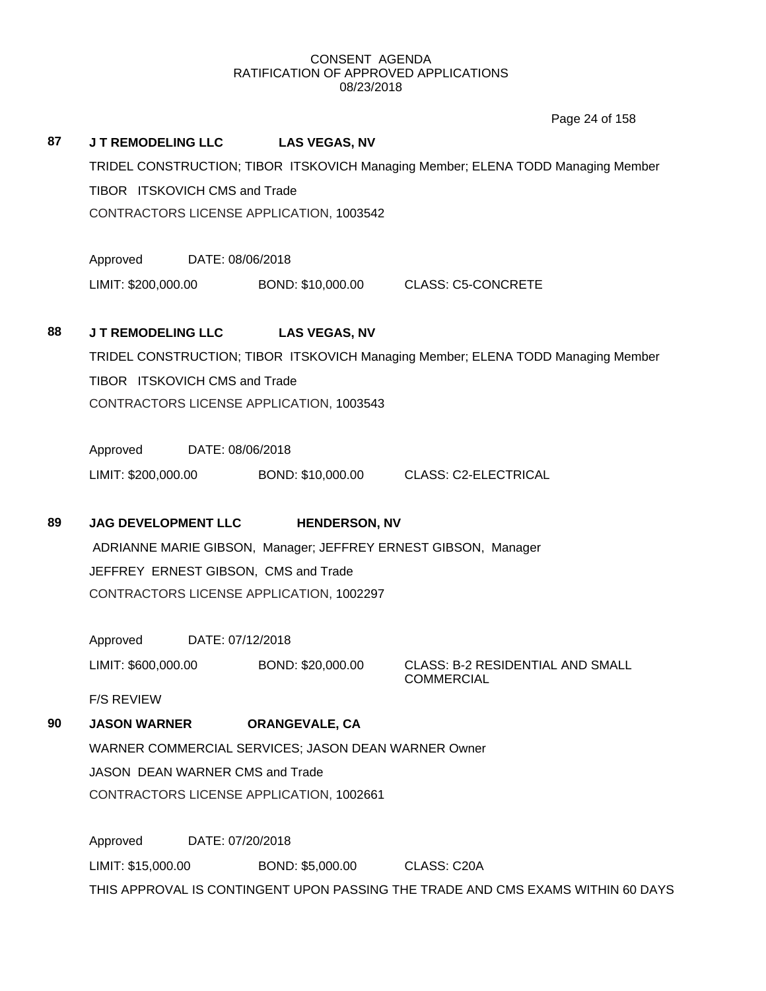Page 24 of 158

## **87 J T REMODELING LLC LAS VEGAS, NV**

TRIDEL CONSTRUCTION; TIBOR ITSKOVICH Managing Member; ELENA TODD Managing Member TIBOR ITSKOVICH CMS and Trade CONTRACTORS LICENSE APPLICATION, 1003542

Approved DATE: 08/06/2018

LIMIT: \$200,000.00 BOND: \$10,000.00 CLASS: C5-CONCRETE

## **88 J T REMODELING LLC LAS VEGAS, NV**

TRIDEL CONSTRUCTION; TIBOR ITSKOVICH Managing Member; ELENA TODD Managing Member TIBOR ITSKOVICH CMS and Trade CONTRACTORS LICENSE APPLICATION, 1003543

Approved DATE: 08/06/2018

LIMIT: \$200,000.00 BOND: \$10,000.00 CLASS: C2-ELECTRICAL

## **89 JAG DEVELOPMENT LLC HENDERSON, NV**

ADRIANNE MARIE GIBSON, Manager; JEFFREY ERNEST GIBSON, Manager JEFFREY ERNEST GIBSON, CMS and Trade CONTRACTORS LICENSE APPLICATION, 1002297

Approved DATE: 07/12/2018

LIMIT: \$600,000.00 BOND: \$20,000.00 CLASS: B-2 RESIDENTIAL AND SMALL

COMMERCIAL

F/S REVIEW

## **90 JASON WARNER ORANGEVALE, CA**

WARNER COMMERCIAL SERVICES; JASON DEAN WARNER Owner JASON DEAN WARNER CMS and Trade CONTRACTORS LICENSE APPLICATION, 1002661

Approved DATE: 07/20/2018 LIMIT: \$15,000.00 BOND: \$5,000.00 CLASS: C20A THIS APPROVAL IS CONTINGENT UPON PASSING THE TRADE AND CMS EXAMS WITHIN 60 DAYS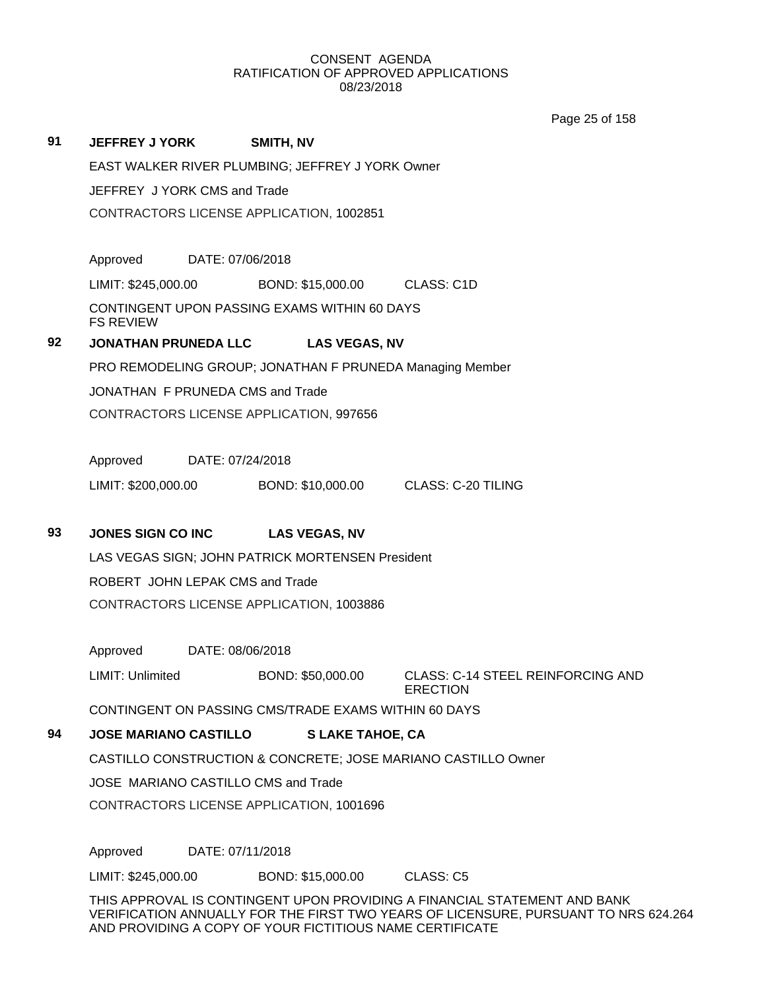Page 25 of 158

|    | EAST WALKER RIVER PLUMBING; JEFFREY J YORK Owner |                  |                                                  |                                                          |  |
|----|--------------------------------------------------|------------------|--------------------------------------------------|----------------------------------------------------------|--|
|    | JEFFREY J YORK CMS and Trade                     |                  |                                                  |                                                          |  |
|    | CONTRACTORS LICENSE APPLICATION, 1002851         |                  |                                                  |                                                          |  |
|    |                                                  |                  |                                                  |                                                          |  |
|    | Approved DATE: 07/06/2018                        |                  |                                                  |                                                          |  |
|    |                                                  |                  |                                                  | LIMIT: \$245,000.00 BOND: \$15,000.00 CLASS: C1D         |  |
|    | <b>FS REVIEW</b>                                 |                  | CONTINGENT UPON PASSING EXAMS WITHIN 60 DAYS     |                                                          |  |
| 92 | <b>JONATHAN PRUNEDA LLC</b>                      |                  | <b>LAS VEGAS, NV</b>                             |                                                          |  |
|    |                                                  |                  |                                                  | PRO REMODELING GROUP; JONATHAN F PRUNEDA Managing Member |  |
|    | JONATHAN F PRUNEDA CMS and Trade                 |                  |                                                  |                                                          |  |
|    |                                                  |                  | CONTRACTORS LICENSE APPLICATION, 997656          |                                                          |  |
|    |                                                  |                  |                                                  |                                                          |  |
|    | Approved                                         | DATE: 07/24/2018 |                                                  |                                                          |  |
|    |                                                  |                  |                                                  | LIMIT: \$200,000.00 BOND: \$10,000.00 CLASS: C-20 TILING |  |
|    |                                                  |                  |                                                  |                                                          |  |
| 93 | <b>JONES SIGN CO INC</b>                         |                  | <b>LAS VEGAS, NV</b>                             |                                                          |  |
|    |                                                  |                  | LAS VEGAS SIGN; JOHN PATRICK MORTENSEN President |                                                          |  |
|    | ROBERT JOHN LEPAK CMS and Trade                  |                  |                                                  |                                                          |  |
|    | CONTRACTORS LICENSE APPLICATION, 1003886         |                  |                                                  |                                                          |  |
|    |                                                  |                  |                                                  |                                                          |  |
|    | Approved                                         | DATE: 08/06/2018 |                                                  |                                                          |  |

LIMIT: Unlimited BOND: \$50,000.00 CLASS: C-14 STEEL REINFORCING AND ERECTION

CONTINGENT ON PASSING CMS/TRADE EXAMS WITHIN 60 DAYS

**94 JOSE MARIANO CASTILLO S LAKE TAHOE, CA**

CASTILLO CONSTRUCTION & CONCRETE; JOSE MARIANO CASTILLO Owner

JOSE MARIANO CASTILLO CMS and Trade

CONTRACTORS LICENSE APPLICATION, 1001696

Approved DATE: 07/11/2018

**91 JEFFREY J YORK SMITH, NV**

LIMIT: \$245,000.00 BOND: \$15,000.00 CLASS: C5

THIS APPROVAL IS CONTINGENT UPON PROVIDING A FINANCIAL STATEMENT AND BANK VERIFICATION ANNUALLY FOR THE FIRST TWO YEARS OF LICENSURE, PURSUANT TO NRS 624.264 AND PROVIDING A COPY OF YOUR FICTITIOUS NAME CERTIFICATE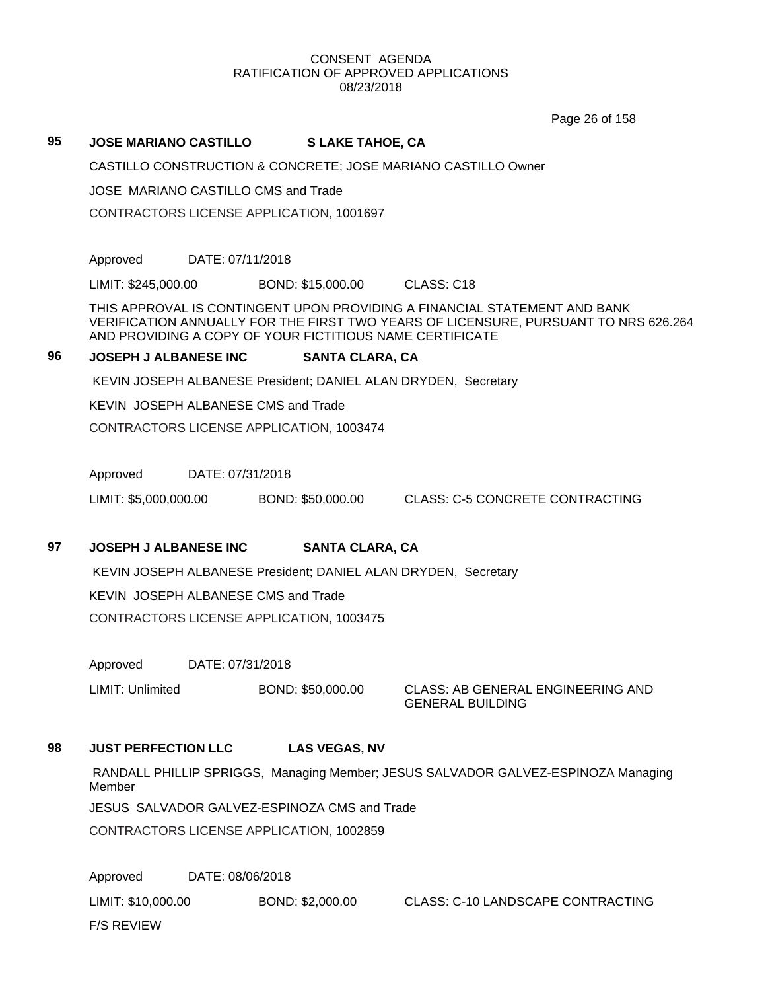Page 26 of 158

#### **95 JOSE MARIANO CASTILLO S LAKE TAHOE, CA**

CASTILLO CONSTRUCTION & CONCRETE; JOSE MARIANO CASTILLO Owner

JOSE MARIANO CASTILLO CMS and Trade

CONTRACTORS LICENSE APPLICATION, 1001697

Approved DATE: 07/11/2018

LIMIT: \$245,000.00 BOND: \$15,000.00 CLASS: C18

THIS APPROVAL IS CONTINGENT UPON PROVIDING A FINANCIAL STATEMENT AND BANK VERIFICATION ANNUALLY FOR THE FIRST TWO YEARS OF LICENSURE, PURSUANT TO NRS 626.264 AND PROVIDING A COPY OF YOUR FICTITIOUS NAME CERTIFICATE

#### **96 JOSEPH J ALBANESE INC SANTA CLARA, CA**

KEVIN JOSEPH ALBANESE President; DANIEL ALAN DRYDEN, Secretary

KEVIN JOSEPH ALBANESE CMS and Trade

CONTRACTORS LICENSE APPLICATION, 1003474

Approved DATE: 07/31/2018

LIMIT: \$5,000,000.00 BOND: \$50,000.00 CLASS: C-5 CONCRETE CONTRACTING

## **97 JOSEPH J ALBANESE INC SANTA CLARA, CA**

KEVIN JOSEPH ALBANESE President; DANIEL ALAN DRYDEN, Secretary

KEVIN JOSEPH ALBANESE CMS and Trade

CONTRACTORS LICENSE APPLICATION, 1003475

Approved DATE: 07/31/2018

LIMIT: Unlimited BOND: \$50,000.00 CLASS: AB GENERAL ENGINEERING AND

GENERAL BUILDING

## **98 JUST PERFECTION LLC LAS VEGAS, NV**

RANDALL PHILLIP SPRIGGS, Managing Member; JESUS SALVADOR GALVEZ-ESPINOZA Managing Member

JESUS SALVADOR GALVEZ-ESPINOZA CMS and Trade

CONTRACTORS LICENSE APPLICATION, 1002859

Approved DATE: 08/06/2018 LIMIT: \$10,000.00 BOND: \$2,000.00 CLASS: C-10 LANDSCAPE CONTRACTING F/S REVIEW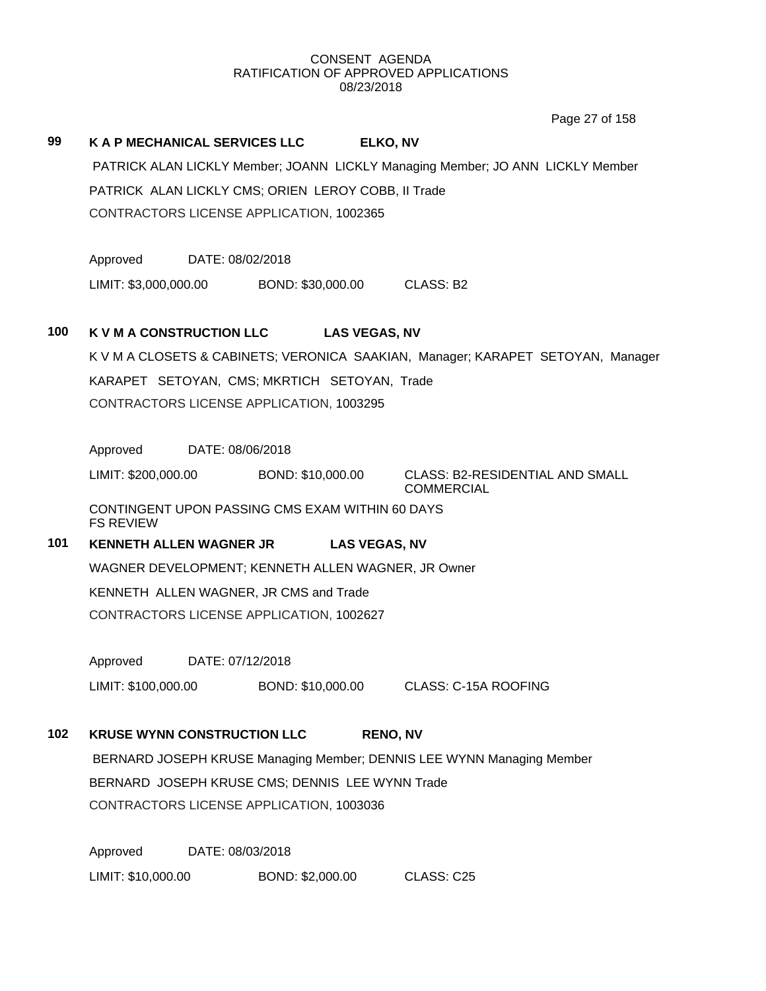Page 27 of 158

# **99 K A P MECHANICAL SERVICES LLC ELKO, NV** PATRICK ALAN LICKLY Member; JOANN LICKLY Managing Member; JO ANN LICKLY Member PATRICK ALAN LICKLY CMS; ORIEN LEROY COBB, II Trade CONTRACTORS LICENSE APPLICATION, 1002365 Approved DATE: 08/02/2018 LIMIT: \$3,000,000.00 BOND: \$30,000.00 CLASS: B2 **100 K V M A CONSTRUCTION LLC LAS VEGAS, NV** K V M A CLOSETS & CABINETS; VERONICA SAAKIAN, Manager; KARAPET SETOYAN, Manager KARAPET SETOYAN, CMS; MKRTICH SETOYAN, Trade CONTRACTORS LICENSE APPLICATION, 1003295 Approved DATE: 08/06/2018 LIMIT: \$200,000.00 BOND: \$10,000.00 CLASS: B2-RESIDENTIAL AND SMALL COMMERCIAL CONTINGENT UPON PASSING CMS EXAM WITHIN 60 DAYS FS REVIEW **101 KENNETH ALLEN WAGNER JR LAS VEGAS, NV** WAGNER DEVELOPMENT; KENNETH ALLEN WAGNER, JR Owner KENNETH ALLEN WAGNER, JR CMS and Trade CONTRACTORS LICENSE APPLICATION, 1002627 Approved DATE: 07/12/2018 LIMIT: \$100,000.00 BOND: \$10,000.00 CLASS: C-15A ROOFING **102 KRUSE WYNN CONSTRUCTION LLC RENO, NV** BERNARD JOSEPH KRUSE Managing Member; DENNIS LEE WYNN Managing Member BERNARD JOSEPH KRUSE CMS; DENNIS LEE WYNN Trade CONTRACTORS LICENSE APPLICATION, 1003036 Approved DATE: 08/03/2018 LIMIT: \$10,000.00 BOND: \$2,000.00 CLASS: C25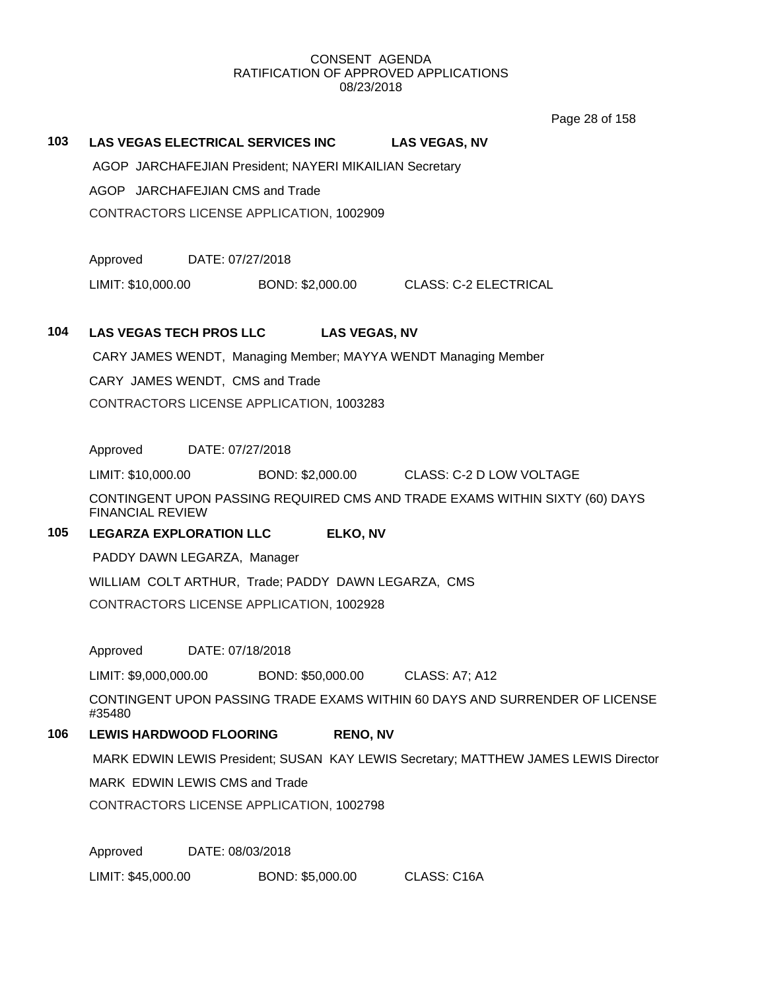Page 28 of 158

#### **103 LAS VEGAS ELECTRICAL SERVICES INC LAS VEGAS, NV**

AGOP JARCHAFEJIAN President; NAYERI MIKAILIAN Secretary

AGOP JARCHAFEJIAN CMS and Trade

CONTRACTORS LICENSE APPLICATION, 1002909

Approved DATE: 07/27/2018

LIMIT: \$10,000.00 BOND: \$2,000.00 CLASS: C-2 ELECTRICAL

#### **104 LAS VEGAS TECH PROS LLC LAS VEGAS, NV**

CARY JAMES WENDT, Managing Member; MAYYA WENDT Managing Member CARY JAMES WENDT, CMS and Trade CONTRACTORS LICENSE APPLICATION, 1003283

Approved DATE: 07/27/2018

LIMIT: \$10,000.00 BOND: \$2,000.00 CLASS: C-2 D LOW VOLTAGE

CONTINGENT UPON PASSING REQUIRED CMS AND TRADE EXAMS WITHIN SIXTY (60) DAYS FINANCIAL REVIEW

## **105 LEGARZA EXPLORATION LLC ELKO, NV**

PADDY DAWN LEGARZA, Manager

WILLIAM COLT ARTHUR, Trade; PADDY DAWN LEGARZA, CMS

CONTRACTORS LICENSE APPLICATION, 1002928

Approved DATE: 07/18/2018

LIMIT: \$9,000,000.00 BOND: \$50,000.00 CLASS: A7; A12

CONTINGENT UPON PASSING TRADE EXAMS WITHIN 60 DAYS AND SURRENDER OF LICENSE #35480

## **106 LEWIS HARDWOOD FLOORING RENO, NV**

MARK EDWIN LEWIS President; SUSAN KAY LEWIS Secretary; MATTHEW JAMES LEWIS Director

MARK EDWIN LEWIS CMS and Trade

CONTRACTORS LICENSE APPLICATION, 1002798

Approved DATE: 08/03/2018

LIMIT: \$45,000.00 BOND: \$5,000.00 CLASS: C16A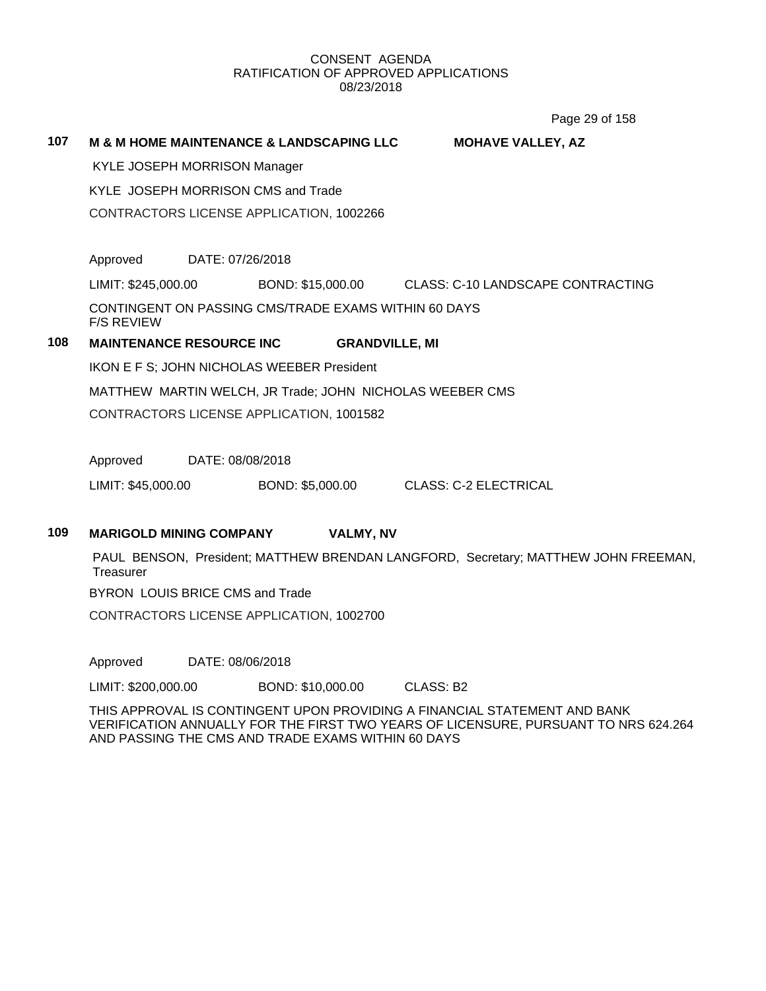Page 29 of 158

#### **107 M & M HOME MAINTENANCE & LANDSCAPING LLC MOHAVE VALLEY, AZ**

KYLE JOSEPH MORRISON Manager

KYLE JOSEPH MORRISON CMS and Trade

CONTRACTORS LICENSE APPLICATION, 1002266

Approved DATE: 07/26/2018

LIMIT: \$245,000.00 BOND: \$15,000.00 CLASS: C-10 LANDSCAPE CONTRACTING

CONTINGENT ON PASSING CMS/TRADE EXAMS WITHIN 60 DAYS F/S REVIEW

## **108 MAINTENANCE RESOURCE INC GRANDVILLE, MI**

IKON E F S; JOHN NICHOLAS WEEBER President

MATTHEW MARTIN WELCH, JR Trade; JOHN NICHOLAS WEEBER CMS

CONTRACTORS LICENSE APPLICATION, 1001582

Approved DATE: 08/08/2018

LIMIT: \$45,000.00 BOND: \$5,000.00 CLASS: C-2 ELECTRICAL

#### **109 MARIGOLD MINING COMPANY VALMY, NV**

PAUL BENSON, President; MATTHEW BRENDAN LANGFORD, Secretary; MATTHEW JOHN FREEMAN, **Treasurer** 

BYRON LOUIS BRICE CMS and Trade

CONTRACTORS LICENSE APPLICATION, 1002700

Approved DATE: 08/06/2018

LIMIT: \$200,000.00 BOND: \$10,000.00 CLASS: B2

THIS APPROVAL IS CONTINGENT UPON PROVIDING A FINANCIAL STATEMENT AND BANK VERIFICATION ANNUALLY FOR THE FIRST TWO YEARS OF LICENSURE, PURSUANT TO NRS 624.264 AND PASSING THE CMS AND TRADE EXAMS WITHIN 60 DAYS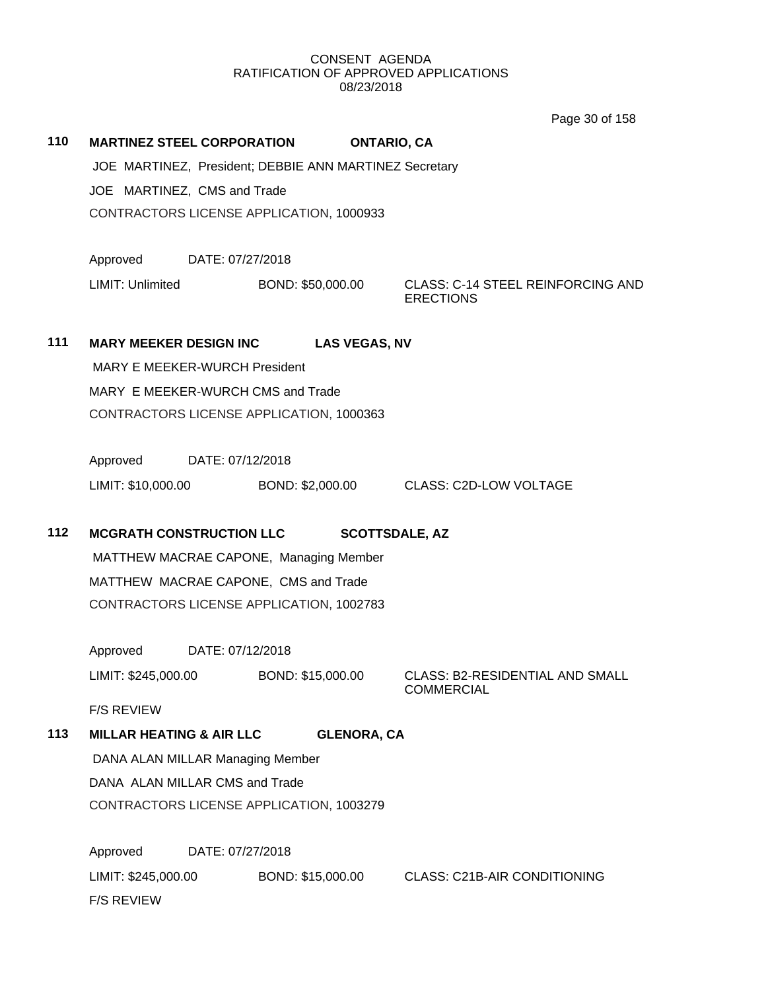|     |                                                         |                                                                                  | Page 30 of 158                                               |  |  |
|-----|---------------------------------------------------------|----------------------------------------------------------------------------------|--------------------------------------------------------------|--|--|
| 110 | <b>MARTINEZ STEEL CORPORATION</b><br><b>ONTARIO, CA</b> |                                                                                  |                                                              |  |  |
|     |                                                         | JOE MARTINEZ, President; DEBBIE ANN MARTINEZ Secretary                           |                                                              |  |  |
|     | JOE MARTINEZ, CMS and Trade                             |                                                                                  |                                                              |  |  |
|     |                                                         | CONTRACTORS LICENSE APPLICATION, 1000933                                         |                                                              |  |  |
|     |                                                         |                                                                                  |                                                              |  |  |
|     | Approved                                                | DATE: 07/27/2018                                                                 |                                                              |  |  |
|     | LIMIT: Unlimited                                        | BOND: \$50,000.00                                                                | <b>CLASS: C-14 STEEL REINFORCING AND</b><br><b>ERECTIONS</b> |  |  |
| 111 | <b>MARY MEEKER DESIGN INC</b>                           | <b>LAS VEGAS, NV</b>                                                             |                                                              |  |  |
|     | MARY E MEEKER-WURCH President                           |                                                                                  |                                                              |  |  |
|     | MARY E MEEKER-WURCH CMS and Trade                       |                                                                                  |                                                              |  |  |
|     |                                                         | CONTRACTORS LICENSE APPLICATION, 1000363                                         |                                                              |  |  |
|     |                                                         |                                                                                  |                                                              |  |  |
|     | Approved                                                | DATE: 07/12/2018                                                                 |                                                              |  |  |
|     | LIMIT: \$10,000.00                                      |                                                                                  | BOND: \$2,000.00 CLASS: C2D-LOW VOLTAGE                      |  |  |
|     |                                                         |                                                                                  |                                                              |  |  |
| 112 | <b>MCGRATH CONSTRUCTION LLC</b>                         |                                                                                  | <b>SCOTTSDALE, AZ</b>                                        |  |  |
|     |                                                         | MATTHEW MACRAE CAPONE, Managing Member                                           |                                                              |  |  |
|     |                                                         | MATTHEW MACRAE CAPONE, CMS and Trade<br>CONTRACTORS LICENSE APPLICATION, 1002783 |                                                              |  |  |
|     |                                                         |                                                                                  |                                                              |  |  |
|     | Approved                                                | DATE: 07/12/2018                                                                 |                                                              |  |  |
|     | LIMIT: \$245,000.00                                     | BOND: \$15,000.00                                                                | CLASS: B2-RESIDENTIAL AND SMALL                              |  |  |
|     | <b>F/S REVIEW</b>                                       |                                                                                  | <b>COMMERCIAL</b>                                            |  |  |
| 113 | <b>MILLAR HEATING &amp; AIR LLC</b>                     | <b>GLENORA, CA</b>                                                               |                                                              |  |  |
|     | DANA ALAN MILLAR Managing Member                        |                                                                                  |                                                              |  |  |
|     | DANA ALAN MILLAR CMS and Trade                          |                                                                                  |                                                              |  |  |
|     | CONTRACTORS LICENSE APPLICATION, 1003279                |                                                                                  |                                                              |  |  |
|     | Approved                                                | DATE: 07/27/2018                                                                 |                                                              |  |  |
|     | LIMIT: \$245,000.00                                     | BOND: \$15,000.00                                                                | <b>CLASS: C21B-AIR CONDITIONING</b>                          |  |  |

F/S REVIEW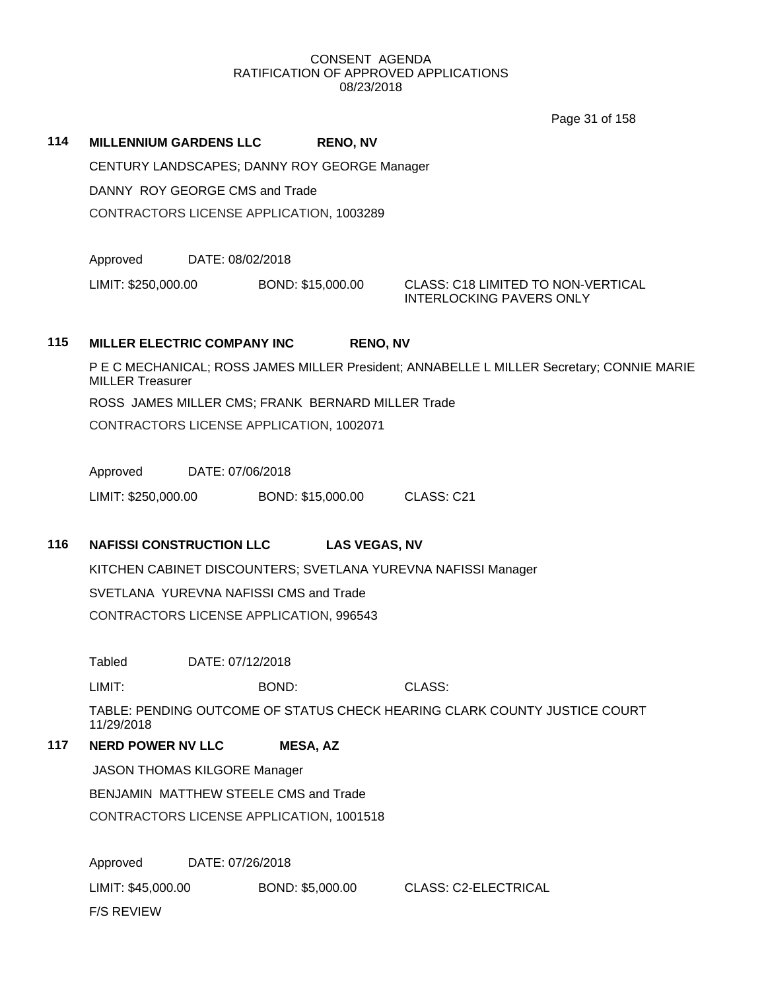Page 31 of 158

# CENTURY LANDSCAPES; DANNY ROY GEORGE Manager DANNY ROY GEORGE CMS and Trade CONTRACTORS LICENSE APPLICATION, 1003289

**114 MILLENNIUM GARDENS LLC RENO, NV**

Approved DATE: 08/02/2018

LIMIT: \$250,000.00 BOND: \$15,000.00 CLASS: C18 LIMITED TO NON-VERTICAL

INTERLOCKING PAVERS ONLY

## **115 MILLER ELECTRIC COMPANY INC RENO, NV**

P E C MECHANICAL; ROSS JAMES MILLER President; ANNABELLE L MILLER Secretary; CONNIE MARIE MILLER Treasurer ROSS JAMES MILLER CMS; FRANK BERNARD MILLER Trade CONTRACTORS LICENSE APPLICATION, 1002071

Approved DATE: 07/06/2018

LIMIT: \$250,000.00 BOND: \$15,000.00 CLASS: C21

## **116 NAFISSI CONSTRUCTION LLC LAS VEGAS, NV**

KITCHEN CABINET DISCOUNTERS; SVETLANA YUREVNA NAFISSI Manager

SVETLANA YUREVNA NAFISSI CMS and Trade

CONTRACTORS LICENSE APPLICATION, 996543

Tabled DATE: 07/12/2018

LIMIT: BOND: CLASS:

TABLE: PENDING OUTCOME OF STATUS CHECK HEARING CLARK COUNTY JUSTICE COURT 11/29/2018

## **117 NERD POWER NV LLC MESA, AZ**

JASON THOMAS KILGORE Manager

BENJAMIN MATTHEW STEELE CMS and Trade

CONTRACTORS LICENSE APPLICATION, 1001518

Approved DATE: 07/26/2018 LIMIT: \$45,000.00 BOND: \$5,000.00 CLASS: C2-ELECTRICAL F/S REVIEW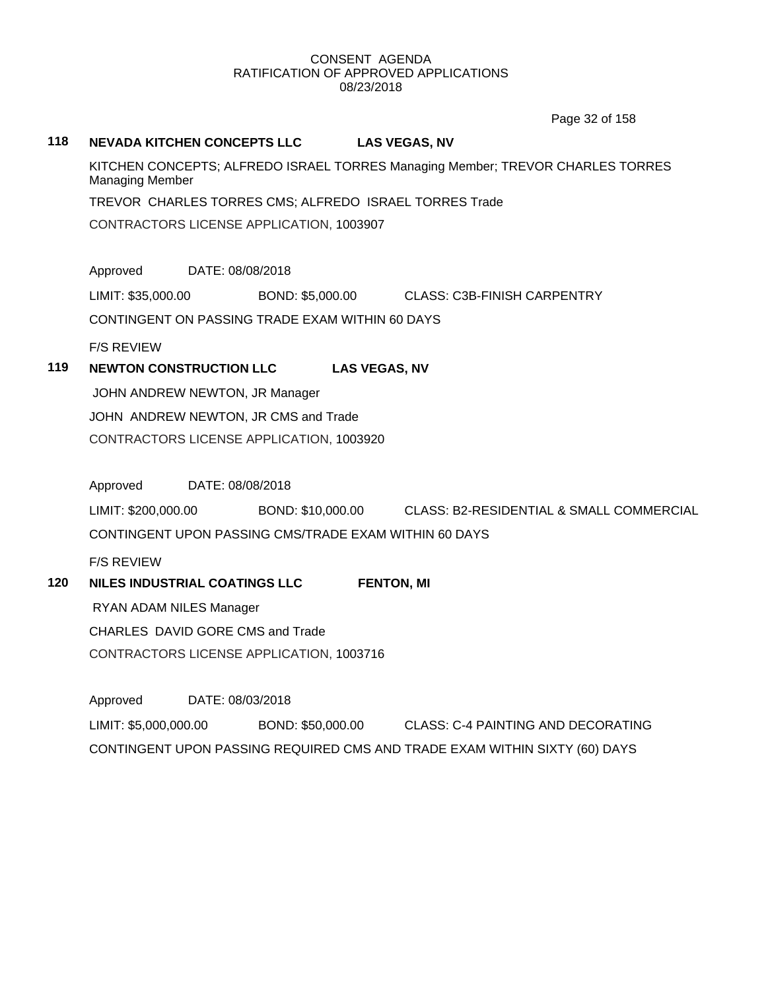Page 32 of 158

## **118 NEVADA KITCHEN CONCEPTS LLC LAS VEGAS, NV**

KITCHEN CONCEPTS; ALFREDO ISRAEL TORRES Managing Member; TREVOR CHARLES TORRES Managing Member

TREVOR CHARLES TORRES CMS; ALFREDO ISRAEL TORRES Trade

CONTRACTORS LICENSE APPLICATION, 1003907

Approved DATE: 08/08/2018

LIMIT: \$35,000.00 BOND: \$5,000.00 CLASS: C3B-FINISH CARPENTRY

CONTINGENT ON PASSING TRADE EXAM WITHIN 60 DAYS

F/S REVIEW

## **119 NEWTON CONSTRUCTION LLC LAS VEGAS, NV**

JOHN ANDREW NEWTON, JR Manager JOHN ANDREW NEWTON, JR CMS and Trade CONTRACTORS LICENSE APPLICATION, 1003920

Approved DATE: 08/08/2018

LIMIT: \$200,000.00 BOND: \$10,000.00 CLASS: B2-RESIDENTIAL & SMALL COMMERCIAL CONTINGENT UPON PASSING CMS/TRADE EXAM WITHIN 60 DAYS

F/S REVIEW

**120 NILES INDUSTRIAL COATINGS LLC FENTON, MI**

RYAN ADAM NILES Manager

CHARLES DAVID GORE CMS and Trade

CONTRACTORS LICENSE APPLICATION, 1003716

Approved DATE: 08/03/2018

LIMIT: \$5,000,000.00 BOND: \$50,000.00 CLASS: C-4 PAINTING AND DECORATING CONTINGENT UPON PASSING REQUIRED CMS AND TRADE EXAM WITHIN SIXTY (60) DAYS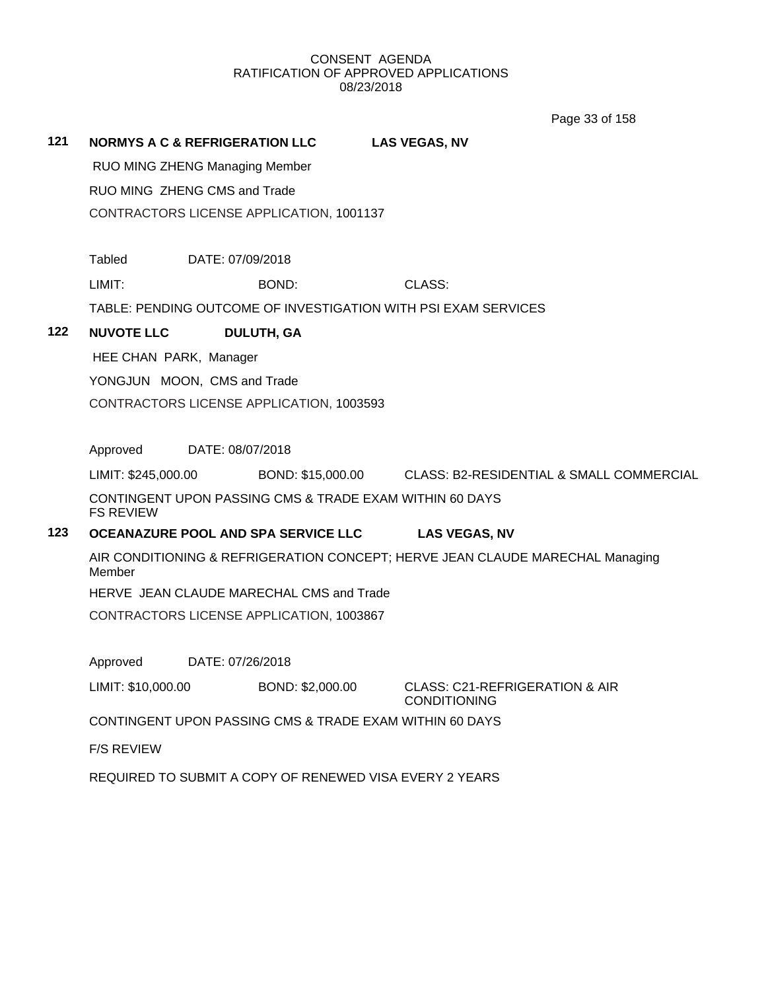Page 33 of 158

**121 NORMYS A C & REFRIGERATION LLC LAS VEGAS, NV** RUO MING ZHENG Managing Member RUO MING ZHENG CMS and Trade CONTRACTORS LICENSE APPLICATION, 1001137 Tabled DATE: 07/09/2018 LIMIT: BOND: CLASS: TABLE: PENDING OUTCOME OF INVESTIGATION WITH PSI EXAM SERVICES **122 NUVOTE LLC DULUTH, GA** HEE CHAN PARK, Manager YONGJUN MOON, CMS and Trade CONTRACTORS LICENSE APPLICATION, 1003593 Approved DATE: 08/07/2018 LIMIT: \$245,000.00 BOND: \$15,000.00 CLASS: B2-RESIDENTIAL & SMALL COMMERCIAL CONTINGENT UPON PASSING CMS & TRADE EXAM WITHIN 60 DAYS FS REVIEW **123 OCEANAZURE POOL AND SPA SERVICE LLC LAS VEGAS, NV** AIR CONDITIONING & REFRIGERATION CONCEPT; HERVE JEAN CLAUDE MARECHAL Managing Member HERVE JEAN CLAUDE MARECHAL CMS and Trade CONTRACTORS LICENSE APPLICATION, 1003867 Approved DATE: 07/26/2018 LIMIT: \$10,000.00 BOND: \$2,000.00 CLASS: C21-REFRIGERATION & AIR CONDITIONING CONTINGENT UPON PASSING CMS & TRADE EXAM WITHIN 60 DAYS F/S REVIEW REQUIRED TO SUBMIT A COPY OF RENEWED VISA EVERY 2 YEARS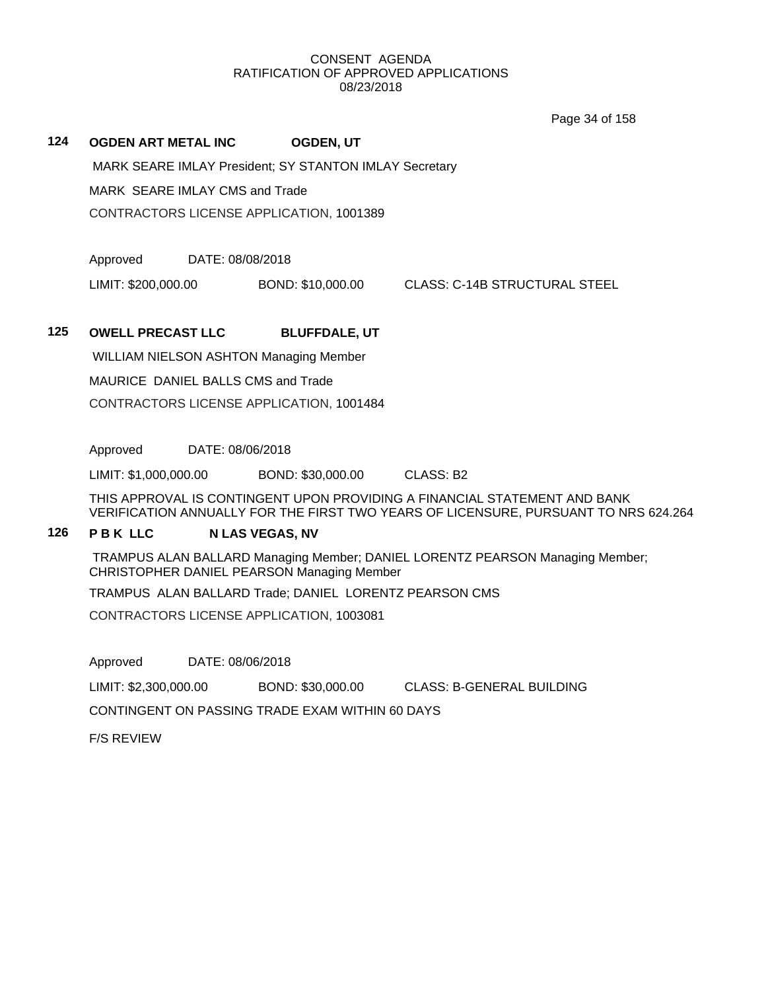Page 34 of 158

# **124 OGDEN ART METAL INC OGDEN, UT**

MARK SEARE IMLAY President; SY STANTON IMLAY Secretary

MARK SEARE IMLAY CMS and Trade

CONTRACTORS LICENSE APPLICATION, 1001389

Approved DATE: 08/08/2018

LIMIT: \$200,000.00 BOND: \$10,000.00 CLASS: C-14B STRUCTURAL STEEL

# **125 OWELL PRECAST LLC BLUFFDALE, UT**

WILLIAM NIELSON ASHTON Managing Member MAURICE DANIEL BALLS CMS and Trade CONTRACTORS LICENSE APPLICATION, 1001484

Approved DATE: 08/06/2018

LIMIT: \$1,000,000.00 BOND: \$30,000.00 CLASS: B2

THIS APPROVAL IS CONTINGENT UPON PROVIDING A FINANCIAL STATEMENT AND BANK VERIFICATION ANNUALLY FOR THE FIRST TWO YEARS OF LICENSURE, PURSUANT TO NRS 624.264

# **126 P B K LLC N LAS VEGAS, NV**

TRAMPUS ALAN BALLARD Managing Member; DANIEL LORENTZ PEARSON Managing Member; CHRISTOPHER DANIEL PEARSON Managing Member

TRAMPUS ALAN BALLARD Trade; DANIEL LORENTZ PEARSON CMS

CONTRACTORS LICENSE APPLICATION, 1003081

Approved DATE: 08/06/2018

LIMIT: \$2,300,000.00 BOND: \$30,000.00 CLASS: B-GENERAL BUILDING

CONTINGENT ON PASSING TRADE EXAM WITHIN 60 DAYS

F/S REVIEW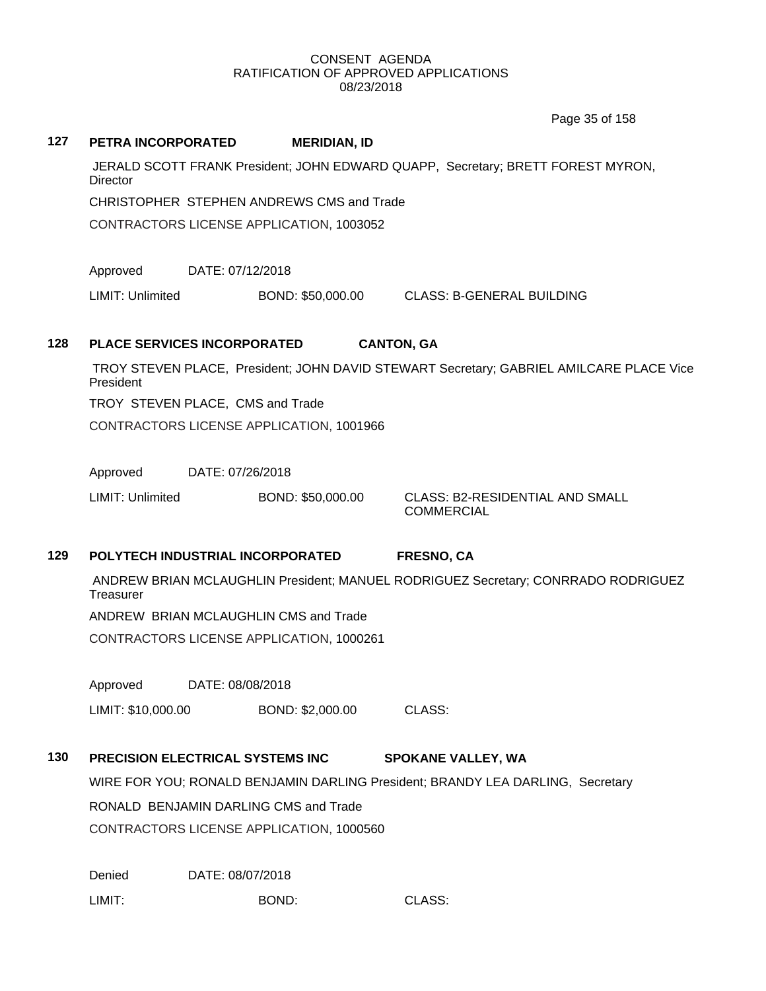Page 35 of 158

| 127 | PETRA INCORPORATED                                                                                 |                                                                                         | <b>MERIDIAN, ID</b>                       |                                                             |  |  |
|-----|----------------------------------------------------------------------------------------------------|-----------------------------------------------------------------------------------------|-------------------------------------------|-------------------------------------------------------------|--|--|
|     | JERALD SCOTT FRANK President; JOHN EDWARD QUAPP, Secretary; BRETT FOREST MYRON,<br><b>Director</b> |                                                                                         |                                           |                                                             |  |  |
|     |                                                                                                    |                                                                                         | CHRISTOPHER STEPHEN ANDREWS CMS and Trade |                                                             |  |  |
|     |                                                                                                    |                                                                                         | CONTRACTORS LICENSE APPLICATION, 1003052  |                                                             |  |  |
|     | Approved                                                                                           | DATE: 07/12/2018                                                                        |                                           |                                                             |  |  |
|     | <b>LIMIT: Unlimited</b>                                                                            |                                                                                         | BOND: \$50,000.00                         | <b>CLASS: B-GENERAL BUILDING</b>                            |  |  |
| 128 |                                                                                                    | <b>PLACE SERVICES INCORPORATED</b>                                                      | <b>CANTON, GA</b>                         |                                                             |  |  |
|     | President                                                                                          | TROY STEVEN PLACE, President; JOHN DAVID STEWART Secretary; GABRIEL AMILCARE PLACE Vice |                                           |                                                             |  |  |
|     |                                                                                                    | TROY STEVEN PLACE, CMS and Trade                                                        |                                           |                                                             |  |  |
|     |                                                                                                    |                                                                                         | CONTRACTORS LICENSE APPLICATION, 1001966  |                                                             |  |  |
|     | Approved                                                                                           | DATE: 07/26/2018                                                                        |                                           |                                                             |  |  |
|     | LIMIT: Unlimited                                                                                   |                                                                                         | BOND: \$50,000.00                         | <b>CLASS: B2-RESIDENTIAL AND SMALL</b><br><b>COMMERCIAL</b> |  |  |
| 129 |                                                                                                    | POLYTECH INDUSTRIAL INCORPORATED                                                        |                                           | <b>FRESNO, CA</b>                                           |  |  |
|     | ANDREW BRIAN MCLAUGHLIN President; MANUEL RODRIGUEZ Secretary; CONRRADO RODRIGUEZ<br>Treasurer     |                                                                                         |                                           |                                                             |  |  |
|     |                                                                                                    | ANDREW BRIAN MCLAUGHLIN CMS and Trade                                                   |                                           |                                                             |  |  |
|     | CONTRACTORS LICENSE APPLICATION, 1000261                                                           |                                                                                         |                                           |                                                             |  |  |
|     | Approved<br>DATE: 08/08/2018                                                                       |                                                                                         |                                           |                                                             |  |  |
|     | LIMIT: \$10,000.00                                                                                 |                                                                                         | BOND: \$2,000.00                          | CLASS:                                                      |  |  |
| 130 |                                                                                                    | PRECISION ELECTRICAL SYSTEMS INC                                                        |                                           | <b>SPOKANE VALLEY, WA</b>                                   |  |  |
|     | WIRE FOR YOU; RONALD BENJAMIN DARLING President; BRANDY LEA DARLING, Secretary                     |                                                                                         |                                           |                                                             |  |  |
|     |                                                                                                    | RONALD BENJAMIN DARLING CMS and Trade                                                   |                                           |                                                             |  |  |
|     | CONTRACTORS LICENSE APPLICATION, 1000560                                                           |                                                                                         |                                           |                                                             |  |  |
|     | Denied                                                                                             | DATE: 08/07/2018                                                                        |                                           |                                                             |  |  |
|     | LIMIT:                                                                                             |                                                                                         | BOND:                                     | CLASS:                                                      |  |  |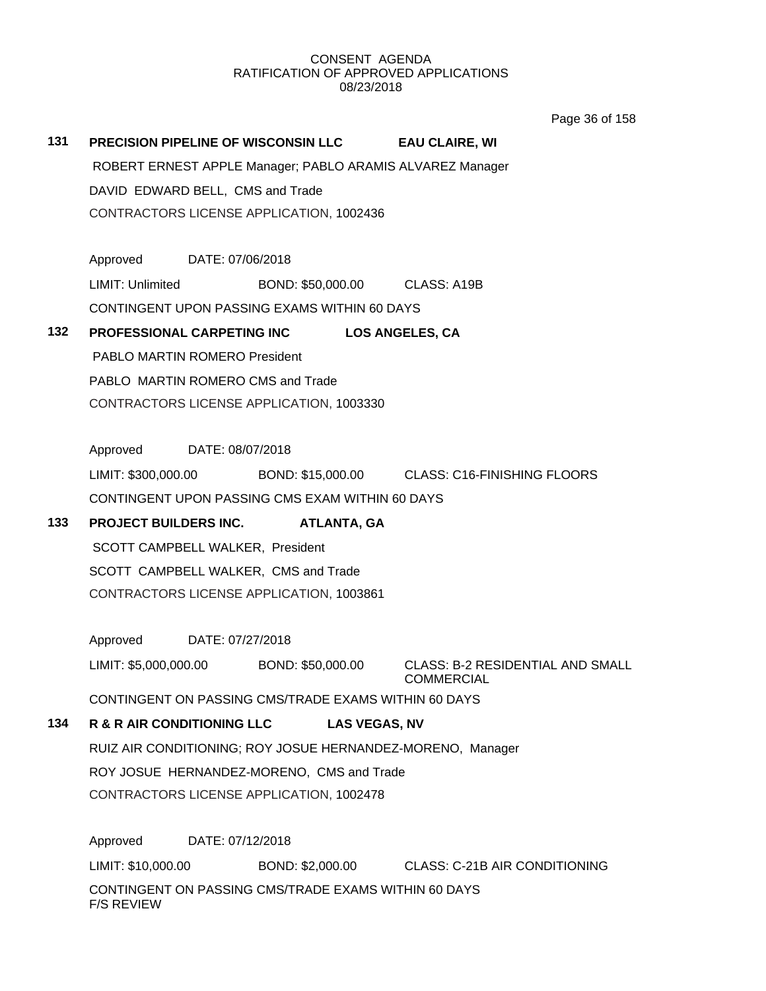Page 36 of 158

# **131 PRECISION PIPELINE OF WISCONSIN LLC EAU CLAIRE, WI**

ROBERT ERNEST APPLE Manager; PABLO ARAMIS ALVAREZ Manager DAVID EDWARD BELL, CMS and Trade CONTRACTORS LICENSE APPLICATION, 1002436

Approved DATE: 07/06/2018 LIMIT: Unlimited BOND: \$50,000.00 CLASS: A19B CONTINGENT UPON PASSING EXAMS WITHIN 60 DAYS

# **132 PROFESSIONAL CARPETING INC LOS ANGELES, CA**

PABLO MARTIN ROMERO President PABLO MARTIN ROMERO CMS and Trade CONTRACTORS LICENSE APPLICATION, 1003330

Approved DATE: 08/07/2018

LIMIT: \$300,000.00 BOND: \$15,000.00 CLASS: C16-FINISHING FLOORS CONTINGENT UPON PASSING CMS EXAM WITHIN 60 DAYS

# **133 PROJECT BUILDERS INC. ATLANTA, GA**

SCOTT CAMPBELL WALKER, President SCOTT CAMPBELL WALKER, CMS and Trade CONTRACTORS LICENSE APPLICATION, 1003861

Approved DATE: 07/27/2018

LIMIT: \$5,000,000.00 BOND: \$50,000.00 CLASS: B-2 RESIDENTIAL AND SMALL COMMERCIAL

CONTINGENT ON PASSING CMS/TRADE EXAMS WITHIN 60 DAYS

# **134 R & R AIR CONDITIONING LLC LAS VEGAS, NV**

RUIZ AIR CONDITIONING; ROY JOSUE HERNANDEZ-MORENO, Manager ROY JOSUE HERNANDEZ-MORENO, CMS and Trade CONTRACTORS LICENSE APPLICATION, 1002478

Approved DATE: 07/12/2018 LIMIT: \$10,000.00 BOND: \$2,000.00 CLASS: C-21B AIR CONDITIONING CONTINGENT ON PASSING CMS/TRADE EXAMS WITHIN 60 DAYS F/S REVIEW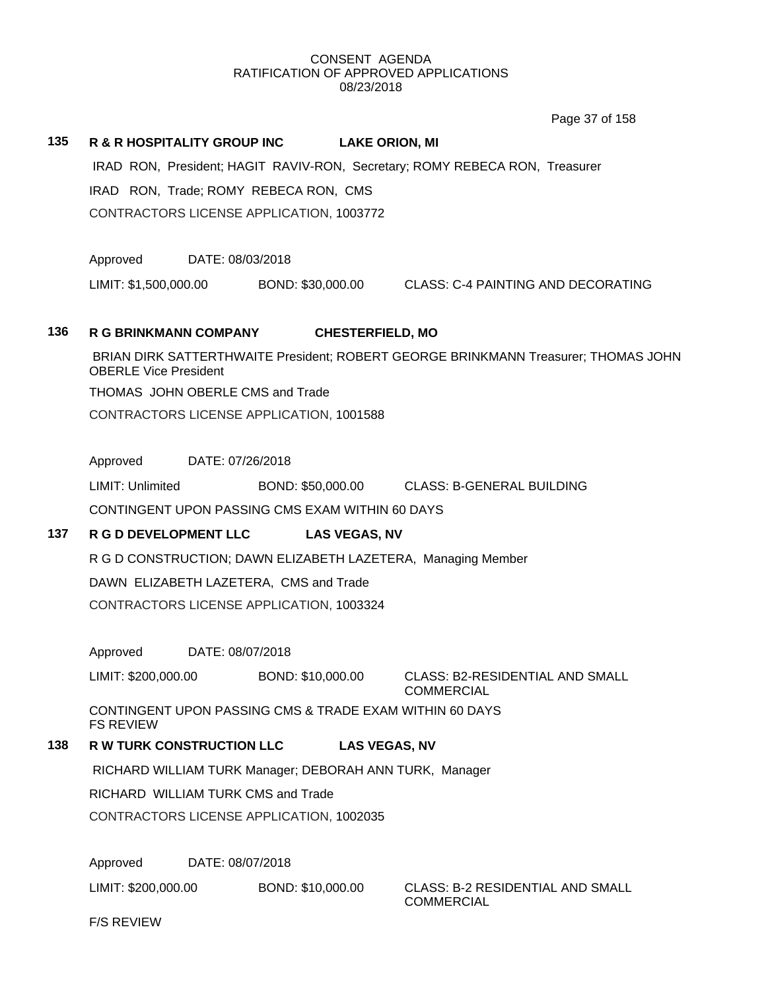Page 37 of 158

### **135 R & R HOSPITALITY GROUP INC LAKE ORION, MI**

IRAD RON, President; HAGIT RAVIV-RON, Secretary; ROMY REBECA RON, Treasurer

IRAD RON, Trade; ROMY REBECA RON, CMS

CONTRACTORS LICENSE APPLICATION, 1003772

Approved DATE: 08/03/2018

LIMIT: \$1,500,000.00 BOND: \$30,000.00 CLASS: C-4 PAINTING AND DECORATING

# **136 R G BRINKMANN COMPANY CHESTERFIELD, MO**

BRIAN DIRK SATTERTHWAITE President; ROBERT GEORGE BRINKMANN Treasurer; THOMAS JOHN OBERLE Vice President

THOMAS JOHN OBERLE CMS and Trade

CONTRACTORS LICENSE APPLICATION, 1001588

Approved DATE: 07/26/2018

LIMIT: Unlimited BOND: \$50,000.00 CLASS: B-GENERAL BUILDING CONTINGENT UPON PASSING CMS EXAM WITHIN 60 DAYS

# **137 R G D DEVELOPMENT LLC LAS VEGAS, NV**

R G D CONSTRUCTION; DAWN ELIZABETH LAZETERA, Managing Member DAWN ELIZABETH LAZETERA, CMS and Trade

CONTRACTORS LICENSE APPLICATION, 1003324

Approved DATE: 08/07/2018

LIMIT: \$200,000.00 BOND: \$10,000.00 CLASS: B2-RESIDENTIAL AND SMALL

COMMERCIAL

CONTINGENT UPON PASSING CMS & TRADE EXAM WITHIN 60 DAYS FS REVIEW

# **138 R W TURK CONSTRUCTION LLC LAS VEGAS, NV**

RICHARD WILLIAM TURK Manager; DEBORAH ANN TURK, Manager

RICHARD WILLIAM TURK CMS and Trade

CONTRACTORS LICENSE APPLICATION, 1002035

Approved DATE: 08/07/2018

LIMIT: \$200,000.00 BOND: \$10,000.00 CLASS: B-2 RESIDENTIAL AND SMALL

COMMERCIAL

F/S REVIEW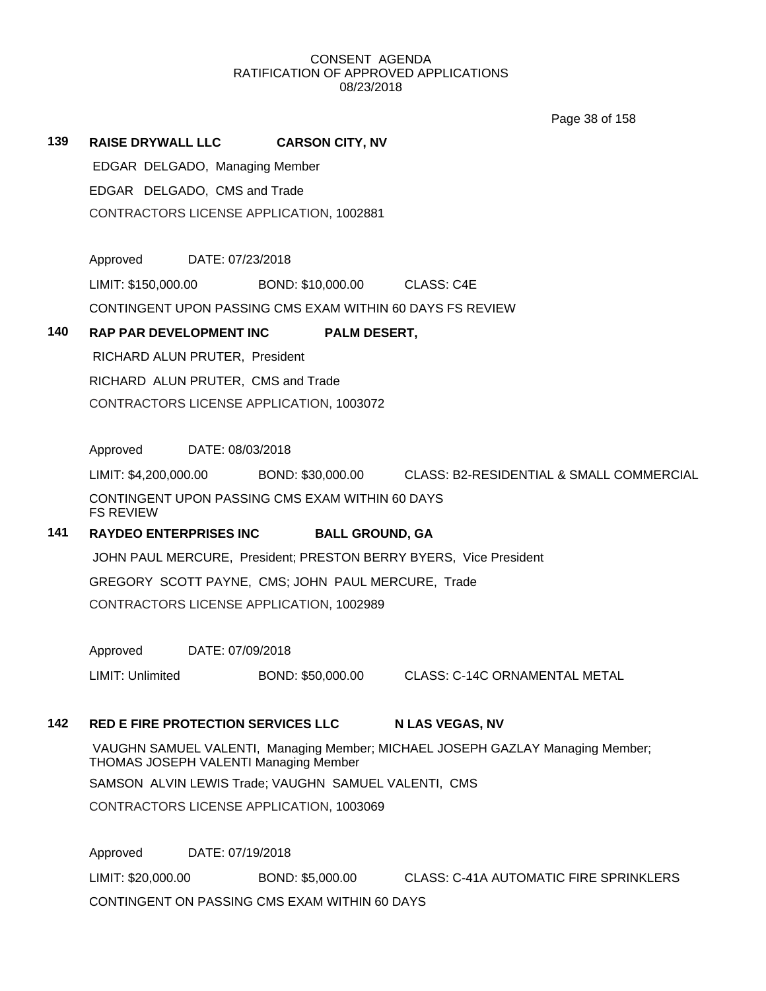Page 38 of 158

# **139 RAISE DRYWALL LLC CARSON CITY, NV**

EDGAR DELGADO, Managing Member EDGAR DELGADO, CMS and Trade CONTRACTORS LICENSE APPLICATION, 1002881

Approved DATE: 07/23/2018

LIMIT: \$150,000.00 BOND: \$10,000.00 CLASS: C4E

CONTINGENT UPON PASSING CMS EXAM WITHIN 60 DAYS FS REVIEW

### **140 RAP PAR DEVELOPMENT INC PALM DESERT,**

RICHARD ALUN PRUTER, President RICHARD ALUN PRUTER, CMS and Trade CONTRACTORS LICENSE APPLICATION, 1003072

Approved DATE: 08/03/2018

LIMIT: \$4,200,000.00 BOND: \$30,000.00 CLASS: B2-RESIDENTIAL & SMALL COMMERCIAL CONTINGENT UPON PASSING CMS EXAM WITHIN 60 DAYS FS REVIEW

# **141 RAYDEO ENTERPRISES INC BALL GROUND, GA**

JOHN PAUL MERCURE, President; PRESTON BERRY BYERS, Vice President GREGORY SCOTT PAYNE, CMS; JOHN PAUL MERCURE, Trade CONTRACTORS LICENSE APPLICATION, 1002989

Approved DATE: 07/09/2018

LIMIT: Unlimited BOND: \$50,000.00 CLASS: C-14C ORNAMENTAL METAL

# **142 RED E FIRE PROTECTION SERVICES LLC N LAS VEGAS, NV**

VAUGHN SAMUEL VALENTI, Managing Member; MICHAEL JOSEPH GAZLAY Managing Member; THOMAS JOSEPH VALENTI Managing Member

SAMSON ALVIN LEWIS Trade; VAUGHN SAMUEL VALENTI, CMS

CONTRACTORS LICENSE APPLICATION, 1003069

Approved DATE: 07/19/2018

LIMIT: \$20,000.00 BOND: \$5,000.00 CLASS: C-41A AUTOMATIC FIRE SPRINKLERS CONTINGENT ON PASSING CMS EXAM WITHIN 60 DAYS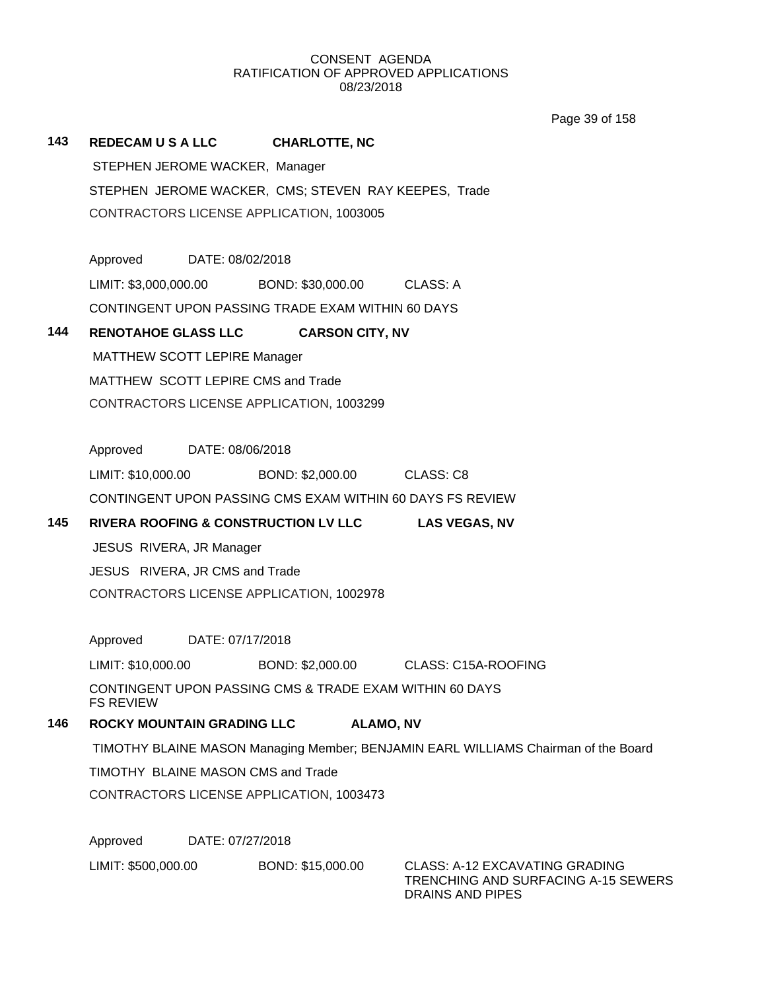Page 39 of 158

| 143 | <b>REDECAM U S A LLC</b>                                                    | <b>CHARLOTTE, NC</b>       |                                                                                           |  |  |  |
|-----|-----------------------------------------------------------------------------|----------------------------|-------------------------------------------------------------------------------------------|--|--|--|
|     | STEPHEN JEROME WACKER, Manager                                              |                            |                                                                                           |  |  |  |
|     |                                                                             |                            | STEPHEN JEROME WACKER, CMS; STEVEN RAY KEEPES, Trade                                      |  |  |  |
|     | CONTRACTORS LICENSE APPLICATION, 1003005                                    |                            |                                                                                           |  |  |  |
|     |                                                                             |                            |                                                                                           |  |  |  |
|     | Approved DATE: 08/02/2018                                                   |                            |                                                                                           |  |  |  |
|     | LIMIT: \$3,000,000.00                                                       | BOND: \$30,000.00 CLASS: A |                                                                                           |  |  |  |
|     | CONTINGENT UPON PASSING TRADE EXAM WITHIN 60 DAYS                           |                            |                                                                                           |  |  |  |
| 144 | <b>RENOTAHOE GLASS LLC</b>                                                  | <b>CARSON CITY, NV</b>     |                                                                                           |  |  |  |
|     | MATTHEW SCOTT LEPIRE Manager                                                |                            |                                                                                           |  |  |  |
|     | MATTHEW SCOTT LEPIRE CMS and Trade                                          |                            |                                                                                           |  |  |  |
|     | CONTRACTORS LICENSE APPLICATION, 1003299                                    |                            |                                                                                           |  |  |  |
|     |                                                                             |                            |                                                                                           |  |  |  |
|     | Approved DATE: 08/06/2018                                                   |                            |                                                                                           |  |  |  |
|     | LIMIT: \$10,000.00                                                          | BOND: \$2,000.00 CLASS: C8 |                                                                                           |  |  |  |
|     | CONTINGENT UPON PASSING CMS EXAM WITHIN 60 DAYS FS REVIEW                   |                            |                                                                                           |  |  |  |
| 145 | RIVERA ROOFING & CONSTRUCTION LV LLC LAS VEGAS, NV                          |                            |                                                                                           |  |  |  |
|     | JESUS RIVERA, JR Manager                                                    |                            |                                                                                           |  |  |  |
|     | JESUS RIVERA, JR CMS and Trade<br>CONTRACTORS LICENSE APPLICATION, 1002978  |                            |                                                                                           |  |  |  |
|     |                                                                             |                            |                                                                                           |  |  |  |
|     | Approved DATE: 07/17/2018                                                   |                            |                                                                                           |  |  |  |
|     | LIMIT: \$10,000.00                                                          |                            | BOND: \$2,000.00 CLASS: C15A-ROOFING                                                      |  |  |  |
|     | CONTINGENT UPON PASSING CMS & TRADE EXAM WITHIN 60 DAYS<br><b>FS REVIEW</b> |                            |                                                                                           |  |  |  |
| 146 | <b>ROCKY MOUNTAIN GRADING LLC</b>                                           | <b>ALAMO, NV</b>           |                                                                                           |  |  |  |
|     |                                                                             |                            | TIMOTHY BLAINE MASON Managing Member; BENJAMIN EARL WILLIAMS Chairman of the Board        |  |  |  |
|     | TIMOTHY BLAINE MASON CMS and Trade                                          |                            |                                                                                           |  |  |  |
|     | CONTRACTORS LICENSE APPLICATION, 1003473                                    |                            |                                                                                           |  |  |  |
|     |                                                                             |                            |                                                                                           |  |  |  |
|     | Approved<br>DATE: 07/27/2018                                                |                            |                                                                                           |  |  |  |
|     | LIMIT: \$500,000.00                                                         | BOND: \$15,000.00          | CLASS: A-12 EXCAVATING GRADING<br>TRENCHING AND SURFACING A-15 SEWERS<br>DRAINS AND PIPES |  |  |  |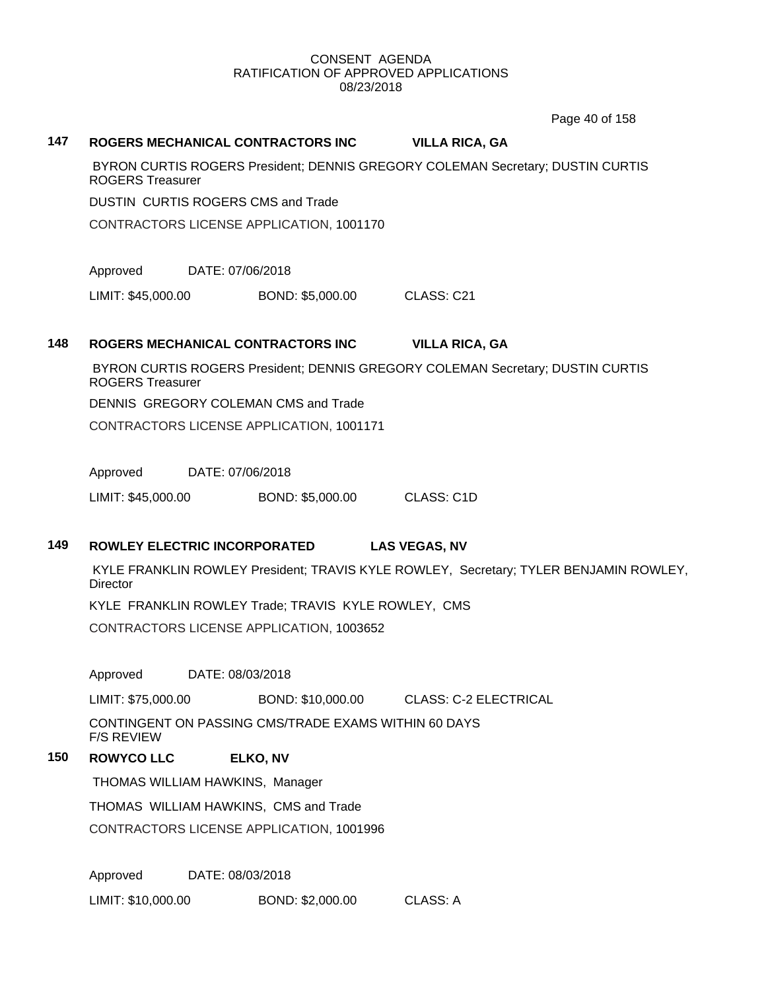Page 40 of 158

### **147 ROGERS MECHANICAL CONTRACTORS INC VILLA RICA, GA**

BYRON CURTIS ROGERS President; DENNIS GREGORY COLEMAN Secretary; DUSTIN CURTIS ROGERS Treasurer

DUSTIN CURTIS ROGERS CMS and Trade

CONTRACTORS LICENSE APPLICATION, 1001170

Approved DATE: 07/06/2018

LIMIT: \$45,000.00 BOND: \$5,000.00 CLASS: C21

# **148 ROGERS MECHANICAL CONTRACTORS INC VILLA RICA, GA**

BYRON CURTIS ROGERS President; DENNIS GREGORY COLEMAN Secretary; DUSTIN CURTIS ROGERS Treasurer

DENNIS GREGORY COLEMAN CMS and Trade

CONTRACTORS LICENSE APPLICATION, 1001171

Approved DATE: 07/06/2018

LIMIT: \$45,000.00 BOND: \$5,000.00 CLASS: C1D

# **149 ROWLEY ELECTRIC INCORPORATED LAS VEGAS, NV**

KYLE FRANKLIN ROWLEY President; TRAVIS KYLE ROWLEY, Secretary; TYLER BENJAMIN ROWLEY, **Director** 

KYLE FRANKLIN ROWLEY Trade; TRAVIS KYLE ROWLEY, CMS

CONTRACTORS LICENSE APPLICATION, 1003652

Approved DATE: 08/03/2018

LIMIT: \$75,000.00 BOND: \$10,000.00 CLASS: C-2 ELECTRICAL

CONTINGENT ON PASSING CMS/TRADE EXAMS WITHIN 60 DAYS F/S REVIEW

# **150 ROWYCO LLC ELKO, NV**

THOMAS WILLIAM HAWKINS, Manager

THOMAS WILLIAM HAWKINS, CMS and Trade

CONTRACTORS LICENSE APPLICATION, 1001996

Approved DATE: 08/03/2018

LIMIT: \$10,000.00 BOND: \$2,000.00 CLASS: A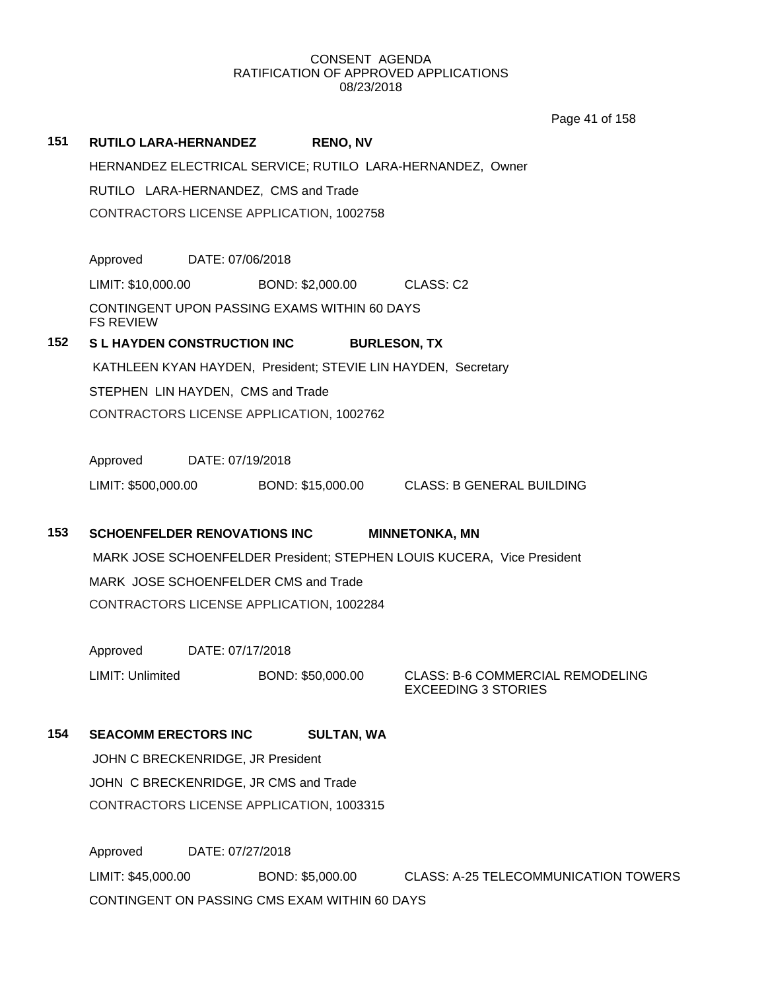Page 41 of 158

# **151 RUTILO LARA-HERNANDEZ RENO, NV** HERNANDEZ ELECTRICAL SERVICE; RUTILO LARA-HERNANDEZ, Owner RUTILO LARA-HERNANDEZ, CMS and Trade CONTRACTORS LICENSE APPLICATION, 1002758 Approved DATE: 07/06/2018 LIMIT: \$10,000.00 BOND: \$2,000.00 CLASS: C2 CONTINGENT UPON PASSING EXAMS WITHIN 60 DAYS FS REVIEW **152 S L HAYDEN CONSTRUCTION INC BURLESON, TX** KATHLEEN KYAN HAYDEN, President; STEVIE LIN HAYDEN, Secretary STEPHEN LIN HAYDEN, CMS and Trade CONTRACTORS LICENSE APPLICATION, 1002762 Approved DATE: 07/19/2018 LIMIT: \$500,000.00 BOND: \$15,000.00 CLASS: B GENERAL BUILDING **153 SCHOENFELDER RENOVATIONS INC MINNETONKA, MN** MARK JOSE SCHOENFELDER President; STEPHEN LOUIS KUCERA, Vice President MARK JOSE SCHOENFELDER CMS and Trade CONTRACTORS LICENSE APPLICATION, 1002284 Approved DATE: 07/17/2018 LIMIT: Unlimited BOND: \$50,000.00 CLASS: B-6 COMMERCIAL REMODELING EXCEEDING 3 STORIES **154 SEACOMM ERECTORS INC SULTAN, WA** JOHN C BRECKENRIDGE, JR President JOHN C BRECKENRIDGE, JR CMS and Trade

Approved DATE: 07/27/2018 LIMIT: \$45,000.00 BOND: \$5,000.00 CLASS: A-25 TELECOMMUNICATION TOWERS CONTINGENT ON PASSING CMS EXAM WITHIN 60 DAYS

CONTRACTORS LICENSE APPLICATION, 1003315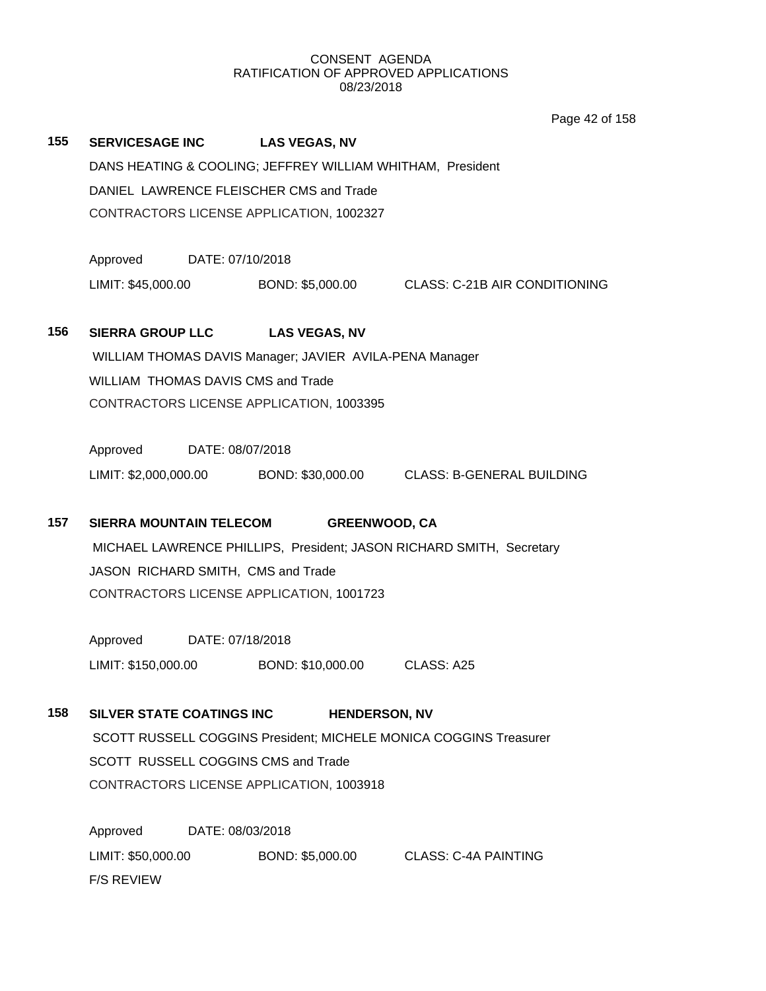Page 42 of 158

| 155                                      |                                                                      |                                                            | SERVICESAGE INC LAS VEGAS, NV                           |                                                                   |  |  |  |
|------------------------------------------|----------------------------------------------------------------------|------------------------------------------------------------|---------------------------------------------------------|-------------------------------------------------------------------|--|--|--|
|                                          |                                                                      | DANS HEATING & COOLING; JEFFREY WILLIAM WHITHAM, President |                                                         |                                                                   |  |  |  |
|                                          | DANIEL LAWRENCE FLEISCHER CMS and Trade                              |                                                            |                                                         |                                                                   |  |  |  |
|                                          | CONTRACTORS LICENSE APPLICATION, 1002327                             |                                                            |                                                         |                                                                   |  |  |  |
|                                          |                                                                      |                                                            |                                                         |                                                                   |  |  |  |
|                                          | Approved DATE: 07/10/2018                                            |                                                            |                                                         |                                                                   |  |  |  |
|                                          |                                                                      |                                                            |                                                         | LIMIT: \$45,000.00 BOND: \$5,000.00 CLASS: C-21B AIR CONDITIONING |  |  |  |
|                                          |                                                                      |                                                            |                                                         |                                                                   |  |  |  |
| 156                                      | <b>SIERRA GROUP LLC</b>                                              |                                                            | <b>LAS VEGAS, NV</b>                                    |                                                                   |  |  |  |
|                                          |                                                                      |                                                            | WILLIAM THOMAS DAVIS Manager; JAVIER AVILA-PENA Manager |                                                                   |  |  |  |
|                                          | WILLIAM THOMAS DAVIS CMS and Trade                                   |                                                            |                                                         |                                                                   |  |  |  |
|                                          |                                                                      |                                                            | CONTRACTORS LICENSE APPLICATION, 1003395                |                                                                   |  |  |  |
|                                          |                                                                      |                                                            |                                                         |                                                                   |  |  |  |
|                                          | Approved DATE: 08/07/2018                                            |                                                            |                                                         |                                                                   |  |  |  |
|                                          |                                                                      |                                                            |                                                         | LIMIT: \$2,000,000.00 BOND: \$30,000.00 CLASS: B-GENERAL BUILDING |  |  |  |
|                                          |                                                                      |                                                            |                                                         |                                                                   |  |  |  |
| 157                                      | <b>SIERRA MOUNTAIN TELECOM</b>                                       |                                                            | <b>GREENWOOD, CA</b>                                    |                                                                   |  |  |  |
|                                          | MICHAEL LAWRENCE PHILLIPS, President; JASON RICHARD SMITH, Secretary |                                                            |                                                         |                                                                   |  |  |  |
|                                          |                                                                      |                                                            | JASON RICHARD SMITH, CMS and Trade                      |                                                                   |  |  |  |
|                                          |                                                                      |                                                            | CONTRACTORS LICENSE APPLICATION, 1001723                |                                                                   |  |  |  |
|                                          |                                                                      |                                                            |                                                         |                                                                   |  |  |  |
|                                          | Approved DATE: 07/18/2018                                            |                                                            |                                                         |                                                                   |  |  |  |
|                                          |                                                                      |                                                            | LIMIT: \$150,000.00 BOND: \$10,000.00                   | CLASS: A25                                                        |  |  |  |
|                                          |                                                                      |                                                            |                                                         |                                                                   |  |  |  |
| 158                                      | <b>SILVER STATE COATINGS INC</b>                                     |                                                            | <b>HENDERSON, NV</b>                                    |                                                                   |  |  |  |
|                                          | SCOTT RUSSELL COGGINS President; MICHELE MONICA COGGINS Treasurer    |                                                            |                                                         |                                                                   |  |  |  |
|                                          | SCOTT RUSSELL COGGINS CMS and Trade                                  |                                                            |                                                         |                                                                   |  |  |  |
| CONTRACTORS LICENSE APPLICATION, 1003918 |                                                                      |                                                            |                                                         |                                                                   |  |  |  |
|                                          |                                                                      |                                                            |                                                         |                                                                   |  |  |  |
|                                          | Approved                                                             | DATE: 08/03/2018                                           |                                                         |                                                                   |  |  |  |
|                                          |                                                                      |                                                            |                                                         |                                                                   |  |  |  |

LIMIT: \$50,000.00 BOND: \$5,000.00 CLASS: C-4A PAINTING F/S REVIEW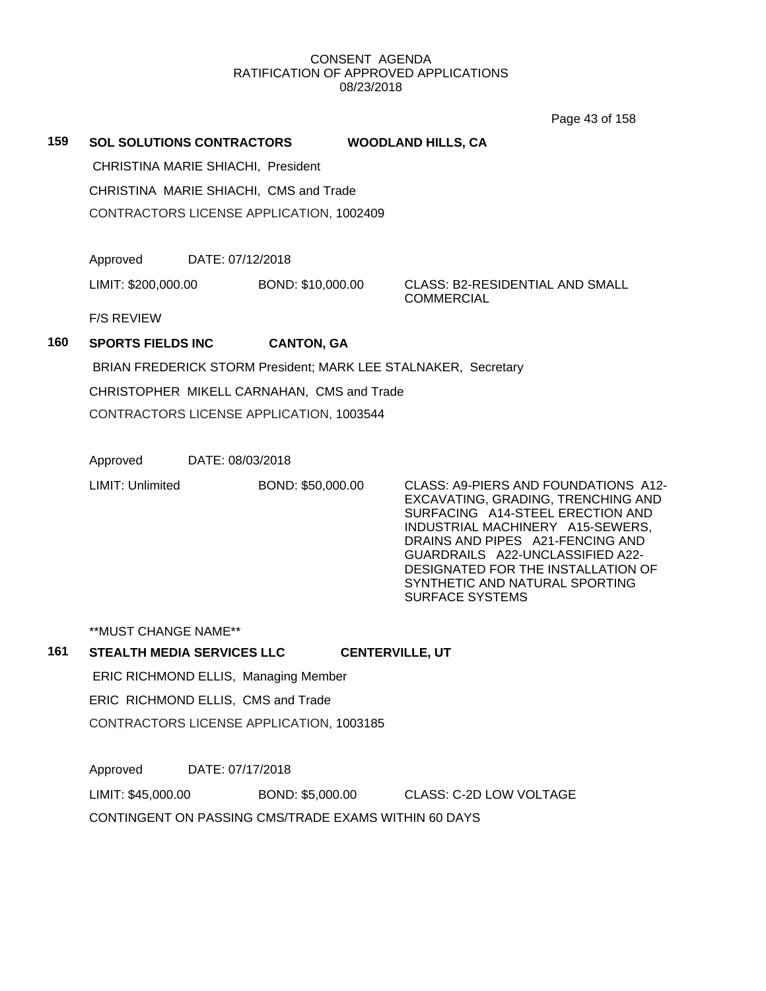Page 43 of 158

**159 SOL SOLUTIONS CONTRACTORS WOODLAND HILLS, CA**

CHRISTINA MARIE SHIACHI, President

CHRISTINA MARIE SHIACHI, CMS and Trade

CONTRACTORS LICENSE APPLICATION, 1002409

Approved DATE: 07/12/2018

LIMIT: \$200,000.00 BOND: \$10,000.00 CLASS: B2-RESIDENTIAL AND SMALL

COMMERCIAL

F/S REVIEW

# **160 SPORTS FIELDS INC CANTON, GA**

BRIAN FREDERICK STORM President; MARK LEE STALNAKER, Secretary

CHRISTOPHER MIKELL CARNAHAN, CMS and Trade

CONTRACTORS LICENSE APPLICATION, 1003544

Approved DATE: 08/03/2018

LIMIT: Unlimited BOND: \$50,000.00 CLASS: A9-PIERS AND FOUNDATIONS A12-

EXCAVATING, GRADING, TRENCHING AND SURFACING A14-STEEL ERECTION AND INDUSTRIAL MACHINERY A15-SEWERS, DRAINS AND PIPES A21-FENCING AND GUARDRAILS A22-UNCLASSIFIED A22- DESIGNATED FOR THE INSTALLATION OF SYNTHETIC AND NATURAL SPORTING SURFACE SYSTEMS

\*\*MUST CHANGE NAME\*\*

# **161 STEALTH MEDIA SERVICES LLC CENTERVILLE, UT**

ERIC RICHMOND ELLIS, Managing Member ERIC RICHMOND ELLIS, CMS and Trade CONTRACTORS LICENSE APPLICATION, 1003185

Approved DATE: 07/17/2018

LIMIT: \$45,000.00 BOND: \$5,000.00 CLASS: C-2D LOW VOLTAGE

CONTINGENT ON PASSING CMS/TRADE EXAMS WITHIN 60 DAYS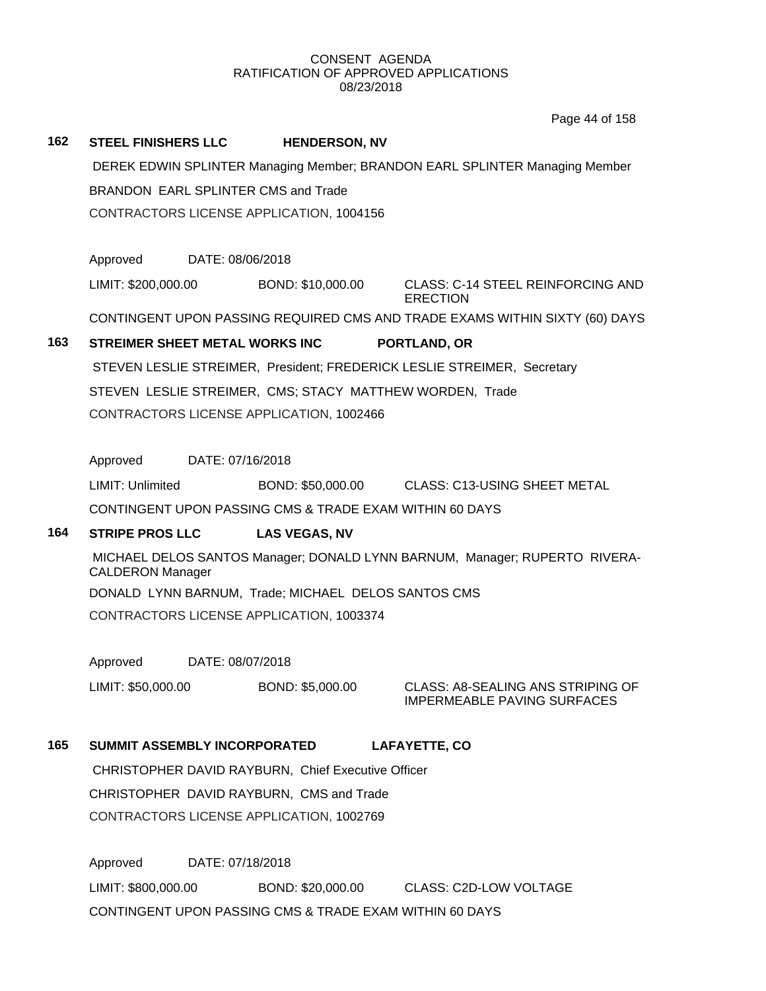Page 44 of 158

# **162 STEEL FINISHERS LLC HENDERSON, NV**

DEREK EDWIN SPLINTER Managing Member; BRANDON EARL SPLINTER Managing Member BRANDON EARL SPLINTER CMS and Trade CONTRACTORS LICENSE APPLICATION, 1004156

Approved DATE: 08/06/2018

LIMIT: \$200,000.00 BOND: \$10,000.00 CLASS: C-14 STEEL REINFORCING AND **ERECTION** 

CONTINGENT UPON PASSING REQUIRED CMS AND TRADE EXAMS WITHIN SIXTY (60) DAYS

# **163 STREIMER SHEET METAL WORKS INC PORTLAND, OR**

STEVEN LESLIE STREIMER, President; FREDERICK LESLIE STREIMER, Secretary STEVEN LESLIE STREIMER, CMS; STACY MATTHEW WORDEN, Trade

CONTRACTORS LICENSE APPLICATION, 1002466

Approved DATE: 07/16/2018

LIMIT: Unlimited BOND: \$50,000.00 CLASS: C13-USING SHEET METAL

CONTINGENT UPON PASSING CMS & TRADE EXAM WITHIN 60 DAYS

# **164 STRIPE PROS LLC LAS VEGAS, NV**

MICHAEL DELOS SANTOS Manager; DONALD LYNN BARNUM, Manager; RUPERTO RIVERA-CALDERON Manager

DONALD LYNN BARNUM, Trade; MICHAEL DELOS SANTOS CMS

CONTRACTORS LICENSE APPLICATION, 1003374

Approved DATE: 08/07/2018

LIMIT: \$50,000.00 BOND: \$5,000.00 CLASS: A8-SEALING ANS STRIPING OF

IMPERMEABLE PAVING SURFACES

# **165 SUMMIT ASSEMBLY INCORPORATED LAFAYETTE, CO**

CHRISTOPHER DAVID RAYBURN, Chief Executive Officer CHRISTOPHER DAVID RAYBURN, CMS and Trade CONTRACTORS LICENSE APPLICATION, 1002769

Approved DATE: 07/18/2018 LIMIT: \$800,000.00 BOND: \$20,000.00 CLASS: C2D-LOW VOLTAGE CONTINGENT UPON PASSING CMS & TRADE EXAM WITHIN 60 DAYS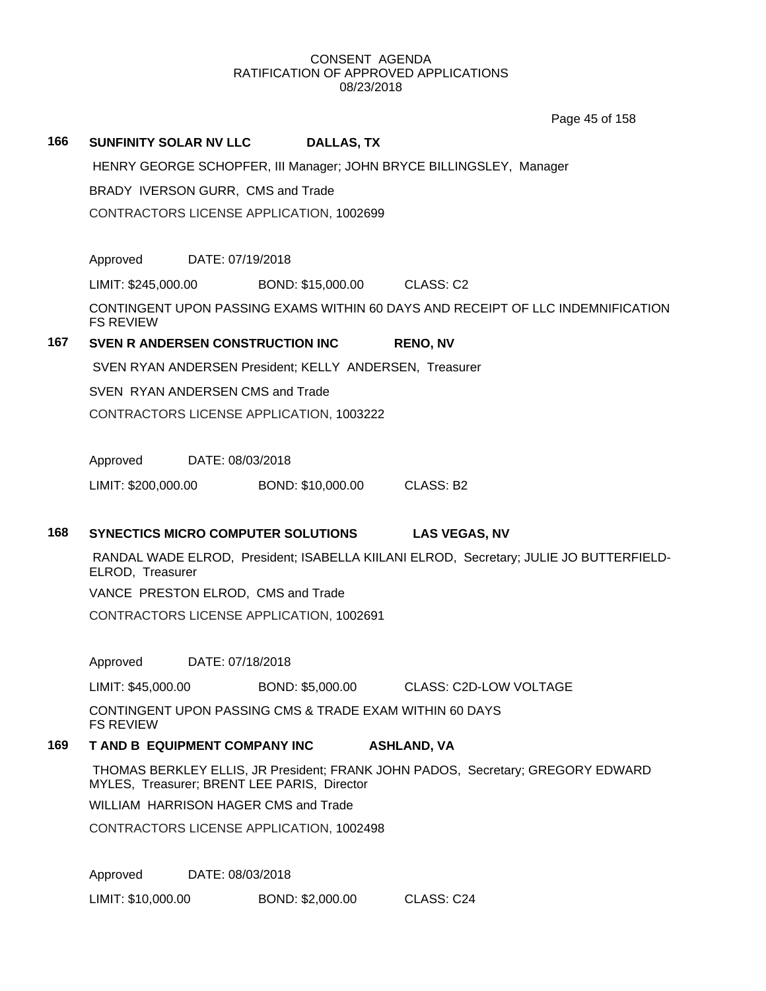Page 45 of 158

### **166 SUNFINITY SOLAR NV LLC DALLAS, TX**

HENRY GEORGE SCHOPFER, III Manager; JOHN BRYCE BILLINGSLEY, Manager

BRADY IVERSON GURR, CMS and Trade

CONTRACTORS LICENSE APPLICATION, 1002699

Approved DATE: 07/19/2018

LIMIT: \$245,000.00 BOND: \$15,000.00 CLASS: C2

CONTINGENT UPON PASSING EXAMS WITHIN 60 DAYS AND RECEIPT OF LLC INDEMNIFICATION FS REVIEW

# **167 SVEN R ANDERSEN CONSTRUCTION INC RENO, NV**

SVEN RYAN ANDERSEN President; KELLY ANDERSEN, Treasurer

SVEN RYAN ANDERSEN CMS and Trade

CONTRACTORS LICENSE APPLICATION, 1003222

Approved DATE: 08/03/2018

LIMIT: \$200,000.00 BOND: \$10,000.00 CLASS: B2

### **168 SYNECTICS MICRO COMPUTER SOLUTIONS LAS VEGAS, NV**

RANDAL WADE ELROD, President; ISABELLA KIILANI ELROD, Secretary; JULIE JO BUTTERFIELD-ELROD, Treasurer

VANCE PRESTON ELROD, CMS and Trade

CONTRACTORS LICENSE APPLICATION, 1002691

Approved DATE: 07/18/2018

LIMIT: \$45,000.00 BOND: \$5,000.00 CLASS: C2D-LOW VOLTAGE

CONTINGENT UPON PASSING CMS & TRADE EXAM WITHIN 60 DAYS FS REVIEW

# **169 T AND B EQUIPMENT COMPANY INC ASHLAND, VA**

THOMAS BERKLEY ELLIS, JR President; FRANK JOHN PADOS, Secretary; GREGORY EDWARD MYLES, Treasurer; BRENT LEE PARIS, Director

WILLIAM HARRISON HAGER CMS and Trade

CONTRACTORS LICENSE APPLICATION, 1002498

Approved DATE: 08/03/2018

LIMIT: \$10,000.00 BOND: \$2,000.00 CLASS: C24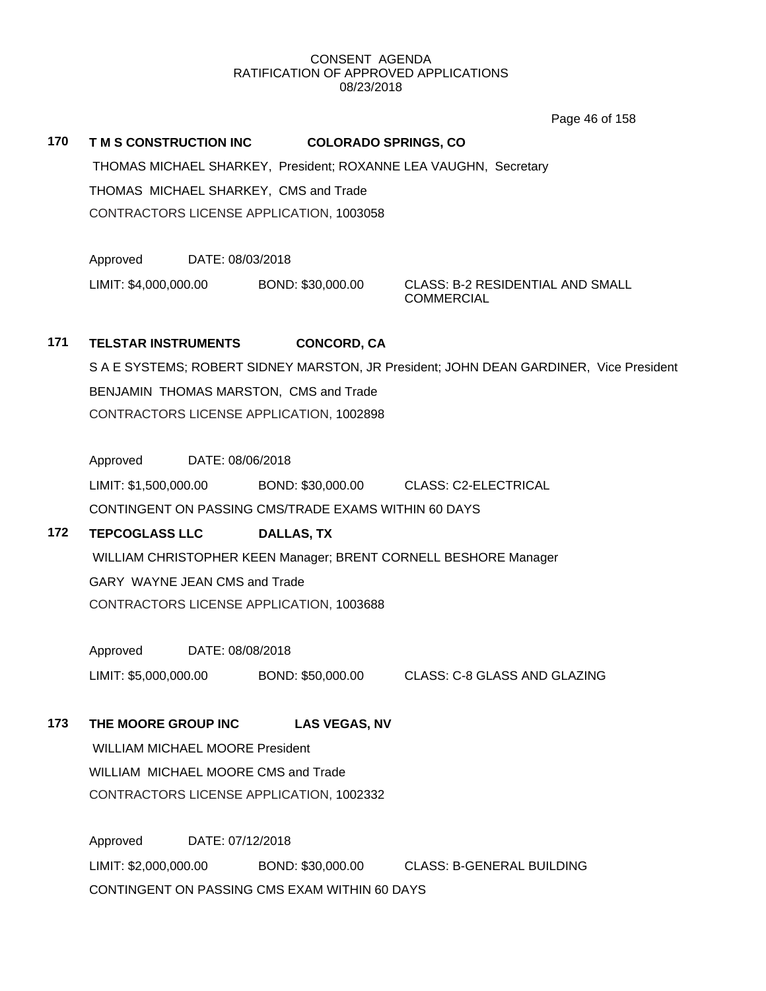Page 46 of 158

# **170 T M S CONSTRUCTION INC COLORADO SPRINGS, CO**

THOMAS MICHAEL SHARKEY, President; ROXANNE LEA VAUGHN, Secretary THOMAS MICHAEL SHARKEY, CMS and Trade CONTRACTORS LICENSE APPLICATION, 1003058

Approved DATE: 08/03/2018

LIMIT: \$4,000,000.00 BOND: \$30,000.00 CLASS: B-2 RESIDENTIAL AND SMALL

**COMMERCIAL** 

# **171 TELSTAR INSTRUMENTS CONCORD, CA**

S A E SYSTEMS; ROBERT SIDNEY MARSTON, JR President; JOHN DEAN GARDINER, Vice President BENJAMIN THOMAS MARSTON, CMS and Trade CONTRACTORS LICENSE APPLICATION, 1002898

Approved DATE: 08/06/2018

LIMIT: \$1,500,000.00 BOND: \$30,000.00 CLASS: C2-ELECTRICAL CONTINGENT ON PASSING CMS/TRADE EXAMS WITHIN 60 DAYS

# **172 TEPCOGLASS LLC DALLAS, TX**

WILLIAM CHRISTOPHER KEEN Manager; BRENT CORNELL BESHORE Manager GARY WAYNE JEAN CMS and Trade CONTRACTORS LICENSE APPLICATION, 1003688

Approved DATE: 08/08/2018

LIMIT: \$5,000,000.00 BOND: \$50,000.00 CLASS: C-8 GLASS AND GLAZING

**173 THE MOORE GROUP INC LAS VEGAS, NV**

WILLIAM MICHAEL MOORE President WILLIAM MICHAEL MOORE CMS and Trade CONTRACTORS LICENSE APPLICATION, 1002332

Approved DATE: 07/12/2018 LIMIT: \$2,000,000.00 BOND: \$30,000.00 CLASS: B-GENERAL BUILDING CONTINGENT ON PASSING CMS EXAM WITHIN 60 DAYS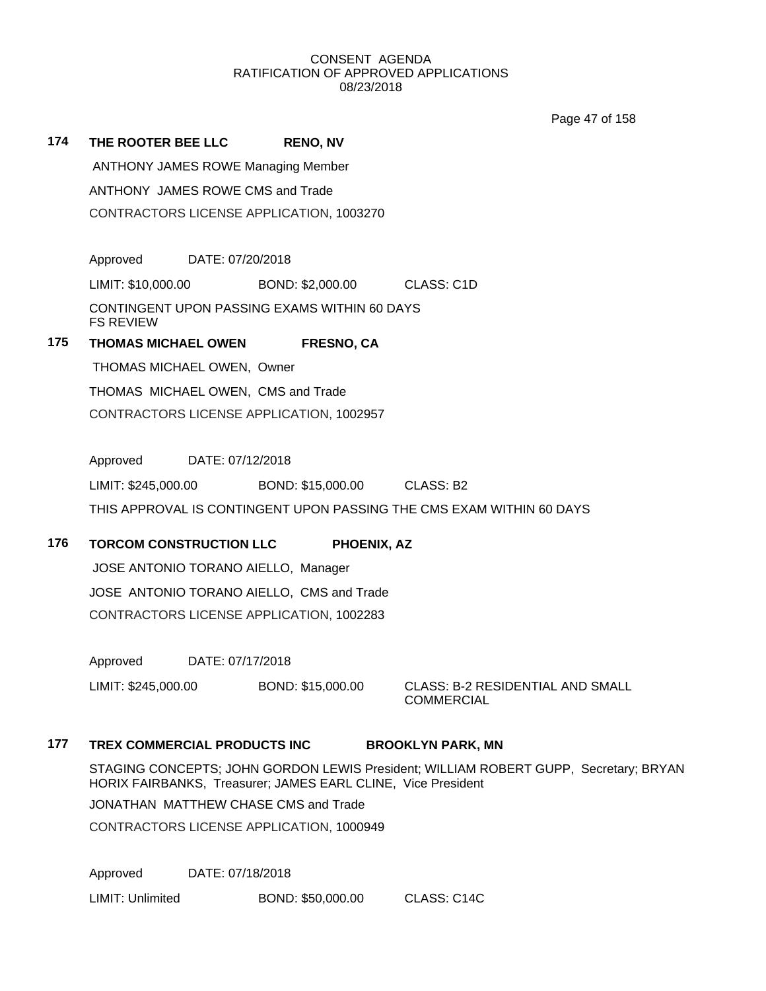Page 47 of 158

| 174 | THE ROOTER BEE LLC                                               | <b>RENO, NV</b>   |                         |  |  |
|-----|------------------------------------------------------------------|-------------------|-------------------------|--|--|
|     | <b>ANTHONY JAMES ROWE Managing Member</b>                        |                   |                         |  |  |
|     | ANTHONY JAMES ROWE CMS and Trade                                 |                   |                         |  |  |
|     | CONTRACTORS LICENSE APPLICATION, 1003270                         |                   |                         |  |  |
|     |                                                                  |                   |                         |  |  |
|     | DATE: 07/20/2018<br>Approved                                     |                   |                         |  |  |
|     | LIMIT: \$10,000.00                                               | BOND: \$2,000.00  | CLASS: C <sub>1</sub> D |  |  |
|     | CONTINGENT UPON PASSING EXAMS WITHIN 60 DAYS<br><b>FS REVIEW</b> |                   |                         |  |  |
| 175 | <b>THOMAS MICHAEL OWEN</b>                                       | <b>FRESNO, CA</b> |                         |  |  |
|     | THOMAS MICHAEL OWEN, Owner                                       |                   |                         |  |  |
|     |                                                                  |                   |                         |  |  |

THOMAS MICHAEL OWEN, CMS and Trade CONTRACTORS LICENSE APPLICATION, 1002957

Approved DATE: 07/12/2018

LIMIT: \$245,000.00 BOND: \$15,000.00 CLASS: B2 THIS APPROVAL IS CONTINGENT UPON PASSING THE CMS EXAM WITHIN 60 DAYS

# **176 TORCOM CONSTRUCTION LLC PHOENIX, AZ**

JOSE ANTONIO TORANO AIELLO, Manager JOSE ANTONIO TORANO AIELLO, CMS and Trade CONTRACTORS LICENSE APPLICATION, 1002283

Approved DATE: 07/17/2018

LIMIT: \$245,000.00 BOND: \$15,000.00 CLASS: B-2 RESIDENTIAL AND SMALL

COMMERCIAL

# **177 TREX COMMERCIAL PRODUCTS INC BROOKLYN PARK, MN**

STAGING CONCEPTS; JOHN GORDON LEWIS President; WILLIAM ROBERT GUPP, Secretary; BRYAN HORIX FAIRBANKS, Treasurer; JAMES EARL CLINE, Vice President

JONATHAN MATTHEW CHASE CMS and Trade

CONTRACTORS LICENSE APPLICATION, 1000949

Approved DATE: 07/18/2018

LIMIT: Unlimited BOND: \$50,000.00 CLASS: C14C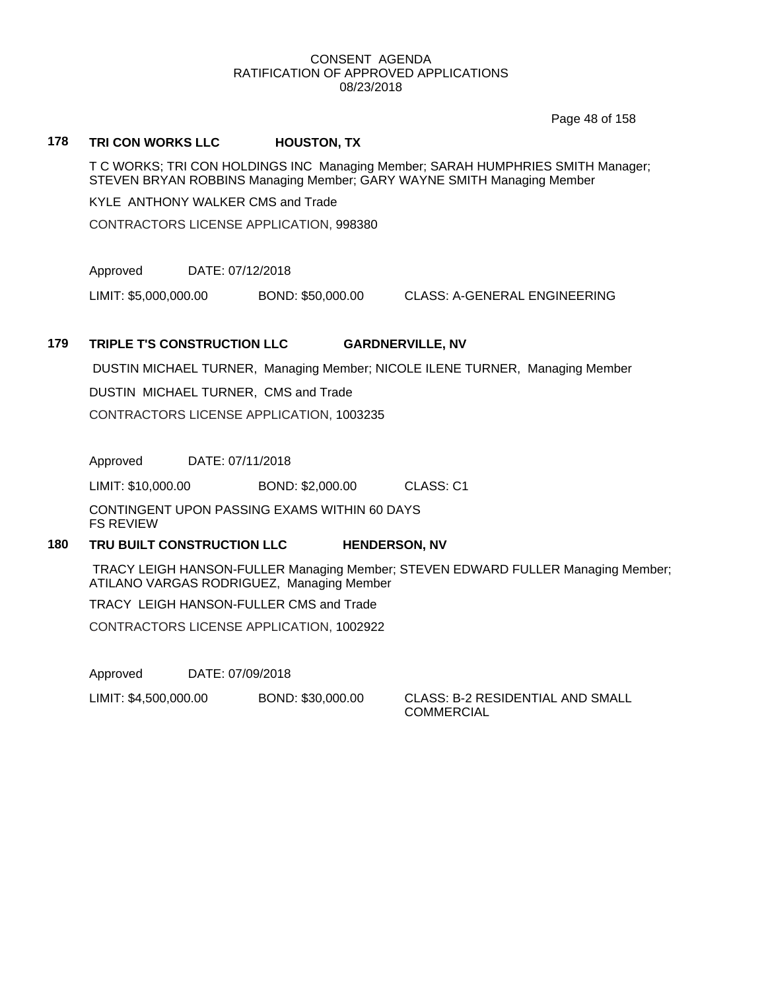Page 48 of 158

# **178 TRI CON WORKS LLC HOUSTON, TX**

T C WORKS; TRI CON HOLDINGS INC Managing Member; SARAH HUMPHRIES SMITH Manager; STEVEN BRYAN ROBBINS Managing Member; GARY WAYNE SMITH Managing Member

KYLE ANTHONY WALKER CMS and Trade

CONTRACTORS LICENSE APPLICATION, 998380

Approved DATE: 07/12/2018

LIMIT: \$5,000,000.00 BOND: \$50,000.00 CLASS: A-GENERAL ENGINEERING

# **179 TRIPLE T'S CONSTRUCTION LLC GARDNERVILLE, NV**

DUSTIN MICHAEL TURNER, Managing Member; NICOLE ILENE TURNER, Managing Member

DUSTIN MICHAEL TURNER, CMS and Trade

CONTRACTORS LICENSE APPLICATION, 1003235

Approved DATE: 07/11/2018

LIMIT: \$10,000.00 BOND: \$2,000.00 CLASS: C1

CONTINGENT UPON PASSING EXAMS WITHIN 60 DAYS FS REVIEW

# **180 TRU BUILT CONSTRUCTION LLC HENDERSON, NV**

TRACY LEIGH HANSON-FULLER Managing Member; STEVEN EDWARD FULLER Managing Member; ATILANO VARGAS RODRIGUEZ, Managing Member

TRACY LEIGH HANSON-FULLER CMS and Trade

CONTRACTORS LICENSE APPLICATION, 1002922

Approved DATE: 07/09/2018

LIMIT: \$4,500,000.00 BOND: \$30,000.00 CLASS: B-2 RESIDENTIAL AND SMALL

COMMERCIAL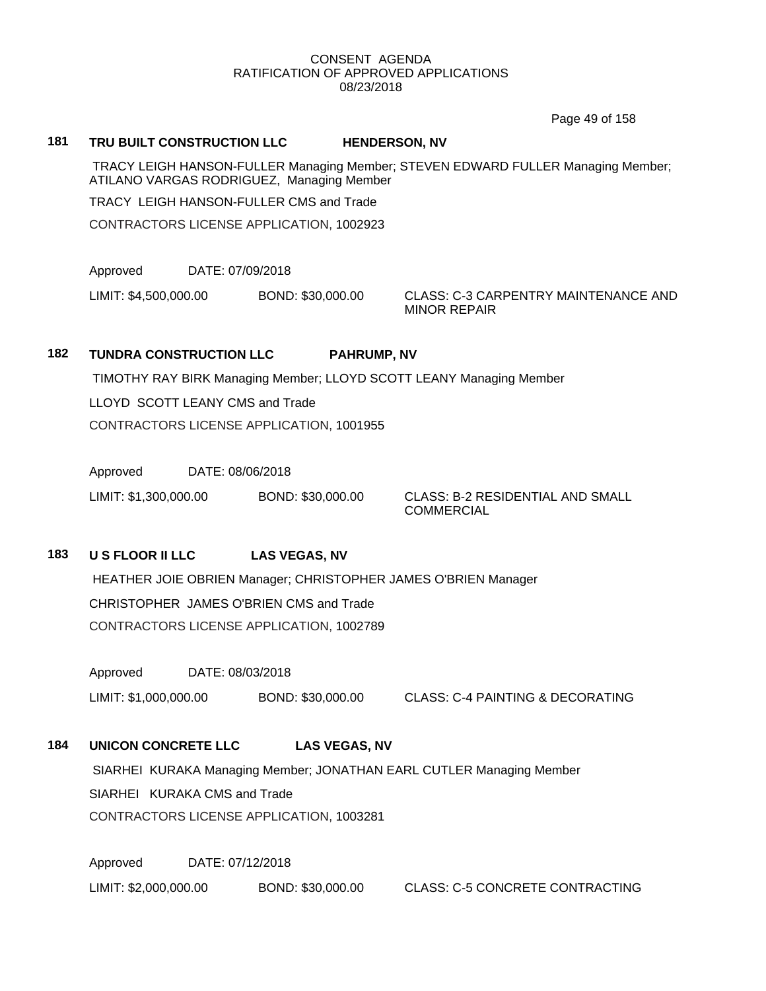Page 49 of 158

### **181 TRU BUILT CONSTRUCTION LLC HENDERSON, NV**

TRACY LEIGH HANSON-FULLER Managing Member; STEVEN EDWARD FULLER Managing Member; ATILANO VARGAS RODRIGUEZ, Managing Member

TRACY LEIGH HANSON-FULLER CMS and Trade

CONTRACTORS LICENSE APPLICATION, 1002923

Approved DATE: 07/09/2018

LIMIT: \$4,500,000.00 BOND: \$30,000.00 CLASS: C-3 CARPENTRY MAINTENANCE AND

MINOR REPAIR

### **182 TUNDRA CONSTRUCTION LLC PAHRUMP, NV**

TIMOTHY RAY BIRK Managing Member; LLOYD SCOTT LEANY Managing Member

LLOYD SCOTT LEANY CMS and Trade

CONTRACTORS LICENSE APPLICATION, 1001955

Approved DATE: 08/06/2018

LIMIT: \$1,300,000.00 BOND: \$30,000.00 CLASS: B-2 RESIDENTIAL AND SMALL

**COMMERCIAL** 

**183 U S FLOOR II LLC LAS VEGAS, NV**

HEATHER JOIE OBRIEN Manager; CHRISTOPHER JAMES O'BRIEN Manager CHRISTOPHER JAMES O'BRIEN CMS and Trade CONTRACTORS LICENSE APPLICATION, 1002789

Approved DATE: 08/03/2018

LIMIT: \$1,000,000.00 BOND: \$30,000.00 CLASS: C-4 PAINTING & DECORATING

# **184 UNICON CONCRETE LLC LAS VEGAS, NV**

SIARHEI KURAKA Managing Member; JONATHAN EARL CUTLER Managing Member SIARHEI KURAKA CMS and Trade CONTRACTORS LICENSE APPLICATION, 1003281

Approved DATE: 07/12/2018 LIMIT: \$2,000,000.00 BOND: \$30,000.00 CLASS: C-5 CONCRETE CONTRACTING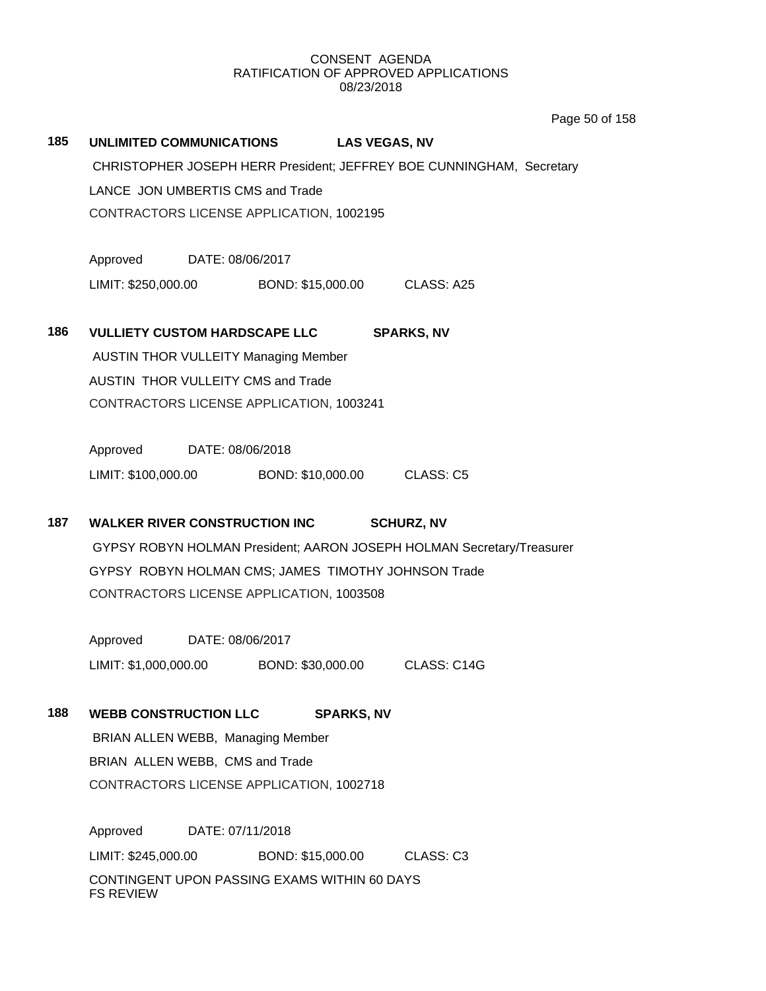Page 50 of 158

|     |                                                                       |                                          |                             |                   |                   | Page |
|-----|-----------------------------------------------------------------------|------------------------------------------|-----------------------------|-------------------|-------------------|------|
| 185 | UNLIMITED COMMUNICATIONS LAS VEGAS, NV                                |                                          |                             |                   |                   |      |
|     | CHRISTOPHER JOSEPH HERR President; JEFFREY BOE CUNNINGHAM, Secretary  |                                          |                             |                   |                   |      |
|     | LANCE JON UMBERTIS CMS and Trade                                      |                                          |                             |                   |                   |      |
|     | CONTRACTORS LICENSE APPLICATION, 1002195                              |                                          |                             |                   |                   |      |
|     | Approved DATE: 08/06/2017                                             |                                          |                             |                   |                   |      |
|     | LIMIT: \$250,000.00 BOND: \$15,000.00 CLASS: A25                      |                                          |                             |                   |                   |      |
|     |                                                                       |                                          |                             |                   |                   |      |
| 186 | <b>VULLIETY CUSTOM HARDSCAPE LLC</b>                                  |                                          |                             |                   | <b>SPARKS, NV</b> |      |
|     | <b>AUSTIN THOR VULLEITY Managing Member</b>                           |                                          |                             |                   |                   |      |
|     | AUSTIN THOR VULLEITY CMS and Trade                                    |                                          |                             |                   |                   |      |
|     |                                                                       | CONTRACTORS LICENSE APPLICATION, 1003241 |                             |                   |                   |      |
|     | Approved DATE: 08/06/2018                                             |                                          |                             |                   |                   |      |
|     | LIMIT: \$100,000.00 BOND: \$10,000.00 CLASS: C5                       |                                          |                             |                   |                   |      |
| 187 | <b>WALKER RIVER CONSTRUCTION INC</b>                                  |                                          |                             |                   | <b>SCHURZ, NV</b> |      |
|     | GYPSY ROBYN HOLMAN President; AARON JOSEPH HOLMAN Secretary/Treasurer |                                          |                             |                   |                   |      |
|     | GYPSY ROBYN HOLMAN CMS; JAMES TIMOTHY JOHNSON Trade                   |                                          |                             |                   |                   |      |
|     | CONTRACTORS LICENSE APPLICATION, 1003508                              |                                          |                             |                   |                   |      |
|     |                                                                       |                                          |                             |                   |                   |      |
|     | Approved DATE: 08/06/2017                                             |                                          |                             |                   |                   |      |
|     | LIMIT: \$1,000,000.00 BOND: \$30,000.00 CLASS: C14G                   |                                          |                             |                   |                   |      |
| 188 | <b>WEBB CONSTRUCTION LLC</b>                                          |                                          |                             | <b>SPARKS, NV</b> |                   |      |
|     | BRIAN ALLEN WEBB, Managing Member                                     |                                          |                             |                   |                   |      |
|     | BRIAN ALLEN WEBB, CMS and Trade                                       |                                          |                             |                   |                   |      |
|     | CONTRACTORS LICENSE APPLICATION, 1002718                              |                                          |                             |                   |                   |      |
|     | Approved                                                              | DATE: 07/11/2018                         |                             |                   |                   |      |
|     | LIMIT: \$245,000.00                                                   |                                          | BOND: \$15,000.00 CLASS: C3 |                   |                   |      |
|     | CONTINGENT UPON PASSING EXAMS WITHIN 60 DAYS                          |                                          |                             |                   |                   |      |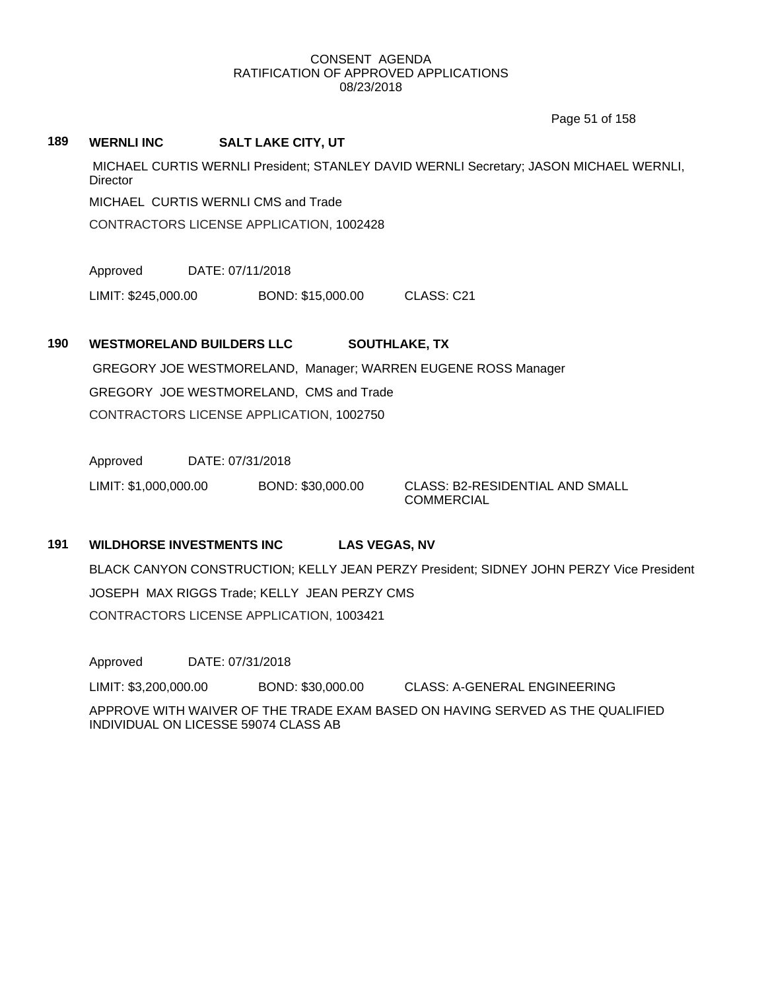Page 51 of 158

**189 WERNLI INC SALT LAKE CITY, UT** MICHAEL CURTIS WERNLI President; STANLEY DAVID WERNLI Secretary; JASON MICHAEL WERNLI, **Director** MICHAEL CURTIS WERNLI CMS and Trade CONTRACTORS LICENSE APPLICATION, 1002428

Approved DATE: 07/11/2018

LIMIT: \$245,000.00 BOND: \$15,000.00 CLASS: C21

# **190 WESTMORELAND BUILDERS LLC SOUTHLAKE, TX**

GREGORY JOE WESTMORELAND, Manager; WARREN EUGENE ROSS Manager GREGORY JOE WESTMORELAND, CMS and Trade CONTRACTORS LICENSE APPLICATION, 1002750

Approved DATE: 07/31/2018

LIMIT: \$1,000,000.00 BOND: \$30,000.00 CLASS: B2-RESIDENTIAL AND SMALL

COMMERCIAL

# **191 WILDHORSE INVESTMENTS INC LAS VEGAS, NV**

BLACK CANYON CONSTRUCTION; KELLY JEAN PERZY President; SIDNEY JOHN PERZY Vice President JOSEPH MAX RIGGS Trade; KELLY JEAN PERZY CMS CONTRACTORS LICENSE APPLICATION, 1003421

Approved DATE: 07/31/2018 LIMIT: \$3,200,000.00 BOND: \$30,000.00 CLASS: A-GENERAL ENGINEERING APPROVE WITH WAIVER OF THE TRADE EXAM BASED ON HAVING SERVED AS THE QUALIFIED INDIVIDUAL ON LICESSE 59074 CLASS AB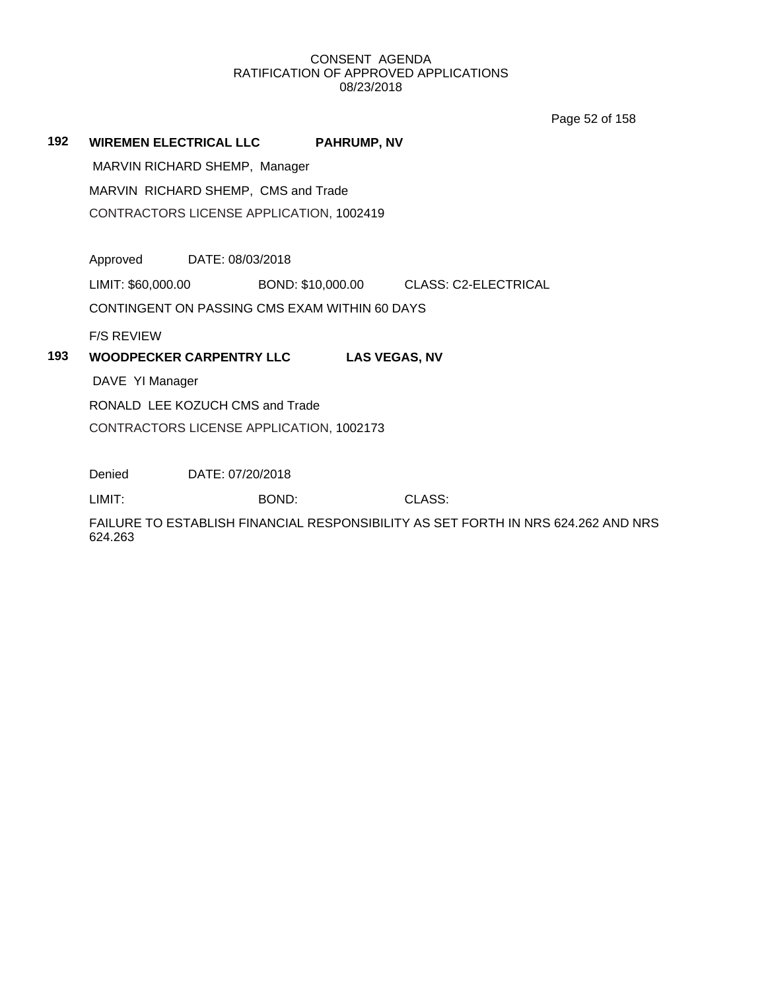Page 52 of 158

**192 WIREMEN ELECTRICAL LLC PAHRUMP, NV**

MARVIN RICHARD SHEMP, Manager

MARVIN RICHARD SHEMP, CMS and Trade

CONTRACTORS LICENSE APPLICATION, 1002419

Approved DATE: 08/03/2018

LIMIT: \$60,000.00 BOND: \$10,000.00 CLASS: C2-ELECTRICAL

CONTINGENT ON PASSING CMS EXAM WITHIN 60 DAYS

F/S REVIEW

# **193 WOODPECKER CARPENTRY LLC LAS VEGAS, NV**

DAVE YI Manager

RONALD LEE KOZUCH CMS and Trade

CONTRACTORS LICENSE APPLICATION, 1002173

Denied DATE: 07/20/2018

LIMIT: BOND: CLASS:

FAILURE TO ESTABLISH FINANCIAL RESPONSIBILITY AS SET FORTH IN NRS 624.262 AND NRS 624.263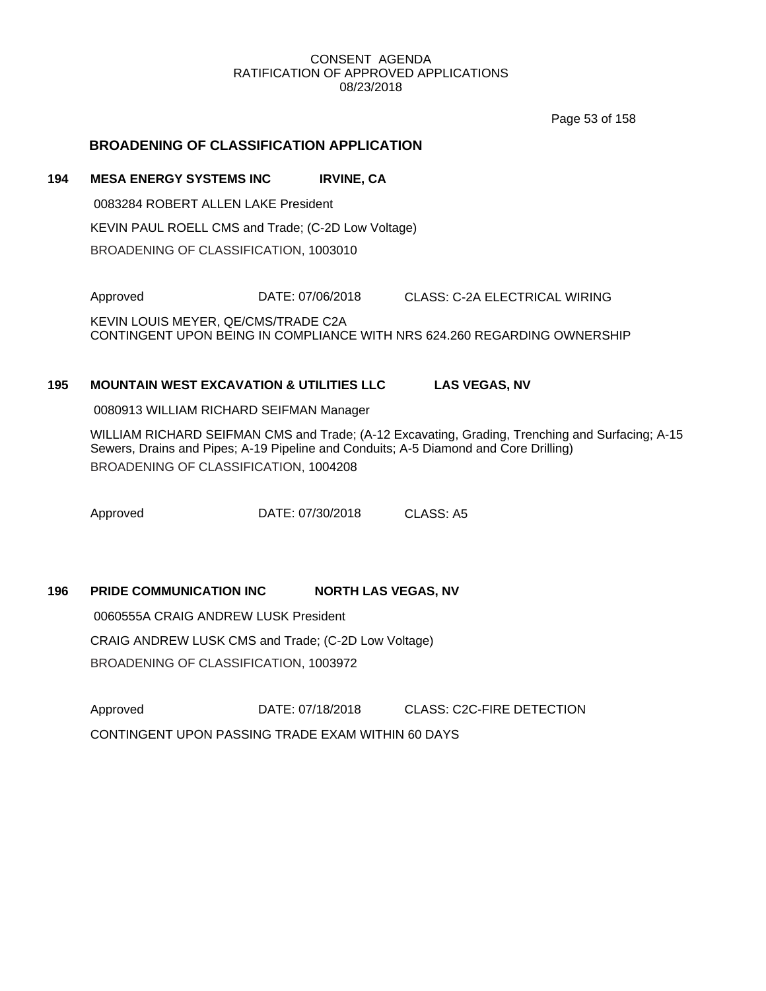Page 53 of 158

# **BROADENING OF CLASSIFICATION APPLICATION**

### **194 MESA ENERGY SYSTEMS INC IRVINE, CA**

0083284 ROBERT ALLEN LAKE President KEVIN PAUL ROELL CMS and Trade; (C-2D Low Voltage) BROADENING OF CLASSIFICATION, 1003010

Approved DATE: 07/06/2018 CLASS: C-2A ELECTRICAL WIRING

KEVIN LOUIS MEYER, QE/CMS/TRADE C2A CONTINGENT UPON BEING IN COMPLIANCE WITH NRS 624.260 REGARDING OWNERSHIP

## **195 MOUNTAIN WEST EXCAVATION & UTILITIES LLC LAS VEGAS, NV**

0080913 WILLIAM RICHARD SEIFMAN Manager

WILLIAM RICHARD SEIFMAN CMS and Trade; (A-12 Excavating, Grading, Trenching and Surfacing; A-15 Sewers, Drains and Pipes; A-19 Pipeline and Conduits; A-5 Diamond and Core Drilling) BROADENING OF CLASSIFICATION, 1004208

Approved **DATE: 07/30/2018** CLASS: A5

# **196 PRIDE COMMUNICATION INC NORTH LAS VEGAS, NV**

0060555A CRAIG ANDREW LUSK President CRAIG ANDREW LUSK CMS and Trade; (C-2D Low Voltage) BROADENING OF CLASSIFICATION, 1003972

Approved DATE: 07/18/2018 CLASS: C2C-FIRE DETECTION CONTINGENT UPON PASSING TRADE EXAM WITHIN 60 DAYS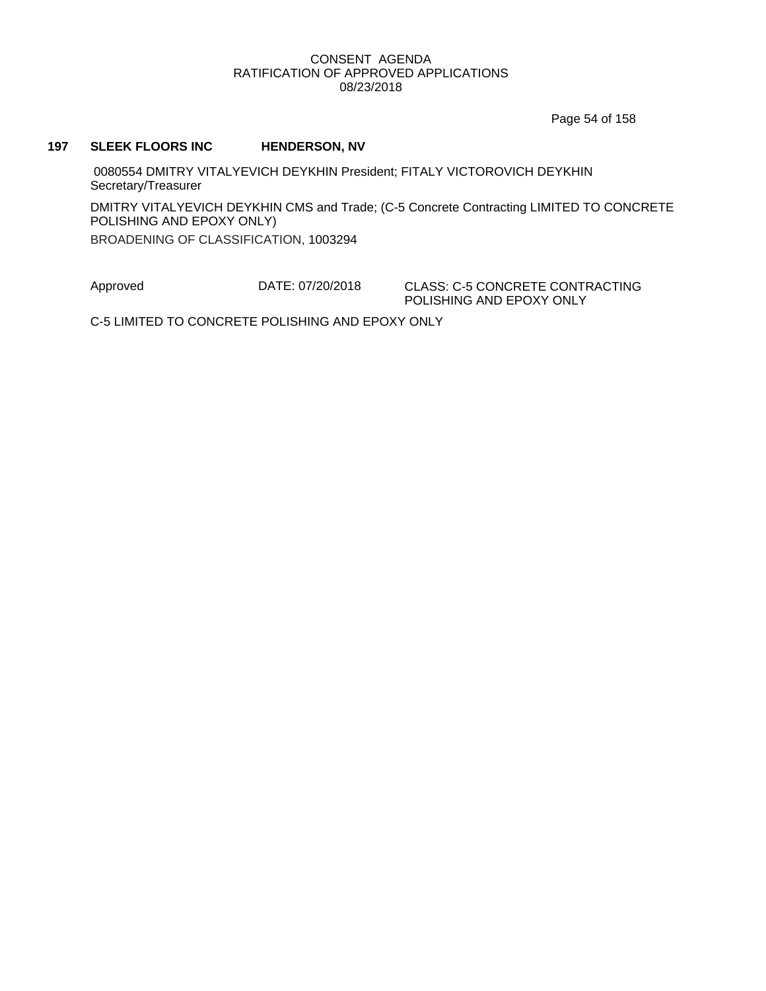Page 54 of 158

#### **197 SLEEK FLOORS INC HENDERSON, NV**

0080554 DMITRY VITALYEVICH DEYKHIN President; FITALY VICTOROVICH DEYKHIN Secretary/Treasurer

DMITRY VITALYEVICH DEYKHIN CMS and Trade; (C-5 Concrete Contracting LIMITED TO CONCRETE POLISHING AND EPOXY ONLY)

BROADENING OF CLASSIFICATION, 1003294

Approved DATE: 07/20/2018 CLASS: C-5 CONCRETE CONTRACTING POLISHING AND EPOXY ONLY

C-5 LIMITED TO CONCRETE POLISHING AND EPOXY ONLY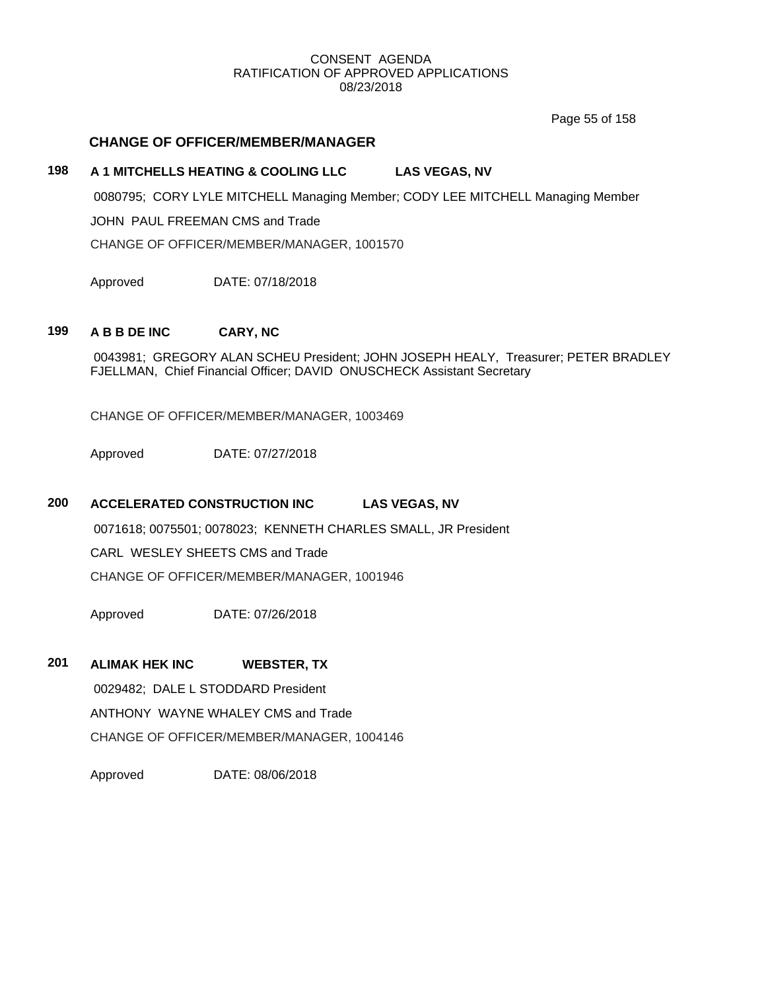Page 55 of 158

# **CHANGE OF OFFICER/MEMBER/MANAGER**

# **198 A 1 MITCHELLS HEATING & COOLING LLC LAS VEGAS, NV**

0080795; CORY LYLE MITCHELL Managing Member; CODY LEE MITCHELL Managing Member

JOHN PAUL FREEMAN CMS and Trade

CHANGE OF OFFICER/MEMBER/MANAGER, 1001570

Approved DATE: 07/18/2018

# **199 A B B DE INC CARY, NC**

0043981; GREGORY ALAN SCHEU President; JOHN JOSEPH HEALY, Treasurer; PETER BRADLEY FJELLMAN, Chief Financial Officer; DAVID ONUSCHECK Assistant Secretary

CHANGE OF OFFICER/MEMBER/MANAGER, 1003469

Approved DATE: 07/27/2018

# **200 ACCELERATED CONSTRUCTION INC LAS VEGAS, NV**

0071618; 0075501; 0078023; KENNETH CHARLES SMALL, JR President

CARL WESLEY SHEETS CMS and Trade

CHANGE OF OFFICER/MEMBER/MANAGER, 1001946

Approved DATE: 07/26/2018

### **201 ALIMAK HEK INC WEBSTER, TX**

0029482; DALE L STODDARD President ANTHONY WAYNE WHALEY CMS and Trade

CHANGE OF OFFICER/MEMBER/MANAGER, 1004146

Approved DATE: 08/06/2018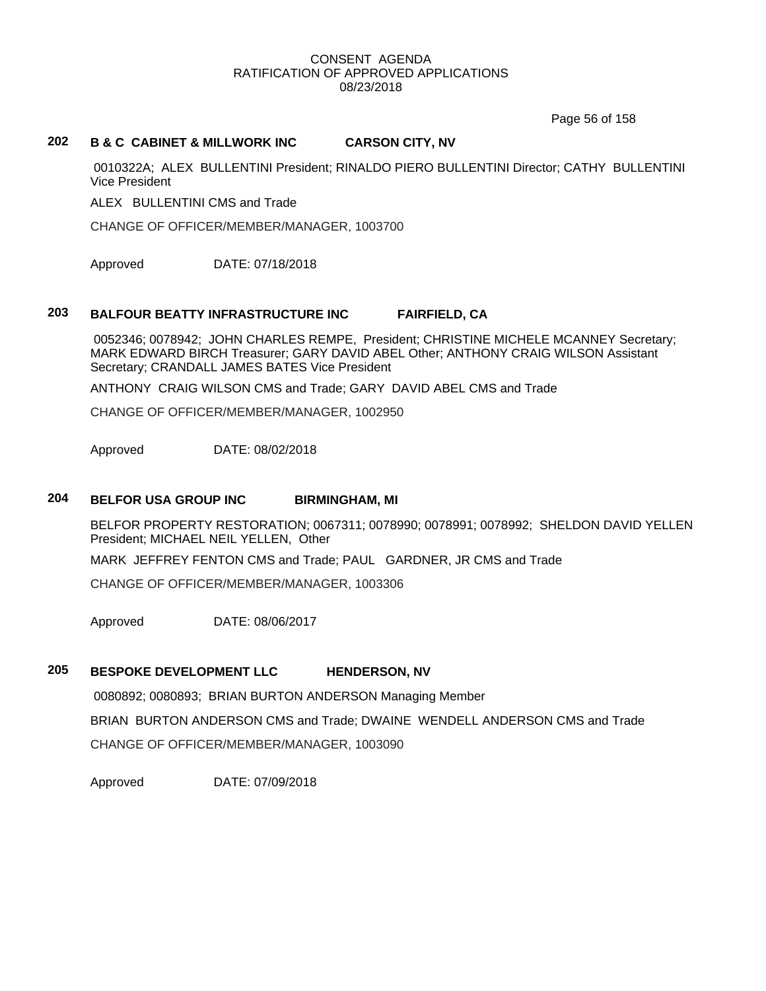Page 56 of 158

# **202 B & C CABINET & MILLWORK INC CARSON CITY, NV**

0010322A; ALEX BULLENTINI President; RINALDO PIERO BULLENTINI Director; CATHY BULLENTINI Vice President

ALEX BULLENTINI CMS and Trade

CHANGE OF OFFICER/MEMBER/MANAGER, 1003700

Approved DATE: 07/18/2018

# **203 BALFOUR BEATTY INFRASTRUCTURE INC FAIRFIELD, CA**

0052346; 0078942; JOHN CHARLES REMPE, President; CHRISTINE MICHELE MCANNEY Secretary; MARK EDWARD BIRCH Treasurer; GARY DAVID ABEL Other; ANTHONY CRAIG WILSON Assistant Secretary; CRANDALL JAMES BATES Vice President

ANTHONY CRAIG WILSON CMS and Trade; GARY DAVID ABEL CMS and Trade

CHANGE OF OFFICER/MEMBER/MANAGER, 1002950

Approved DATE: 08/02/2018

#### **204 BELFOR USA GROUP INC BIRMINGHAM, MI**

BELFOR PROPERTY RESTORATION; 0067311; 0078990; 0078991; 0078992; SHELDON DAVID YELLEN President; MICHAEL NEIL YELLEN, Other

MARK JEFFREY FENTON CMS and Trade; PAUL GARDNER, JR CMS and Trade

CHANGE OF OFFICER/MEMBER/MANAGER, 1003306

Approved DATE: 08/06/2017

### **205 BESPOKE DEVELOPMENT LLC HENDERSON, NV**

0080892; 0080893; BRIAN BURTON ANDERSON Managing Member BRIAN BURTON ANDERSON CMS and Trade; DWAINE WENDELL ANDERSON CMS and Trade CHANGE OF OFFICER/MEMBER/MANAGER, 1003090

Approved DATE: 07/09/2018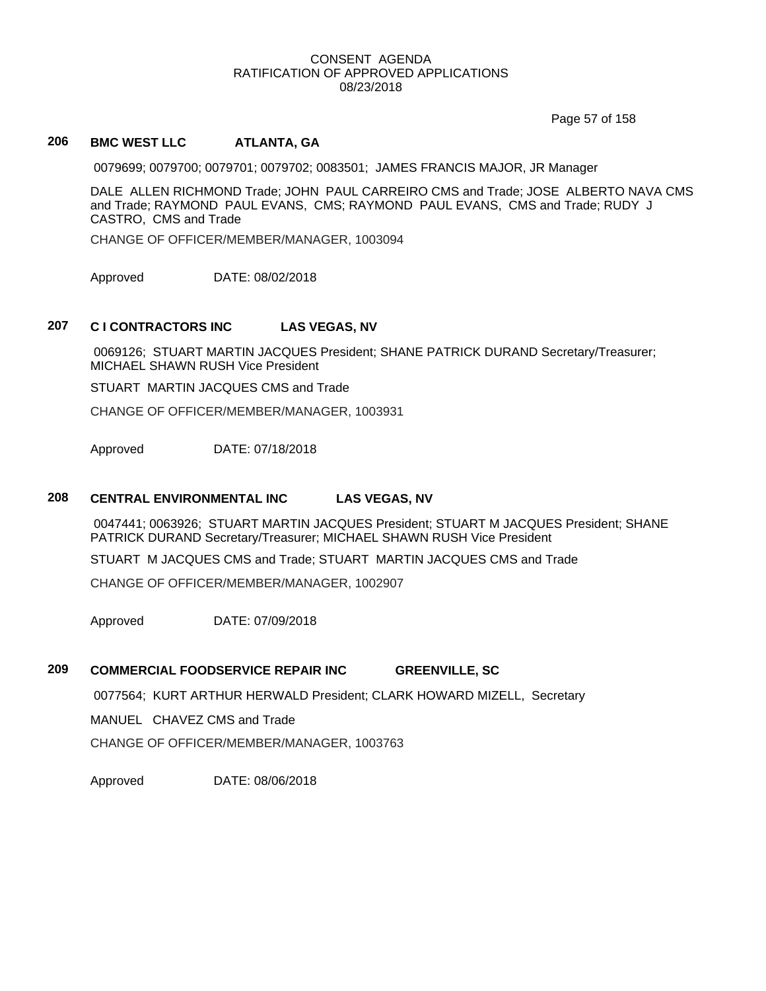Page 57 of 158

# **206 BMC WEST LLC ATLANTA, GA**

0079699; 0079700; 0079701; 0079702; 0083501; JAMES FRANCIS MAJOR, JR Manager

DALE ALLEN RICHMOND Trade; JOHN PAUL CARREIRO CMS and Trade; JOSE ALBERTO NAVA CMS and Trade; RAYMOND PAUL EVANS, CMS; RAYMOND PAUL EVANS, CMS and Trade; RUDY J CASTRO, CMS and Trade

CHANGE OF OFFICER/MEMBER/MANAGER, 1003094

Approved DATE: 08/02/2018

### **207 C I CONTRACTORS INC LAS VEGAS, NV**

0069126; STUART MARTIN JACQUES President; SHANE PATRICK DURAND Secretary/Treasurer; MICHAEL SHAWN RUSH Vice President

STUART MARTIN JACQUES CMS and Trade

CHANGE OF OFFICER/MEMBER/MANAGER, 1003931

Approved DATE: 07/18/2018

# **208 CENTRAL ENVIRONMENTAL INC LAS VEGAS, NV**

0047441; 0063926; STUART MARTIN JACQUES President; STUART M JACQUES President; SHANE PATRICK DURAND Secretary/Treasurer; MICHAEL SHAWN RUSH Vice President

STUART M JACQUES CMS and Trade; STUART MARTIN JACQUES CMS and Trade

CHANGE OF OFFICER/MEMBER/MANAGER, 1002907

Approved DATE: 07/09/2018

# **209 COMMERCIAL FOODSERVICE REPAIR INC GREENVILLE, SC**

0077564; KURT ARTHUR HERWALD President; CLARK HOWARD MIZELL, Secretary

MANUEL CHAVEZ CMS and Trade

CHANGE OF OFFICER/MEMBER/MANAGER, 1003763

Approved DATE: 08/06/2018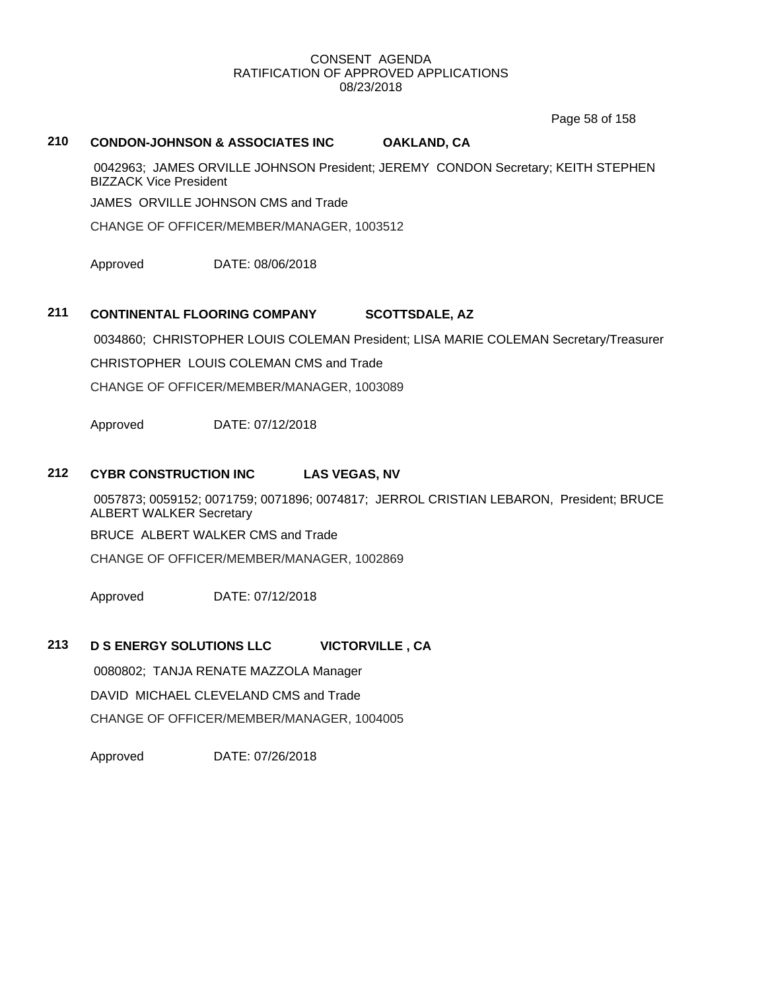Page 58 of 158

# **210 CONDON-JOHNSON & ASSOCIATES INC OAKLAND, CA**

0042963; JAMES ORVILLE JOHNSON President; JEREMY CONDON Secretary; KEITH STEPHEN BIZZACK Vice President

JAMES ORVILLE JOHNSON CMS and Trade

CHANGE OF OFFICER/MEMBER/MANAGER, 1003512

Approved DATE: 08/06/2018

# **211 CONTINENTAL FLOORING COMPANY SCOTTSDALE, AZ**

0034860; CHRISTOPHER LOUIS COLEMAN President; LISA MARIE COLEMAN Secretary/Treasurer

CHRISTOPHER LOUIS COLEMAN CMS and Trade

CHANGE OF OFFICER/MEMBER/MANAGER, 1003089

Approved DATE: 07/12/2018

### **212 CYBR CONSTRUCTION INC LAS VEGAS, NV**

0057873; 0059152; 0071759; 0071896; 0074817; JERROL CRISTIAN LEBARON, President; BRUCE ALBERT WALKER Secretary

BRUCE ALBERT WALKER CMS and Trade

CHANGE OF OFFICER/MEMBER/MANAGER, 1002869

Approved DATE: 07/12/2018

# **213 D S ENERGY SOLUTIONS LLC VICTORVILLE , CA**

0080802; TANJA RENATE MAZZOLA Manager DAVID MICHAEL CLEVELAND CMS and Trade CHANGE OF OFFICER/MEMBER/MANAGER, 1004005

Approved DATE: 07/26/2018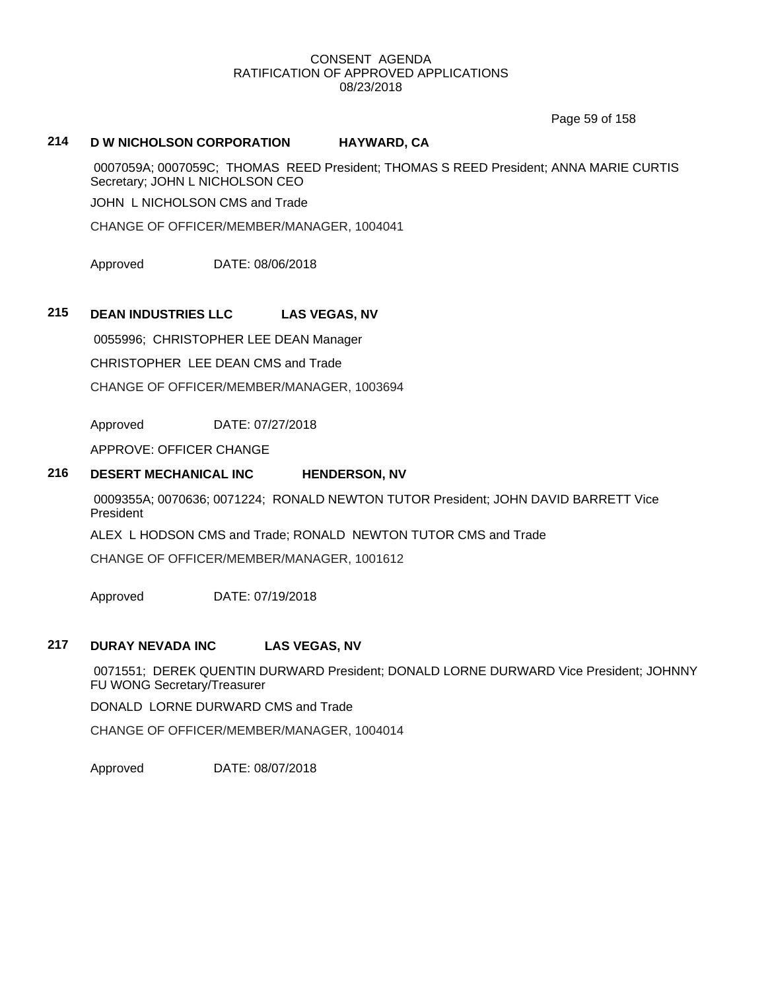Page 59 of 158

# **214 D W NICHOLSON CORPORATION HAYWARD, CA**

0007059A; 0007059C; THOMAS REED President; THOMAS S REED President; ANNA MARIE CURTIS Secretary; JOHN L NICHOLSON CEO

JOHN L NICHOLSON CMS and Trade

CHANGE OF OFFICER/MEMBER/MANAGER, 1004041

Approved DATE: 08/06/2018

# **215 DEAN INDUSTRIES LLC LAS VEGAS, NV**

0055996; CHRISTOPHER LEE DEAN Manager CHRISTOPHER LEE DEAN CMS and Trade CHANGE OF OFFICER/MEMBER/MANAGER, 1003694

Approved DATE: 07/27/2018

APPROVE: OFFICER CHANGE

# **216 DESERT MECHANICAL INC HENDERSON, NV**

0009355A; 0070636; 0071224; RONALD NEWTON TUTOR President; JOHN DAVID BARRETT Vice President

ALEX L HODSON CMS and Trade; RONALD NEWTON TUTOR CMS and Trade

CHANGE OF OFFICER/MEMBER/MANAGER, 1001612

Approved DATE: 07/19/2018

# **217 DURAY NEVADA INC LAS VEGAS, NV**

0071551; DEREK QUENTIN DURWARD President; DONALD LORNE DURWARD Vice President; JOHNNY FU WONG Secretary/Treasurer

DONALD LORNE DURWARD CMS and Trade

CHANGE OF OFFICER/MEMBER/MANAGER, 1004014

Approved DATE: 08/07/2018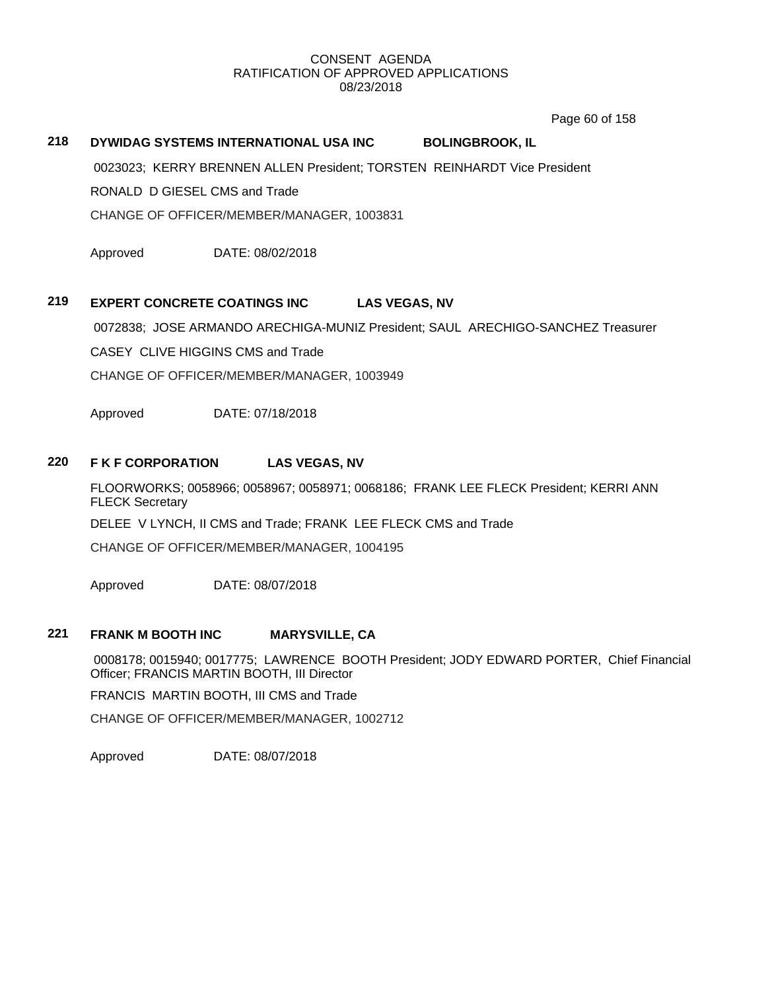Page 60 of 158

# **218 DYWIDAG SYSTEMS INTERNATIONAL USA INC BOLINGBROOK, IL**

0023023; KERRY BRENNEN ALLEN President; TORSTEN REINHARDT Vice President

RONALD D GIESEL CMS and Trade

CHANGE OF OFFICER/MEMBER/MANAGER, 1003831

Approved DATE: 08/02/2018

### **219 EXPERT CONCRETE COATINGS INC LAS VEGAS, NV**

0072838; JOSE ARMANDO ARECHIGA-MUNIZ President; SAUL ARECHIGO-SANCHEZ Treasurer

CASEY CLIVE HIGGINS CMS and Trade

CHANGE OF OFFICER/MEMBER/MANAGER, 1003949

Approved DATE: 07/18/2018

### **220 F K F CORPORATION LAS VEGAS, NV**

FLOORWORKS; 0058966; 0058967; 0058971; 0068186; FRANK LEE FLECK President; KERRI ANN FLECK Secretary DELEE V LYNCH, II CMS and Trade; FRANK LEE FLECK CMS and Trade CHANGE OF OFFICER/MEMBER/MANAGER, 1004195

Approved DATE: 08/07/2018

# **221 FRANK M BOOTH INC MARYSVILLE, CA**

0008178; 0015940; 0017775; LAWRENCE BOOTH President; JODY EDWARD PORTER, Chief Financial Officer; FRANCIS MARTIN BOOTH, III Director

FRANCIS MARTIN BOOTH, III CMS and Trade

CHANGE OF OFFICER/MEMBER/MANAGER, 1002712

Approved DATE: 08/07/2018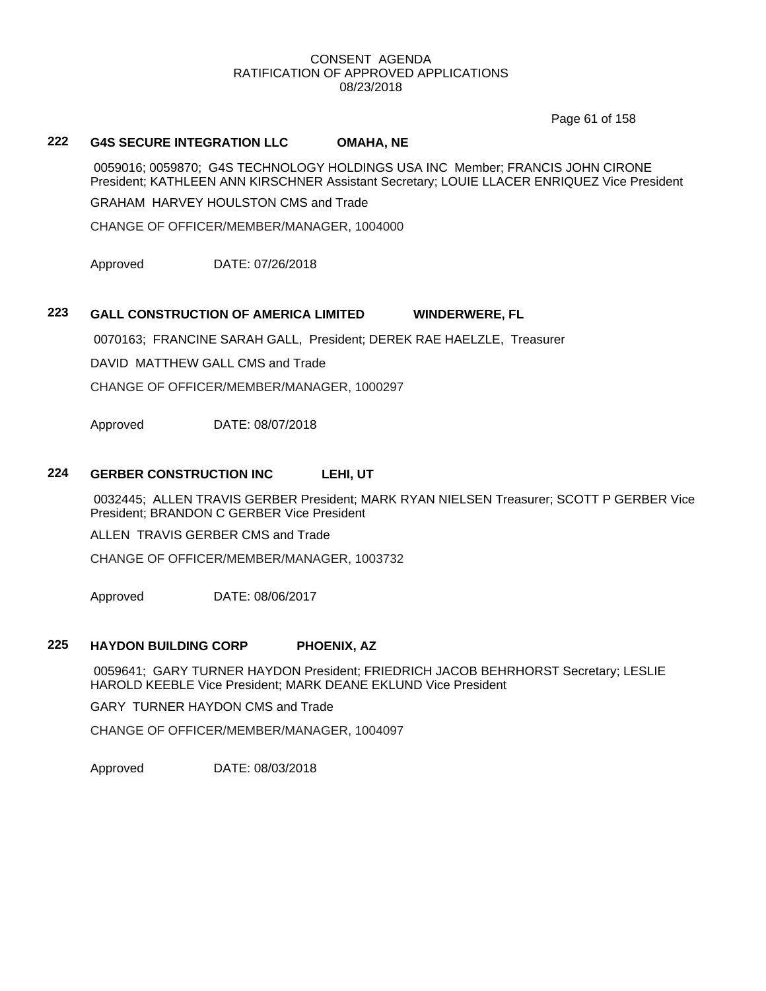Page 61 of 158

# **222 G4S SECURE INTEGRATION LLC OMAHA, NE**

0059016; 0059870; G4S TECHNOLOGY HOLDINGS USA INC Member; FRANCIS JOHN CIRONE President; KATHLEEN ANN KIRSCHNER Assistant Secretary; LOUIE LLACER ENRIQUEZ Vice President

GRAHAM HARVEY HOULSTON CMS and Trade

CHANGE OF OFFICER/MEMBER/MANAGER, 1004000

Approved DATE: 07/26/2018

# **223 GALL CONSTRUCTION OF AMERICA LIMITED WINDERWERE, FL**

0070163; FRANCINE SARAH GALL, President; DEREK RAE HAELZLE, Treasurer

DAVID MATTHEW GALL CMS and Trade

CHANGE OF OFFICER/MEMBER/MANAGER, 1000297

Approved DATE: 08/07/2018

### **224 GERBER CONSTRUCTION INC LEHI, UT**

0032445; ALLEN TRAVIS GERBER President; MARK RYAN NIELSEN Treasurer; SCOTT P GERBER Vice President; BRANDON C GERBER Vice President

ALLEN TRAVIS GERBER CMS and Trade

CHANGE OF OFFICER/MEMBER/MANAGER, 1003732

Approved DATE: 08/06/2017

### **225 HAYDON BUILDING CORP PHOENIX, AZ**

0059641; GARY TURNER HAYDON President; FRIEDRICH JACOB BEHRHORST Secretary; LESLIE HAROLD KEEBLE Vice President; MARK DEANE EKLUND Vice President

GARY TURNER HAYDON CMS and Trade

CHANGE OF OFFICER/MEMBER/MANAGER, 1004097

Approved DATE: 08/03/2018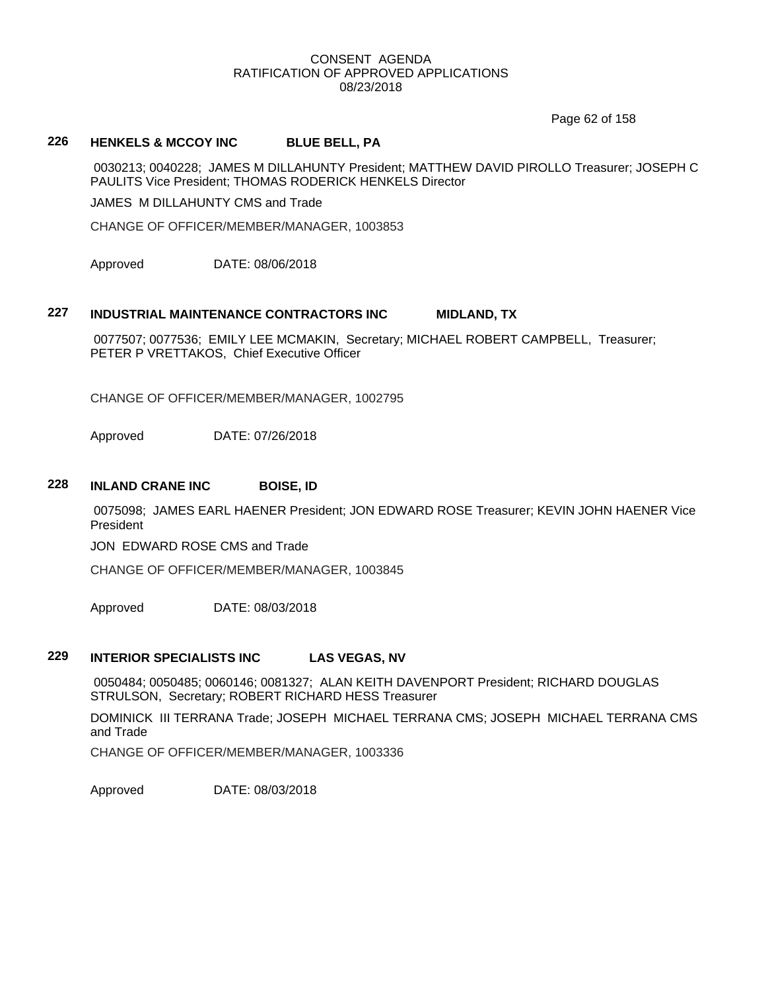Page 62 of 158

# **226 HENKELS & MCCOY INC BLUE BELL, PA**

0030213; 0040228; JAMES M DILLAHUNTY President; MATTHEW DAVID PIROLLO Treasurer; JOSEPH C PAULITS Vice President; THOMAS RODERICK HENKELS Director

JAMES M DILLAHUNTY CMS and Trade

CHANGE OF OFFICER/MEMBER/MANAGER, 1003853

Approved DATE: 08/06/2018

### **227 INDUSTRIAL MAINTENANCE CONTRACTORS INC MIDLAND, TX**

0077507; 0077536; EMILY LEE MCMAKIN, Secretary; MICHAEL ROBERT CAMPBELL, Treasurer; PETER P VRETTAKOS, Chief Executive Officer

CHANGE OF OFFICER/MEMBER/MANAGER, 1002795

Approved DATE: 07/26/2018

#### **228 INLAND CRANE INC BOISE, ID**

0075098; JAMES EARL HAENER President; JON EDWARD ROSE Treasurer; KEVIN JOHN HAENER Vice President

JON EDWARD ROSE CMS and Trade

CHANGE OF OFFICER/MEMBER/MANAGER, 1003845

Approved DATE: 08/03/2018

# **229 INTERIOR SPECIALISTS INC LAS VEGAS, NV**

0050484; 0050485; 0060146; 0081327; ALAN KEITH DAVENPORT President; RICHARD DOUGLAS STRULSON, Secretary; ROBERT RICHARD HESS Treasurer

DOMINICK III TERRANA Trade; JOSEPH MICHAEL TERRANA CMS; JOSEPH MICHAEL TERRANA CMS and Trade

CHANGE OF OFFICER/MEMBER/MANAGER, 1003336

Approved DATE: 08/03/2018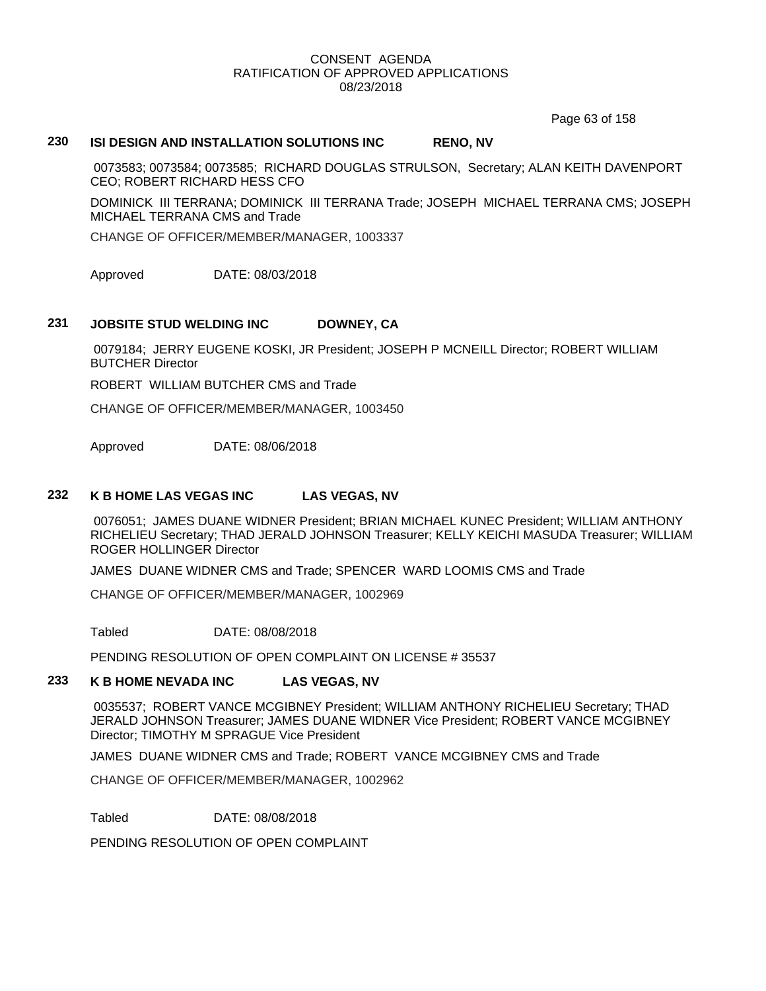Page 63 of 158

### **230 ISI DESIGN AND INSTALLATION SOLUTIONS INC RENO, NV**

0073583; 0073584; 0073585; RICHARD DOUGLAS STRULSON, Secretary; ALAN KEITH DAVENPORT CEO; ROBERT RICHARD HESS CFO

DOMINICK III TERRANA; DOMINICK III TERRANA Trade; JOSEPH MICHAEL TERRANA CMS; JOSEPH MICHAEL TERRANA CMS and Trade

CHANGE OF OFFICER/MEMBER/MANAGER, 1003337

Approved DATE: 08/03/2018

# **231 JOBSITE STUD WELDING INC DOWNEY, CA**

0079184; JERRY EUGENE KOSKI, JR President; JOSEPH P MCNEILL Director; ROBERT WILLIAM BUTCHER Director

ROBERT WILLIAM BUTCHER CMS and Trade

CHANGE OF OFFICER/MEMBER/MANAGER, 1003450

Approved DATE: 08/06/2018

# **232 K B HOME LAS VEGAS INC LAS VEGAS, NV**

0076051; JAMES DUANE WIDNER President; BRIAN MICHAEL KUNEC President; WILLIAM ANTHONY RICHELIEU Secretary; THAD JERALD JOHNSON Treasurer; KELLY KEICHI MASUDA Treasurer; WILLIAM ROGER HOLLINGER Director

JAMES DUANE WIDNER CMS and Trade; SPENCER WARD LOOMIS CMS and Trade

CHANGE OF OFFICER/MEMBER/MANAGER, 1002969

Tabled DATE: 08/08/2018

PENDING RESOLUTION OF OPEN COMPLAINT ON LICENSE # 35537

### **233 K B HOME NEVADA INC LAS VEGAS, NV**

0035537; ROBERT VANCE MCGIBNEY President; WILLIAM ANTHONY RICHELIEU Secretary; THAD JERALD JOHNSON Treasurer; JAMES DUANE WIDNER Vice President; ROBERT VANCE MCGIBNEY Director; TIMOTHY M SPRAGUE Vice President

JAMES DUANE WIDNER CMS and Trade; ROBERT VANCE MCGIBNEY CMS and Trade

CHANGE OF OFFICER/MEMBER/MANAGER, 1002962

Tabled DATE: 08/08/2018

PENDING RESOLUTION OF OPEN COMPLAINT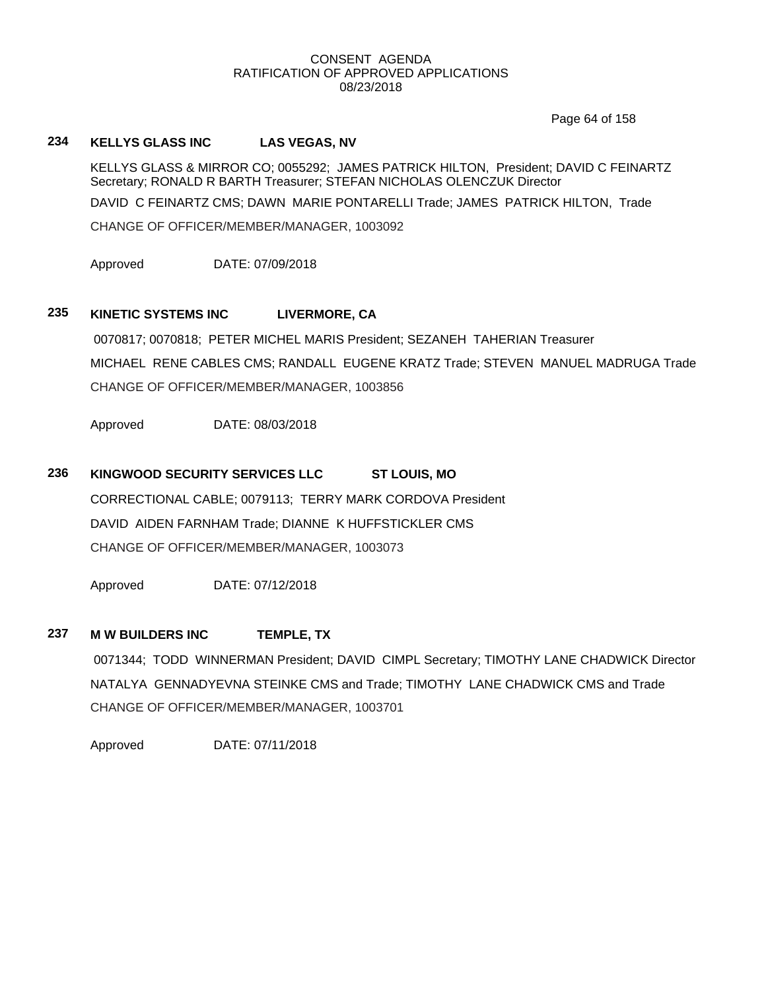Page 64 of 158

# **234 KELLYS GLASS INC LAS VEGAS, NV**

KELLYS GLASS & MIRROR CO; 0055292; JAMES PATRICK HILTON, President; DAVID C FEINARTZ Secretary; RONALD R BARTH Treasurer; STEFAN NICHOLAS OLENCZUK Director DAVID C FEINARTZ CMS; DAWN MARIE PONTARELLI Trade; JAMES PATRICK HILTON, Trade CHANGE OF OFFICER/MEMBER/MANAGER, 1003092

Approved DATE: 07/09/2018

# **235 KINETIC SYSTEMS INC LIVERMORE, CA**

0070817; 0070818; PETER MICHEL MARIS President; SEZANEH TAHERIAN Treasurer MICHAEL RENE CABLES CMS; RANDALL EUGENE KRATZ Trade; STEVEN MANUEL MADRUGA Trade CHANGE OF OFFICER/MEMBER/MANAGER, 1003856

Approved DATE: 08/03/2018

# **236 KINGWOOD SECURITY SERVICES LLC ST LOUIS, MO**

CORRECTIONAL CABLE; 0079113; TERRY MARK CORDOVA President DAVID AIDEN FARNHAM Trade; DIANNE K HUFFSTICKLER CMS CHANGE OF OFFICER/MEMBER/MANAGER, 1003073

Approved DATE: 07/12/2018

# **237 M W BUILDERS INC TEMPLE, TX**

0071344; TODD WINNERMAN President; DAVID CIMPL Secretary; TIMOTHY LANE CHADWICK Director NATALYA GENNADYEVNA STEINKE CMS and Trade; TIMOTHY LANE CHADWICK CMS and Trade CHANGE OF OFFICER/MEMBER/MANAGER, 1003701

Approved DATE: 07/11/2018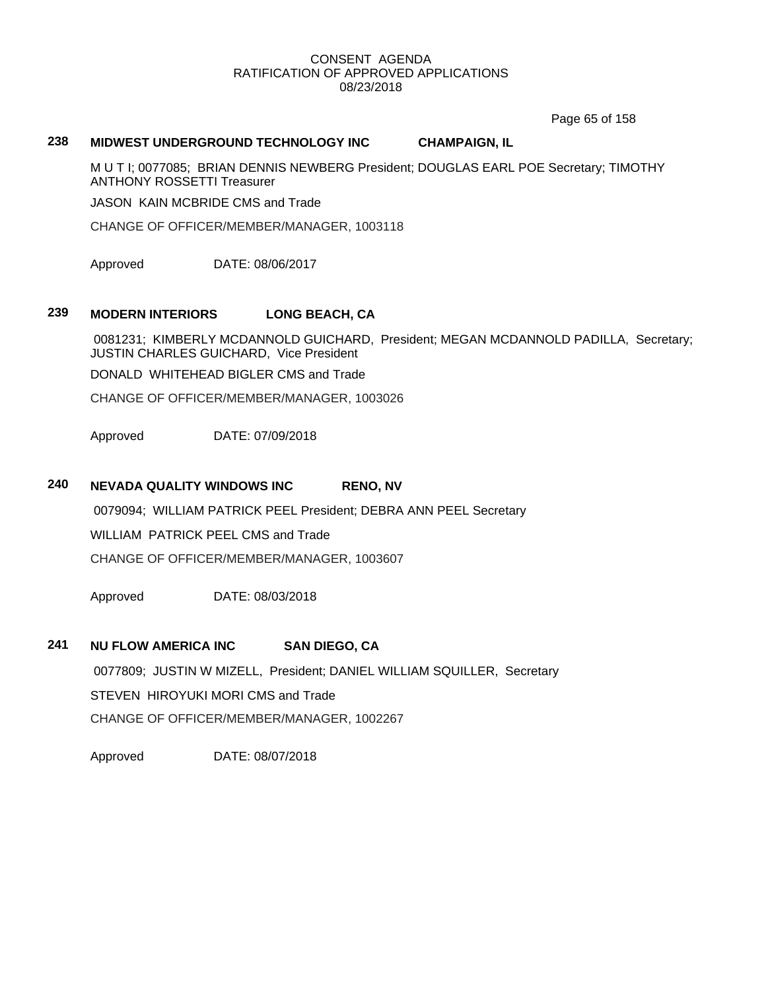Page 65 of 158

# **238 MIDWEST UNDERGROUND TECHNOLOGY INC CHAMPAIGN, IL**

M U T I; 0077085; BRIAN DENNIS NEWBERG President; DOUGLAS EARL POE Secretary; TIMOTHY ANTHONY ROSSETTI Treasurer

JASON KAIN MCBRIDE CMS and Trade

CHANGE OF OFFICER/MEMBER/MANAGER, 1003118

Approved DATE: 08/06/2017

# **239 MODERN INTERIORS LONG BEACH, CA**

0081231; KIMBERLY MCDANNOLD GUICHARD, President; MEGAN MCDANNOLD PADILLA, Secretary; JUSTIN CHARLES GUICHARD, Vice President

DONALD WHITEHEAD BIGLER CMS and Trade

CHANGE OF OFFICER/MEMBER/MANAGER, 1003026

Approved DATE: 07/09/2018

### **240 NEVADA QUALITY WINDOWS INC RENO, NV**

0079094; WILLIAM PATRICK PEEL President; DEBRA ANN PEEL Secretary

WILLIAM PATRICK PEEL CMS and Trade

CHANGE OF OFFICER/MEMBER/MANAGER, 1003607

Approved DATE: 08/03/2018

### **241 NU FLOW AMERICA INC SAN DIEGO, CA**

0077809; JUSTIN W MIZELL, President; DANIEL WILLIAM SQUILLER, Secretary STEVEN HIROYUKI MORI CMS and Trade CHANGE OF OFFICER/MEMBER/MANAGER, 1002267

Approved DATE: 08/07/2018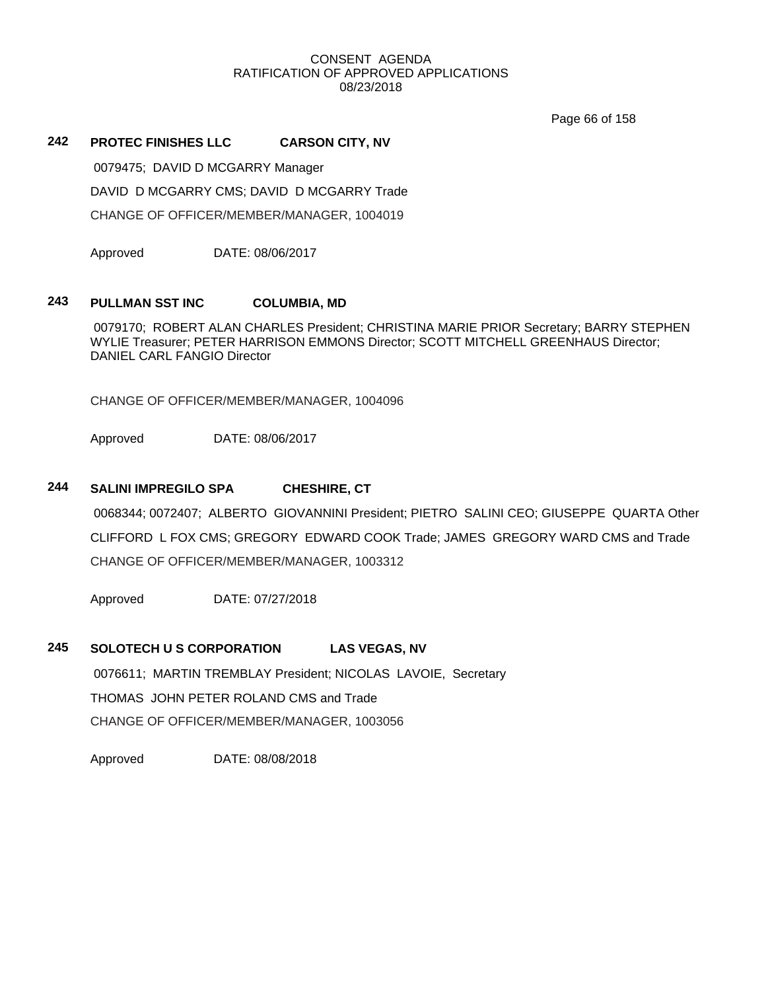Page 66 of 158

# **242 PROTEC FINISHES LLC CARSON CITY, NV**

0079475; DAVID D MCGARRY Manager

DAVID D MCGARRY CMS; DAVID D MCGARRY Trade

CHANGE OF OFFICER/MEMBER/MANAGER, 1004019

Approved DATE: 08/06/2017

### **243 PULLMAN SST INC COLUMBIA, MD**

0079170; ROBERT ALAN CHARLES President; CHRISTINA MARIE PRIOR Secretary; BARRY STEPHEN WYLIE Treasurer; PETER HARRISON EMMONS Director; SCOTT MITCHELL GREENHAUS Director; DANIEL CARL FANGIO Director

CHANGE OF OFFICER/MEMBER/MANAGER, 1004096

Approved DATE: 08/06/2017

# **244 SALINI IMPREGILO SPA CHESHIRE, CT**

0068344; 0072407; ALBERTO GIOVANNINI President; PIETRO SALINI CEO; GIUSEPPE QUARTA Other CLIFFORD L FOX CMS; GREGORY EDWARD COOK Trade; JAMES GREGORY WARD CMS and Trade CHANGE OF OFFICER/MEMBER/MANAGER, 1003312

Approved DATE: 07/27/2018

# **245 SOLOTECH U S CORPORATION LAS VEGAS, NV**

0076611; MARTIN TREMBLAY President; NICOLAS LAVOIE, Secretary THOMAS JOHN PETER ROLAND CMS and Trade CHANGE OF OFFICER/MEMBER/MANAGER, 1003056

Approved DATE: 08/08/2018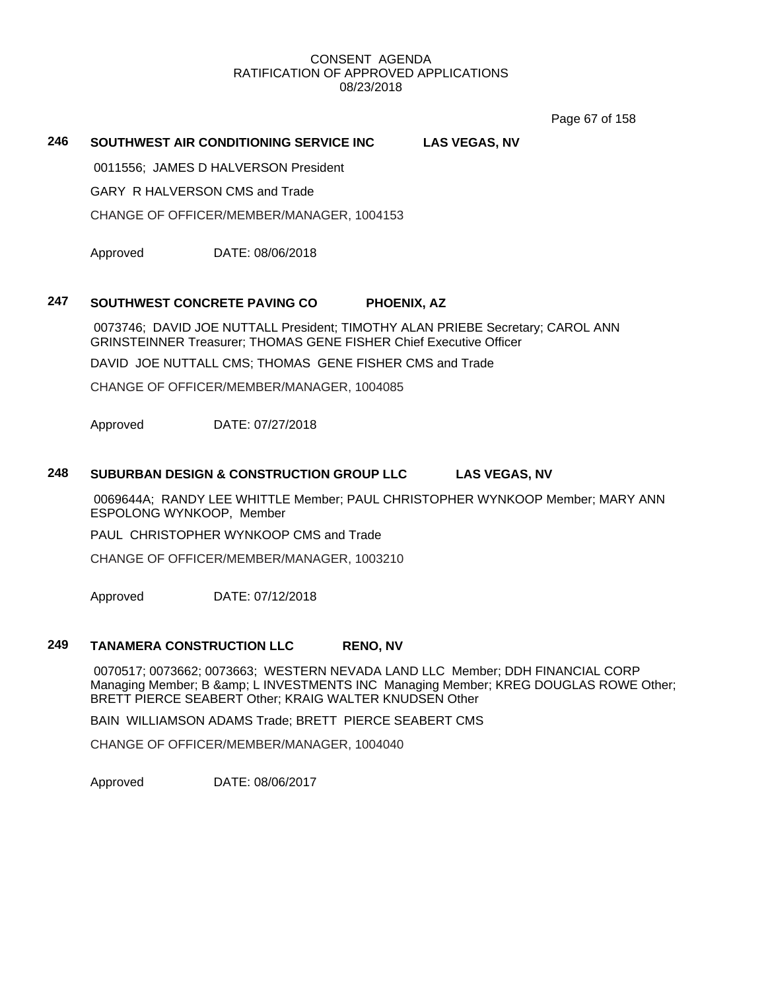Page 67 of 158

# **246 SOUTHWEST AIR CONDITIONING SERVICE INC LAS VEGAS, NV**

0011556; JAMES D HALVERSON President

GARY R HALVERSON CMS and Trade

CHANGE OF OFFICER/MEMBER/MANAGER, 1004153

Approved DATE: 08/06/2018

### **247 SOUTHWEST CONCRETE PAVING CO PHOENIX, AZ**

0073746; DAVID JOE NUTTALL President; TIMOTHY ALAN PRIEBE Secretary; CAROL ANN GRINSTEINNER Treasurer; THOMAS GENE FISHER Chief Executive Officer

DAVID JOE NUTTALL CMS; THOMAS GENE FISHER CMS and Trade

CHANGE OF OFFICER/MEMBER/MANAGER, 1004085

Approved DATE: 07/27/2018

### **248 SUBURBAN DESIGN & CONSTRUCTION GROUP LLC LAS VEGAS, NV**

0069644A; RANDY LEE WHITTLE Member; PAUL CHRISTOPHER WYNKOOP Member; MARY ANN ESPOLONG WYNKOOP, Member

PAUL CHRISTOPHER WYNKOOP CMS and Trade

CHANGE OF OFFICER/MEMBER/MANAGER, 1003210

Approved DATE: 07/12/2018

### **249 TANAMERA CONSTRUCTION LLC RENO, NV**

0070517; 0073662; 0073663; WESTERN NEVADA LAND LLC Member; DDH FINANCIAL CORP Managing Member; B & amp; L INVESTMENTS INC Managing Member; KREG DOUGLAS ROWE Other; BRETT PIERCE SEABERT Other; KRAIG WALTER KNUDSEN Other

BAIN WILLIAMSON ADAMS Trade; BRETT PIERCE SEABERT CMS

CHANGE OF OFFICER/MEMBER/MANAGER, 1004040

Approved DATE: 08/06/2017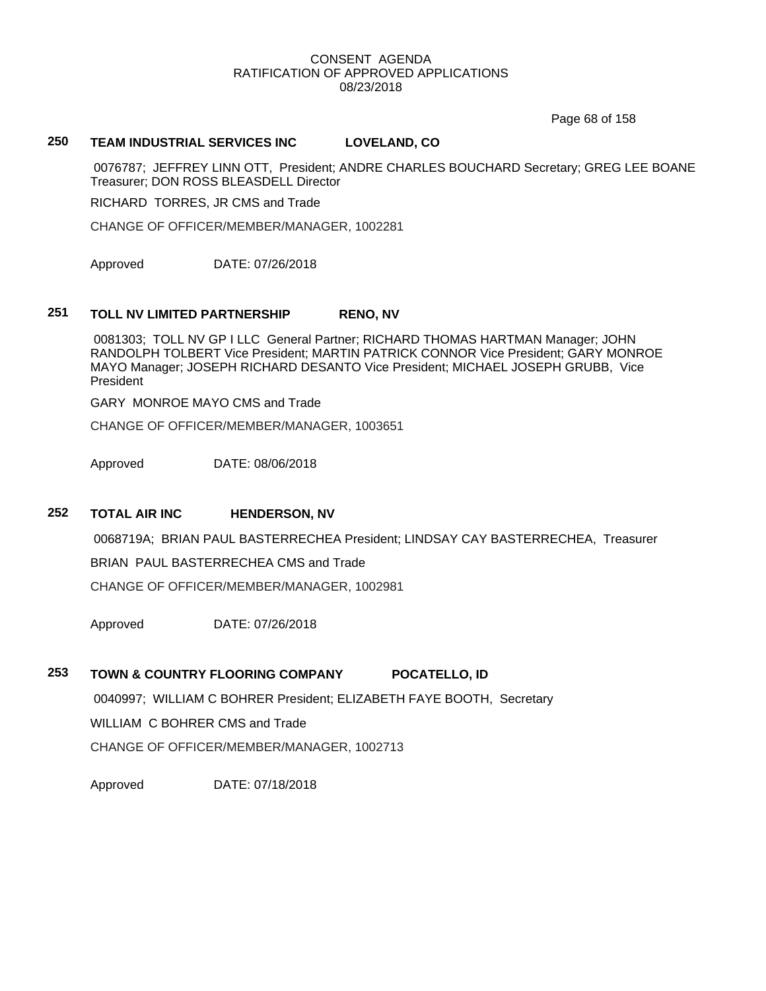Page 68 of 158

# **250 TEAM INDUSTRIAL SERVICES INC LOVELAND, CO**

0076787; JEFFREY LINN OTT, President; ANDRE CHARLES BOUCHARD Secretary; GREG LEE BOANE Treasurer; DON ROSS BLEASDELL Director

RICHARD TORRES, JR CMS and Trade

CHANGE OF OFFICER/MEMBER/MANAGER, 1002281

Approved DATE: 07/26/2018

# **251 TOLL NV LIMITED PARTNERSHIP RENO, NV**

0081303; TOLL NV GP I LLC General Partner; RICHARD THOMAS HARTMAN Manager; JOHN RANDOLPH TOLBERT Vice President; MARTIN PATRICK CONNOR Vice President; GARY MONROE MAYO Manager; JOSEPH RICHARD DESANTO Vice President; MICHAEL JOSEPH GRUBB, Vice President

GARY MONROE MAYO CMS and Trade

CHANGE OF OFFICER/MEMBER/MANAGER, 1003651

Approved DATE: 08/06/2018

### **252 TOTAL AIR INC HENDERSON, NV**

0068719A; BRIAN PAUL BASTERRECHEA President; LINDSAY CAY BASTERRECHEA, Treasurer BRIAN PAUL BASTERRECHEA CMS and Trade

CHANGE OF OFFICER/MEMBER/MANAGER, 1002981

Approved DATE: 07/26/2018

# **253 TOWN & COUNTRY FLOORING COMPANY POCATELLO, ID**

0040997; WILLIAM C BOHRER President; ELIZABETH FAYE BOOTH, Secretary WILLIAM C BOHRER CMS and Trade CHANGE OF OFFICER/MEMBER/MANAGER, 1002713

Approved DATE: 07/18/2018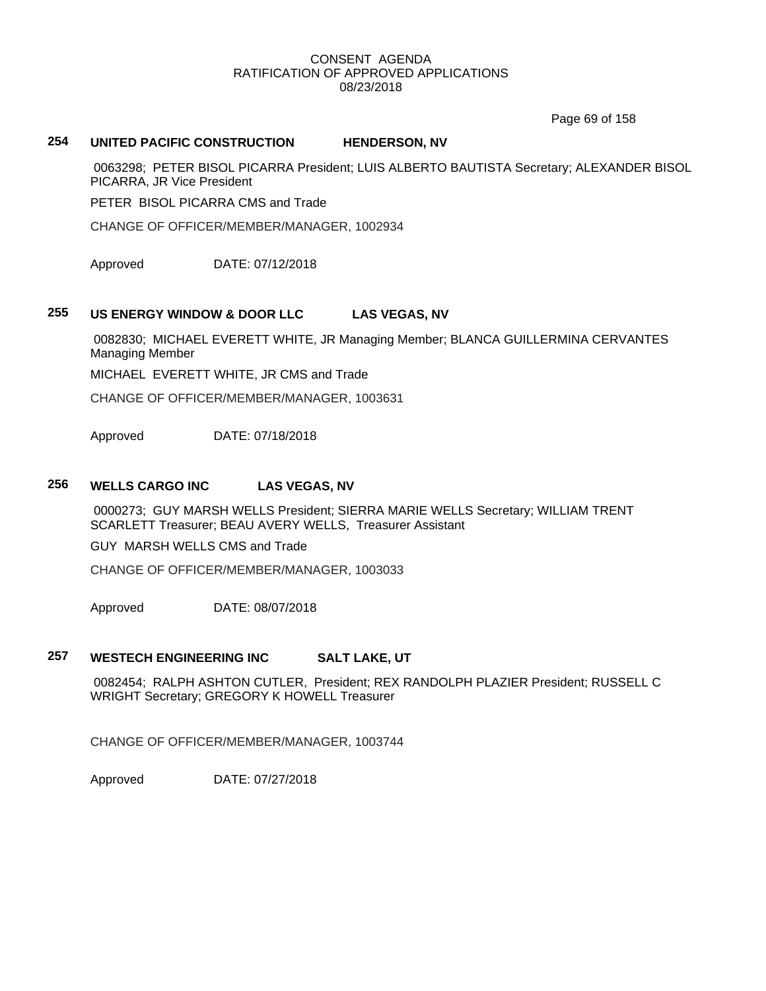Page 69 of 158

### **254 UNITED PACIFIC CONSTRUCTION HENDERSON, NV**

0063298; PETER BISOL PICARRA President; LUIS ALBERTO BAUTISTA Secretary; ALEXANDER BISOL PICARRA, JR Vice President

PETER BISOL PICARRA CMS and Trade

CHANGE OF OFFICER/MEMBER/MANAGER, 1002934

Approved DATE: 07/12/2018

# **255 US ENERGY WINDOW & DOOR LLC LAS VEGAS, NV**

0082830; MICHAEL EVERETT WHITE, JR Managing Member; BLANCA GUILLERMINA CERVANTES Managing Member

MICHAEL EVERETT WHITE, JR CMS and Trade

CHANGE OF OFFICER/MEMBER/MANAGER, 1003631

Approved DATE: 07/18/2018

### **256 WELLS CARGO INC LAS VEGAS, NV**

0000273; GUY MARSH WELLS President; SIERRA MARIE WELLS Secretary; WILLIAM TRENT SCARLETT Treasurer; BEAU AVERY WELLS, Treasurer Assistant

GUY MARSH WELLS CMS and Trade

CHANGE OF OFFICER/MEMBER/MANAGER, 1003033

Approved DATE: 08/07/2018

# **257 WESTECH ENGINEERING INC SALT LAKE, UT**

0082454; RALPH ASHTON CUTLER, President; REX RANDOLPH PLAZIER President; RUSSELL C WRIGHT Secretary; GREGORY K HOWELL Treasurer

CHANGE OF OFFICER/MEMBER/MANAGER, 1003744

Approved DATE: 07/27/2018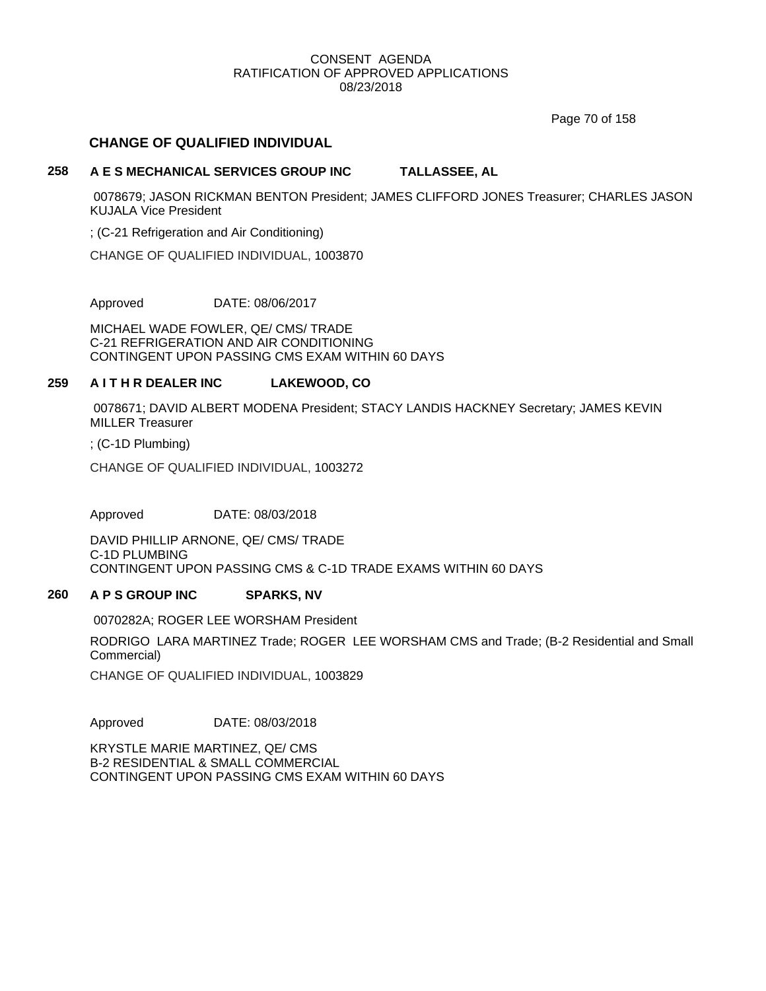Page 70 of 158

## **CHANGE OF QUALIFIED INDIVIDUAL**

### **258 A E S MECHANICAL SERVICES GROUP INC TALLASSEE, AL**

0078679; JASON RICKMAN BENTON President; JAMES CLIFFORD JONES Treasurer; CHARLES JASON KUJALA Vice President

; (C-21 Refrigeration and Air Conditioning)

CHANGE OF QUALIFIED INDIVIDUAL, 1003870

Approved DATE: 08/06/2017

MICHAEL WADE FOWLER, QE/ CMS/ TRADE C-21 REFRIGERATION AND AIR CONDITIONING CONTINGENT UPON PASSING CMS EXAM WITHIN 60 DAYS

### **259 A I T H R DEALER INC LAKEWOOD, CO**

0078671; DAVID ALBERT MODENA President; STACY LANDIS HACKNEY Secretary; JAMES KEVIN MILLER Treasurer

; (C-1D Plumbing)

CHANGE OF QUALIFIED INDIVIDUAL, 1003272

Approved DATE: 08/03/2018

DAVID PHILLIP ARNONE, QE/ CMS/ TRADE C-1D PLUMBING CONTINGENT UPON PASSING CMS & C-1D TRADE EXAMS WITHIN 60 DAYS

### **260 A P S GROUP INC SPARKS, NV**

0070282A; ROGER LEE WORSHAM President

RODRIGO LARA MARTINEZ Trade; ROGER LEE WORSHAM CMS and Trade; (B-2 Residential and Small Commercial)

CHANGE OF QUALIFIED INDIVIDUAL, 1003829

Approved DATE: 08/03/2018

KRYSTLE MARIE MARTINEZ, QE/ CMS B-2 RESIDENTIAL & SMALL COMMERCIAL CONTINGENT UPON PASSING CMS EXAM WITHIN 60 DAYS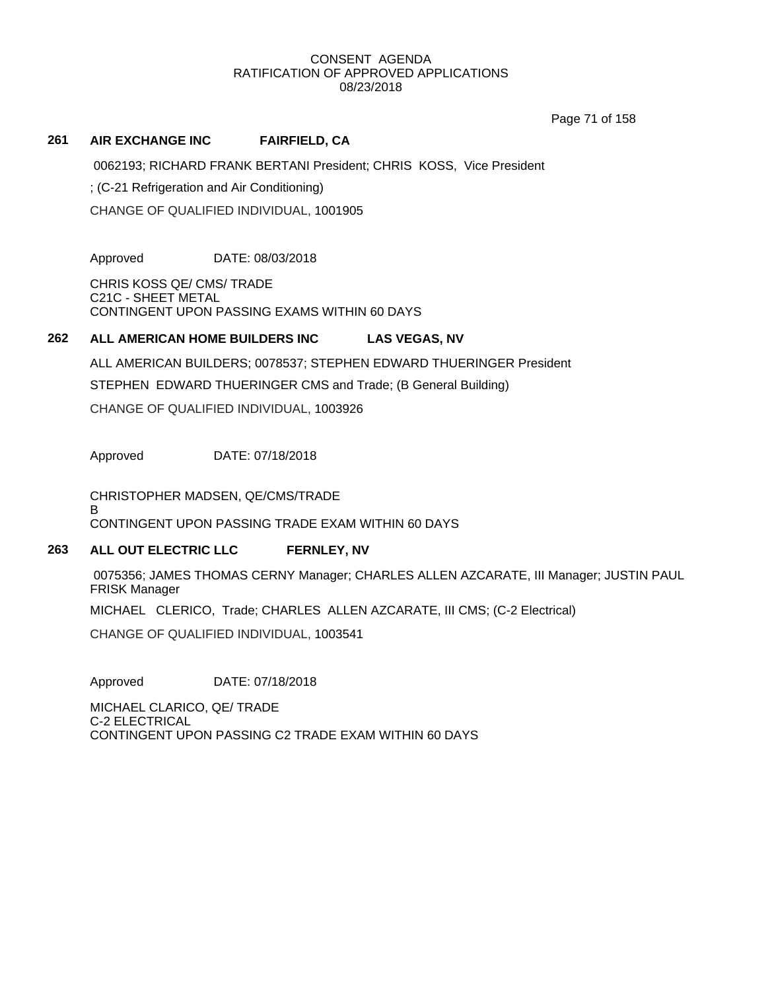Page 71 of 158

## **261 AIR EXCHANGE INC FAIRFIELD, CA**

0062193; RICHARD FRANK BERTANI President; CHRIS KOSS, Vice President

; (C-21 Refrigeration and Air Conditioning)

CHANGE OF QUALIFIED INDIVIDUAL, 1001905

Approved DATE: 08/03/2018

CHRIS KOSS QE/ CMS/ TRADE C21C - SHEET METAL CONTINGENT UPON PASSING EXAMS WITHIN 60 DAYS

# **262 ALL AMERICAN HOME BUILDERS INC LAS VEGAS, NV**

ALL AMERICAN BUILDERS; 0078537; STEPHEN EDWARD THUERINGER President STEPHEN EDWARD THUERINGER CMS and Trade; (B General Building) CHANGE OF QUALIFIED INDIVIDUAL, 1003926

Approved DATE: 07/18/2018

CHRISTOPHER MADSEN, QE/CMS/TRADE B CONTINGENT UPON PASSING TRADE EXAM WITHIN 60 DAYS

# **263 ALL OUT ELECTRIC LLC FERNLEY, NV**

0075356; JAMES THOMAS CERNY Manager; CHARLES ALLEN AZCARATE, III Manager; JUSTIN PAUL FRISK Manager

MICHAEL CLERICO, Trade; CHARLES ALLEN AZCARATE, III CMS; (C-2 Electrical)

CHANGE OF QUALIFIED INDIVIDUAL, 1003541

Approved DATE: 07/18/2018

MICHAEL CLARICO, QE/ TRADE C-2 ELECTRICAL CONTINGENT UPON PASSING C2 TRADE EXAM WITHIN 60 DAYS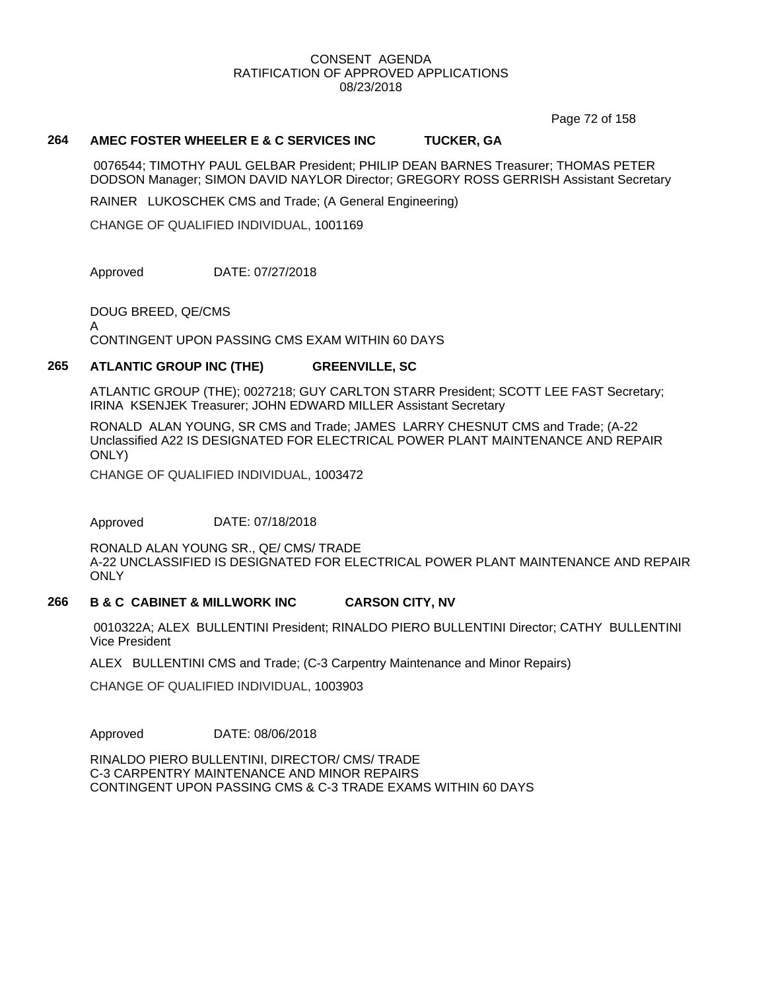Page 72 of 158

### **264 AMEC FOSTER WHEELER E & C SERVICES INC TUCKER, GA**

0076544; TIMOTHY PAUL GELBAR President; PHILIP DEAN BARNES Treasurer; THOMAS PETER DODSON Manager; SIMON DAVID NAYLOR Director; GREGORY ROSS GERRISH Assistant Secretary

RAINER LUKOSCHEK CMS and Trade; (A General Engineering)

CHANGE OF QUALIFIED INDIVIDUAL, 1001169

Approved DATE: 07/27/2018

DOUG BREED, QE/CMS

A

CONTINGENT UPON PASSING CMS EXAM WITHIN 60 DAYS

### **265 ATLANTIC GROUP INC (THE) GREENVILLE, SC**

ATLANTIC GROUP (THE); 0027218; GUY CARLTON STARR President; SCOTT LEE FAST Secretary; IRINA KSENJEK Treasurer; JOHN EDWARD MILLER Assistant Secretary

RONALD ALAN YOUNG, SR CMS and Trade; JAMES LARRY CHESNUT CMS and Trade; (A-22 Unclassified A22 IS DESIGNATED FOR ELECTRICAL POWER PLANT MAINTENANCE AND REPAIR ONLY)

CHANGE OF QUALIFIED INDIVIDUAL, 1003472

Approved DATE: 07/18/2018

RONALD ALAN YOUNG SR., QE/ CMS/ TRADE A-22 UNCLASSIFIED IS DESIGNATED FOR ELECTRICAL POWER PLANT MAINTENANCE AND REPAIR ONLY

### **266 B & C CABINET & MILLWORK INC CARSON CITY, NV**

0010322A; ALEX BULLENTINI President; RINALDO PIERO BULLENTINI Director; CATHY BULLENTINI Vice President

ALEX BULLENTINI CMS and Trade; (C-3 Carpentry Maintenance and Minor Repairs)

CHANGE OF QUALIFIED INDIVIDUAL, 1003903

Approved DATE: 08/06/2018

RINALDO PIERO BULLENTINI, DIRECTOR/ CMS/ TRADE C-3 CARPENTRY MAINTENANCE AND MINOR REPAIRS CONTINGENT UPON PASSING CMS & C-3 TRADE EXAMS WITHIN 60 DAYS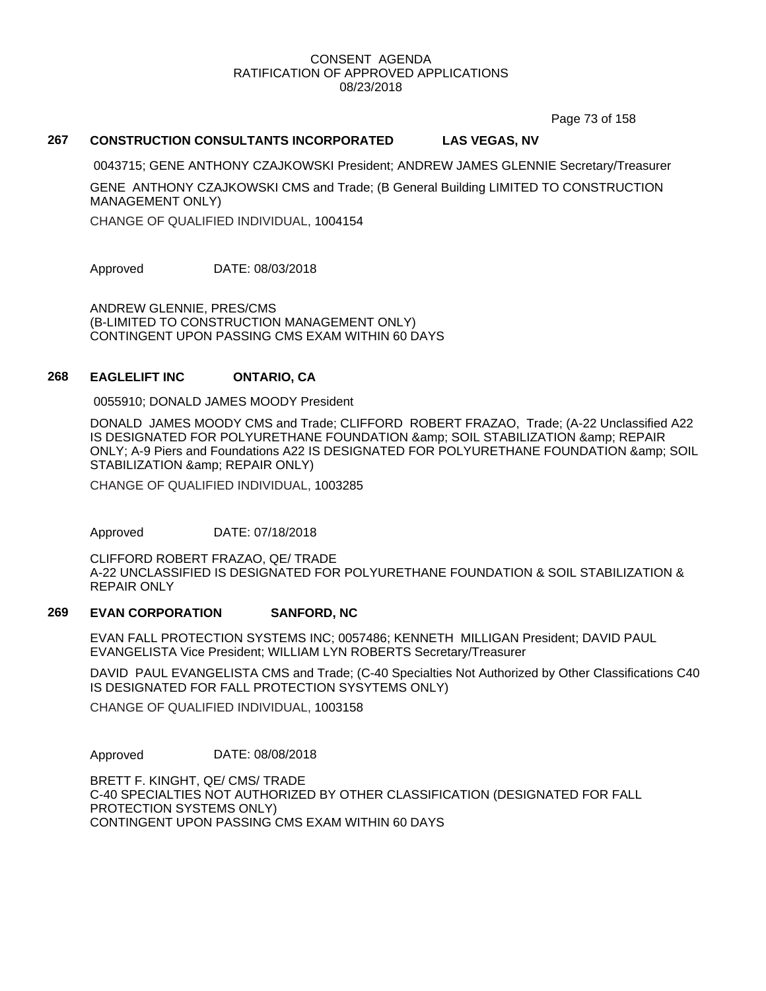Page 73 of 158

## **267 CONSTRUCTION CONSULTANTS INCORPORATED LAS VEGAS, NV**

0043715; GENE ANTHONY CZAJKOWSKI President; ANDREW JAMES GLENNIE Secretary/Treasurer

GENE ANTHONY CZAJKOWSKI CMS and Trade; (B General Building LIMITED TO CONSTRUCTION MANAGEMENT ONLY)

CHANGE OF QUALIFIED INDIVIDUAL, 1004154

Approved DATE: 08/03/2018

ANDREW GLENNIE, PRES/CMS (B-LIMITED TO CONSTRUCTION MANAGEMENT ONLY) CONTINGENT UPON PASSING CMS EXAM WITHIN 60 DAYS

### **268 EAGLELIFT INC ONTARIO, CA**

0055910; DONALD JAMES MOODY President

DONALD JAMES MOODY CMS and Trade; CLIFFORD ROBERT FRAZAO, Trade; (A-22 Unclassified A22 IS DESIGNATED FOR POLYURETHANE FOUNDATION & amp; SOIL STABILIZATION & amp; REPAIR ONLY; A-9 Piers and Foundations A22 IS DESIGNATED FOR POLYURETHANE FOUNDATION & amp; SOIL STABILIZATION & amp; REPAIR ONLY)

CHANGE OF QUALIFIED INDIVIDUAL, 1003285

Approved DATE: 07/18/2018

CLIFFORD ROBERT FRAZAO, QE/ TRADE A-22 UNCLASSIFIED IS DESIGNATED FOR POLYURETHANE FOUNDATION & SOIL STABILIZATION & REPAIR ONLY

### **269 EVAN CORPORATION SANFORD, NC**

EVAN FALL PROTECTION SYSTEMS INC; 0057486; KENNETH MILLIGAN President; DAVID PAUL EVANGELISTA Vice President; WILLIAM LYN ROBERTS Secretary/Treasurer

DAVID PAUL EVANGELISTA CMS and Trade; (C-40 Specialties Not Authorized by Other Classifications C40 IS DESIGNATED FOR FALL PROTECTION SYSYTEMS ONLY)

CHANGE OF QUALIFIED INDIVIDUAL, 1003158

Approved DATE: 08/08/2018

BRETT F. KINGHT, QE/ CMS/ TRADE C-40 SPECIALTIES NOT AUTHORIZED BY OTHER CLASSIFICATION (DESIGNATED FOR FALL PROTECTION SYSTEMS ONLY) CONTINGENT UPON PASSING CMS EXAM WITHIN 60 DAYS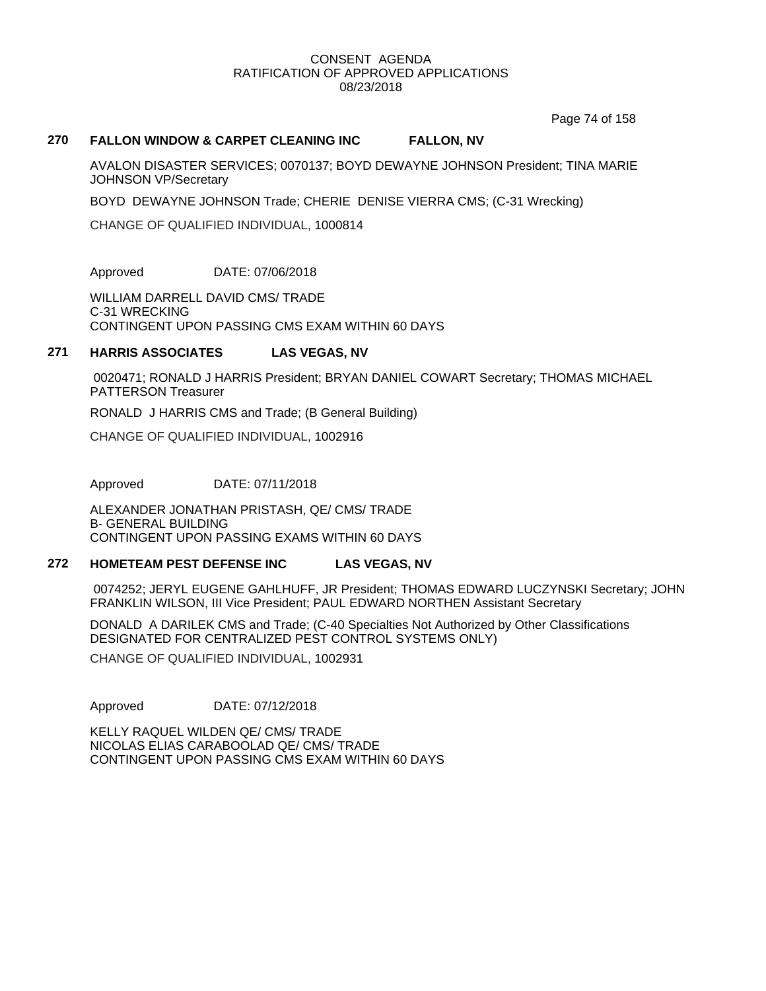Page 74 of 158

### **270 FALLON WINDOW & CARPET CLEANING INC FALLON, NV**

AVALON DISASTER SERVICES; 0070137; BOYD DEWAYNE JOHNSON President; TINA MARIE JOHNSON VP/Secretary

BOYD DEWAYNE JOHNSON Trade; CHERIE DENISE VIERRA CMS; (C-31 Wrecking)

CHANGE OF QUALIFIED INDIVIDUAL, 1000814

Approved DATE: 07/06/2018

WILLIAM DARRELL DAVID CMS/ TRADE C-31 WRECKING CONTINGENT UPON PASSING CMS EXAM WITHIN 60 DAYS

### **271 HARRIS ASSOCIATES LAS VEGAS, NV**

0020471; RONALD J HARRIS President; BRYAN DANIEL COWART Secretary; THOMAS MICHAEL PATTERSON Treasurer

RONALD J HARRIS CMS and Trade; (B General Building)

CHANGE OF QUALIFIED INDIVIDUAL, 1002916

Approved DATE: 07/11/2018

ALEXANDER JONATHAN PRISTASH, QE/ CMS/ TRADE B- GENERAL BUILDING CONTINGENT UPON PASSING EXAMS WITHIN 60 DAYS

### **272 HOMETEAM PEST DEFENSE INC LAS VEGAS, NV**

0074252; JERYL EUGENE GAHLHUFF, JR President; THOMAS EDWARD LUCZYNSKI Secretary; JOHN FRANKLIN WILSON, III Vice President; PAUL EDWARD NORTHEN Assistant Secretary

DONALD A DARILEK CMS and Trade; (C-40 Specialties Not Authorized by Other Classifications DESIGNATED FOR CENTRALIZED PEST CONTROL SYSTEMS ONLY)

CHANGE OF QUALIFIED INDIVIDUAL, 1002931

Approved DATE: 07/12/2018

KELLY RAQUEL WILDEN QE/ CMS/ TRADE NICOLAS ELIAS CARABOOLAD QE/ CMS/ TRADE CONTINGENT UPON PASSING CMS EXAM WITHIN 60 DAYS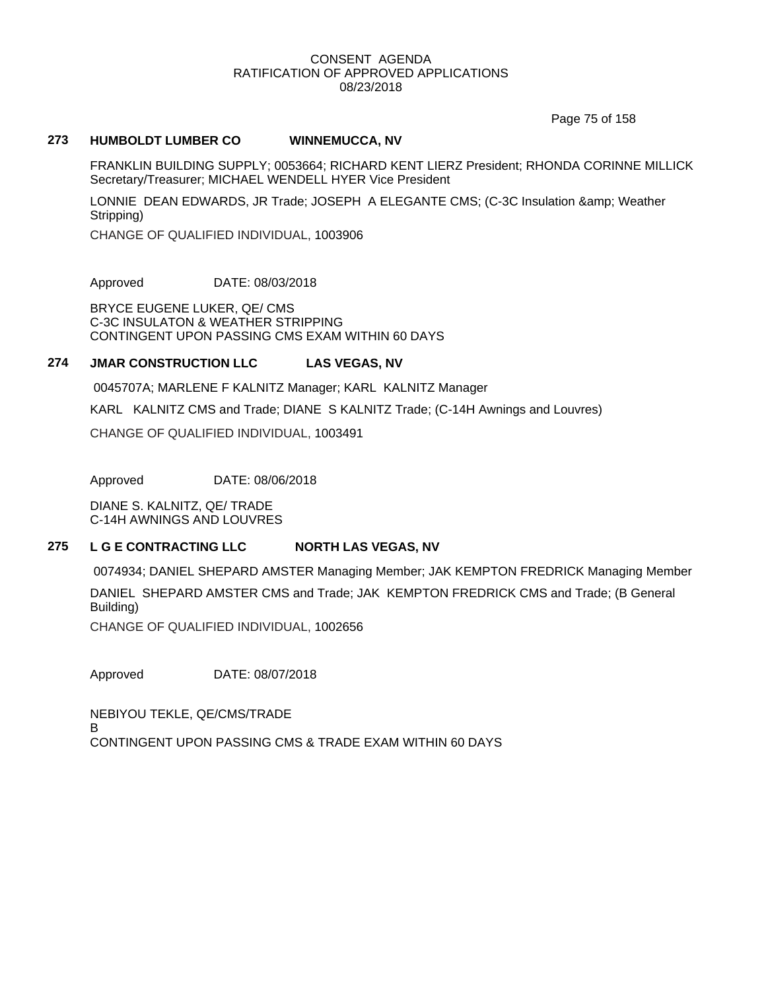Page 75 of 158

### **273 HUMBOLDT LUMBER CO WINNEMUCCA, NV**

FRANKLIN BUILDING SUPPLY; 0053664; RICHARD KENT LIERZ President; RHONDA CORINNE MILLICK Secretary/Treasurer; MICHAEL WENDELL HYER Vice President

LONNIE DEAN EDWARDS, JR Trade; JOSEPH A ELEGANTE CMS; (C-3C Insulation & amp; Weather Stripping)

CHANGE OF QUALIFIED INDIVIDUAL, 1003906

Approved DATE: 08/03/2018

BRYCE EUGENE LUKER, QE/ CMS C-3C INSULATON & WEATHER STRIPPING CONTINGENT UPON PASSING CMS EXAM WITHIN 60 DAYS

### **274 JMAR CONSTRUCTION LLC LAS VEGAS, NV**

0045707A; MARLENE F KALNITZ Manager; KARL KALNITZ Manager

KARL KALNITZ CMS and Trade; DIANE S KALNITZ Trade; (C-14H Awnings and Louvres)

CHANGE OF QUALIFIED INDIVIDUAL, 1003491

Approved DATE: 08/06/2018

DIANE S. KALNITZ, QE/ TRADE C-14H AWNINGS AND LOUVRES

### **275 L G E CONTRACTING LLC NORTH LAS VEGAS, NV**

0074934; DANIEL SHEPARD AMSTER Managing Member; JAK KEMPTON FREDRICK Managing Member DANIEL SHEPARD AMSTER CMS and Trade; JAK KEMPTON FREDRICK CMS and Trade; (B General Building)

CHANGE OF QUALIFIED INDIVIDUAL, 1002656

Approved DATE: 08/07/2018

NEBIYOU TEKLE, QE/CMS/TRADE B CONTINGENT UPON PASSING CMS & TRADE EXAM WITHIN 60 DAYS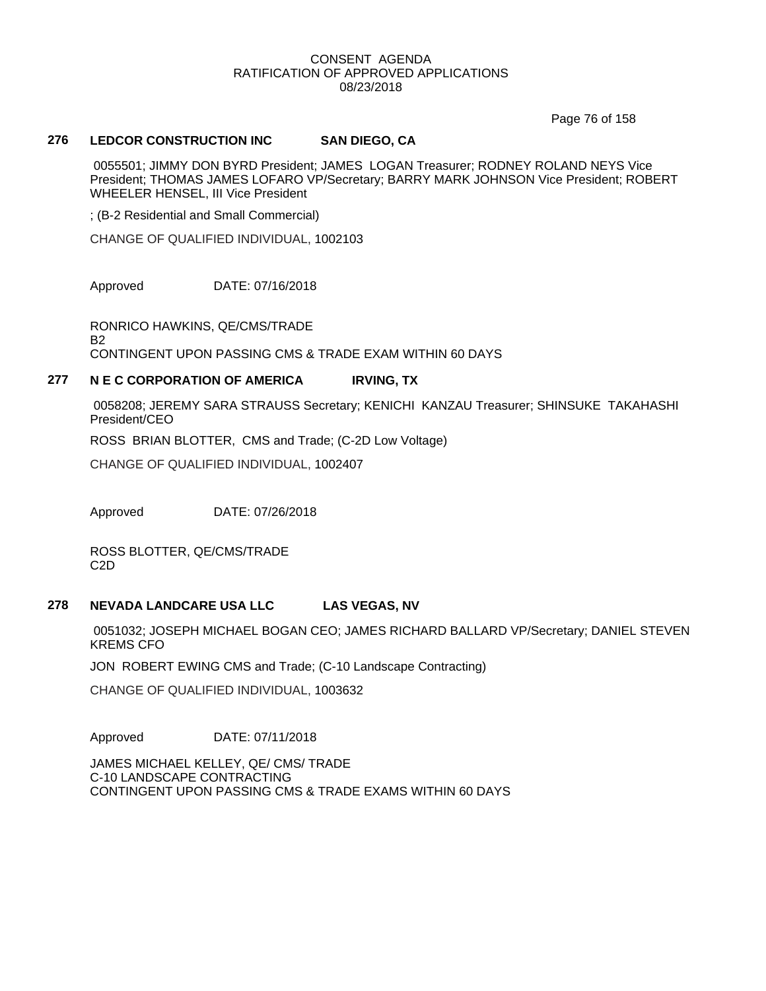Page 76 of 158

### **276 LEDCOR CONSTRUCTION INC SAN DIEGO, CA**

0055501; JIMMY DON BYRD President; JAMES LOGAN Treasurer; RODNEY ROLAND NEYS Vice President; THOMAS JAMES LOFARO VP/Secretary; BARRY MARK JOHNSON Vice President; ROBERT WHEELER HENSEL, III Vice President

; (B-2 Residential and Small Commercial)

CHANGE OF QUALIFIED INDIVIDUAL, 1002103

Approved DATE: 07/16/2018

RONRICO HAWKINS, QE/CMS/TRADE B2 CONTINGENT UPON PASSING CMS & TRADE EXAM WITHIN 60 DAYS

# **277 N E C CORPORATION OF AMERICA IRVING, TX**

0058208; JEREMY SARA STRAUSS Secretary; KENICHI KANZAU Treasurer; SHINSUKE TAKAHASHI President/CEO

ROSS BRIAN BLOTTER, CMS and Trade; (C-2D Low Voltage)

CHANGE OF QUALIFIED INDIVIDUAL, 1002407

Approved DATE: 07/26/2018

ROSS BLOTTER, QE/CMS/TRADE C2D

### **278 NEVADA LANDCARE USA LLC LAS VEGAS, NV**

0051032; JOSEPH MICHAEL BOGAN CEO; JAMES RICHARD BALLARD VP/Secretary; DANIEL STEVEN KREMS CFO

JON ROBERT EWING CMS and Trade; (C-10 Landscape Contracting)

CHANGE OF QUALIFIED INDIVIDUAL, 1003632

Approved DATE: 07/11/2018

JAMES MICHAEL KELLEY, QE/ CMS/ TRADE C-10 LANDSCAPE CONTRACTING CONTINGENT UPON PASSING CMS & TRADE EXAMS WITHIN 60 DAYS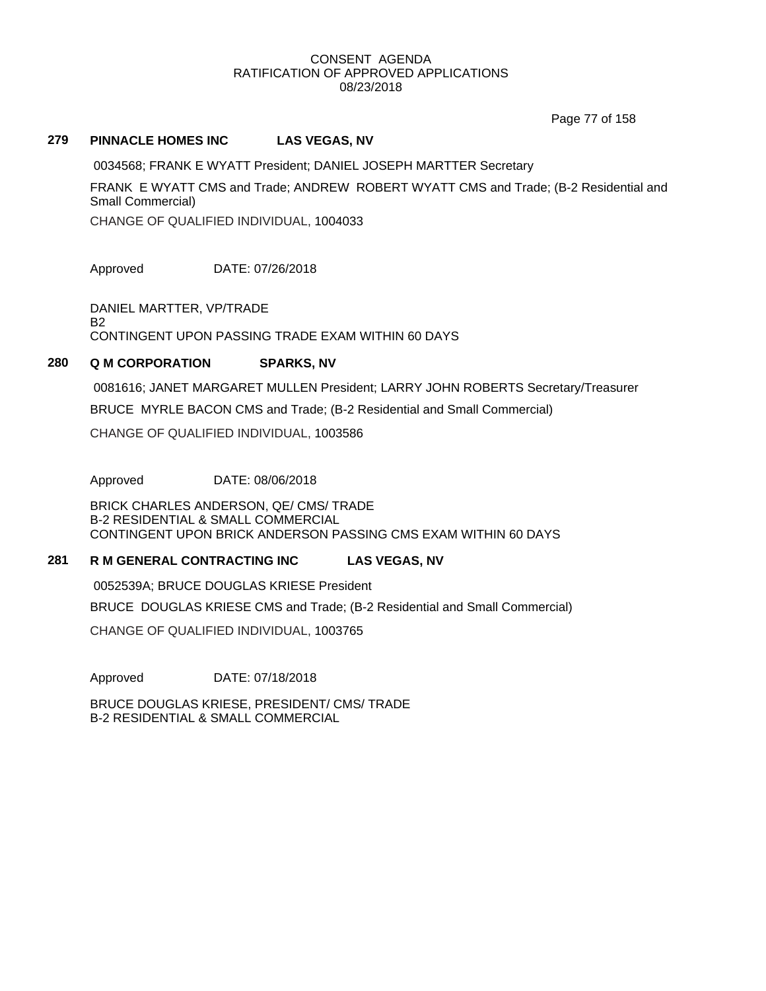Page 77 of 158

### **279 PINNACLE HOMES INC LAS VEGAS, NV**

0034568; FRANK E WYATT President; DANIEL JOSEPH MARTTER Secretary

FRANK E WYATT CMS and Trade; ANDREW ROBERT WYATT CMS and Trade; (B-2 Residential and Small Commercial)

CHANGE OF QUALIFIED INDIVIDUAL, 1004033

Approved DATE: 07/26/2018

DANIEL MARTTER, VP/TRADE B2 CONTINGENT UPON PASSING TRADE EXAM WITHIN 60 DAYS

# **280 Q M CORPORATION SPARKS, NV**

0081616; JANET MARGARET MULLEN President; LARRY JOHN ROBERTS Secretary/Treasurer

BRUCE MYRLE BACON CMS and Trade; (B-2 Residential and Small Commercial)

CHANGE OF QUALIFIED INDIVIDUAL, 1003586

Approved DATE: 08/06/2018

BRICK CHARLES ANDERSON, QE/ CMS/ TRADE B-2 RESIDENTIAL & SMALL COMMERCIAL CONTINGENT UPON BRICK ANDERSON PASSING CMS EXAM WITHIN 60 DAYS

# **281 R M GENERAL CONTRACTING INC LAS VEGAS, NV**

0052539A; BRUCE DOUGLAS KRIESE President BRUCE DOUGLAS KRIESE CMS and Trade; (B-2 Residential and Small Commercial) CHANGE OF QUALIFIED INDIVIDUAL, 1003765

Approved DATE: 07/18/2018

BRUCE DOUGLAS KRIESE, PRESIDENT/ CMS/ TRADE B-2 RESIDENTIAL & SMALL COMMERCIAL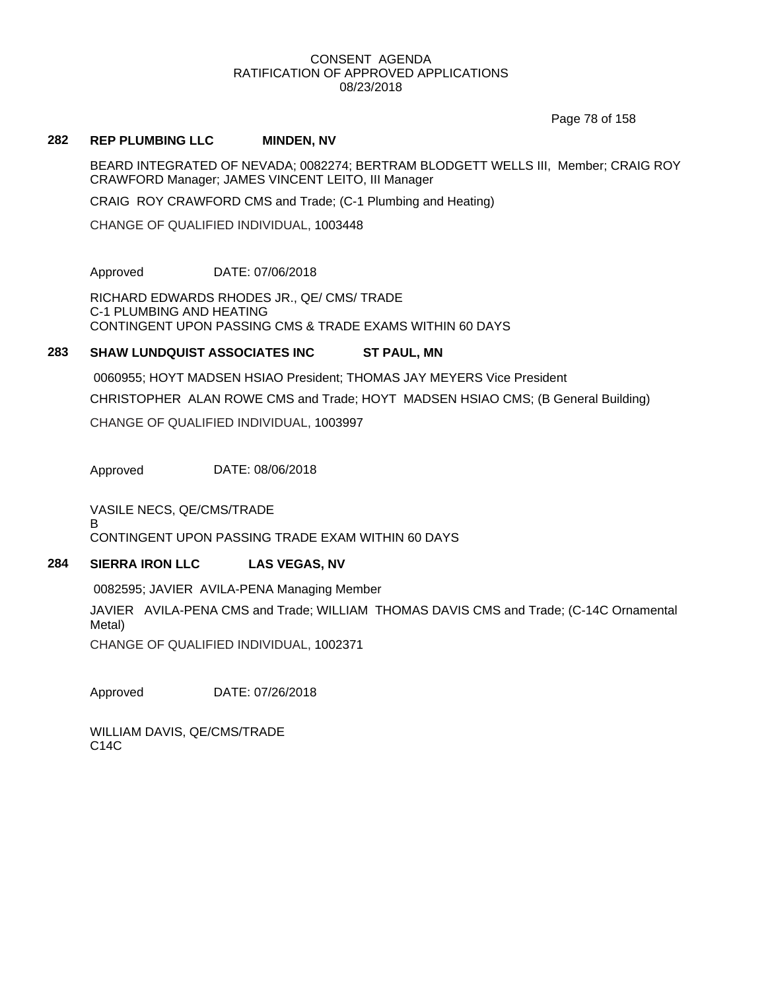Page 78 of 158

### **282 REP PLUMBING LLC MINDEN, NV**

BEARD INTEGRATED OF NEVADA; 0082274; BERTRAM BLODGETT WELLS III, Member; CRAIG ROY CRAWFORD Manager; JAMES VINCENT LEITO, III Manager

CRAIG ROY CRAWFORD CMS and Trade; (C-1 Plumbing and Heating)

CHANGE OF QUALIFIED INDIVIDUAL, 1003448

Approved DATE: 07/06/2018

RICHARD EDWARDS RHODES JR., QE/ CMS/ TRADE C-1 PLUMBING AND HEATING CONTINGENT UPON PASSING CMS & TRADE EXAMS WITHIN 60 DAYS

### **283 SHAW LUNDQUIST ASSOCIATES INC ST PAUL, MN**

0060955; HOYT MADSEN HSIAO President; THOMAS JAY MEYERS Vice President CHRISTOPHER ALAN ROWE CMS and Trade; HOYT MADSEN HSIAO CMS; (B General Building) CHANGE OF QUALIFIED INDIVIDUAL, 1003997

Approved DATE: 08/06/2018

VASILE NECS, QE/CMS/TRADE

B

CONTINGENT UPON PASSING TRADE EXAM WITHIN 60 DAYS

# **284 SIERRA IRON LLC LAS VEGAS, NV**

0082595; JAVIER AVILA-PENA Managing Member

JAVIER AVILA-PENA CMS and Trade; WILLIAM THOMAS DAVIS CMS and Trade; (C-14C Ornamental Metal)

CHANGE OF QUALIFIED INDIVIDUAL, 1002371

Approved DATE: 07/26/2018

WILLIAM DAVIS, QE/CMS/TRADE C14C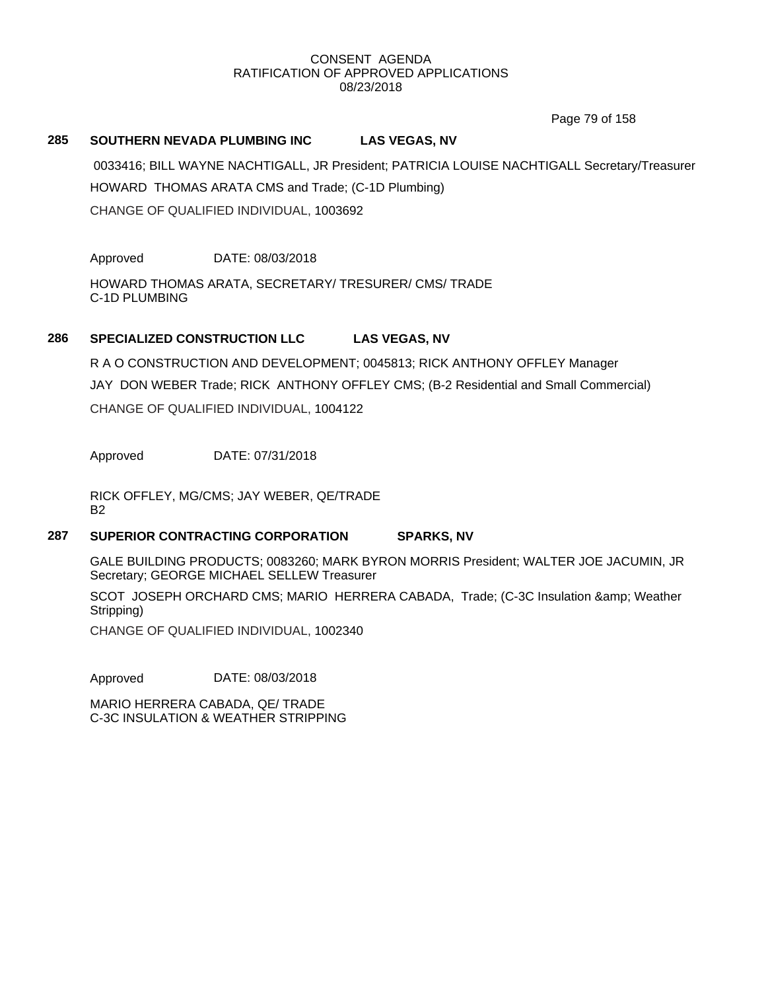Page 79 of 158

### **285 SOUTHERN NEVADA PLUMBING INC LAS VEGAS, NV**

0033416; BILL WAYNE NACHTIGALL, JR President; PATRICIA LOUISE NACHTIGALL Secretary/Treasurer HOWARD THOMAS ARATA CMS and Trade; (C-1D Plumbing) CHANGE OF QUALIFIED INDIVIDUAL, 1003692

Approved DATE: 08/03/2018

HOWARD THOMAS ARATA, SECRETARY/ TRESURER/ CMS/ TRADE C-1D PLUMBING

# **286 SPECIALIZED CONSTRUCTION LLC LAS VEGAS, NV**

R A O CONSTRUCTION AND DEVELOPMENT; 0045813; RICK ANTHONY OFFLEY Manager JAY DON WEBER Trade; RICK ANTHONY OFFLEY CMS; (B-2 Residential and Small Commercial) CHANGE OF QUALIFIED INDIVIDUAL, 1004122

Approved DATE: 07/31/2018

RICK OFFLEY, MG/CMS; JAY WEBER, QE/TRADE B2

### **287 SUPERIOR CONTRACTING CORPORATION SPARKS, NV**

GALE BUILDING PRODUCTS; 0083260; MARK BYRON MORRIS President; WALTER JOE JACUMIN, JR Secretary; GEORGE MICHAEL SELLEW Treasurer

SCOT JOSEPH ORCHARD CMS; MARIO HERRERA CABADA, Trade; (C-3C Insulation & amp; Weather Stripping)

CHANGE OF QUALIFIED INDIVIDUAL, 1002340

Approved DATE: 08/03/2018

MARIO HERRERA CABADA, QE/ TRADE C-3C INSULATION & WEATHER STRIPPING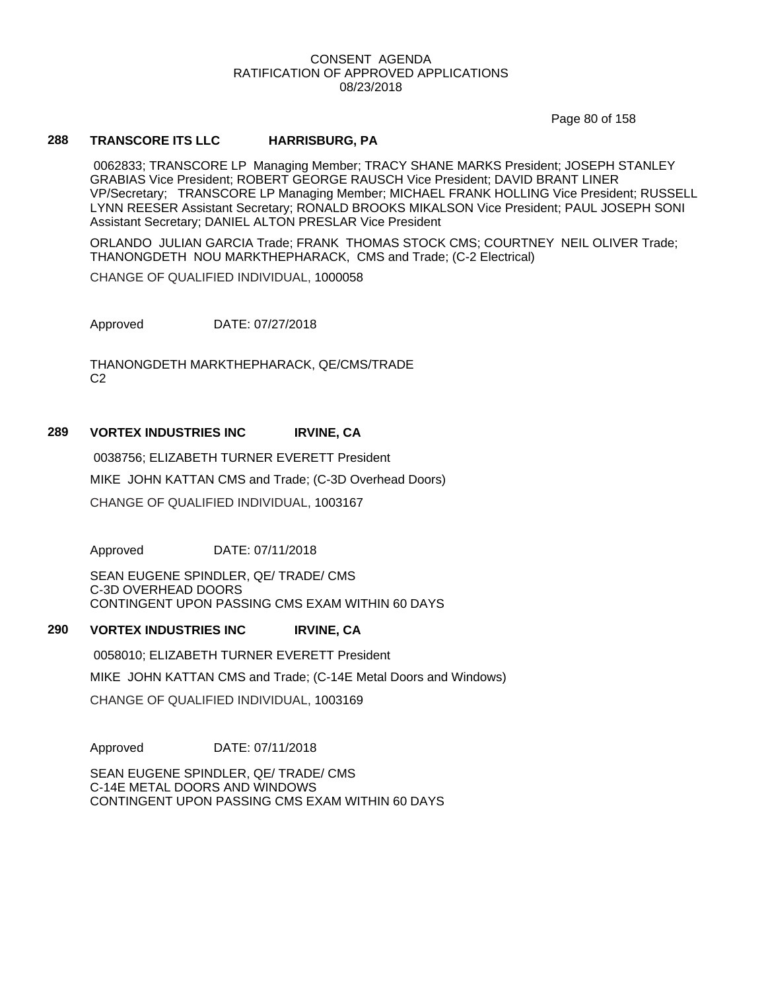Page 80 of 158

## **288 TRANSCORE ITS LLC HARRISBURG, PA**

0062833; TRANSCORE LP Managing Member; TRACY SHANE MARKS President; JOSEPH STANLEY GRABIAS Vice President; ROBERT GEORGE RAUSCH Vice President; DAVID BRANT LINER VP/Secretary; TRANSCORE LP Managing Member; MICHAEL FRANK HOLLING Vice President; RUSSELL LYNN REESER Assistant Secretary; RONALD BROOKS MIKALSON Vice President; PAUL JOSEPH SONI Assistant Secretary; DANIEL ALTON PRESLAR Vice President

ORLANDO JULIAN GARCIA Trade; FRANK THOMAS STOCK CMS; COURTNEY NEIL OLIVER Trade; THANONGDETH NOU MARKTHEPHARACK, CMS and Trade; (C-2 Electrical)

CHANGE OF QUALIFIED INDIVIDUAL, 1000058

Approved DATE: 07/27/2018

THANONGDETH MARKTHEPHARACK, QE/CMS/TRADE C2

### **289 VORTEX INDUSTRIES INC IRVINE, CA**

0038756; ELIZABETH TURNER EVERETT President MIKE JOHN KATTAN CMS and Trade; (C-3D Overhead Doors) CHANGE OF QUALIFIED INDIVIDUAL, 1003167

Approved DATE: 07/11/2018

SEAN EUGENE SPINDLER, QE/ TRADE/ CMS C-3D OVERHEAD DOORS CONTINGENT UPON PASSING CMS EXAM WITHIN 60 DAYS

### **290 VORTEX INDUSTRIES INC IRVINE, CA**

0058010; ELIZABETH TURNER EVERETT President

MIKE JOHN KATTAN CMS and Trade; (C-14E Metal Doors and Windows)

CHANGE OF QUALIFIED INDIVIDUAL, 1003169

Approved DATE: 07/11/2018

SEAN EUGENE SPINDLER, QE/ TRADE/ CMS C-14E METAL DOORS AND WINDOWS CONTINGENT UPON PASSING CMS EXAM WITHIN 60 DAYS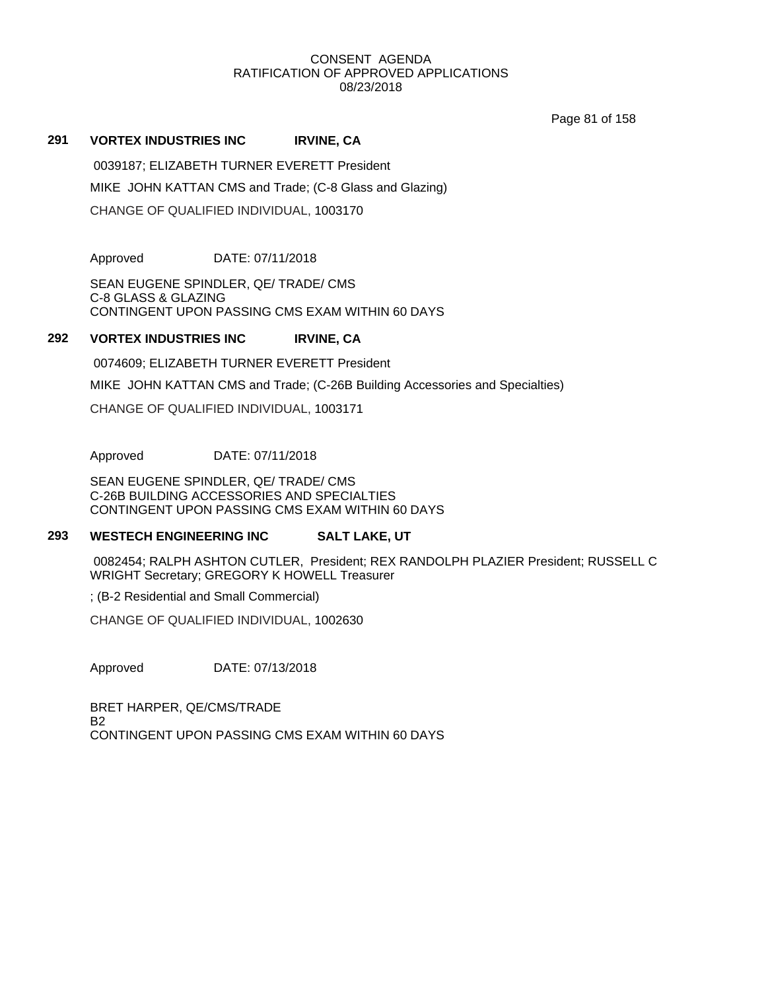Page 81 of 158

### **291 VORTEX INDUSTRIES INC IRVINE, CA**

0039187; ELIZABETH TURNER EVERETT President MIKE JOHN KATTAN CMS and Trade; (C-8 Glass and Glazing) CHANGE OF QUALIFIED INDIVIDUAL, 1003170

Approved DATE: 07/11/2018

SEAN EUGENE SPINDLER, QE/ TRADE/ CMS C-8 GLASS & GLAZING CONTINGENT UPON PASSING CMS EXAM WITHIN 60 DAYS

# **292 VORTEX INDUSTRIES INC IRVINE, CA**

0074609; ELIZABETH TURNER EVERETT President

MIKE JOHN KATTAN CMS and Trade; (C-26B Building Accessories and Specialties)

CHANGE OF QUALIFIED INDIVIDUAL, 1003171

Approved DATE: 07/11/2018

SEAN EUGENE SPINDLER, QE/ TRADE/ CMS C-26B BUILDING ACCESSORIES AND SPECIALTIES CONTINGENT UPON PASSING CMS EXAM WITHIN 60 DAYS

### **293 WESTECH ENGINEERING INC SALT LAKE, UT**

0082454; RALPH ASHTON CUTLER, President; REX RANDOLPH PLAZIER President; RUSSELL C WRIGHT Secretary; GREGORY K HOWELL Treasurer

; (B-2 Residential and Small Commercial)

CHANGE OF QUALIFIED INDIVIDUAL, 1002630

Approved DATE: 07/13/2018

BRET HARPER, QE/CMS/TRADE **B<sub>2</sub>** CONTINGENT UPON PASSING CMS EXAM WITHIN 60 DAYS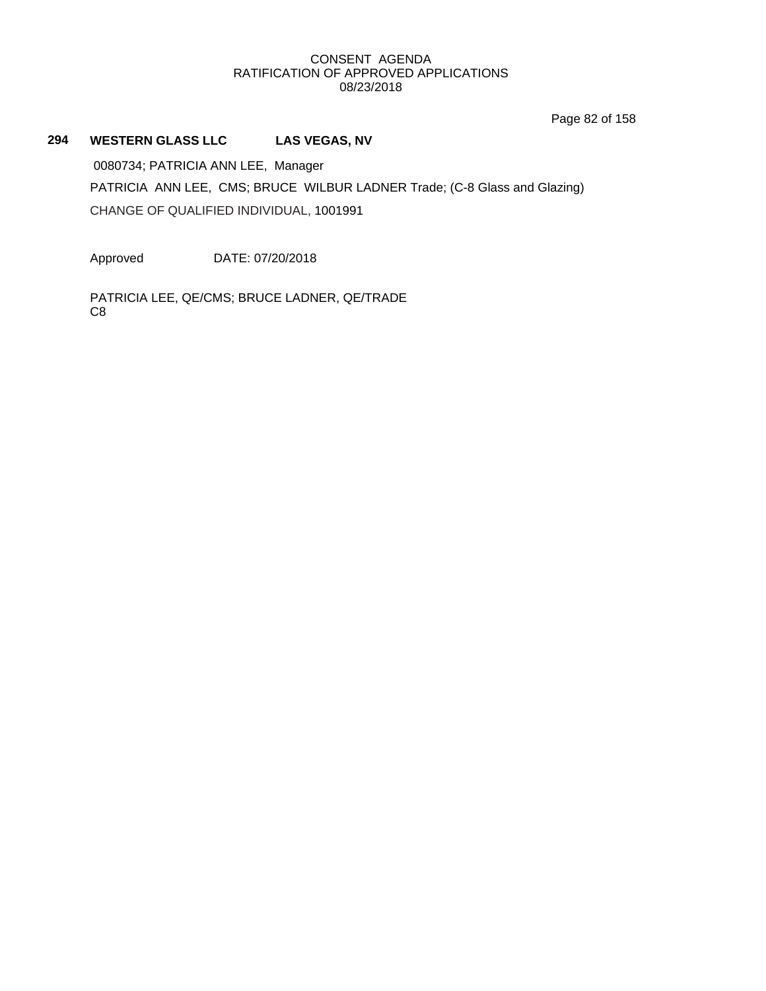Page 82 of 158

# **294 WESTERN GLASS LLC LAS VEGAS, NV**

0080734; PATRICIA ANN LEE, Manager PATRICIA ANN LEE, CMS; BRUCE WILBUR LADNER Trade; (C-8 Glass and Glazing) CHANGE OF QUALIFIED INDIVIDUAL, 1001991

Approved DATE: 07/20/2018

PATRICIA LEE, QE/CMS; BRUCE LADNER, QE/TRADE C8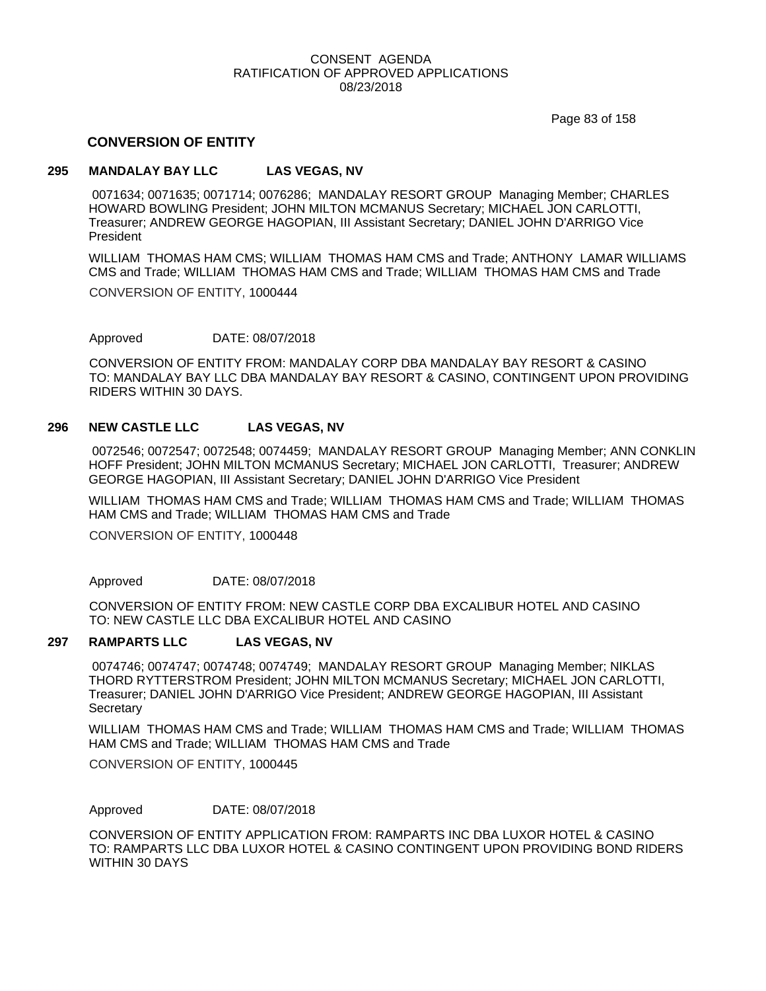Page 83 of 158

## **CONVERSION OF ENTITY**

### **295 MANDALAY BAY LLC LAS VEGAS, NV**

0071634; 0071635; 0071714; 0076286; MANDALAY RESORT GROUP Managing Member; CHARLES HOWARD BOWLING President; JOHN MILTON MCMANUS Secretary; MICHAEL JON CARLOTTI, Treasurer; ANDREW GEORGE HAGOPIAN, III Assistant Secretary; DANIEL JOHN D'ARRIGO Vice President

WILLIAM THOMAS HAM CMS; WILLIAM THOMAS HAM CMS and Trade; ANTHONY LAMAR WILLIAMS CMS and Trade; WILLIAM THOMAS HAM CMS and Trade; WILLIAM THOMAS HAM CMS and Trade

CONVERSION OF ENTITY, 1000444

Approved DATE: 08/07/2018

CONVERSION OF ENTITY FROM: MANDALAY CORP DBA MANDALAY BAY RESORT & CASINO TO: MANDALAY BAY LLC DBA MANDALAY BAY RESORT & CASINO, CONTINGENT UPON PROVIDING RIDERS WITHIN 30 DAYS.

### **296 NEW CASTLE LLC LAS VEGAS, NV**

0072546; 0072547; 0072548; 0074459; MANDALAY RESORT GROUP Managing Member; ANN CONKLIN HOFF President; JOHN MILTON MCMANUS Secretary; MICHAEL JON CARLOTTI, Treasurer; ANDREW GEORGE HAGOPIAN, III Assistant Secretary; DANIEL JOHN D'ARRIGO Vice President

WILLIAM THOMAS HAM CMS and Trade; WILLIAM THOMAS HAM CMS and Trade; WILLIAM THOMAS HAM CMS and Trade; WILLIAM THOMAS HAM CMS and Trade

CONVERSION OF ENTITY, 1000448

Approved DATE: 08/07/2018

CONVERSION OF ENTITY FROM: NEW CASTLE CORP DBA EXCALIBUR HOTEL AND CASINO TO: NEW CASTLE LLC DBA EXCALIBUR HOTEL AND CASINO

### **297 RAMPARTS LLC LAS VEGAS, NV**

0074746; 0074747; 0074748; 0074749; MANDALAY RESORT GROUP Managing Member; NIKLAS THORD RYTTERSTROM President; JOHN MILTON MCMANUS Secretary; MICHAEL JON CARLOTTI, Treasurer; DANIEL JOHN D'ARRIGO Vice President; ANDREW GEORGE HAGOPIAN, III Assistant **Secretary** 

WILLIAM THOMAS HAM CMS and Trade; WILLIAM THOMAS HAM CMS and Trade; WILLIAM THOMAS HAM CMS and Trade; WILLIAM THOMAS HAM CMS and Trade

CONVERSION OF ENTITY, 1000445

Approved DATE: 08/07/2018

CONVERSION OF ENTITY APPLICATION FROM: RAMPARTS INC DBA LUXOR HOTEL & CASINO TO: RAMPARTS LLC DBA LUXOR HOTEL & CASINO CONTINGENT UPON PROVIDING BOND RIDERS WITHIN 30 DAYS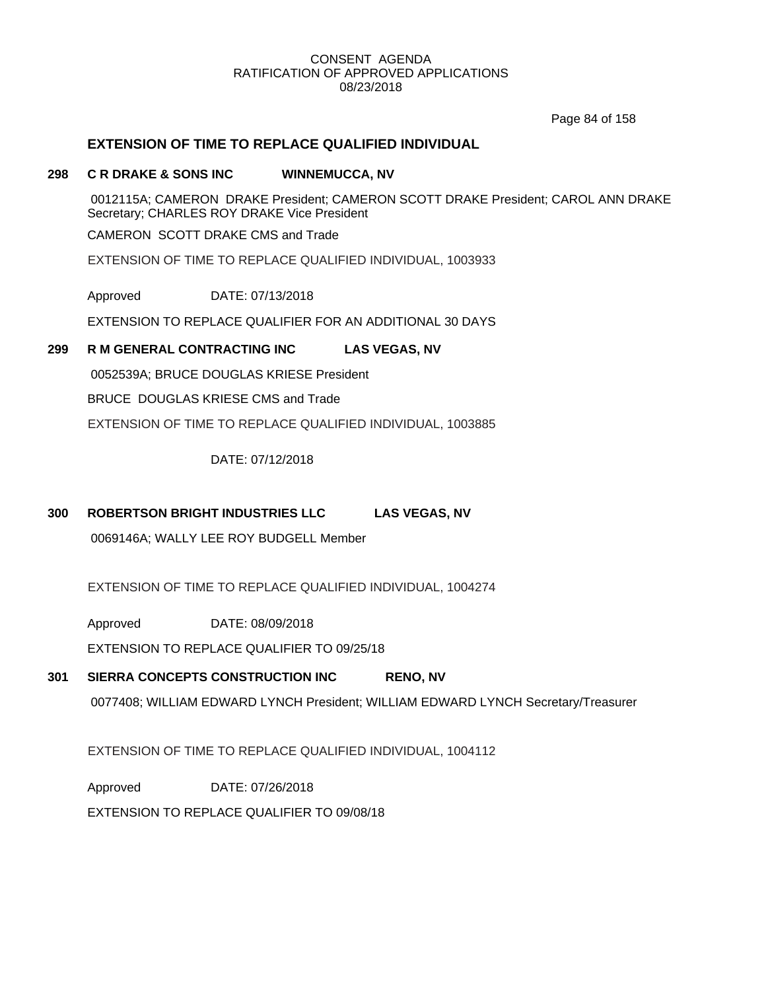Page 84 of 158

# **EXTENSION OF TIME TO REPLACE QUALIFIED INDIVIDUAL**

### **298 C R DRAKE & SONS INC WINNEMUCCA, NV**

0012115A; CAMERON DRAKE President; CAMERON SCOTT DRAKE President; CAROL ANN DRAKE Secretary; CHARLES ROY DRAKE Vice President

CAMERON SCOTT DRAKE CMS and Trade

EXTENSION OF TIME TO REPLACE QUALIFIED INDIVIDUAL, 1003933

Approved DATE: 07/13/2018

EXTENSION TO REPLACE QUALIFIER FOR AN ADDITIONAL 30 DAYS

# **299 R M GENERAL CONTRACTING INC LAS VEGAS, NV**

0052539A; BRUCE DOUGLAS KRIESE President

BRUCE DOUGLAS KRIESE CMS and Trade

EXTENSION OF TIME TO REPLACE QUALIFIED INDIVIDUAL, 1003885

DATE: 07/12/2018

# **300 ROBERTSON BRIGHT INDUSTRIES LLC LAS VEGAS, NV**

0069146A; WALLY LEE ROY BUDGELL Member

EXTENSION OF TIME TO REPLACE QUALIFIED INDIVIDUAL, 1004274

Approved DATE: 08/09/2018

EXTENSION TO REPLACE QUALIFIER TO 09/25/18

# **301 SIERRA CONCEPTS CONSTRUCTION INC RENO, NV**

0077408; WILLIAM EDWARD LYNCH President; WILLIAM EDWARD LYNCH Secretary/Treasurer

EXTENSION OF TIME TO REPLACE QUALIFIED INDIVIDUAL, 1004112

Approved DATE: 07/26/2018

EXTENSION TO REPLACE QUALIFIER TO 09/08/18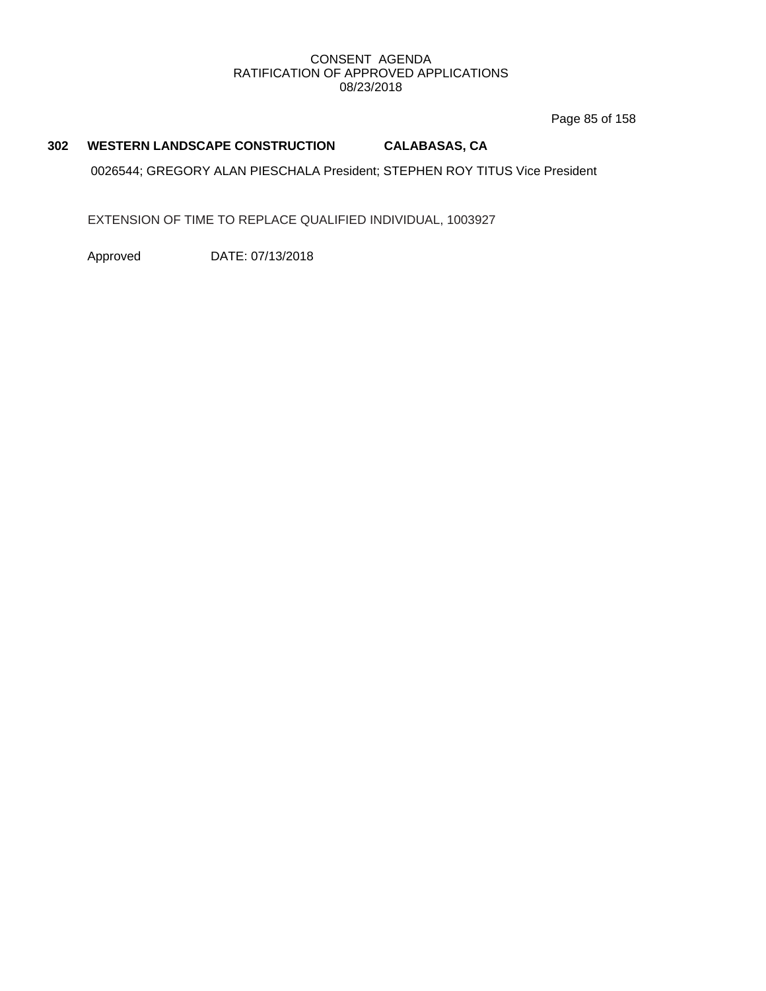Page 85 of 158

# **302 WESTERN LANDSCAPE CONSTRUCTION CALABASAS, CA**

0026544; GREGORY ALAN PIESCHALA President; STEPHEN ROY TITUS Vice President

EXTENSION OF TIME TO REPLACE QUALIFIED INDIVIDUAL, 1003927

Approved DATE: 07/13/2018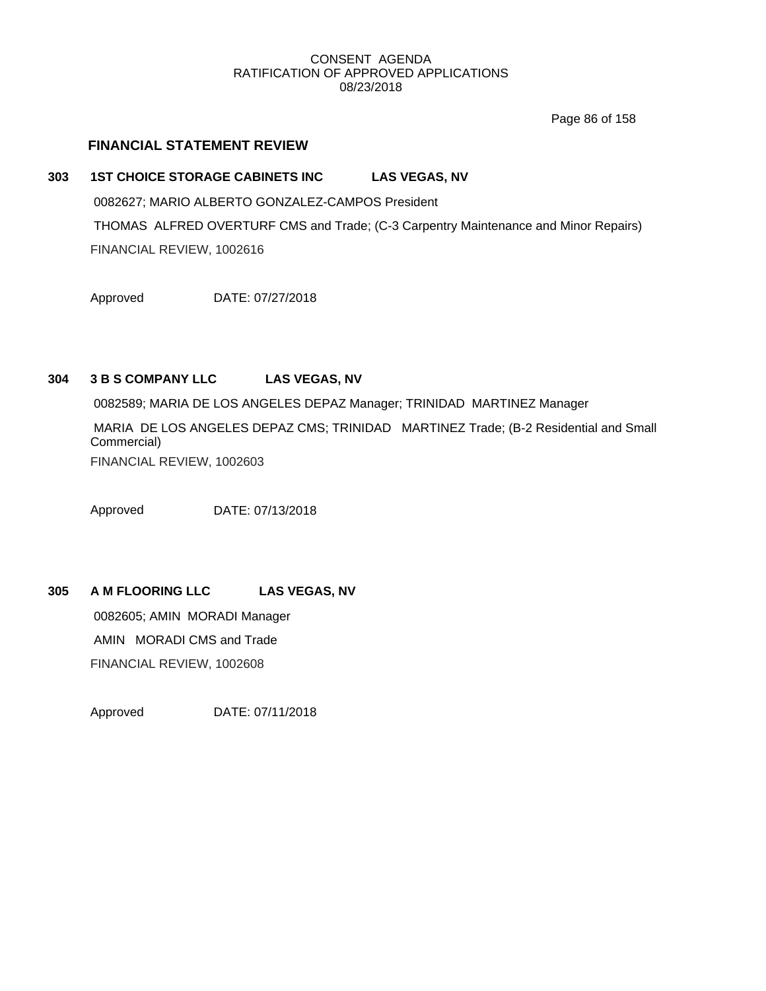Page 86 of 158

# **FINANCIAL STATEMENT REVIEW**

# **303 1ST CHOICE STORAGE CABINETS INC LAS VEGAS, NV** 0082627; MARIO ALBERTO GONZALEZ-CAMPOS President THOMAS ALFRED OVERTURF CMS and Trade; (C-3 Carpentry Maintenance and Minor Repairs) FINANCIAL REVIEW, 1002616

Approved DATE: 07/27/2018

# **304 3 B S COMPANY LLC LAS VEGAS, NV**

0082589; MARIA DE LOS ANGELES DEPAZ Manager; TRINIDAD MARTINEZ Manager

MARIA DE LOS ANGELES DEPAZ CMS; TRINIDAD MARTINEZ Trade; (B-2 Residential and Small Commercial)

FINANCIAL REVIEW, 1002603

Approved DATE: 07/13/2018

# **305 A M FLOORING LLC LAS VEGAS, NV**

0082605; AMIN MORADI Manager AMIN MORADI CMS and Trade

FINANCIAL REVIEW, 1002608

Approved DATE: 07/11/2018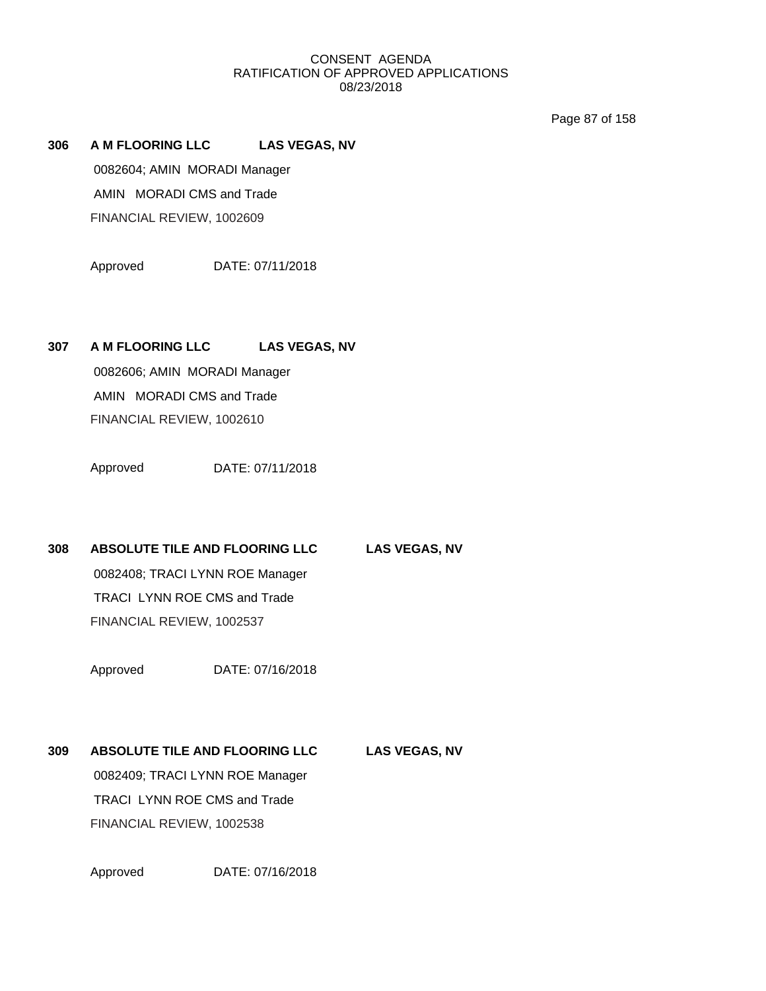Page 87 of 158

**306 A M FLOORING LLC LAS VEGAS, NV** 0082604; AMIN MORADI Manager AMIN MORADI CMS and Trade FINANCIAL REVIEW, 1002609

Approved DATE: 07/11/2018

**307 A M FLOORING LLC LAS VEGAS, NV**

0082606; AMIN MORADI Manager AMIN MORADI CMS and Trade FINANCIAL REVIEW, 1002610

Approved DATE: 07/11/2018

**308 ABSOLUTE TILE AND FLOORING LLC LAS VEGAS, NV**

0082408; TRACI LYNN ROE Manager TRACI LYNN ROE CMS and Trade FINANCIAL REVIEW, 1002537

Approved DATE: 07/16/2018

**309 ABSOLUTE TILE AND FLOORING LLC LAS VEGAS, NV** 0082409; TRACI LYNN ROE Manager TRACI LYNN ROE CMS and Trade FINANCIAL REVIEW, 1002538

Approved DATE: 07/16/2018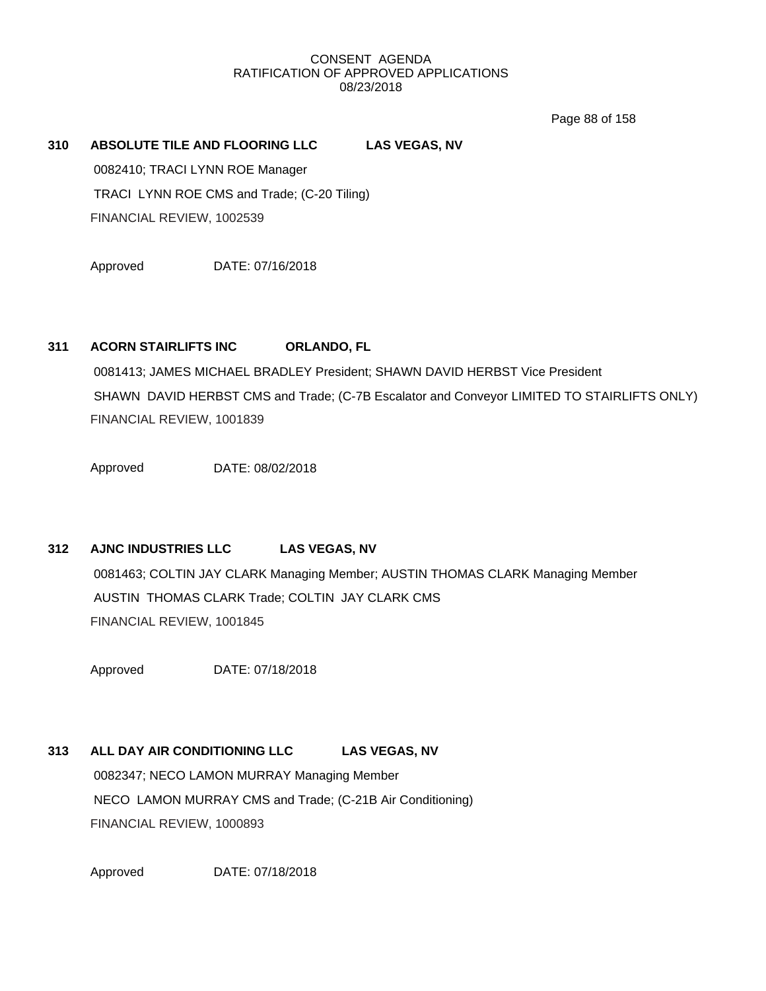Page 88 of 158

# **310 ABSOLUTE TILE AND FLOORING LLC LAS VEGAS, NV** 0082410; TRACI LYNN ROE Manager TRACI LYNN ROE CMS and Trade; (C-20 Tiling) FINANCIAL REVIEW, 1002539

Approved DATE: 07/16/2018

# **311 ACORN STAIRLIFTS INC ORLANDO, FL**

0081413; JAMES MICHAEL BRADLEY President; SHAWN DAVID HERBST Vice President SHAWN DAVID HERBST CMS and Trade; (C-7B Escalator and Conveyor LIMITED TO STAIRLIFTS ONLY) FINANCIAL REVIEW, 1001839

Approved DATE: 08/02/2018

# **312 AJNC INDUSTRIES LLC LAS VEGAS, NV**

0081463; COLTIN JAY CLARK Managing Member; AUSTIN THOMAS CLARK Managing Member AUSTIN THOMAS CLARK Trade; COLTIN JAY CLARK CMS FINANCIAL REVIEW, 1001845

Approved DATE: 07/18/2018

# **313 ALL DAY AIR CONDITIONING LLC LAS VEGAS, NV**

0082347; NECO LAMON MURRAY Managing Member NECO LAMON MURRAY CMS and Trade; (C-21B Air Conditioning) FINANCIAL REVIEW, 1000893

Approved DATE: 07/18/2018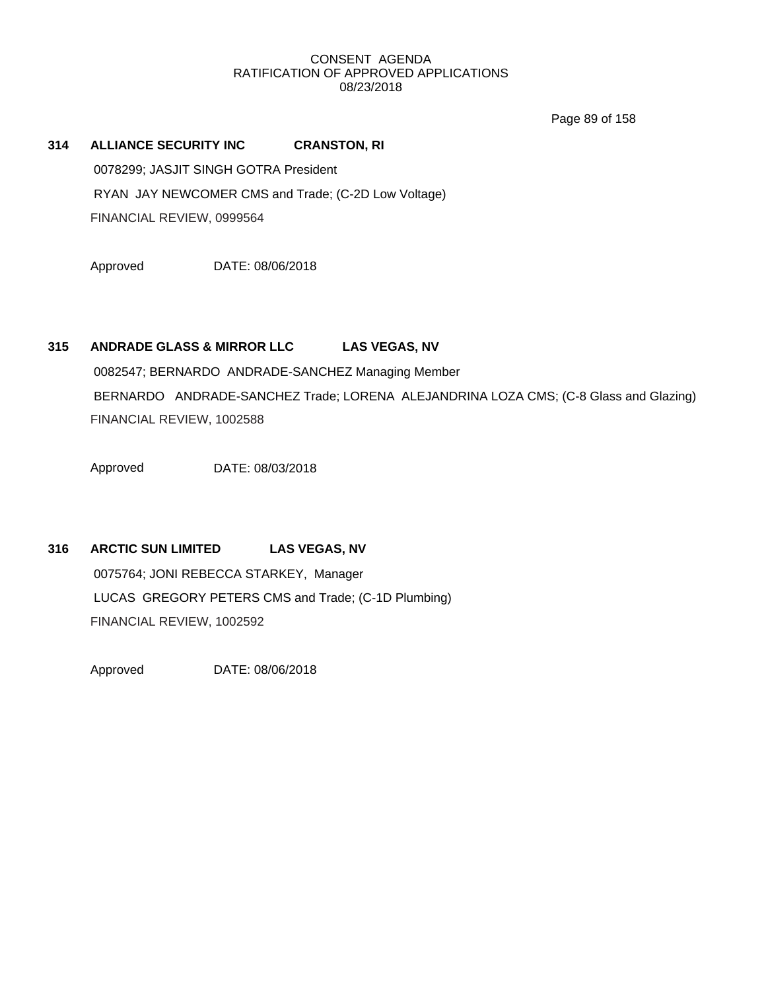Page 89 of 158

# **314 ALLIANCE SECURITY INC CRANSTON, RI** 0078299; JASJIT SINGH GOTRA President

RYAN JAY NEWCOMER CMS and Trade; (C-2D Low Voltage)

FINANCIAL REVIEW, 0999564

Approved DATE: 08/06/2018

# **315 ANDRADE GLASS & MIRROR LLC LAS VEGAS, NV**

0082547; BERNARDO ANDRADE-SANCHEZ Managing Member BERNARDO ANDRADE-SANCHEZ Trade; LORENA ALEJANDRINA LOZA CMS; (C-8 Glass and Glazing) FINANCIAL REVIEW, 1002588

Approved DATE: 08/03/2018

# **316 ARCTIC SUN LIMITED LAS VEGAS, NV** 0075764; JONI REBECCA STARKEY, Manager LUCAS GREGORY PETERS CMS and Trade; (C-1D Plumbing) FINANCIAL REVIEW, 1002592

Approved DATE: 08/06/2018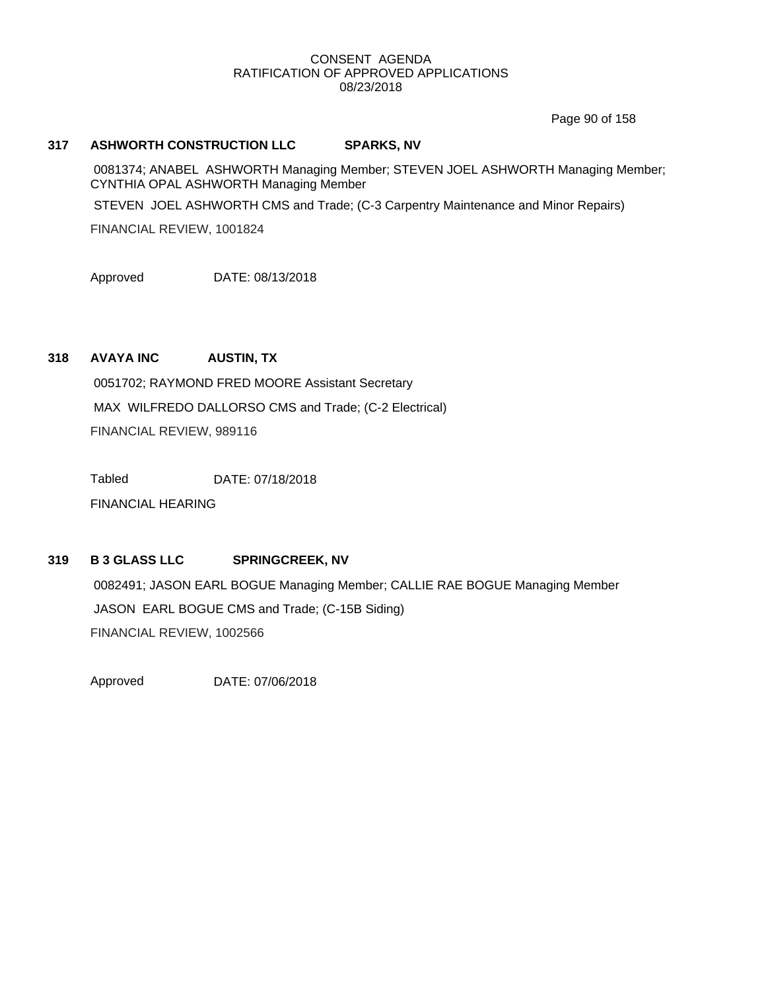Page 90 of 158

### **317 ASHWORTH CONSTRUCTION LLC SPARKS, NV**

0081374; ANABEL ASHWORTH Managing Member; STEVEN JOEL ASHWORTH Managing Member; CYNTHIA OPAL ASHWORTH Managing Member

STEVEN JOEL ASHWORTH CMS and Trade; (C-3 Carpentry Maintenance and Minor Repairs)

FINANCIAL REVIEW, 1001824

Approved DATE: 08/13/2018

# **318 AVAYA INC AUSTIN, TX**

0051702; RAYMOND FRED MOORE Assistant Secretary MAX WILFREDO DALLORSO CMS and Trade; (C-2 Electrical) FINANCIAL REVIEW, 989116

Tabled DATE: 07/18/2018

FINANCIAL HEARING

### **319 B 3 GLASS LLC SPRINGCREEK, NV**

0082491; JASON EARL BOGUE Managing Member; CALLIE RAE BOGUE Managing Member JASON EARL BOGUE CMS and Trade; (C-15B Siding) FINANCIAL REVIEW, 1002566

Approved DATE: 07/06/2018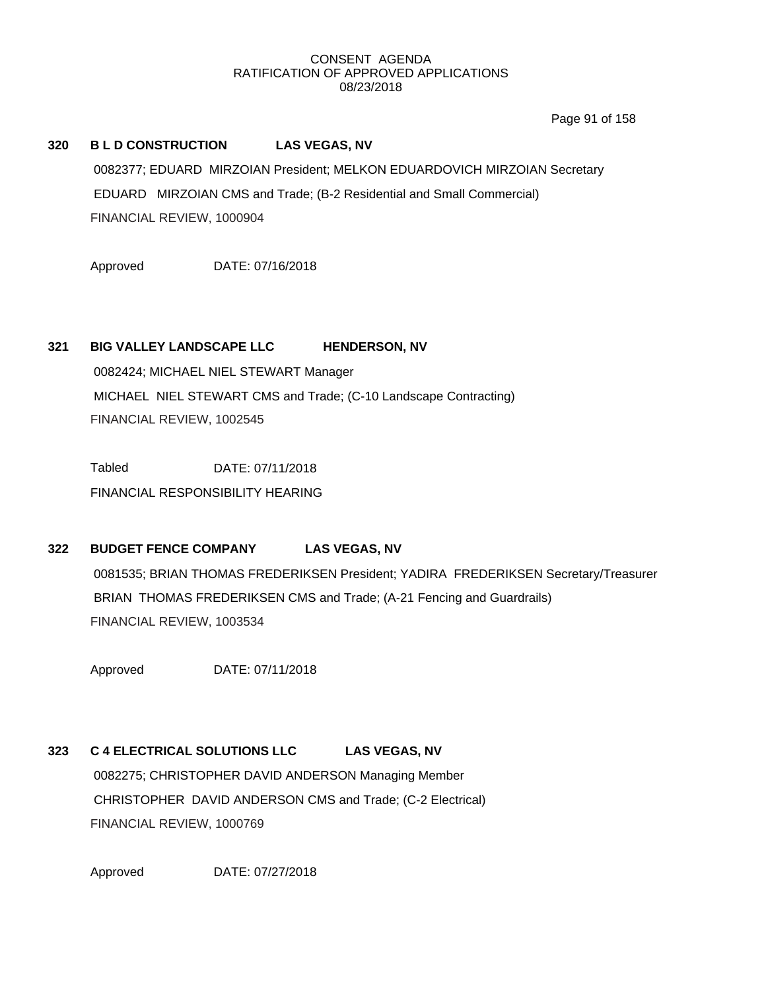Page 91 of 158

## **320 B L D CONSTRUCTION LAS VEGAS, NV**

0082377; EDUARD MIRZOIAN President; MELKON EDUARDOVICH MIRZOIAN Secretary EDUARD MIRZOIAN CMS and Trade; (B-2 Residential and Small Commercial) FINANCIAL REVIEW, 1000904

Approved DATE: 07/16/2018

### **321 BIG VALLEY LANDSCAPE LLC HENDERSON, NV**

0082424; MICHAEL NIEL STEWART Manager MICHAEL NIEL STEWART CMS and Trade; (C-10 Landscape Contracting) FINANCIAL REVIEW, 1002545

Tabled DATE: 07/11/2018 FINANCIAL RESPONSIBILITY HEARING

# **322 BUDGET FENCE COMPANY LAS VEGAS, NV**

0081535; BRIAN THOMAS FREDERIKSEN President; YADIRA FREDERIKSEN Secretary/Treasurer BRIAN THOMAS FREDERIKSEN CMS and Trade; (A-21 Fencing and Guardrails) FINANCIAL REVIEW, 1003534

Approved DATE: 07/11/2018

# **323 C 4 ELECTRICAL SOLUTIONS LLC LAS VEGAS, NV**

0082275; CHRISTOPHER DAVID ANDERSON Managing Member CHRISTOPHER DAVID ANDERSON CMS and Trade; (C-2 Electrical) FINANCIAL REVIEW, 1000769

Approved DATE: 07/27/2018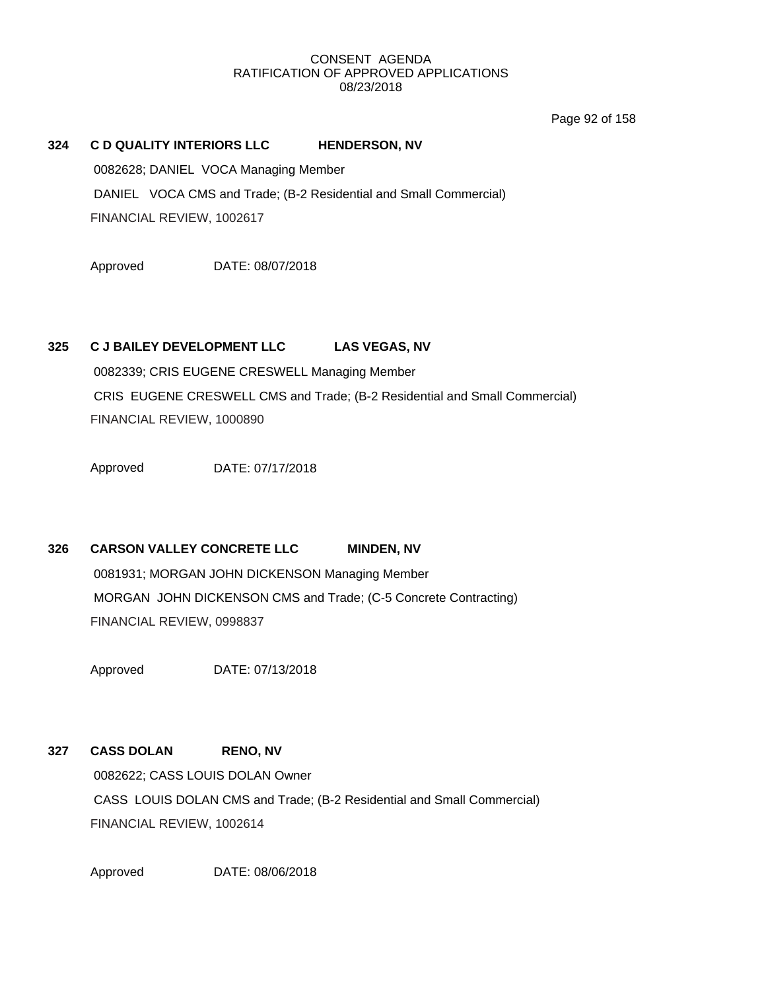Page 92 of 158

### **324 C D QUALITY INTERIORS LLC HENDERSON, NV**

0082628; DANIEL VOCA Managing Member DANIEL VOCA CMS and Trade; (B-2 Residential and Small Commercial) FINANCIAL REVIEW, 1002617

Approved DATE: 08/07/2018

### **325 C J BAILEY DEVELOPMENT LLC LAS VEGAS, NV**

0082339; CRIS EUGENE CRESWELL Managing Member CRIS EUGENE CRESWELL CMS and Trade; (B-2 Residential and Small Commercial) FINANCIAL REVIEW, 1000890

Approved DATE: 07/17/2018

# **326 CARSON VALLEY CONCRETE LLC MINDEN, NV**

0081931; MORGAN JOHN DICKENSON Managing Member MORGAN JOHN DICKENSON CMS and Trade; (C-5 Concrete Contracting) FINANCIAL REVIEW, 0998837

Approved DATE: 07/13/2018

# **327 CASS DOLAN RENO, NV** 0082622; CASS LOUIS DOLAN Owner

CASS LOUIS DOLAN CMS and Trade; (B-2 Residential and Small Commercial) FINANCIAL REVIEW, 1002614

Approved DATE: 08/06/2018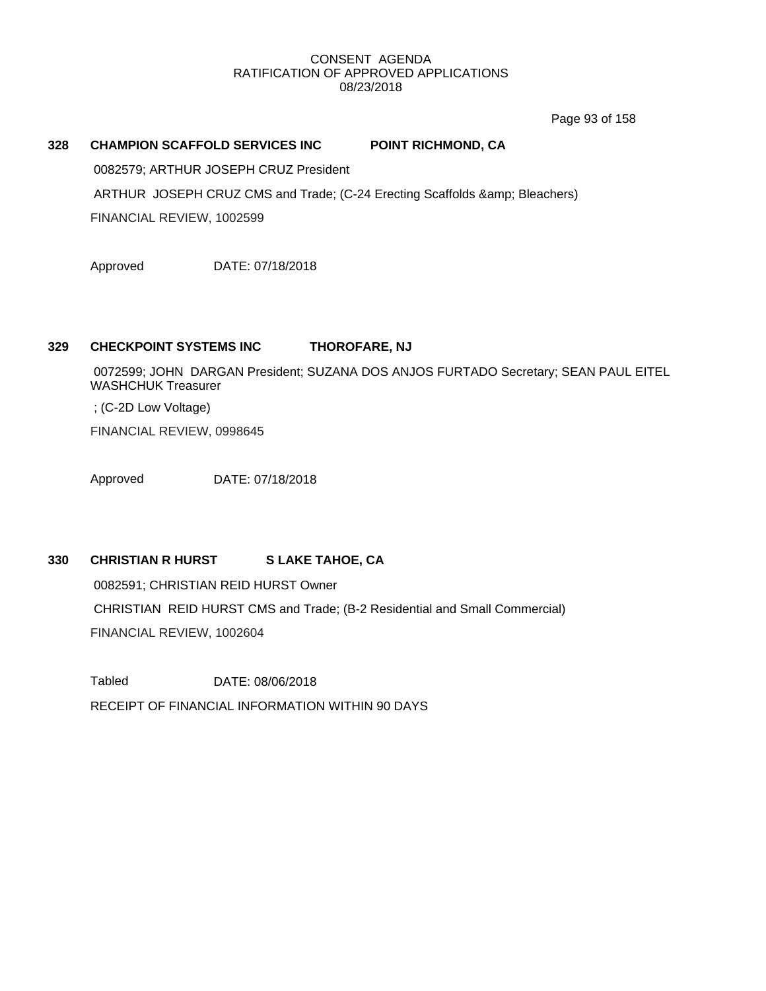Page 93 of 158

### **328 CHAMPION SCAFFOLD SERVICES INC POINT RICHMOND, CA**

0082579; ARTHUR JOSEPH CRUZ President

ARTHUR JOSEPH CRUZ CMS and Trade; (C-24 Erecting Scaffolds & amp; Bleachers)

FINANCIAL REVIEW, 1002599

Approved DATE: 07/18/2018

### **329 CHECKPOINT SYSTEMS INC THOROFARE, NJ**

0072599; JOHN DARGAN President; SUZANA DOS ANJOS FURTADO Secretary; SEAN PAUL EITEL WASHCHUK Treasurer

; (C-2D Low Voltage)

FINANCIAL REVIEW, 0998645

Approved DATE: 07/18/2018

# **330 CHRISTIAN R HURST S LAKE TAHOE, CA**

0082591; CHRISTIAN REID HURST Owner CHRISTIAN REID HURST CMS and Trade; (B-2 Residential and Small Commercial) FINANCIAL REVIEW, 1002604

Tabled DATE: 08/06/2018 RECEIPT OF FINANCIAL INFORMATION WITHIN 90 DAYS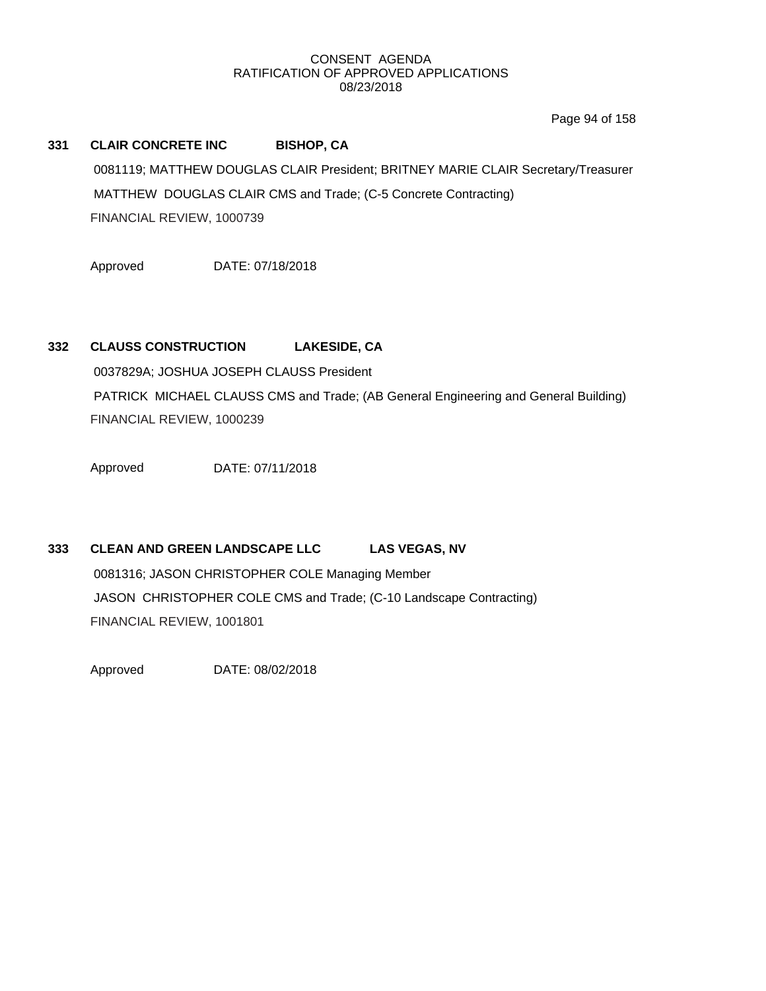Page 94 of 158

# **331 CLAIR CONCRETE INC BISHOP, CA** 0081119; MATTHEW DOUGLAS CLAIR President; BRITNEY MARIE CLAIR Secretary/Treasurer MATTHEW DOUGLAS CLAIR CMS and Trade; (C-5 Concrete Contracting) FINANCIAL REVIEW, 1000739

Approved DATE: 07/18/2018

# **332 CLAUSS CONSTRUCTION LAKESIDE, CA**

0037829A; JOSHUA JOSEPH CLAUSS President PATRICK MICHAEL CLAUSS CMS and Trade; (AB General Engineering and General Building) FINANCIAL REVIEW, 1000239

Approved DATE: 07/11/2018

# **333 CLEAN AND GREEN LANDSCAPE LLC LAS VEGAS, NV** 0081316; JASON CHRISTOPHER COLE Managing Member

JASON CHRISTOPHER COLE CMS and Trade; (C-10 Landscape Contracting) FINANCIAL REVIEW, 1001801

Approved DATE: 08/02/2018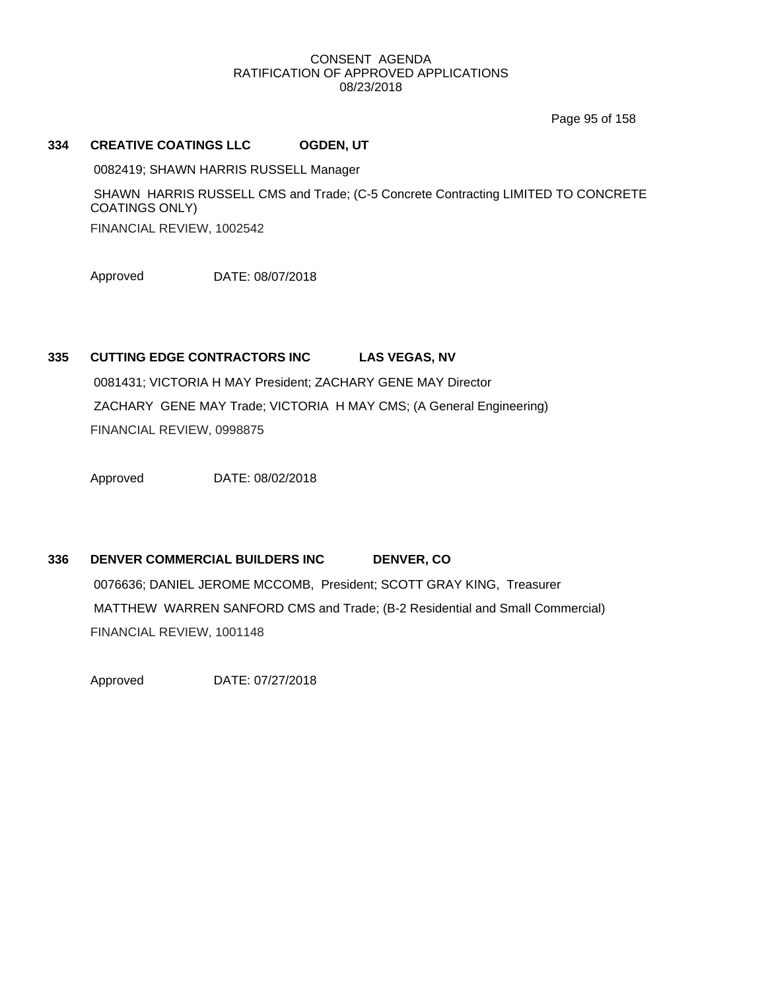Page 95 of 158

### **334 CREATIVE COATINGS LLC OGDEN, UT**

0082419; SHAWN HARRIS RUSSELL Manager

SHAWN HARRIS RUSSELL CMS and Trade; (C-5 Concrete Contracting LIMITED TO CONCRETE COATINGS ONLY) FINANCIAL REVIEW, 1002542

Approved DATE: 08/07/2018

### **335 CUTTING EDGE CONTRACTORS INC LAS VEGAS, NV**

0081431; VICTORIA H MAY President; ZACHARY GENE MAY Director ZACHARY GENE MAY Trade; VICTORIA H MAY CMS; (A General Engineering) FINANCIAL REVIEW, 0998875

Approved DATE: 08/02/2018

### **336 DENVER COMMERCIAL BUILDERS INC DENVER, CO**

0076636; DANIEL JEROME MCCOMB, President; SCOTT GRAY KING, Treasurer MATTHEW WARREN SANFORD CMS and Trade; (B-2 Residential and Small Commercial) FINANCIAL REVIEW, 1001148

Approved DATE: 07/27/2018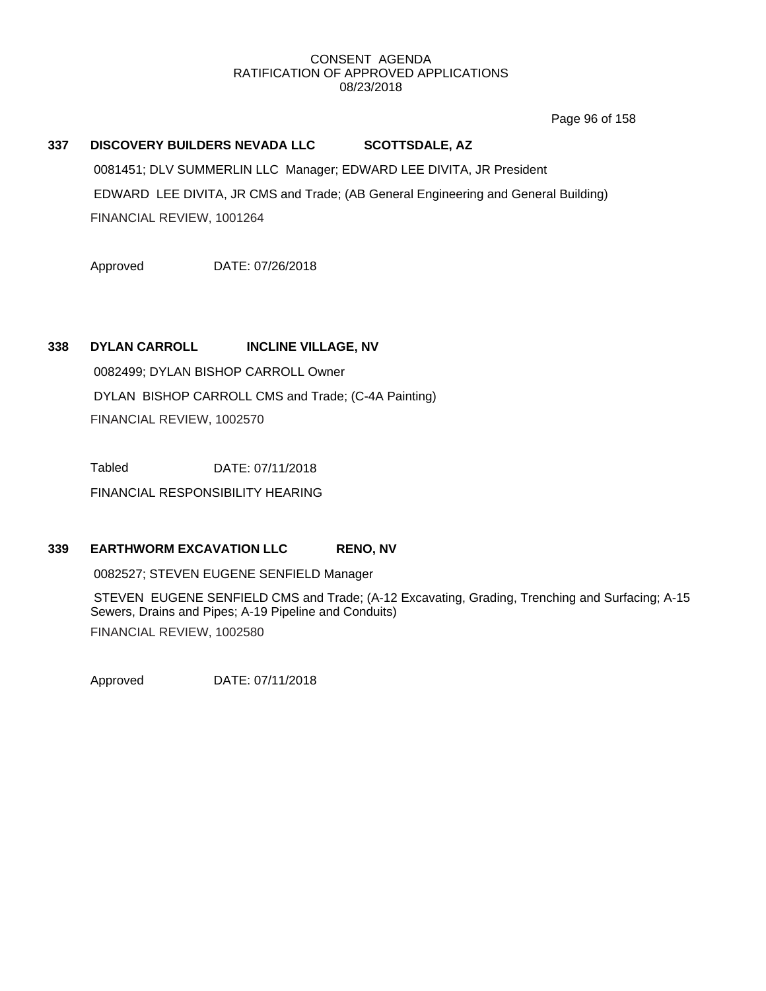Page 96 of 158

# **337 DISCOVERY BUILDERS NEVADA LLC SCOTTSDALE, AZ** 0081451; DLV SUMMERLIN LLC Manager; EDWARD LEE DIVITA, JR President EDWARD LEE DIVITA, JR CMS and Trade; (AB General Engineering and General Building) FINANCIAL REVIEW, 1001264

Approved DATE: 07/26/2018

### **338 DYLAN CARROLL INCLINE VILLAGE, NV**

0082499; DYLAN BISHOP CARROLL Owner DYLAN BISHOP CARROLL CMS and Trade; (C-4A Painting) FINANCIAL REVIEW, 1002570

Tabled DATE: 07/11/2018

FINANCIAL RESPONSIBILITY HEARING

### **339 EARTHWORM EXCAVATION LLC RENO, NV**

0082527; STEVEN EUGENE SENFIELD Manager

STEVEN EUGENE SENFIELD CMS and Trade; (A-12 Excavating, Grading, Trenching and Surfacing; A-15 Sewers, Drains and Pipes; A-19 Pipeline and Conduits) FINANCIAL REVIEW, 1002580

Approved DATE: 07/11/2018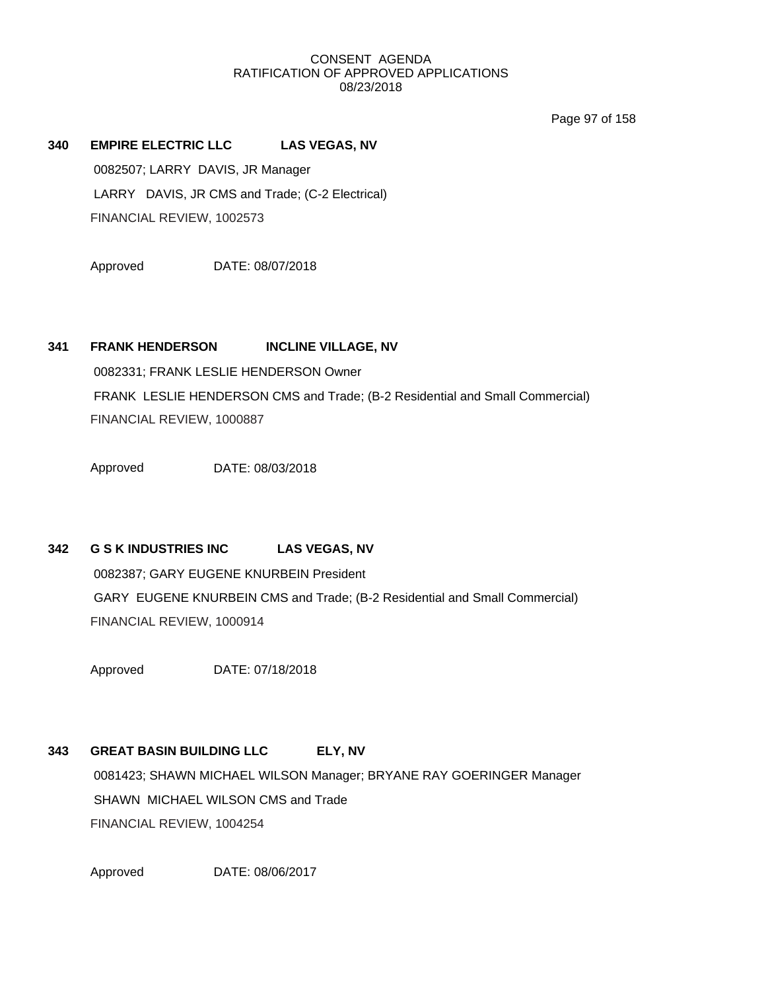Page 97 of 158

# **340 EMPIRE ELECTRIC LLC LAS VEGAS, NV** 0082507; LARRY DAVIS, JR Manager LARRY DAVIS, JR CMS and Trade; (C-2 Electrical) FINANCIAL REVIEW, 1002573

Approved DATE: 08/07/2018

# **341 FRANK HENDERSON INCLINE VILLAGE, NV**

0082331; FRANK LESLIE HENDERSON Owner FRANK LESLIE HENDERSON CMS and Trade; (B-2 Residential and Small Commercial) FINANCIAL REVIEW, 1000887

Approved DATE: 08/03/2018

# **342 G S K INDUSTRIES INC LAS VEGAS, NV**

0082387; GARY EUGENE KNURBEIN President GARY EUGENE KNURBEIN CMS and Trade; (B-2 Residential and Small Commercial) FINANCIAL REVIEW, 1000914

Approved DATE: 07/18/2018

# **343 GREAT BASIN BUILDING LLC ELY, NV** 0081423; SHAWN MICHAEL WILSON Manager; BRYANE RAY GOERINGER Manager SHAWN MICHAEL WILSON CMS and Trade FINANCIAL REVIEW, 1004254

Approved DATE: 08/06/2017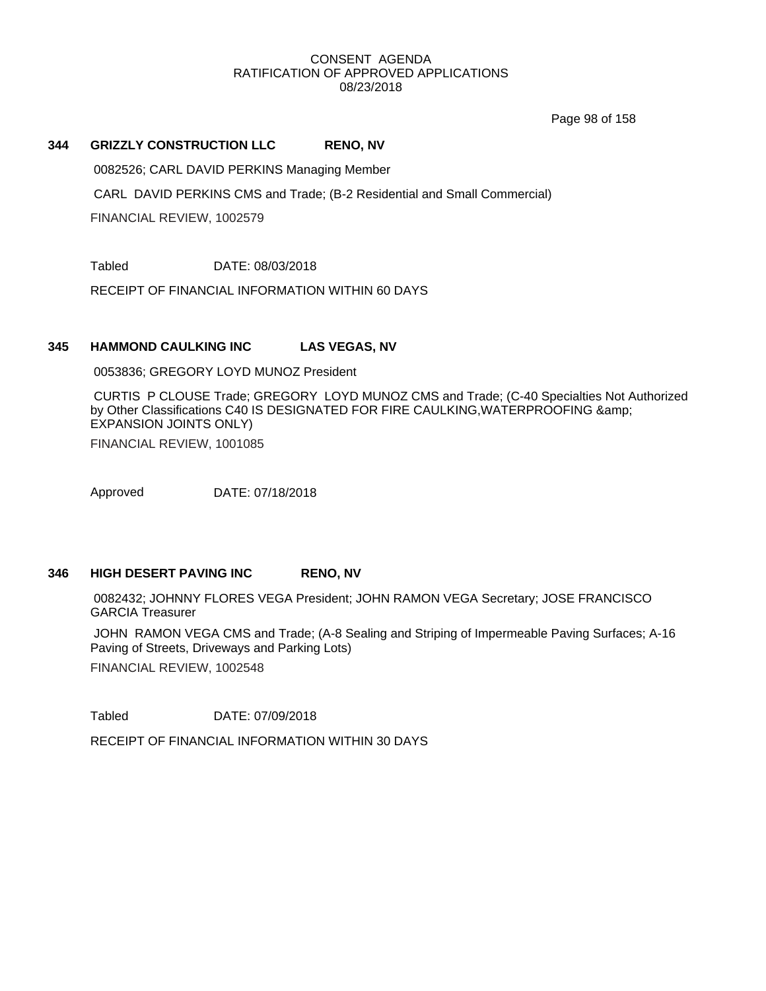Page 98 of 158

### **344 GRIZZLY CONSTRUCTION LLC RENO, NV**

0082526; CARL DAVID PERKINS Managing Member

CARL DAVID PERKINS CMS and Trade; (B-2 Residential and Small Commercial)

FINANCIAL REVIEW, 1002579

Tabled DATE: 08/03/2018

RECEIPT OF FINANCIAL INFORMATION WITHIN 60 DAYS

### **345 HAMMOND CAULKING INC LAS VEGAS, NV**

0053836; GREGORY LOYD MUNOZ President

CURTIS P CLOUSE Trade; GREGORY LOYD MUNOZ CMS and Trade; (C-40 Specialties Not Authorized by Other Classifications C40 IS DESIGNATED FOR FIRE CAULKING,WATERPROOFING & EXPANSION JOINTS ONLY)

FINANCIAL REVIEW, 1001085

Approved DATE: 07/18/2018

### **346 HIGH DESERT PAVING INC RENO, NV**

0082432; JOHNNY FLORES VEGA President; JOHN RAMON VEGA Secretary; JOSE FRANCISCO GARCIA Treasurer

JOHN RAMON VEGA CMS and Trade; (A-8 Sealing and Striping of Impermeable Paving Surfaces; A-16 Paving of Streets, Driveways and Parking Lots)

FINANCIAL REVIEW, 1002548

Tabled DATE: 07/09/2018

RECEIPT OF FINANCIAL INFORMATION WITHIN 30 DAYS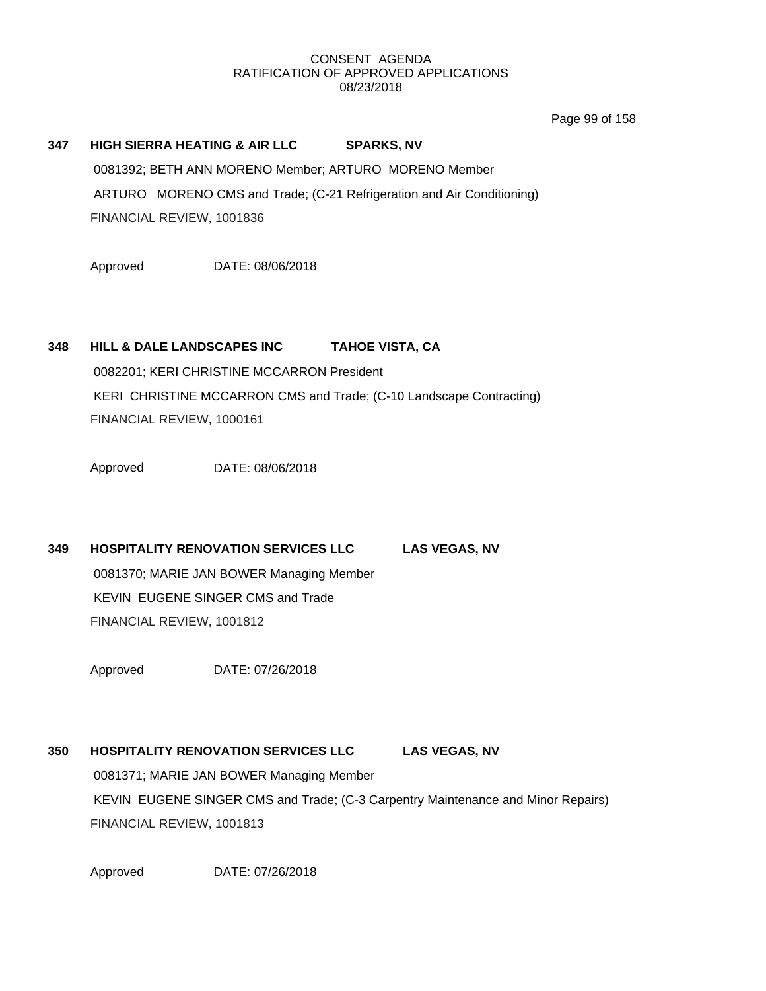Page 99 of 158

# **347 HIGH SIERRA HEATING & AIR LLC SPARKS, NV** 0081392; BETH ANN MORENO Member; ARTURO MORENO Member ARTURO MORENO CMS and Trade; (C-21 Refrigeration and Air Conditioning)

FINANCIAL REVIEW, 1001836

Approved DATE: 08/06/2018

# **348 HILL & DALE LANDSCAPES INC TAHOE VISTA, CA**

0082201; KERI CHRISTINE MCCARRON President KERI CHRISTINE MCCARRON CMS and Trade; (C-10 Landscape Contracting) FINANCIAL REVIEW, 1000161

Approved DATE: 08/06/2018

**349 HOSPITALITY RENOVATION SERVICES LLC LAS VEGAS, NV** 0081370; MARIE JAN BOWER Managing Member KEVIN EUGENE SINGER CMS and Trade FINANCIAL REVIEW, 1001812

Approved DATE: 07/26/2018

# **350 HOSPITALITY RENOVATION SERVICES LLC LAS VEGAS, NV** 0081371; MARIE JAN BOWER Managing Member KEVIN EUGENE SINGER CMS and Trade; (C-3 Carpentry Maintenance and Minor Repairs) FINANCIAL REVIEW, 1001813

Approved DATE: 07/26/2018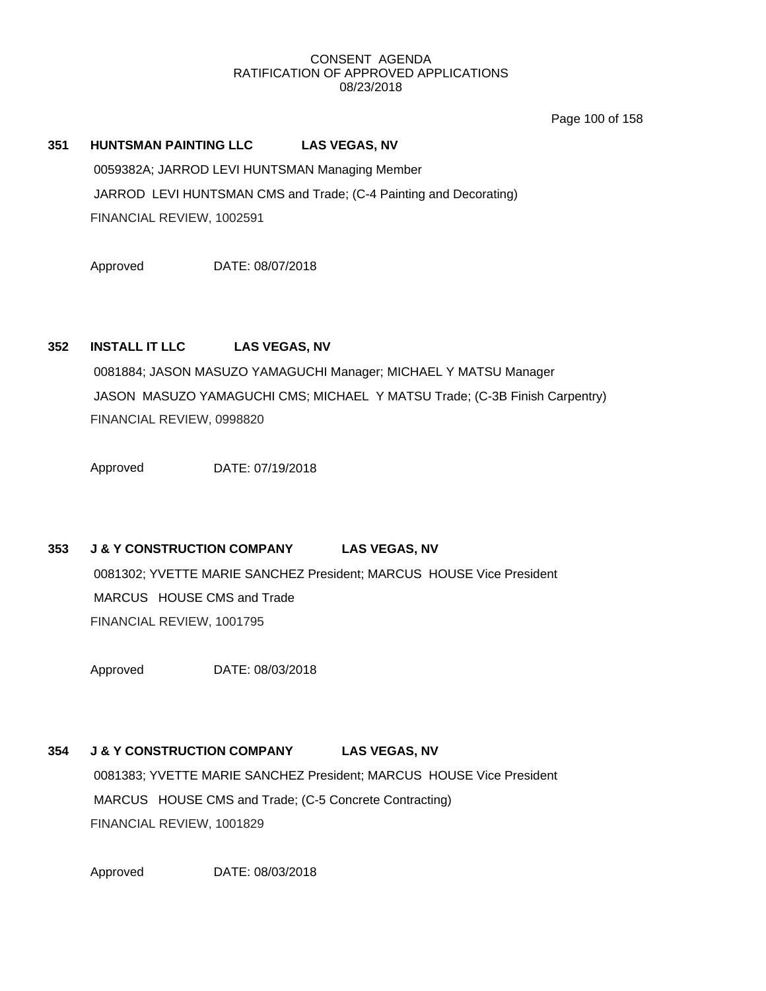Page 100 of 158

### **351 HUNTSMAN PAINTING LLC LAS VEGAS, NV**

0059382A; JARROD LEVI HUNTSMAN Managing Member JARROD LEVI HUNTSMAN CMS and Trade; (C-4 Painting and Decorating) FINANCIAL REVIEW, 1002591

Approved DATE: 08/07/2018

# **352 INSTALL IT LLC LAS VEGAS, NV**

0081884; JASON MASUZO YAMAGUCHI Manager; MICHAEL Y MATSU Manager JASON MASUZO YAMAGUCHI CMS; MICHAEL Y MATSU Trade; (C-3B Finish Carpentry) FINANCIAL REVIEW, 0998820

Approved DATE: 07/19/2018

# **353 J & Y CONSTRUCTION COMPANY LAS VEGAS, NV**

0081302; YVETTE MARIE SANCHEZ President; MARCUS HOUSE Vice President MARCUS HOUSE CMS and Trade FINANCIAL REVIEW, 1001795

Approved DATE: 08/03/2018

# **354 J & Y CONSTRUCTION COMPANY LAS VEGAS, NV**

0081383; YVETTE MARIE SANCHEZ President; MARCUS HOUSE Vice President MARCUS HOUSE CMS and Trade; (C-5 Concrete Contracting) FINANCIAL REVIEW, 1001829

Approved DATE: 08/03/2018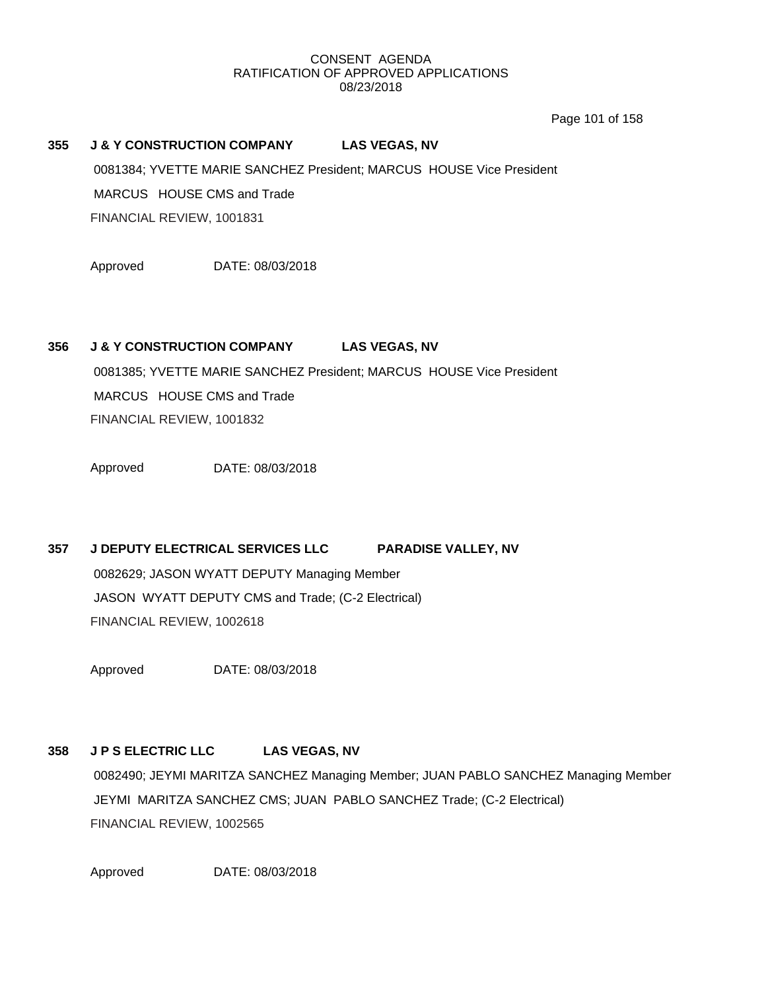Page 101 of 158

## **355 J & Y CONSTRUCTION COMPANY LAS VEGAS, NV**

0081384; YVETTE MARIE SANCHEZ President; MARCUS HOUSE Vice President

MARCUS HOUSE CMS and Trade

FINANCIAL REVIEW, 1001831

Approved DATE: 08/03/2018

### **356 J & Y CONSTRUCTION COMPANY LAS VEGAS, NV**

0081385; YVETTE MARIE SANCHEZ President; MARCUS HOUSE Vice President MARCUS HOUSE CMS and Trade FINANCIAL REVIEW, 1001832

Approved DATE: 08/03/2018

# **357 J DEPUTY ELECTRICAL SERVICES LLC PARADISE VALLEY, NV**

0082629; JASON WYATT DEPUTY Managing Member JASON WYATT DEPUTY CMS and Trade; (C-2 Electrical) FINANCIAL REVIEW, 1002618

Approved DATE: 08/03/2018

# **358 J P S ELECTRIC LLC LAS VEGAS, NV**

0082490; JEYMI MARITZA SANCHEZ Managing Member; JUAN PABLO SANCHEZ Managing Member JEYMI MARITZA SANCHEZ CMS; JUAN PABLO SANCHEZ Trade; (C-2 Electrical) FINANCIAL REVIEW, 1002565

Approved DATE: 08/03/2018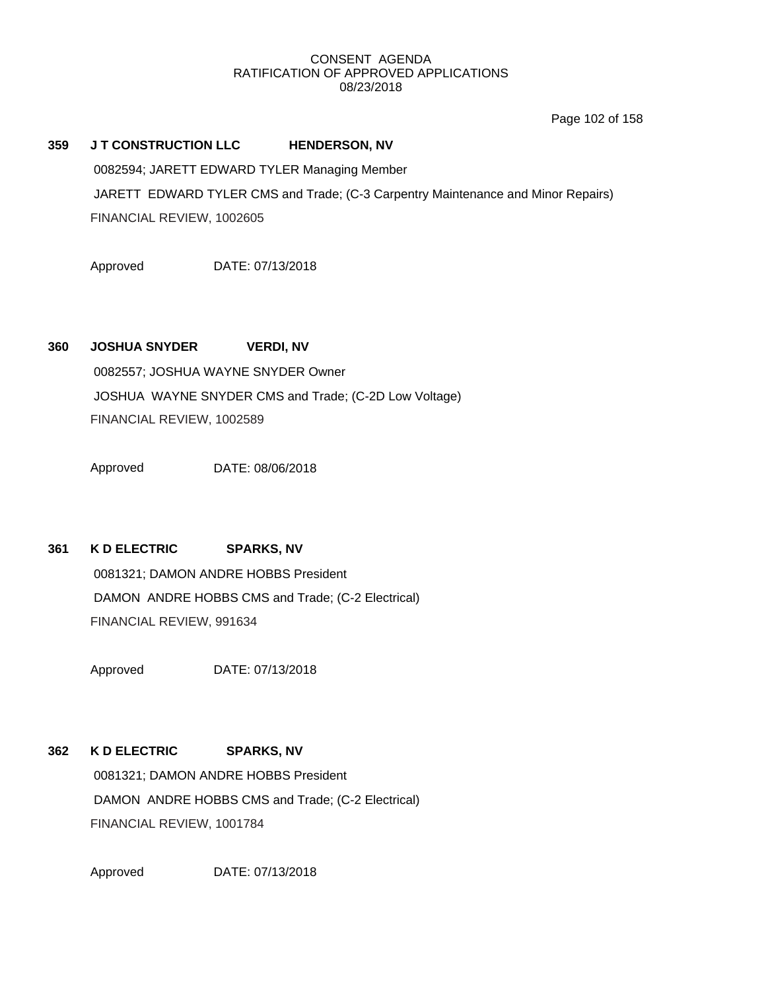Page 102 of 158

### **359 J T CONSTRUCTION LLC HENDERSON, NV**

0082594; JARETT EDWARD TYLER Managing Member

JARETT EDWARD TYLER CMS and Trade; (C-3 Carpentry Maintenance and Minor Repairs) FINANCIAL REVIEW, 1002605

Approved DATE: 07/13/2018

# **360 JOSHUA SNYDER VERDI, NV**

0082557; JOSHUA WAYNE SNYDER Owner JOSHUA WAYNE SNYDER CMS and Trade; (C-2D Low Voltage) FINANCIAL REVIEW, 1002589

Approved DATE: 08/06/2018

# **361 K D ELECTRIC SPARKS, NV**

0081321; DAMON ANDRE HOBBS President DAMON ANDRE HOBBS CMS and Trade; (C-2 Electrical) FINANCIAL REVIEW, 991634

Approved DATE: 07/13/2018

# **362 K D ELECTRIC SPARKS, NV**

0081321; DAMON ANDRE HOBBS President DAMON ANDRE HOBBS CMS and Trade; (C-2 Electrical) FINANCIAL REVIEW, 1001784

Approved DATE: 07/13/2018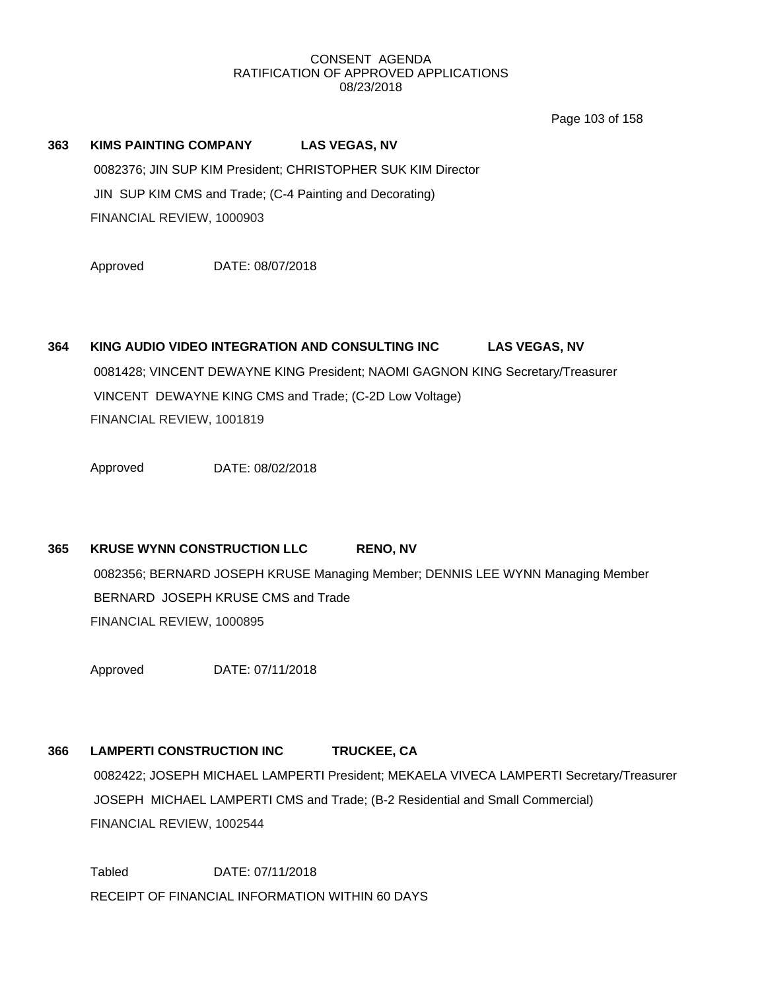Page 103 of 158

# **363 KIMS PAINTING COMPANY LAS VEGAS, NV** 0082376; JIN SUP KIM President; CHRISTOPHER SUK KIM Director JIN SUP KIM CMS and Trade; (C-4 Painting and Decorating) FINANCIAL REVIEW, 1000903

Approved DATE: 08/07/2018

# **364 KING AUDIO VIDEO INTEGRATION AND CONSULTING INC LAS VEGAS, NV** 0081428; VINCENT DEWAYNE KING President; NAOMI GAGNON KING Secretary/Treasurer VINCENT DEWAYNE KING CMS and Trade; (C-2D Low Voltage) FINANCIAL REVIEW, 1001819

Approved DATE: 08/02/2018

# **365 KRUSE WYNN CONSTRUCTION LLC RENO, NV**

0082356; BERNARD JOSEPH KRUSE Managing Member; DENNIS LEE WYNN Managing Member BERNARD JOSEPH KRUSE CMS and Trade FINANCIAL REVIEW, 1000895

Approved DATE: 07/11/2018

# **366 LAMPERTI CONSTRUCTION INC TRUCKEE, CA**

0082422; JOSEPH MICHAEL LAMPERTI President; MEKAELA VIVECA LAMPERTI Secretary/Treasurer JOSEPH MICHAEL LAMPERTI CMS and Trade; (B-2 Residential and Small Commercial) FINANCIAL REVIEW, 1002544

Tabled DATE: 07/11/2018 RECEIPT OF FINANCIAL INFORMATION WITHIN 60 DAYS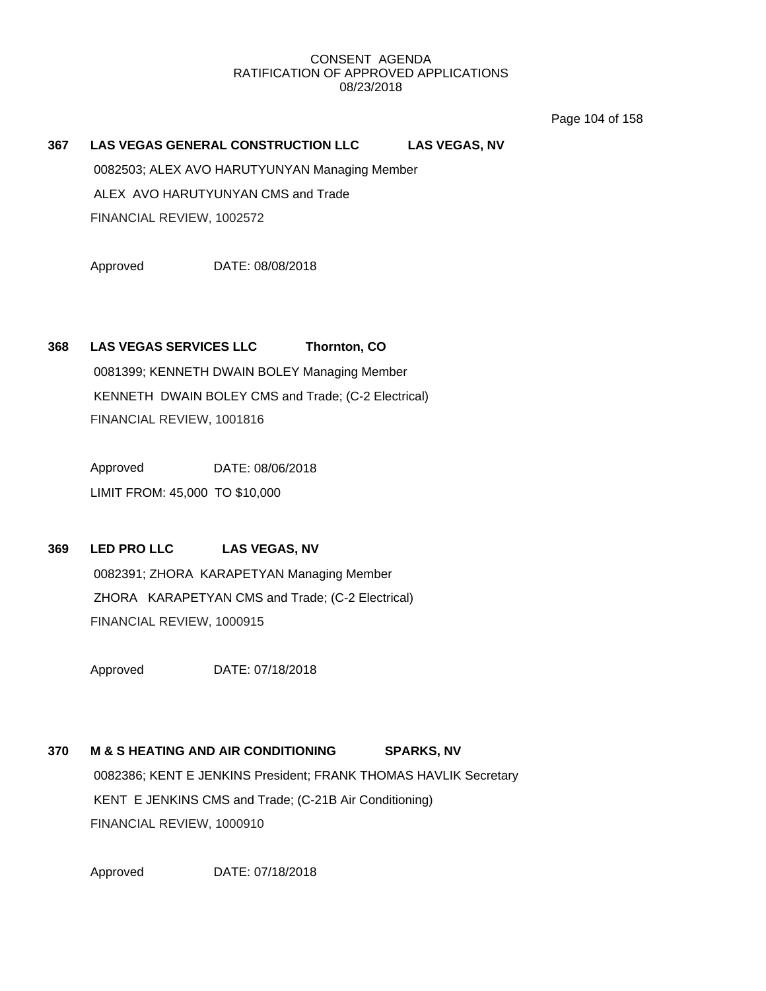Page 104 of 158

### **367 LAS VEGAS GENERAL CONSTRUCTION LLC LAS VEGAS, NV**

0082503; ALEX AVO HARUTYUNYAN Managing Member

ALEX AVO HARUTYUNYAN CMS and Trade

FINANCIAL REVIEW, 1002572

Approved DATE: 08/08/2018

# **368 LAS VEGAS SERVICES LLC Thornton, CO**

0081399; KENNETH DWAIN BOLEY Managing Member KENNETH DWAIN BOLEY CMS and Trade; (C-2 Electrical) FINANCIAL REVIEW, 1001816

Approved DATE: 08/06/2018

LIMIT FROM: 45,000 TO \$10,000

# **369 LED PRO LLC LAS VEGAS, NV** 0082391; ZHORA KARAPETYAN Managing Member ZHORA KARAPETYAN CMS and Trade; (C-2 Electrical) FINANCIAL REVIEW, 1000915

Approved DATE: 07/18/2018

# **370 M & S HEATING AND AIR CONDITIONING SPARKS, NV** 0082386; KENT E JENKINS President; FRANK THOMAS HAVLIK Secretary KENT E JENKINS CMS and Trade; (C-21B Air Conditioning) FINANCIAL REVIEW, 1000910

Approved DATE: 07/18/2018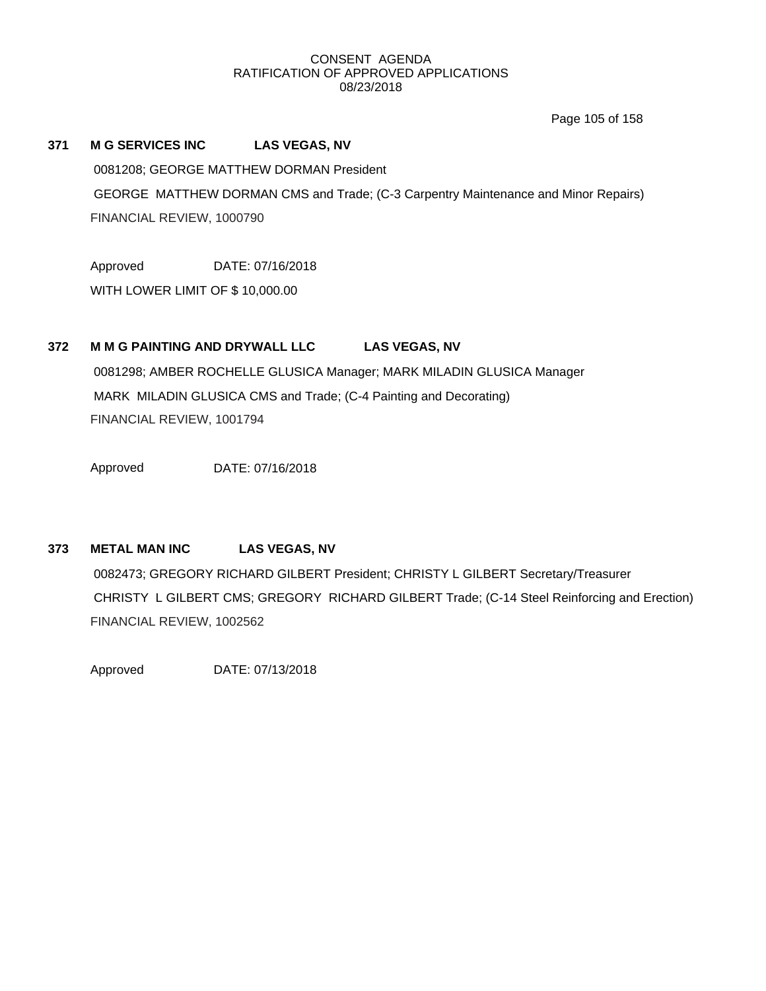Page 105 of 158

# **371 M G SERVICES INC LAS VEGAS, NV**

0081208; GEORGE MATTHEW DORMAN President

GEORGE MATTHEW DORMAN CMS and Trade; (C-3 Carpentry Maintenance and Minor Repairs) FINANCIAL REVIEW, 1000790

Approved DATE: 07/16/2018

WITH LOWER LIMIT OF \$ 10,000.00

# **372 M M G PAINTING AND DRYWALL LLC LAS VEGAS, NV**

0081298; AMBER ROCHELLE GLUSICA Manager; MARK MILADIN GLUSICA Manager MARK MILADIN GLUSICA CMS and Trade; (C-4 Painting and Decorating) FINANCIAL REVIEW, 1001794

Approved DATE: 07/16/2018

# **373 METAL MAN INC LAS VEGAS, NV**

0082473; GREGORY RICHARD GILBERT President; CHRISTY L GILBERT Secretary/Treasurer CHRISTY L GILBERT CMS; GREGORY RICHARD GILBERT Trade; (C-14 Steel Reinforcing and Erection) FINANCIAL REVIEW, 1002562

Approved DATE: 07/13/2018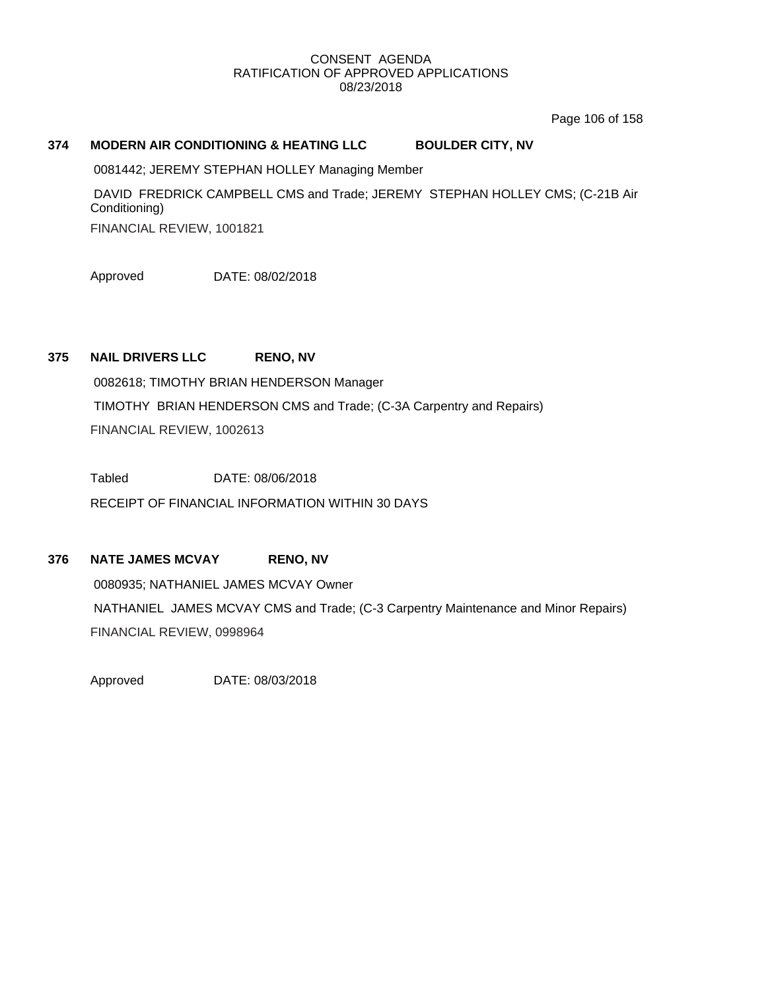Page 106 of 158

# **374 MODERN AIR CONDITIONING & HEATING LLC BOULDER CITY, NV**

0081442; JEREMY STEPHAN HOLLEY Managing Member

DAVID FREDRICK CAMPBELL CMS and Trade; JEREMY STEPHAN HOLLEY CMS; (C-21B Air Conditioning) FINANCIAL REVIEW, 1001821

Approved DATE: 08/02/2018

# **375 NAIL DRIVERS LLC RENO, NV**

0082618; TIMOTHY BRIAN HENDERSON Manager TIMOTHY BRIAN HENDERSON CMS and Trade; (C-3A Carpentry and Repairs) FINANCIAL REVIEW, 1002613

Tabled DATE: 08/06/2018 RECEIPT OF FINANCIAL INFORMATION WITHIN 30 DAYS

# **376 NATE JAMES MCVAY RENO, NV**

0080935; NATHANIEL JAMES MCVAY Owner NATHANIEL JAMES MCVAY CMS and Trade; (C-3 Carpentry Maintenance and Minor Repairs) FINANCIAL REVIEW, 0998964

Approved DATE: 08/03/2018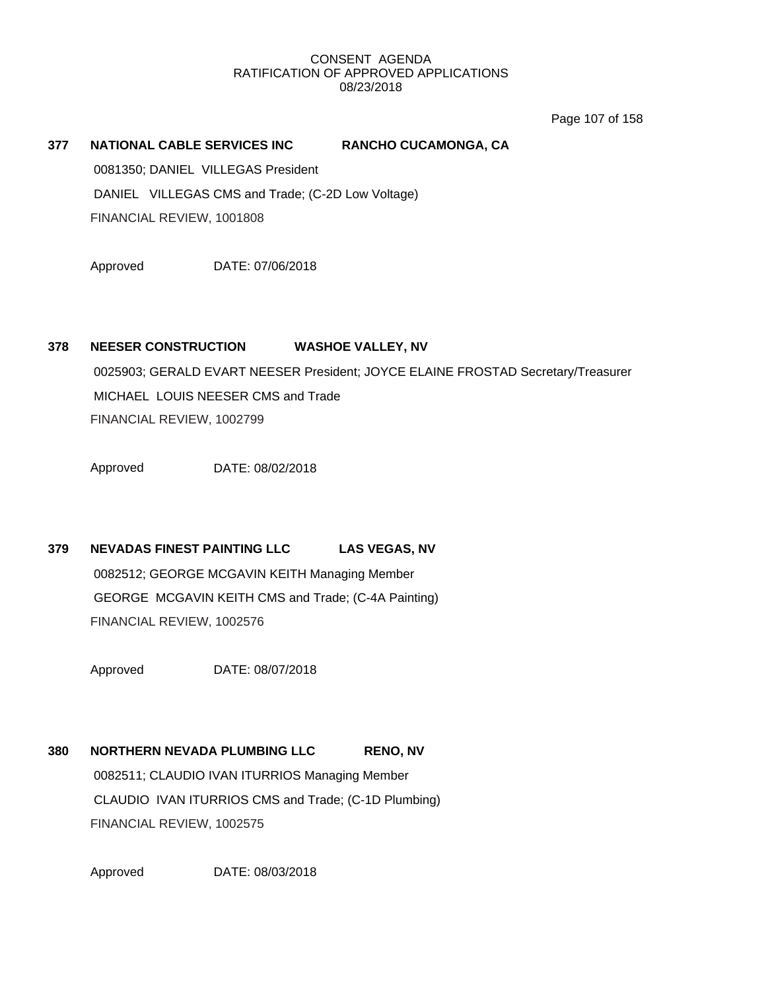Page 107 of 158

# **377 NATIONAL CABLE SERVICES INC RANCHO CUCAMONGA, CA** 0081350; DANIEL VILLEGAS President DANIEL VILLEGAS CMS and Trade; (C-2D Low Voltage)

FINANCIAL REVIEW, 1001808

Approved DATE: 07/06/2018

# **378 NEESER CONSTRUCTION WASHOE VALLEY, NV**

0025903; GERALD EVART NEESER President; JOYCE ELAINE FROSTAD Secretary/Treasurer MICHAEL LOUIS NEESER CMS and Trade FINANCIAL REVIEW, 1002799

Approved DATE: 08/02/2018

# **379 NEVADAS FINEST PAINTING LLC LAS VEGAS, NV**

0082512; GEORGE MCGAVIN KEITH Managing Member GEORGE MCGAVIN KEITH CMS and Trade; (C-4A Painting) FINANCIAL REVIEW, 1002576

Approved DATE: 08/07/2018

# **380 NORTHERN NEVADA PLUMBING LLC RENO, NV** 0082511; CLAUDIO IVAN ITURRIOS Managing Member CLAUDIO IVAN ITURRIOS CMS and Trade; (C-1D Plumbing) FINANCIAL REVIEW, 1002575

Approved DATE: 08/03/2018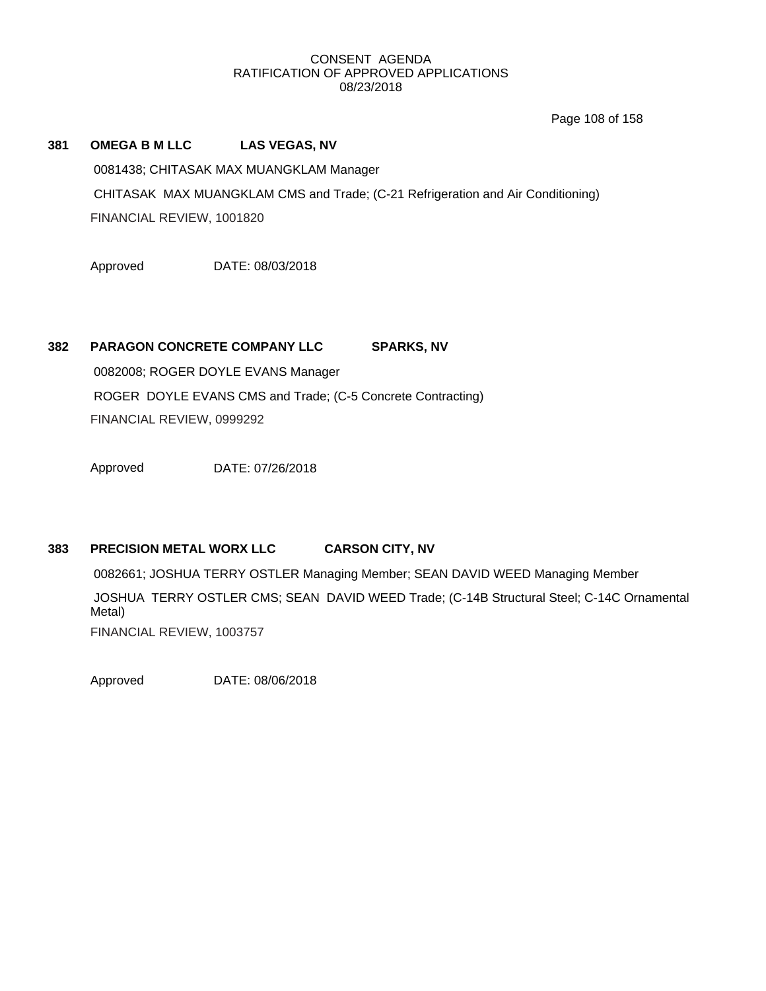Page 108 of 158

# **381 OMEGA B M LLC LAS VEGAS, NV** 0081438; CHITASAK MAX MUANGKLAM Manager CHITASAK MAX MUANGKLAM CMS and Trade; (C-21 Refrigeration and Air Conditioning) FINANCIAL REVIEW, 1001820

Approved DATE: 08/03/2018

# **382 PARAGON CONCRETE COMPANY LLC SPARKS, NV**

0082008; ROGER DOYLE EVANS Manager ROGER DOYLE EVANS CMS and Trade; (C-5 Concrete Contracting) FINANCIAL REVIEW, 0999292

Approved DATE: 07/26/2018

# **383 PRECISION METAL WORX LLC CARSON CITY, NV**

0082661; JOSHUA TERRY OSTLER Managing Member; SEAN DAVID WEED Managing Member JOSHUA TERRY OSTLER CMS; SEAN DAVID WEED Trade; (C-14B Structural Steel; C-14C Ornamental Metal) FINANCIAL REVIEW, 1003757

Approved DATE: 08/06/2018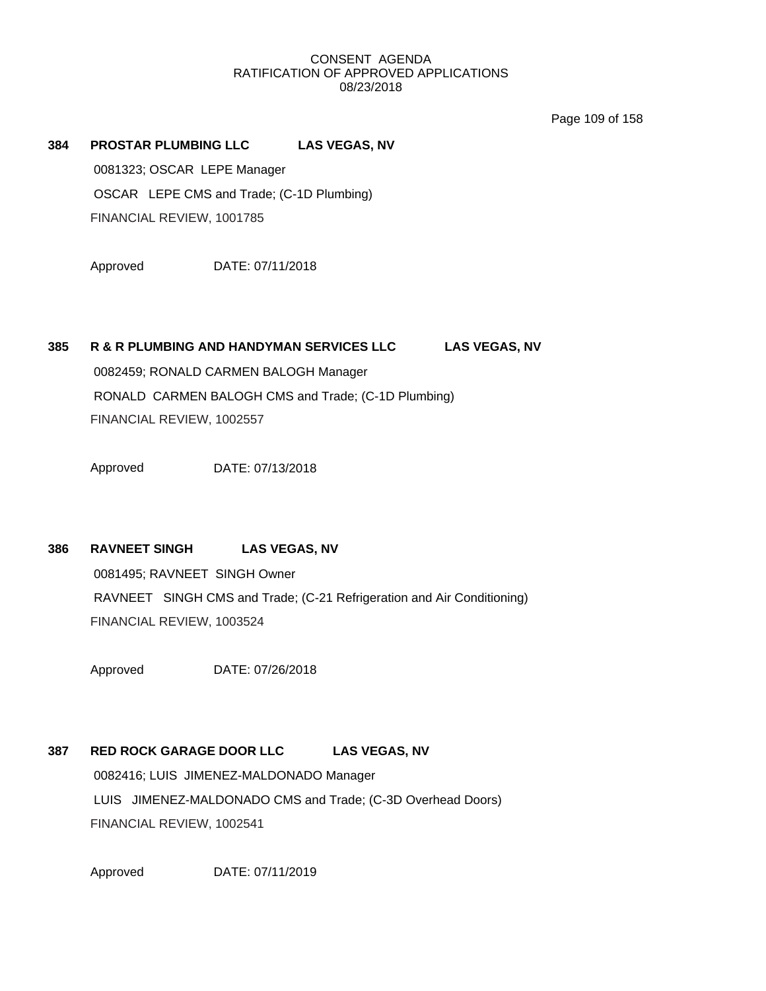Page 109 of 158

# **384 PROSTAR PLUMBING LLC LAS VEGAS, NV**

0081323; OSCAR LEPE Manager OSCAR LEPE CMS and Trade; (C-1D Plumbing) FINANCIAL REVIEW, 1001785

Approved DATE: 07/11/2018

# **385 R & R PLUMBING AND HANDYMAN SERVICES LLC LAS VEGAS, NV**

0082459; RONALD CARMEN BALOGH Manager RONALD CARMEN BALOGH CMS and Trade; (C-1D Plumbing) FINANCIAL REVIEW, 1002557

Approved DATE: 07/13/2018

# **386 RAVNEET SINGH LAS VEGAS, NV**

0081495; RAVNEET SINGH Owner RAVNEET SINGH CMS and Trade; (C-21 Refrigeration and Air Conditioning) FINANCIAL REVIEW, 1003524

Approved DATE: 07/26/2018

# **387 RED ROCK GARAGE DOOR LLC LAS VEGAS, NV**

0082416; LUIS JIMENEZ-MALDONADO Manager LUIS JIMENEZ-MALDONADO CMS and Trade; (C-3D Overhead Doors) FINANCIAL REVIEW, 1002541

Approved DATE: 07/11/2019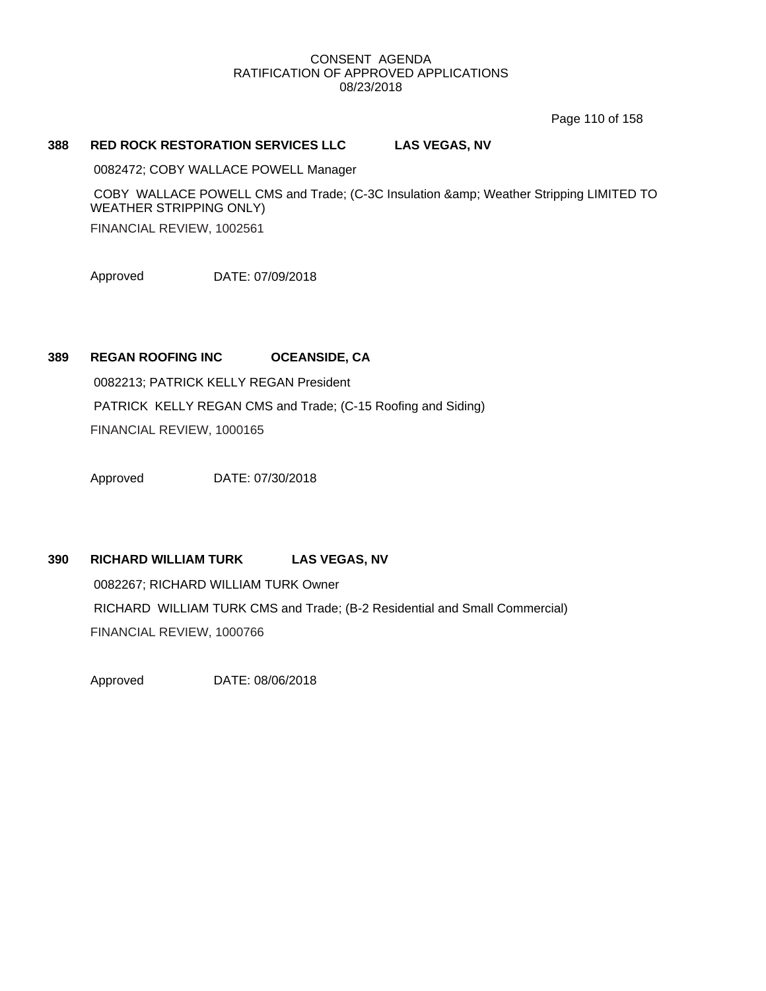Page 110 of 158

# **388 RED ROCK RESTORATION SERVICES LLC LAS VEGAS, NV**

0082472; COBY WALLACE POWELL Manager

COBY WALLACE POWELL CMS and Trade; (C-3C Insulation & amp; Weather Stripping LIMITED TO WEATHER STRIPPING ONLY) FINANCIAL REVIEW, 1002561

Approved DATE: 07/09/2018

# **389 REGAN ROOFING INC OCEANSIDE, CA**

0082213; PATRICK KELLY REGAN President PATRICK KELLY REGAN CMS and Trade; (C-15 Roofing and Siding) FINANCIAL REVIEW, 1000165

Approved DATE: 07/30/2018

# **390 RICHARD WILLIAM TURK LAS VEGAS, NV**

0082267; RICHARD WILLIAM TURK Owner RICHARD WILLIAM TURK CMS and Trade; (B-2 Residential and Small Commercial) FINANCIAL REVIEW, 1000766

Approved DATE: 08/06/2018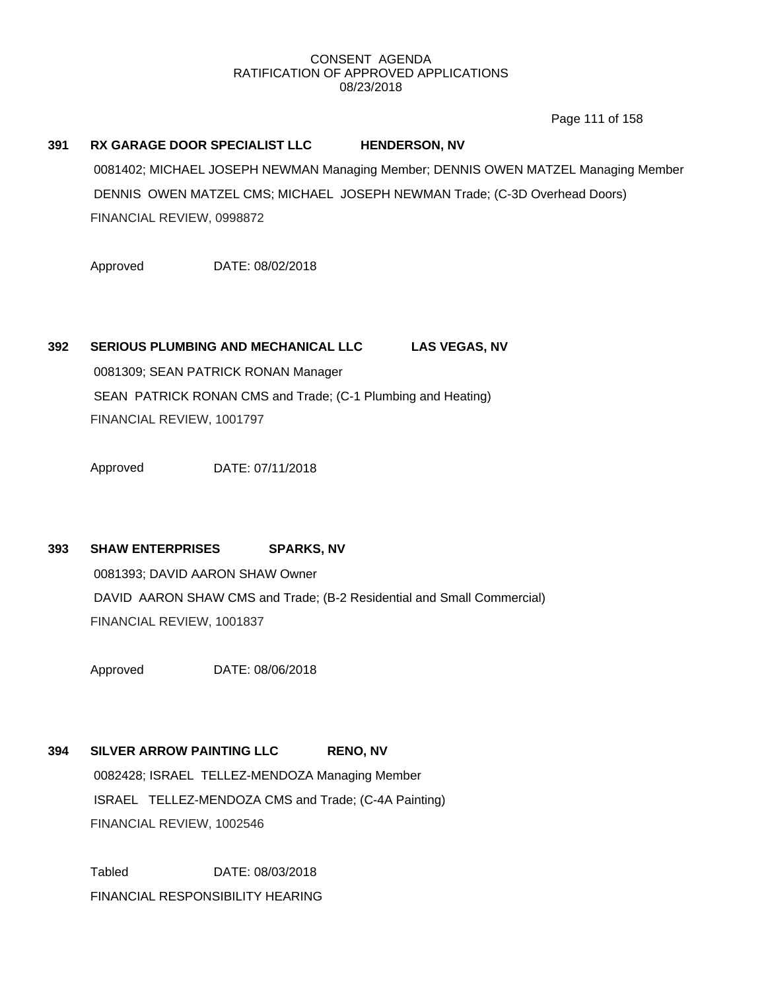Page 111 of 158

# **391 RX GARAGE DOOR SPECIALIST LLC HENDERSON, NV** 0081402; MICHAEL JOSEPH NEWMAN Managing Member; DENNIS OWEN MATZEL Managing Member DENNIS OWEN MATZEL CMS; MICHAEL JOSEPH NEWMAN Trade; (C-3D Overhead Doors) FINANCIAL REVIEW, 0998872

Approved DATE: 08/02/2018

# **392 SERIOUS PLUMBING AND MECHANICAL LLC LAS VEGAS, NV**

0081309; SEAN PATRICK RONAN Manager SEAN PATRICK RONAN CMS and Trade; (C-1 Plumbing and Heating) FINANCIAL REVIEW, 1001797

Approved DATE: 07/11/2018

# **393 SHAW ENTERPRISES SPARKS, NV**

0081393; DAVID AARON SHAW Owner DAVID AARON SHAW CMS and Trade; (B-2 Residential and Small Commercial) FINANCIAL REVIEW, 1001837

Approved DATE: 08/06/2018

# **394 SILVER ARROW PAINTING LLC RENO, NV**

0082428; ISRAEL TELLEZ-MENDOZA Managing Member ISRAEL TELLEZ-MENDOZA CMS and Trade; (C-4A Painting) FINANCIAL REVIEW, 1002546

Tabled DATE: 08/03/2018 FINANCIAL RESPONSIBILITY HEARING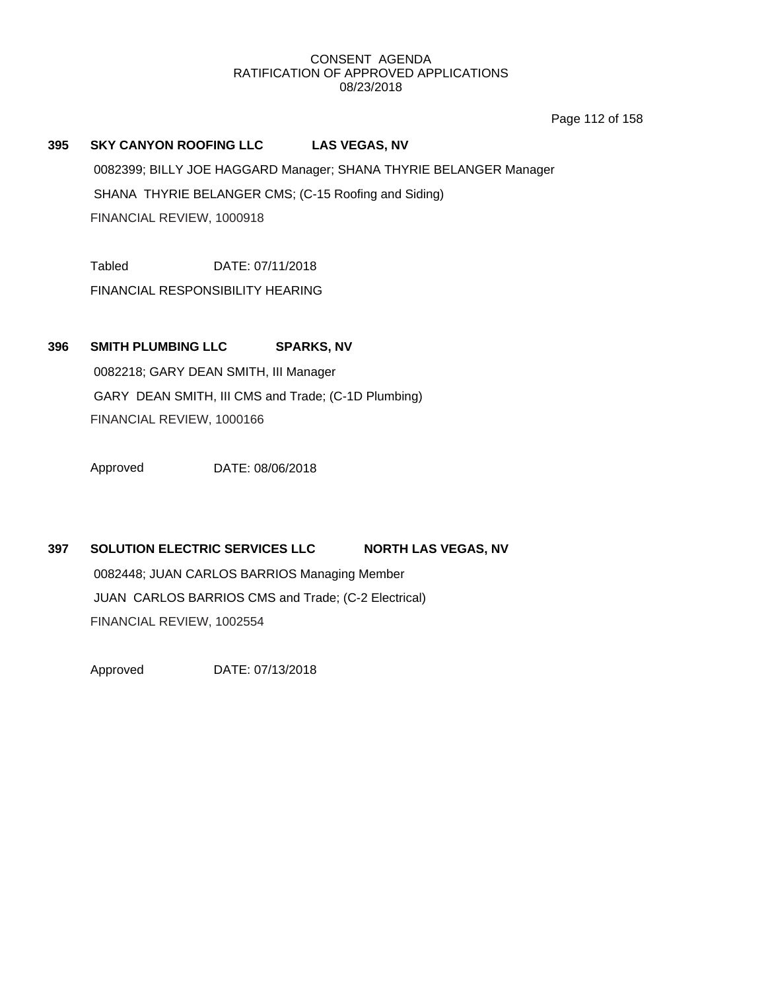Page 112 of 158

# **395 SKY CANYON ROOFING LLC LAS VEGAS, NV**

0082399; BILLY JOE HAGGARD Manager; SHANA THYRIE BELANGER Manager SHANA THYRIE BELANGER CMS; (C-15 Roofing and Siding) FINANCIAL REVIEW, 1000918

Tabled DATE: 07/11/2018

FINANCIAL RESPONSIBILITY HEARING

# **396 SMITH PLUMBING LLC SPARKS, NV**

0082218; GARY DEAN SMITH, III Manager GARY DEAN SMITH, III CMS and Trade; (C-1D Plumbing) FINANCIAL REVIEW, 1000166

Approved DATE: 08/06/2018

# **397 SOLUTION ELECTRIC SERVICES LLC NORTH LAS VEGAS, NV** 0082448; JUAN CARLOS BARRIOS Managing Member JUAN CARLOS BARRIOS CMS and Trade; (C-2 Electrical) FINANCIAL REVIEW, 1002554

Approved DATE: 07/13/2018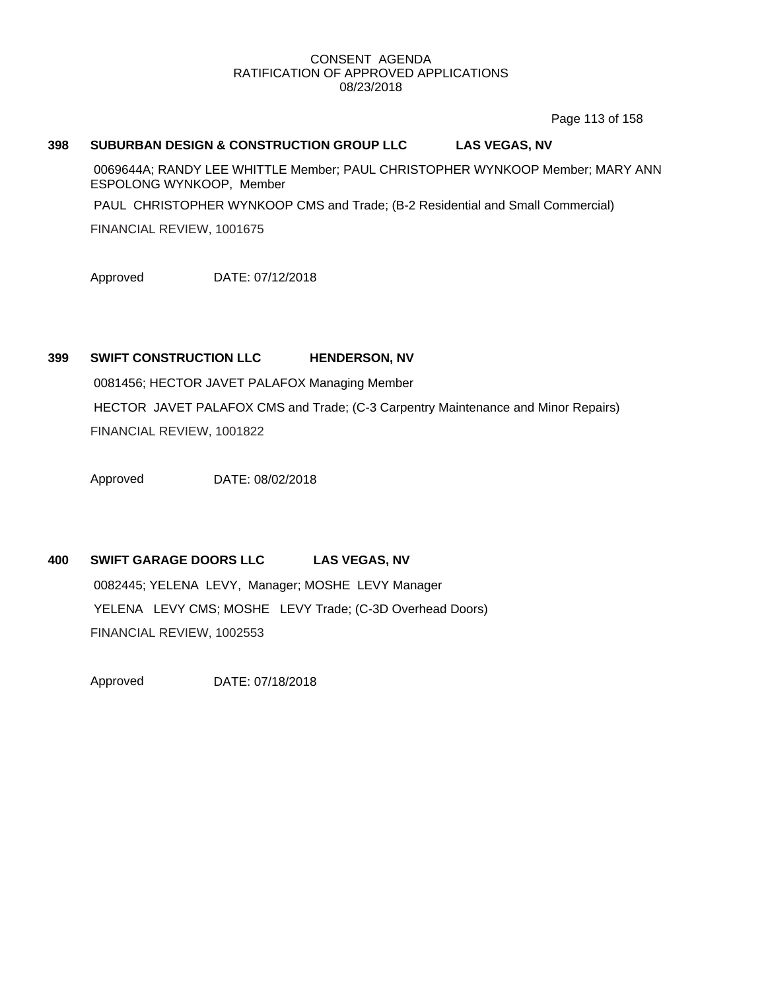Page 113 of 158

## **398 SUBURBAN DESIGN & CONSTRUCTION GROUP LLC LAS VEGAS, NV**

0069644A; RANDY LEE WHITTLE Member; PAUL CHRISTOPHER WYNKOOP Member; MARY ANN ESPOLONG WYNKOOP, Member

PAUL CHRISTOPHER WYNKOOP CMS and Trade; (B-2 Residential and Small Commercial)

FINANCIAL REVIEW, 1001675

Approved DATE: 07/12/2018

# **399 SWIFT CONSTRUCTION LLC HENDERSON, NV**

0081456; HECTOR JAVET PALAFOX Managing Member HECTOR JAVET PALAFOX CMS and Trade; (C-3 Carpentry Maintenance and Minor Repairs) FINANCIAL REVIEW, 1001822

Approved DATE: 08/02/2018

# **400 SWIFT GARAGE DOORS LLC LAS VEGAS, NV**

0082445; YELENA LEVY, Manager; MOSHE LEVY Manager YELENA LEVY CMS; MOSHE LEVY Trade; (C-3D Overhead Doors) FINANCIAL REVIEW, 1002553

Approved DATE: 07/18/2018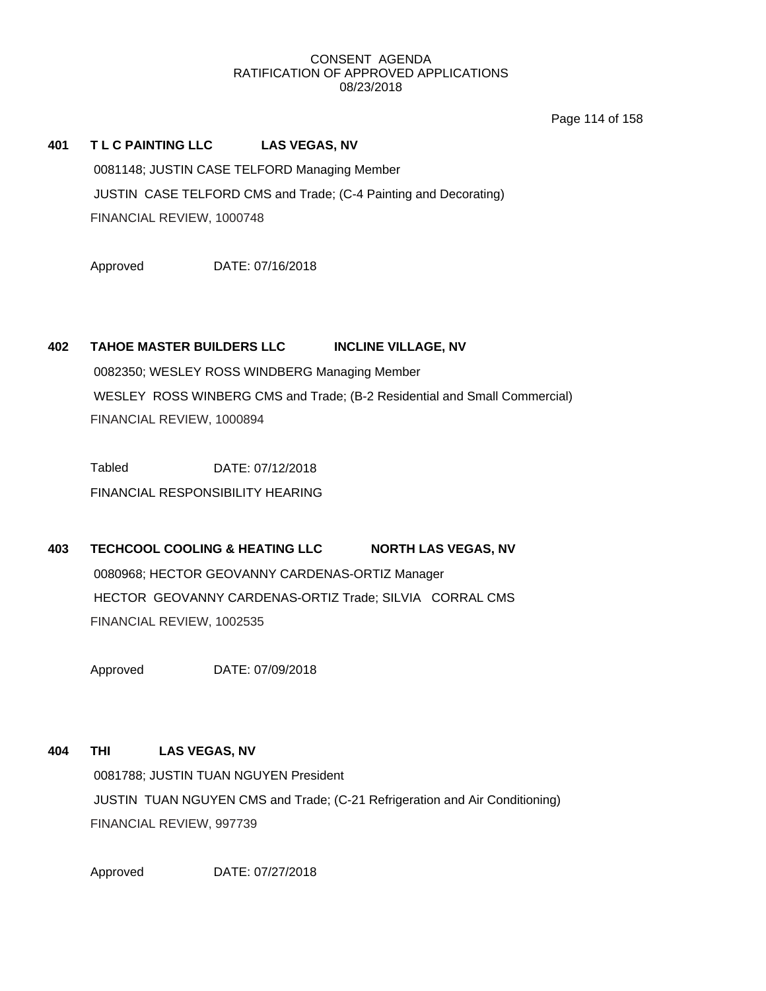Page 114 of 158

# **401 T L C PAINTING LLC LAS VEGAS, NV**

0081148; JUSTIN CASE TELFORD Managing Member JUSTIN CASE TELFORD CMS and Trade; (C-4 Painting and Decorating) FINANCIAL REVIEW, 1000748

Approved DATE: 07/16/2018

# **402 TAHOE MASTER BUILDERS LLC INCLINE VILLAGE, NV**

0082350; WESLEY ROSS WINDBERG Managing Member WESLEY ROSS WINBERG CMS and Trade; (B-2 Residential and Small Commercial) FINANCIAL REVIEW, 1000894

Tabled DATE: 07/12/2018 FINANCIAL RESPONSIBILITY HEARING

# **403 TECHCOOL COOLING & HEATING LLC NORTH LAS VEGAS, NV** 0080968; HECTOR GEOVANNY CARDENAS-ORTIZ Manager HECTOR GEOVANNY CARDENAS-ORTIZ Trade; SILVIA CORRAL CMS FINANCIAL REVIEW, 1002535

Approved DATE: 07/09/2018

# **404 THI LAS VEGAS, NV**

0081788; JUSTIN TUAN NGUYEN President JUSTIN TUAN NGUYEN CMS and Trade; (C-21 Refrigeration and Air Conditioning) FINANCIAL REVIEW, 997739

Approved DATE: 07/27/2018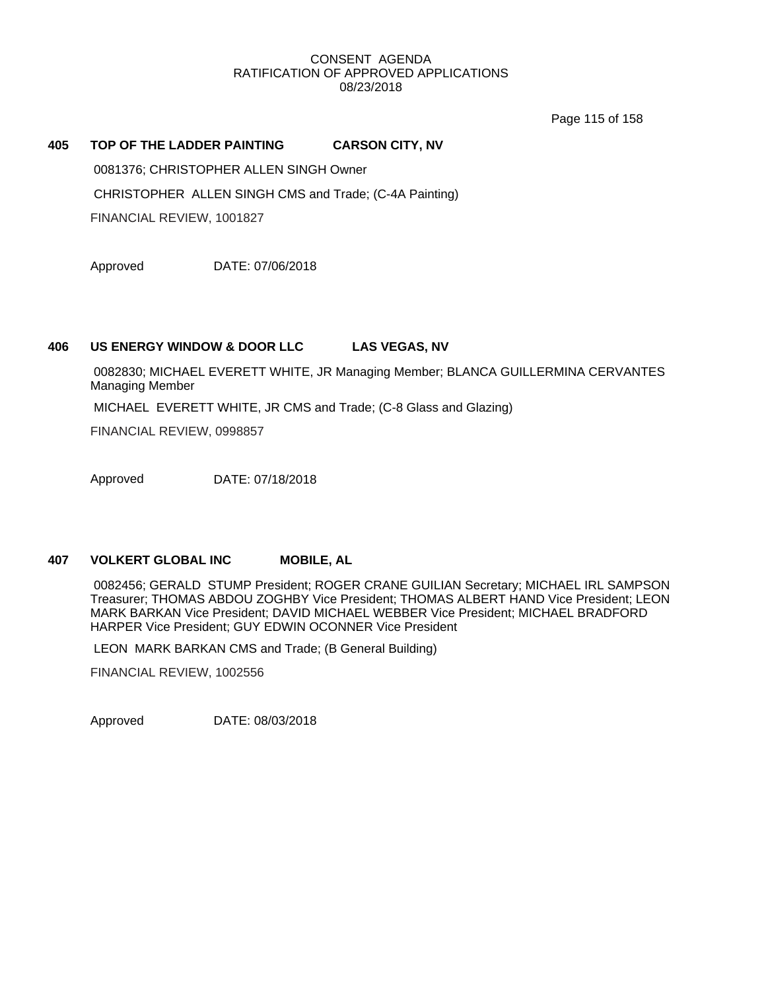Page 115 of 158

## **405 TOP OF THE LADDER PAINTING CARSON CITY, NV**

0081376; CHRISTOPHER ALLEN SINGH Owner

CHRISTOPHER ALLEN SINGH CMS and Trade; (C-4A Painting)

FINANCIAL REVIEW, 1001827

Approved DATE: 07/06/2018

### **406 US ENERGY WINDOW & DOOR LLC LAS VEGAS, NV**

0082830; MICHAEL EVERETT WHITE, JR Managing Member; BLANCA GUILLERMINA CERVANTES Managing Member

MICHAEL EVERETT WHITE, JR CMS and Trade; (C-8 Glass and Glazing)

FINANCIAL REVIEW, 0998857

Approved DATE: 07/18/2018

# **407 VOLKERT GLOBAL INC MOBILE, AL**

0082456; GERALD STUMP President; ROGER CRANE GUILIAN Secretary; MICHAEL IRL SAMPSON Treasurer; THOMAS ABDOU ZOGHBY Vice President; THOMAS ALBERT HAND Vice President; LEON MARK BARKAN Vice President; DAVID MICHAEL WEBBER Vice President; MICHAEL BRADFORD HARPER Vice President; GUY EDWIN OCONNER Vice President

LEON MARK BARKAN CMS and Trade; (B General Building)

FINANCIAL REVIEW, 1002556

Approved DATE: 08/03/2018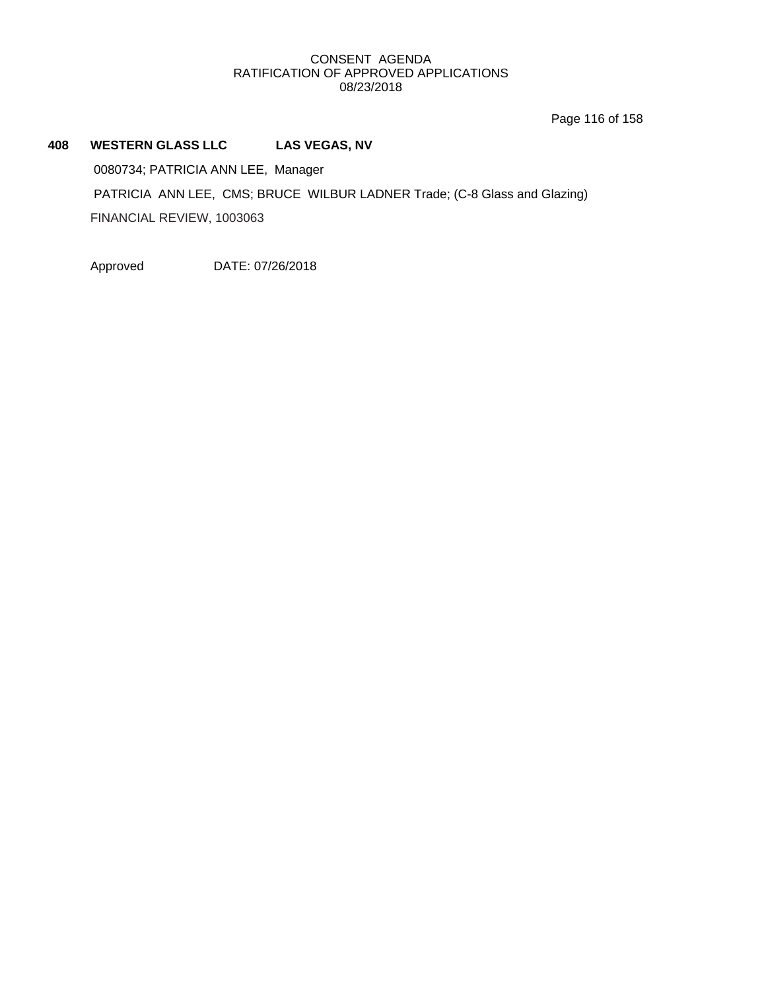Page 116 of 158

# **408 WESTERN GLASS LLC LAS VEGAS, NV** 0080734; PATRICIA ANN LEE, Manager PATRICIA ANN LEE, CMS; BRUCE WILBUR LADNER Trade; (C-8 Glass and Glazing) FINANCIAL REVIEW, 1003063

Approved DATE: 07/26/2018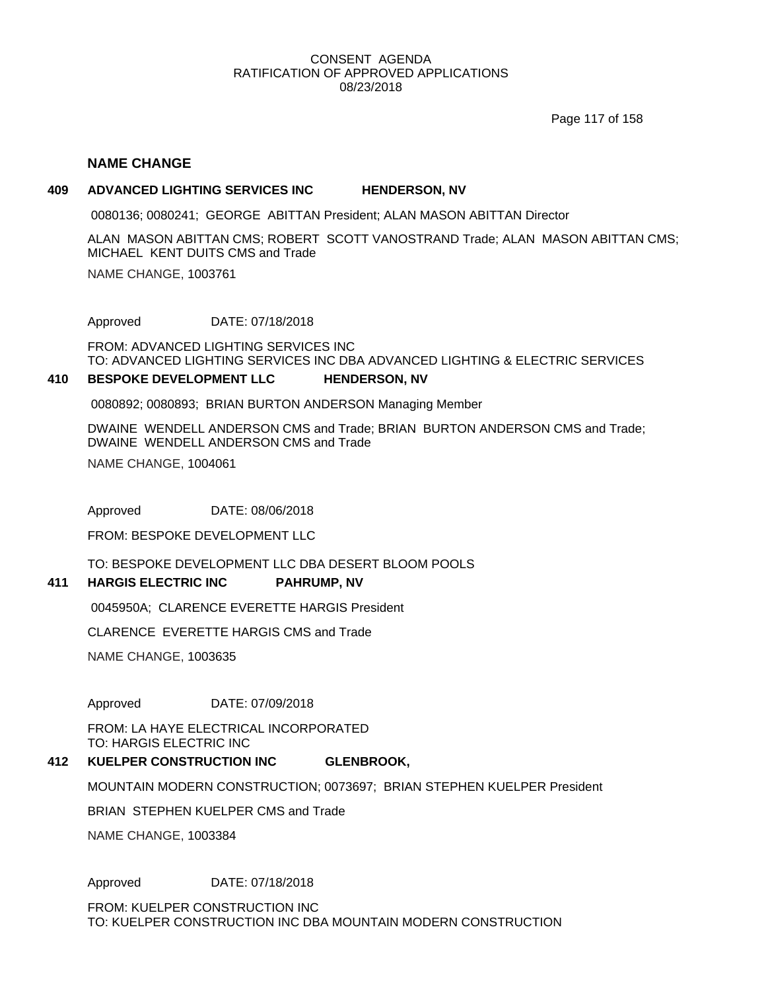Page 117 of 158

## **NAME CHANGE**

#### **409 ADVANCED LIGHTING SERVICES INC HENDERSON, NV**

0080136; 0080241; GEORGE ABITTAN President; ALAN MASON ABITTAN Director

ALAN MASON ABITTAN CMS; ROBERT SCOTT VANOSTRAND Trade; ALAN MASON ABITTAN CMS; MICHAEL KENT DUITS CMS and Trade

NAME CHANGE, 1003761

Approved DATE: 07/18/2018

FROM: ADVANCED LIGHTING SERVICES INC TO: ADVANCED LIGHTING SERVICES INC DBA ADVANCED LIGHTING & ELECTRIC SERVICES

#### **410 BESPOKE DEVELOPMENT LLC HENDERSON, NV**

0080892; 0080893; BRIAN BURTON ANDERSON Managing Member

DWAINE WENDELL ANDERSON CMS and Trade; BRIAN BURTON ANDERSON CMS and Trade; DWAINE WENDELL ANDERSON CMS and Trade

NAME CHANGE, 1004061

Approved DATE: 08/06/2018

FROM: BESPOKE DEVELOPMENT LLC

TO: BESPOKE DEVELOPMENT LLC DBA DESERT BLOOM POOLS

#### **411 HARGIS ELECTRIC INC PAHRUMP, NV**

0045950A; CLARENCE EVERETTE HARGIS President

CLARENCE EVERETTE HARGIS CMS and Trade

NAME CHANGE, 1003635

Approved DATE: 07/09/2018

FROM: LA HAYE ELECTRICAL INCORPORATED TO: HARGIS ELECTRIC INC

#### **412 KUELPER CONSTRUCTION INC GLENBROOK,**

MOUNTAIN MODERN CONSTRUCTION; 0073697; BRIAN STEPHEN KUELPER President

BRIAN STEPHEN KUELPER CMS and Trade

NAME CHANGE, 1003384

Approved DATE: 07/18/2018

FROM: KUELPER CONSTRUCTION INC TO: KUELPER CONSTRUCTION INC DBA MOUNTAIN MODERN CONSTRUCTION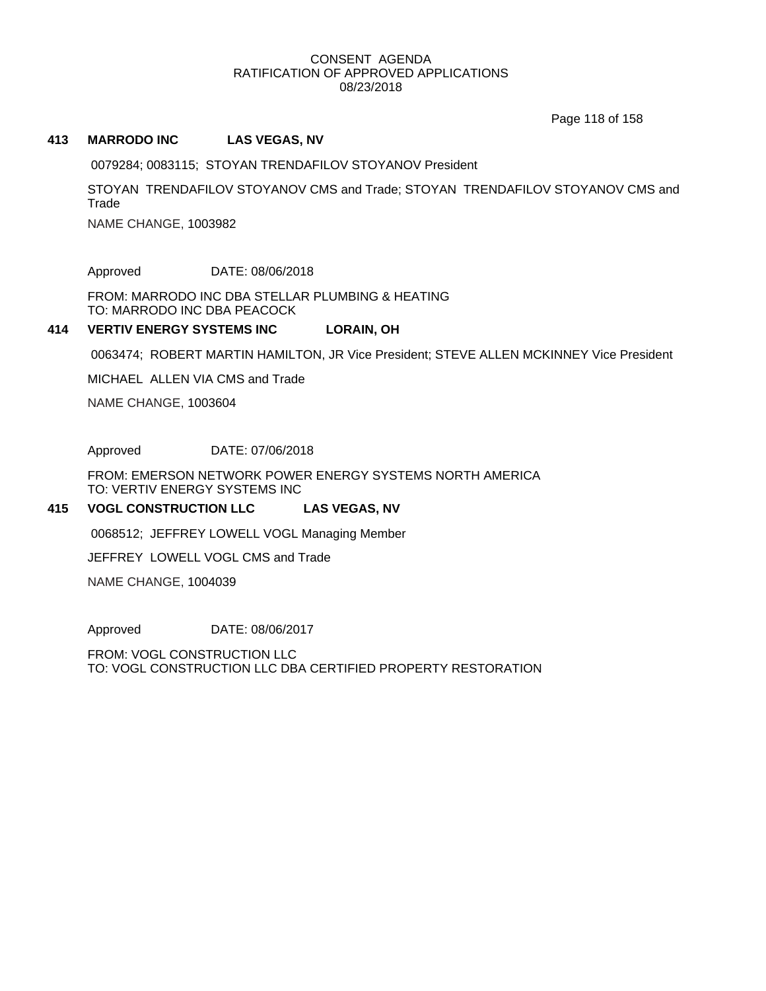Page 118 of 158

#### **413 MARRODO INC LAS VEGAS, NV**

0079284; 0083115; STOYAN TRENDAFILOV STOYANOV President

STOYAN TRENDAFILOV STOYANOV CMS and Trade; STOYAN TRENDAFILOV STOYANOV CMS and **Trade** 

NAME CHANGE, 1003982

Approved DATE: 08/06/2018

FROM: MARRODO INC DBA STELLAR PLUMBING & HEATING TO: MARRODO INC DBA PEACOCK

#### **414 VERTIV ENERGY SYSTEMS INC LORAIN, OH**

0063474; ROBERT MARTIN HAMILTON, JR Vice President; STEVE ALLEN MCKINNEY Vice President

MICHAEL ALLEN VIA CMS and Trade

NAME CHANGE, 1003604

Approved DATE: 07/06/2018

FROM: EMERSON NETWORK POWER ENERGY SYSTEMS NORTH AMERICA TO: VERTIV ENERGY SYSTEMS INC

#### **415 VOGL CONSTRUCTION LLC LAS VEGAS, NV**

0068512; JEFFREY LOWELL VOGL Managing Member

JEFFREY LOWELL VOGL CMS and Trade

NAME CHANGE, 1004039

Approved DATE: 08/06/2017

FROM: VOGL CONSTRUCTION LLC TO: VOGL CONSTRUCTION LLC DBA CERTIFIED PROPERTY RESTORATION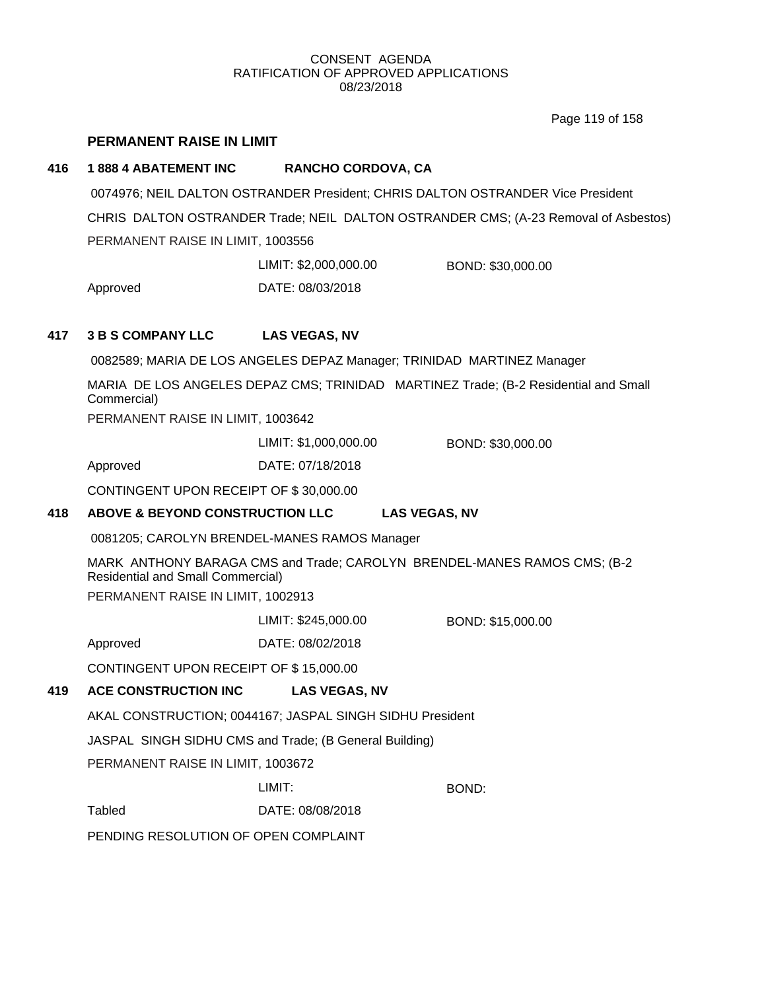Page 119 of 158

# **PERMANENT RAISE IN LIMIT**

# **416 1 888 4 ABATEMENT INC RANCHO CORDOVA, CA**

0074976; NEIL DALTON OSTRANDER President; CHRIS DALTON OSTRANDER Vice President CHRIS DALTON OSTRANDER Trade; NEIL DALTON OSTRANDER CMS; (A-23 Removal of Asbestos) PERMANENT RAISE IN LIMIT, 1003556

Approved DATE: 08/03/2018 LIMIT: \$2,000,000.00 BOND: \$30,000.00

# **417 3 B S COMPANY LLC LAS VEGAS, NV**

0082589; MARIA DE LOS ANGELES DEPAZ Manager; TRINIDAD MARTINEZ Manager

MARIA DE LOS ANGELES DEPAZ CMS; TRINIDAD MARTINEZ Trade; (B-2 Residential and Small Commercial)

PERMANENT RAISE IN LIMIT, 1003642

LIMIT: \$1,000,000.00 BOND: \$30,000.00

Approved DATE: 07/18/2018

CONTINGENT UPON RECEIPT OF \$ 30,000.00

# **418 ABOVE & BEYOND CONSTRUCTION LLC LAS VEGAS, NV**

0081205; CAROLYN BRENDEL-MANES RAMOS Manager

MARK ANTHONY BARAGA CMS and Trade; CAROLYN BRENDEL-MANES RAMOS CMS; (B-2 Residential and Small Commercial) PERMANENT RAISE IN LIMIT, 1002913

LIMIT: \$245,000.00 BOND: \$15,000.00

Approved DATE: 08/02/2018

CONTINGENT UPON RECEIPT OF \$ 15,000.00

# **419 ACE CONSTRUCTION INC LAS VEGAS, NV**

AKAL CONSTRUCTION; 0044167; JASPAL SINGH SIDHU President

JASPAL SINGH SIDHU CMS and Trade; (B General Building)

PERMANENT RAISE IN LIMIT, 1003672

LIMIT: BOND:

Tabled DATE: 08/08/2018

PENDING RESOLUTION OF OPEN COMPLAINT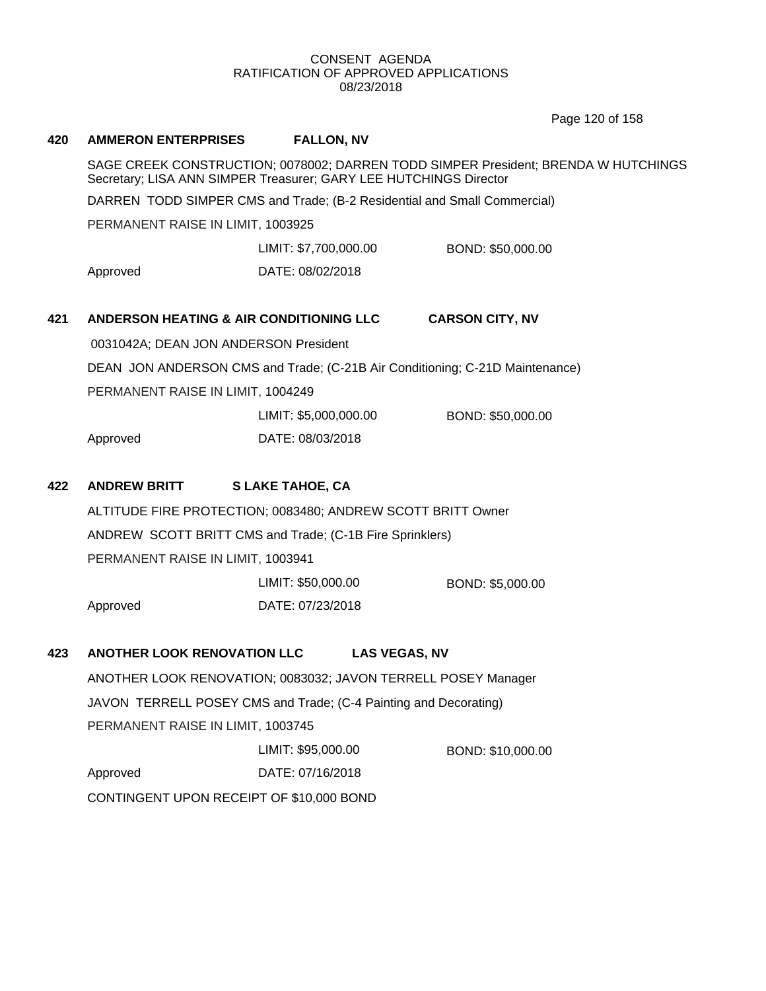Page 120 of 158

| 420 | <b>AMMERON ENTERPRISES</b>                                                                                                                              | <b>FALLON, NV</b>                                                            |                        |  |  |
|-----|---------------------------------------------------------------------------------------------------------------------------------------------------------|------------------------------------------------------------------------------|------------------------|--|--|
|     | SAGE CREEK CONSTRUCTION; 0078002; DARREN TODD SIMPER President; BRENDA W HUTCHINGS<br>Secretary; LISA ANN SIMPER Treasurer; GARY LEE HUTCHINGS Director |                                                                              |                        |  |  |
|     | DARREN TODD SIMPER CMS and Trade; (B-2 Residential and Small Commercial)                                                                                |                                                                              |                        |  |  |
|     | PERMANENT RAISE IN LIMIT, 1003925                                                                                                                       |                                                                              |                        |  |  |
|     |                                                                                                                                                         | LIMIT: \$7,700,000.00                                                        | BOND: \$50,000.00      |  |  |
|     | Approved                                                                                                                                                | DATE: 08/02/2018                                                             |                        |  |  |
| 421 | ANDERSON HEATING & AIR CONDITIONING LLC                                                                                                                 |                                                                              | <b>CARSON CITY, NV</b> |  |  |
|     | 0031042A; DEAN JON ANDERSON President                                                                                                                   |                                                                              |                        |  |  |
|     |                                                                                                                                                         | DEAN JON ANDERSON CMS and Trade; (C-21B Air Conditioning; C-21D Maintenance) |                        |  |  |
|     | PERMANENT RAISE IN LIMIT, 1004249                                                                                                                       |                                                                              |                        |  |  |
|     |                                                                                                                                                         | LIMIT: \$5,000,000.00                                                        | BOND: \$50,000.00      |  |  |
|     | Approved                                                                                                                                                | DATE: 08/03/2018                                                             |                        |  |  |
| 422 | <b>ANDREW BRITT</b>                                                                                                                                     | <b>SLAKE TAHOE, CA</b>                                                       |                        |  |  |
|     |                                                                                                                                                         | ALTITUDE FIRE PROTECTION; 0083480; ANDREW SCOTT BRITT Owner                  |                        |  |  |
|     |                                                                                                                                                         | ANDREW SCOTT BRITT CMS and Trade; (C-1B Fire Sprinklers)                     |                        |  |  |
|     | PERMANENT RAISE IN LIMIT, 1003941                                                                                                                       |                                                                              |                        |  |  |
|     |                                                                                                                                                         | LIMIT: \$50,000.00                                                           | BOND: \$5,000.00       |  |  |
|     | Approved                                                                                                                                                | DATE: 07/23/2018                                                             |                        |  |  |
| 423 | <b>ANOTHER LOOK RENOVATION LLC</b>                                                                                                                      | <b>LAS VEGAS, NV</b>                                                         |                        |  |  |
|     |                                                                                                                                                         | ANOTHER LOOK RENOVATION; 0083032; JAVON TERRELL POSEY Manager                |                        |  |  |
|     |                                                                                                                                                         | JAVON TERRELL POSEY CMS and Trade; (C-4 Painting and Decorating)             |                        |  |  |
|     | PERMANENT RAISE IN LIMIT, 1003745                                                                                                                       |                                                                              |                        |  |  |
|     |                                                                                                                                                         | LIMIT: \$95,000.00                                                           | BOND: \$10,000.00      |  |  |
|     | Approved                                                                                                                                                | DATE: 07/16/2018                                                             |                        |  |  |
|     | CONTINGENT UPON RECEIPT OF \$10,000 BOND                                                                                                                |                                                                              |                        |  |  |
|     |                                                                                                                                                         |                                                                              |                        |  |  |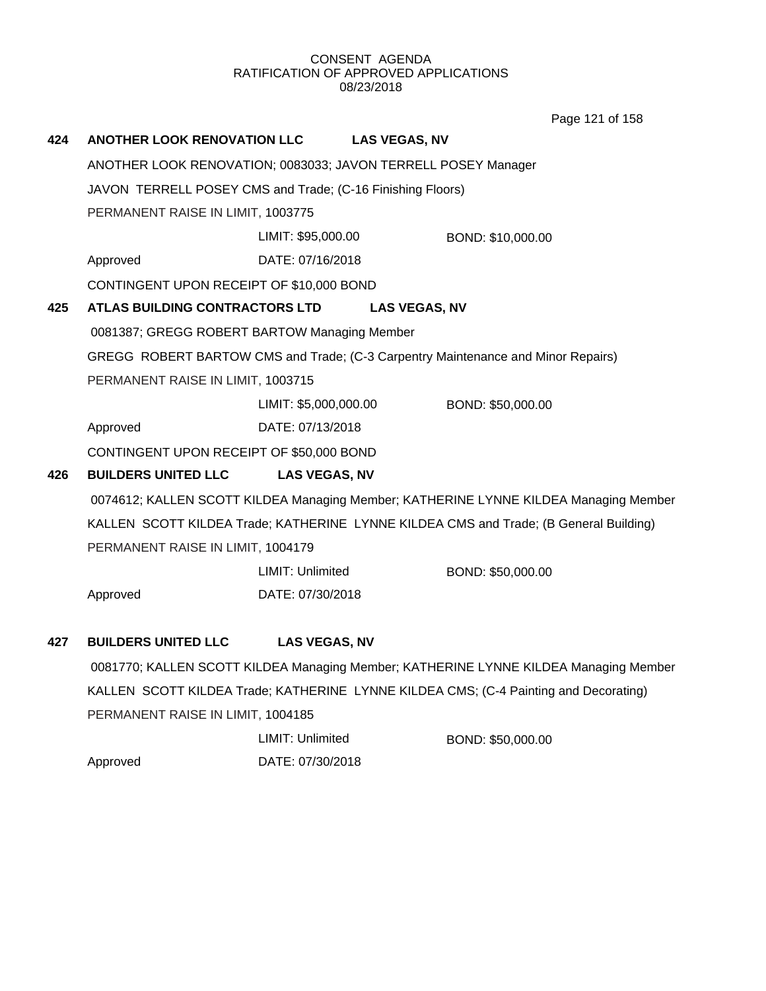Page 121 of 158

| 424 | <b>ANOTHER LOOK RENOVATION LLC</b>                            |                       | <b>LAS VEGAS, NV</b> |                                                                                       |  |
|-----|---------------------------------------------------------------|-----------------------|----------------------|---------------------------------------------------------------------------------------|--|
|     | ANOTHER LOOK RENOVATION; 0083033; JAVON TERRELL POSEY Manager |                       |                      |                                                                                       |  |
|     | JAVON TERRELL POSEY CMS and Trade; (C-16 Finishing Floors)    |                       |                      |                                                                                       |  |
|     | PERMANENT RAISE IN LIMIT, 1003775                             |                       |                      |                                                                                       |  |
|     |                                                               | LIMIT: \$95,000.00    |                      | BOND: \$10,000.00                                                                     |  |
|     | Approved                                                      | DATE: 07/16/2018      |                      |                                                                                       |  |
|     | CONTINGENT UPON RECEIPT OF \$10,000 BOND                      |                       |                      |                                                                                       |  |
| 425 | <b>ATLAS BUILDING CONTRACTORS LTD</b>                         |                       | <b>LAS VEGAS, NV</b> |                                                                                       |  |
|     | 0081387; GREGG ROBERT BARTOW Managing Member                  |                       |                      |                                                                                       |  |
|     |                                                               |                       |                      | GREGG ROBERT BARTOW CMS and Trade; (C-3 Carpentry Maintenance and Minor Repairs)      |  |
|     | PERMANENT RAISE IN LIMIT, 1003715                             |                       |                      |                                                                                       |  |
|     |                                                               | LIMIT: \$5,000,000.00 |                      | BOND: \$50,000.00                                                                     |  |
|     | Approved                                                      | DATE: 07/13/2018      |                      |                                                                                       |  |
|     | CONTINGENT UPON RECEIPT OF \$50,000 BOND                      |                       |                      |                                                                                       |  |
| 426 | <b>BUILDERS UNITED LLC</b>                                    | <b>LAS VEGAS, NV</b>  |                      |                                                                                       |  |
|     |                                                               |                       |                      | 0074612; KALLEN SCOTT KILDEA Managing Member; KATHERINE LYNNE KILDEA Managing Member  |  |
|     |                                                               |                       |                      | KALLEN SCOTT KILDEA Trade; KATHERINE LYNNE KILDEA CMS and Trade; (B General Building) |  |
|     | PERMANENT RAISE IN LIMIT, 1004179                             |                       |                      |                                                                                       |  |
|     |                                                               | LIMIT: Unlimited      |                      | BOND: \$50,000.00                                                                     |  |
|     | Approved                                                      | DATE: 07/30/2018      |                      |                                                                                       |  |
|     |                                                               |                       |                      |                                                                                       |  |
| 427 | <b>BUILDERS UNITED LLC</b>                                    | <b>LAS VEGAS, NV</b>  |                      |                                                                                       |  |
|     |                                                               |                       |                      | 0081770; KALLEN SCOTT KILDEA Managing Member; KATHERINE LYNNE KILDEA Managing Member  |  |
|     |                                                               |                       |                      | KALLEN SCOTT KILDEA Trade; KATHERINE LYNNE KILDEA CMS; (C-4 Painting and Decorating)  |  |
|     | PERMANENT RAISE IN LIMIT, 1004185                             |                       |                      |                                                                                       |  |

|          | LIMIT: Unlimited | BOND: \$50,000.00 |
|----------|------------------|-------------------|
| Approved | DATE: 07/30/2018 |                   |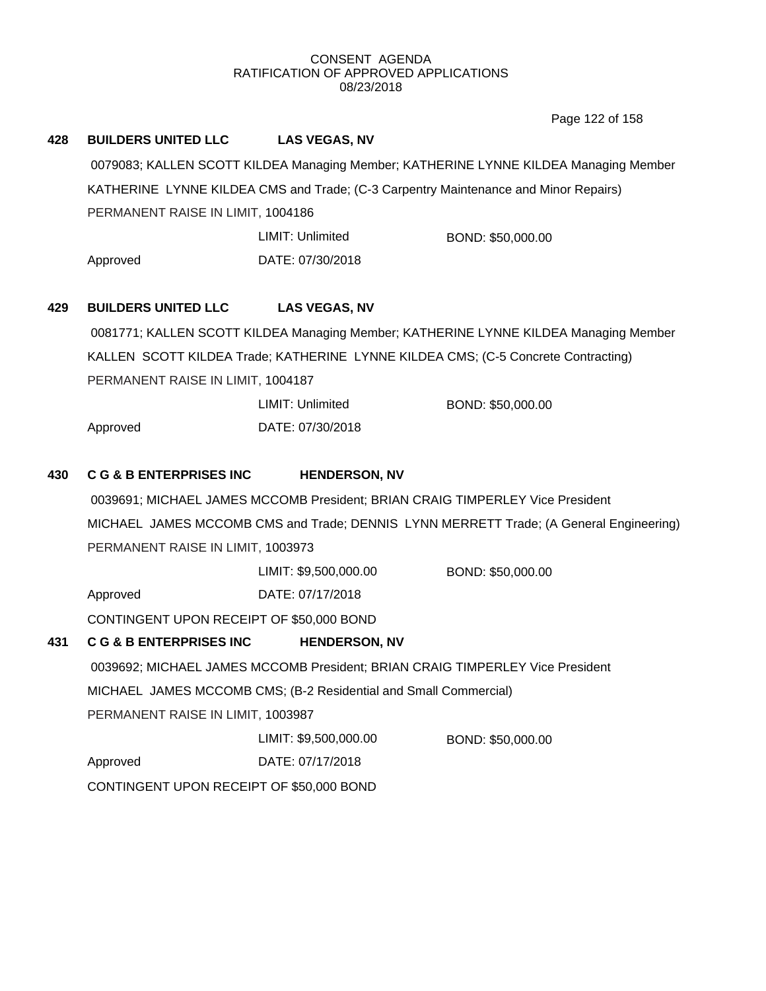Page 122 of 158

| 428 | <b>BUILDERS UNITED LLC</b>                                                          | <b>LAS VEGAS, NV</b>                                                          |                                                                                        |  |
|-----|-------------------------------------------------------------------------------------|-------------------------------------------------------------------------------|----------------------------------------------------------------------------------------|--|
|     |                                                                                     |                                                                               | 0079083; KALLEN SCOTT KILDEA Managing Member; KATHERINE LYNNE KILDEA Managing Member   |  |
|     | KATHERINE LYNNE KILDEA CMS and Trade; (C-3 Carpentry Maintenance and Minor Repairs) |                                                                               |                                                                                        |  |
|     | PERMANENT RAISE IN LIMIT, 1004186                                                   |                                                                               |                                                                                        |  |
|     |                                                                                     | LIMIT: Unlimited                                                              | BOND: \$50,000.00                                                                      |  |
|     | Approved                                                                            | DATE: 07/30/2018                                                              |                                                                                        |  |
| 429 | <b>BUILDERS UNITED LLC</b>                                                          | <b>LAS VEGAS, NV</b>                                                          |                                                                                        |  |
|     |                                                                                     |                                                                               | 0081771; KALLEN SCOTT KILDEA Managing Member; KATHERINE LYNNE KILDEA Managing Member   |  |
|     |                                                                                     |                                                                               | KALLEN SCOTT KILDEA Trade; KATHERINE LYNNE KILDEA CMS; (C-5 Concrete Contracting)      |  |
|     | PERMANENT RAISE IN LIMIT, 1004187                                                   |                                                                               |                                                                                        |  |
|     |                                                                                     | LIMIT: Unlimited                                                              | BOND: \$50,000.00                                                                      |  |
|     | Approved                                                                            | DATE: 07/30/2018                                                              |                                                                                        |  |
| 430 | <b>C G &amp; B ENTERPRISES INC</b>                                                  | <b>HENDERSON, NV</b>                                                          |                                                                                        |  |
|     |                                                                                     | 0039691; MICHAEL JAMES MCCOMB President; BRIAN CRAIG TIMPERLEY Vice President |                                                                                        |  |
|     |                                                                                     |                                                                               | MICHAEL JAMES MCCOMB CMS and Trade; DENNIS LYNN MERRETT Trade; (A General Engineering) |  |
|     | PERMANENT RAISE IN LIMIT, 1003973                                                   |                                                                               |                                                                                        |  |
|     |                                                                                     | LIMIT: \$9,500,000.00                                                         | BOND: \$50,000.00                                                                      |  |
|     | Approved                                                                            | DATE: 07/17/2018                                                              |                                                                                        |  |
|     | CONTINGENT UPON RECEIPT OF \$50,000 BOND                                            |                                                                               |                                                                                        |  |
| 431 | <b>C G &amp; B ENTERPRISES INC</b>                                                  | <b>HENDERSON, NV</b>                                                          |                                                                                        |  |
|     |                                                                                     | 0039692; MICHAEL JAMES MCCOMB President; BRIAN CRAIG TIMPERLEY Vice President |                                                                                        |  |
|     |                                                                                     | MICHAEL JAMES MCCOMB CMS; (B-2 Residential and Small Commercial)              |                                                                                        |  |
|     | PERMANENT RAISE IN LIMIT, 1003987                                                   |                                                                               |                                                                                        |  |
|     |                                                                                     | LIMIT: \$9,500,000.00                                                         | BOND: \$50,000.00                                                                      |  |
|     | Approved                                                                            | DATE: 07/17/2018                                                              |                                                                                        |  |
|     | CONTINGENT UPON RECEIPT OF \$50,000 BOND                                            |                                                                               |                                                                                        |  |
|     |                                                                                     |                                                                               |                                                                                        |  |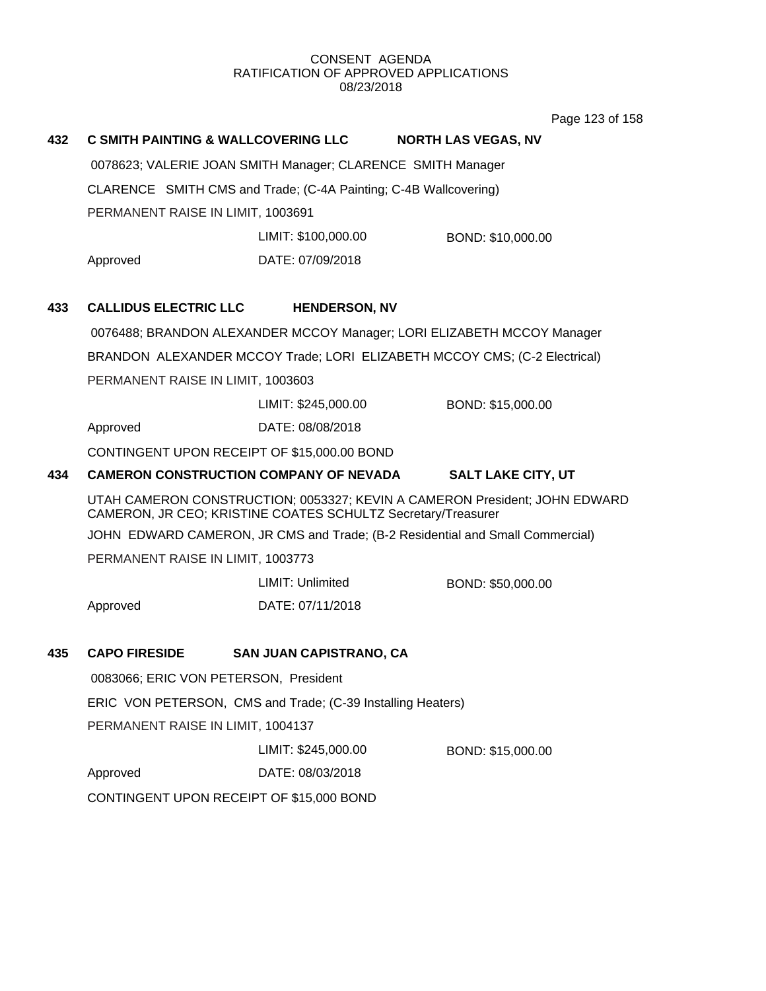Page 123 of 158

# **432 C SMITH PAINTING & WALLCOVERING LLC NORTH LAS VEGAS, NV** 0078623; VALERIE JOAN SMITH Manager; CLARENCE SMITH Manager CLARENCE SMITH CMS and Trade; (C-4A Painting; C-4B Wallcovering) PERMANENT RAISE IN LIMIT, 1003691 Approved DATE: 07/09/2018 LIMIT: \$100,000.00 BOND: \$10,000.00 **433 CALLIDUS ELECTRIC LLC HENDERSON, NV** 0076488; BRANDON ALEXANDER MCCOY Manager; LORI ELIZABETH MCCOY Manager BRANDON ALEXANDER MCCOY Trade; LORI ELIZABETH MCCOY CMS; (C-2 Electrical) PERMANENT RAISE IN LIMIT, 1003603 Approved DATE: 08/08/2018 LIMIT: \$245,000.00 BOND: \$15,000.00 CONTINGENT UPON RECEIPT OF \$15,000.00 BOND **434 CAMERON CONSTRUCTION COMPANY OF NEVADA SALT LAKE CITY, UT** UTAH CAMERON CONSTRUCTION; 0053327; KEVIN A CAMERON President; JOHN EDWARD CAMERON, JR CEO; KRISTINE COATES SCHULTZ Secretary/Treasurer JOHN EDWARD CAMERON, JR CMS and Trade; (B-2 Residential and Small Commercial) PERMANENT RAISE IN LIMIT, 1003773 Approved DATE: 07/11/2018 LIMIT: Unlimited BOND: \$50,000.00 **435 CAPO FIRESIDE SAN JUAN CAPISTRANO, CA** 0083066; ERIC VON PETERSON, President ERIC VON PETERSON, CMS and Trade; (C-39 Installing Heaters) PERMANENT RAISE IN LIMIT, 1004137 Approved DATE: 08/03/2018 LIMIT: \$245,000.00 BOND: \$15,000.00 CONTINGENT UPON RECEIPT OF \$15,000 BOND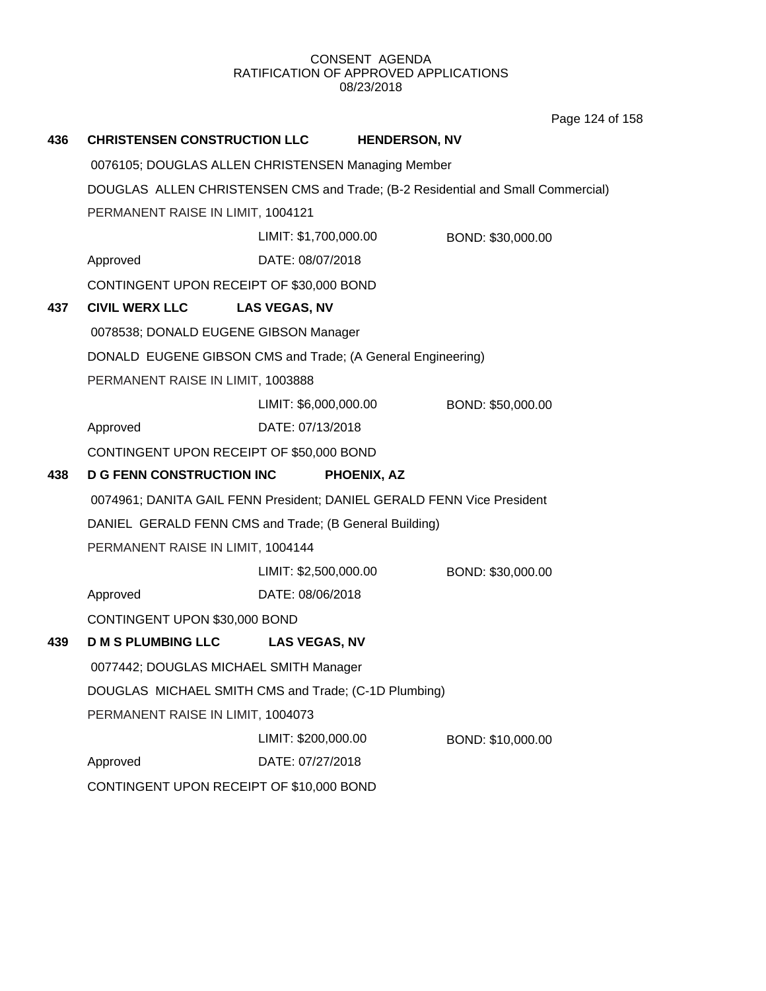Page 124 of 158

| 436                               | <b>CHRISTENSEN CONSTRUCTION LLC</b>                                             |                       | <b>HENDERSON, NV</b>                                                   |  |  |
|-----------------------------------|---------------------------------------------------------------------------------|-----------------------|------------------------------------------------------------------------|--|--|
|                                   | 0076105; DOUGLAS ALLEN CHRISTENSEN Managing Member                              |                       |                                                                        |  |  |
|                                   | DOUGLAS ALLEN CHRISTENSEN CMS and Trade; (B-2 Residential and Small Commercial) |                       |                                                                        |  |  |
| PERMANENT RAISE IN LIMIT, 1004121 |                                                                                 |                       |                                                                        |  |  |
|                                   |                                                                                 | LIMIT: \$1,700,000.00 | BOND: \$30,000.00                                                      |  |  |
|                                   | Approved                                                                        | DATE: 08/07/2018      |                                                                        |  |  |
|                                   | CONTINGENT UPON RECEIPT OF \$30,000 BOND                                        |                       |                                                                        |  |  |
| 437                               | <b>CIVIL WERX LLC</b>                                                           | <b>LAS VEGAS, NV</b>  |                                                                        |  |  |
|                                   | 0078538; DONALD EUGENE GIBSON Manager                                           |                       |                                                                        |  |  |
|                                   | DONALD EUGENE GIBSON CMS and Trade; (A General Engineering)                     |                       |                                                                        |  |  |
|                                   | PERMANENT RAISE IN LIMIT, 1003888                                               |                       |                                                                        |  |  |
|                                   |                                                                                 | LIMIT: \$6,000,000.00 | BOND: \$50,000.00                                                      |  |  |
|                                   | Approved                                                                        | DATE: 07/13/2018      |                                                                        |  |  |
|                                   | CONTINGENT UPON RECEIPT OF \$50,000 BOND                                        |                       |                                                                        |  |  |
| 438                               | <b>D G FENN CONSTRUCTION INC</b>                                                |                       | PHOENIX, AZ                                                            |  |  |
|                                   |                                                                                 |                       | 0074961; DANITA GAIL FENN President; DANIEL GERALD FENN Vice President |  |  |
|                                   | DANIEL GERALD FENN CMS and Trade; (B General Building)                          |                       |                                                                        |  |  |
|                                   | PERMANENT RAISE IN LIMIT, 1004144                                               |                       |                                                                        |  |  |
|                                   |                                                                                 | LIMIT: \$2,500,000.00 | BOND: \$30,000.00                                                      |  |  |
|                                   | Approved                                                                        | DATE: 08/06/2018      |                                                                        |  |  |
|                                   | CONTINGENT UPON \$30,000 BOND                                                   |                       |                                                                        |  |  |
| 439                               | <b>D M S PLUMBING LLC</b>                                                       | <b>LAS VEGAS, NV</b>  |                                                                        |  |  |
|                                   | 0077442; DOUGLAS MICHAEL SMITH Manager                                          |                       |                                                                        |  |  |
|                                   | DOUGLAS MICHAEL SMITH CMS and Trade; (C-1D Plumbing)                            |                       |                                                                        |  |  |
|                                   | PERMANENT RAISE IN LIMIT, 1004073                                               |                       |                                                                        |  |  |
|                                   |                                                                                 | LIMIT: \$200,000.00   | BOND: \$10,000.00                                                      |  |  |
|                                   | Approved                                                                        | DATE: 07/27/2018      |                                                                        |  |  |
|                                   | CONTINGENT UPON RECEIPT OF \$10,000 BOND                                        |                       |                                                                        |  |  |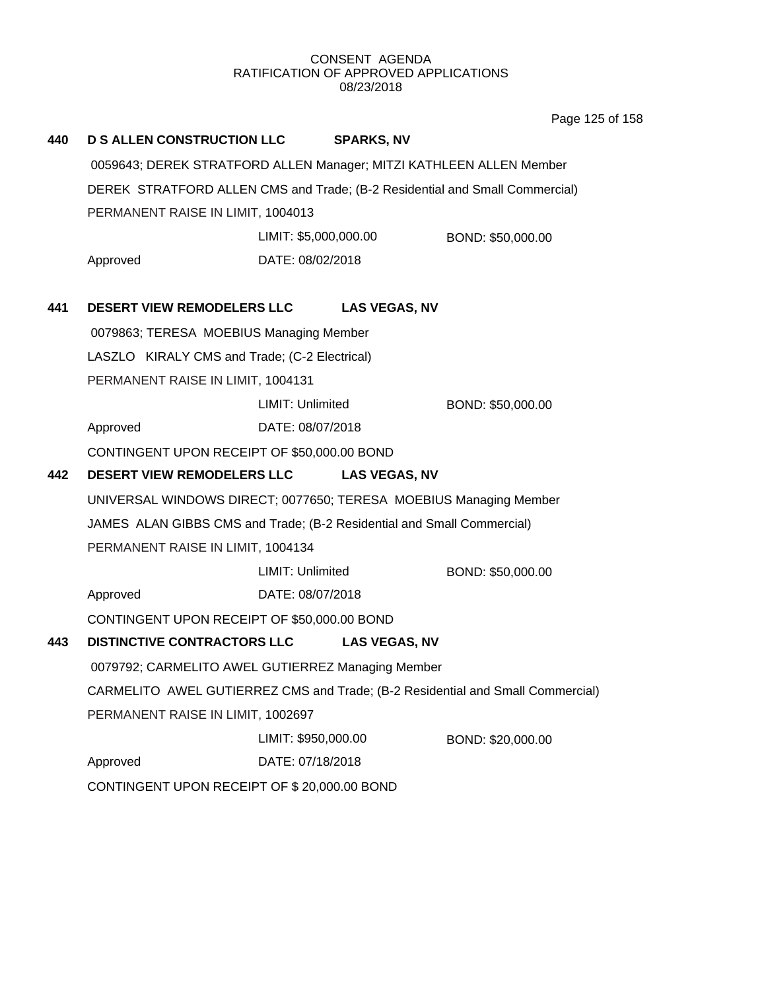Page 125 of 158

| 440 | <b>D S ALLEN CONSTRUCTION LLC</b>                                              |                         | <b>SPARKS, NV</b>    |                   |  |
|-----|--------------------------------------------------------------------------------|-------------------------|----------------------|-------------------|--|
|     | 0059643; DEREK STRATFORD ALLEN Manager; MITZI KATHLEEN ALLEN Member            |                         |                      |                   |  |
|     | DEREK STRATFORD ALLEN CMS and Trade; (B-2 Residential and Small Commercial)    |                         |                      |                   |  |
|     | PERMANENT RAISE IN LIMIT, 1004013                                              |                         |                      |                   |  |
|     |                                                                                | LIMIT: \$5,000,000.00   |                      | BOND: \$50,000.00 |  |
|     | Approved                                                                       | DATE: 08/02/2018        |                      |                   |  |
| 441 | <b>DESERT VIEW REMODELERS LLC</b>                                              |                         | <b>LAS VEGAS, NV</b> |                   |  |
|     | 0079863; TERESA MOEBIUS Managing Member                                        |                         |                      |                   |  |
|     | LASZLO KIRALY CMS and Trade; (C-2 Electrical)                                  |                         |                      |                   |  |
|     | PERMANENT RAISE IN LIMIT, 1004131                                              |                         |                      |                   |  |
|     |                                                                                | LIMIT: Unlimited        |                      | BOND: \$50,000.00 |  |
|     | Approved                                                                       | DATE: 08/07/2018        |                      |                   |  |
|     | CONTINGENT UPON RECEIPT OF \$50,000.00 BOND                                    |                         |                      |                   |  |
| 442 | <b>DESERT VIEW REMODELERS LLC</b>                                              |                         | <b>LAS VEGAS, NV</b> |                   |  |
|     | UNIVERSAL WINDOWS DIRECT; 0077650; TERESA MOEBIUS Managing Member              |                         |                      |                   |  |
|     | JAMES ALAN GIBBS CMS and Trade; (B-2 Residential and Small Commercial)         |                         |                      |                   |  |
|     | PERMANENT RAISE IN LIMIT, 1004134                                              |                         |                      |                   |  |
|     |                                                                                | <b>LIMIT: Unlimited</b> |                      | BOND: \$50,000.00 |  |
|     | Approved                                                                       | DATE: 08/07/2018        |                      |                   |  |
|     | CONTINGENT UPON RECEIPT OF \$50,000.00 BOND                                    |                         |                      |                   |  |
| 443 | <b>DISTINCTIVE CONTRACTORS LLC</b>                                             |                         | <b>LAS VEGAS, NV</b> |                   |  |
|     | 0079792; CARMELITO AWEL GUTIERREZ Managing Member                              |                         |                      |                   |  |
|     | CARMELITO AWEL GUTIERREZ CMS and Trade; (B-2 Residential and Small Commercial) |                         |                      |                   |  |
|     | PERMANENT RAISE IN LIMIT, 1002697                                              |                         |                      |                   |  |
|     |                                                                                | LIMIT: \$950,000.00     |                      | BOND: \$20,000.00 |  |
|     | Approved                                                                       | DATE: 07/18/2018        |                      |                   |  |
|     | CONTINGENT UPON RECEIPT OF \$20,000.00 BOND                                    |                         |                      |                   |  |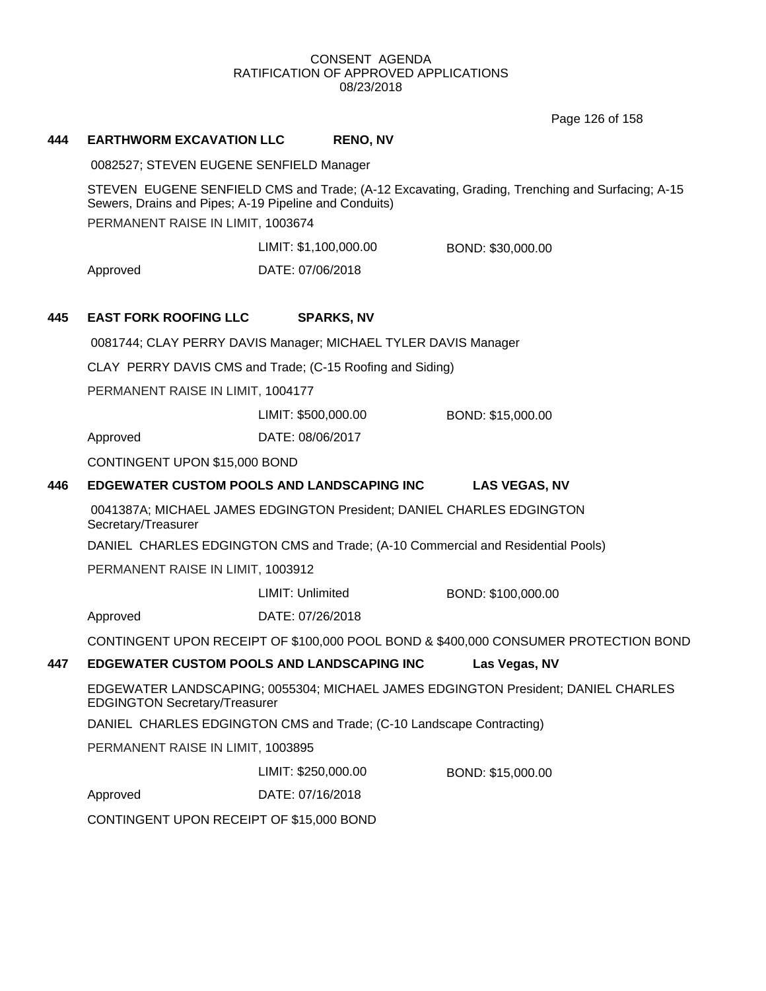Page 126 of 158

## **444 EARTHWORM EXCAVATION LLC RENO, NV**

0082527; STEVEN EUGENE SENFIELD Manager

STEVEN EUGENE SENFIELD CMS and Trade; (A-12 Excavating, Grading, Trenching and Surfacing; A-15 Sewers, Drains and Pipes; A-19 Pipeline and Conduits)

PERMANENT RAISE IN LIMIT, 1003674

LIMIT: \$1,100,000.00 BOND: \$30,000.00

Approved DATE: 07/06/2018

# **445 EAST FORK ROOFING LLC SPARKS, NV**

0081744; CLAY PERRY DAVIS Manager; MICHAEL TYLER DAVIS Manager

CLAY PERRY DAVIS CMS and Trade; (C-15 Roofing and Siding)

PERMANENT RAISE IN LIMIT, 1004177

LIMIT: \$500,000.00 BOND: \$15,000.00

Approved DATE: 08/06/2017

CONTINGENT UPON \$15,000 BOND

# **446 EDGEWATER CUSTOM POOLS AND LANDSCAPING INC LAS VEGAS, NV**

0041387A; MICHAEL JAMES EDGINGTON President; DANIEL CHARLES EDGINGTON Secretary/Treasurer

DANIEL CHARLES EDGINGTON CMS and Trade; (A-10 Commercial and Residential Pools)

PERMANENT RAISE IN LIMIT, 1003912

LIMIT: Unlimited BOND: \$100,000.00

Approved DATE: 07/26/2018

CONTINGENT UPON RECEIPT OF \$100,000 POOL BOND & \$400,000 CONSUMER PROTECTION BOND

## **447 EDGEWATER CUSTOM POOLS AND LANDSCAPING INC Las Vegas, NV**

EDGEWATER LANDSCAPING; 0055304; MICHAEL JAMES EDGINGTON President; DANIEL CHARLES EDGINGTON Secretary/Treasurer

DANIEL CHARLES EDGINGTON CMS and Trade; (C-10 Landscape Contracting)

PERMANENT RAISE IN LIMIT, 1003895

LIMIT: \$250,000.00 BOND: \$15,000.00

Approved DATE: 07/16/2018

CONTINGENT UPON RECEIPT OF \$15,000 BOND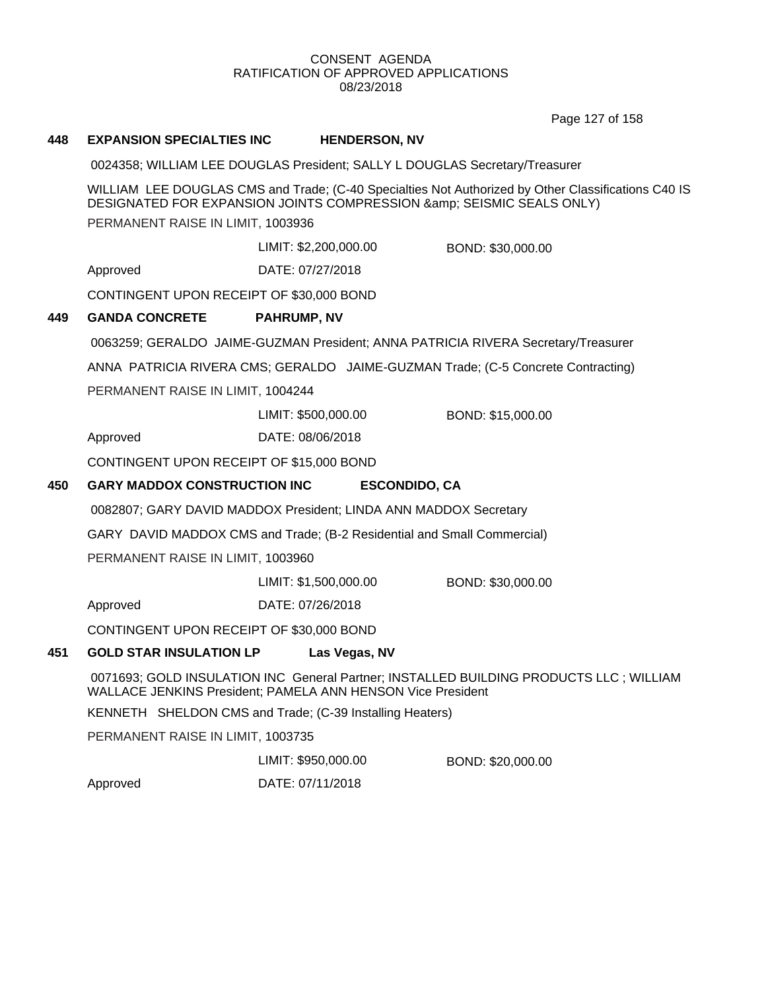Page 127 of 158

# **448 EXPANSION SPECIALTIES INC HENDERSON, NV**

0024358; WILLIAM LEE DOUGLAS President; SALLY L DOUGLAS Secretary/Treasurer

WILLIAM LEE DOUGLAS CMS and Trade; (C-40 Specialties Not Authorized by Other Classifications C40 IS DESIGNATED FOR EXPANSION JOINTS COMPRESSION & amp; SEISMIC SEALS ONLY)

PERMANENT RAISE IN LIMIT, 1003936

LIMIT: \$2,200,000.00 BOND: \$30,000.00

Approved DATE: 07/27/2018

CONTINGENT UPON RECEIPT OF \$30,000 BOND

## **449 GANDA CONCRETE PAHRUMP, NV**

0063259; GERALDO JAIME-GUZMAN President; ANNA PATRICIA RIVERA Secretary/Treasurer

ANNA PATRICIA RIVERA CMS; GERALDO JAIME-GUZMAN Trade; (C-5 Concrete Contracting)

PERMANENT RAISE IN LIMIT, 1004244

LIMIT: \$500,000.00 BOND: \$15,000.00

Approved DATE: 08/06/2018

CONTINGENT UPON RECEIPT OF \$15,000 BOND

## **450 GARY MADDOX CONSTRUCTION INC ESCONDIDO, CA**

0082807; GARY DAVID MADDOX President; LINDA ANN MADDOX Secretary

GARY DAVID MADDOX CMS and Trade; (B-2 Residential and Small Commercial)

PERMANENT RAISE IN LIMIT, 1003960

LIMIT: \$1,500,000.00 BOND: \$30,000.00

Approved DATE: 07/26/2018

CONTINGENT UPON RECEIPT OF \$30,000 BOND

### **451 GOLD STAR INSULATION LP Las Vegas, NV**

0071693; GOLD INSULATION INC General Partner; INSTALLED BUILDING PRODUCTS LLC ; WILLIAM WALLACE JENKINS President; PAMELA ANN HENSON Vice President

KENNETH SHELDON CMS and Trade; (C-39 Installing Heaters)

PERMANENT RAISE IN LIMIT, 1003735

LIMIT: \$950,000.00 BOND: \$20,000.00

Approved DATE: 07/11/2018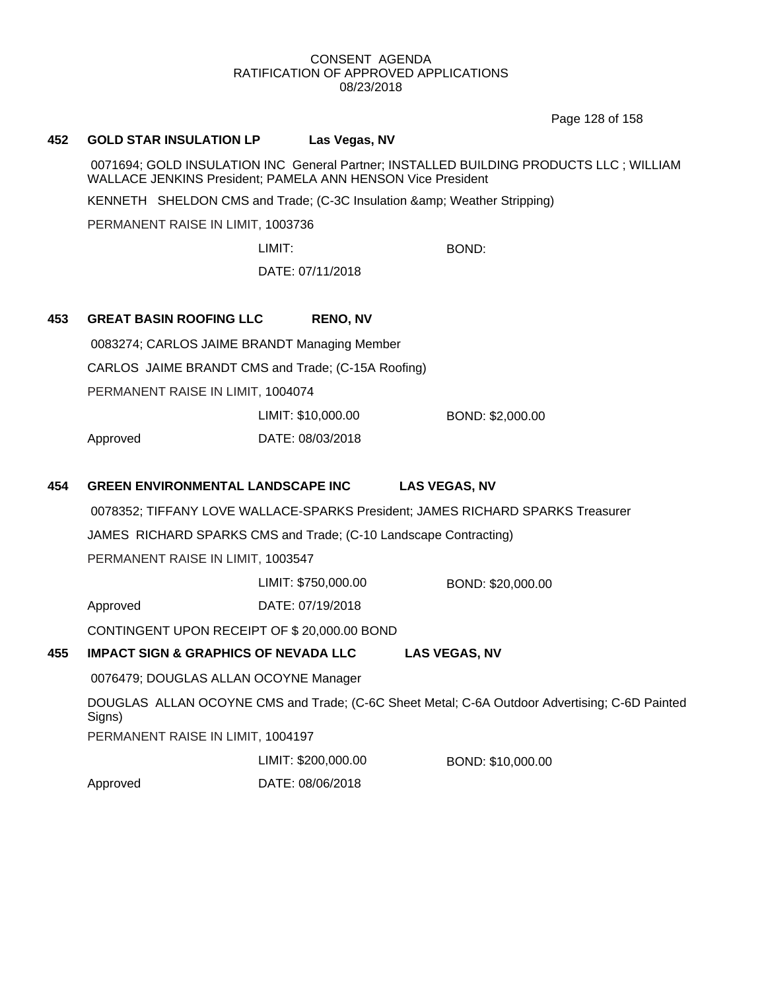Page 128 of 158

## **452 GOLD STAR INSULATION LP Las Vegas, NV**

0071694; GOLD INSULATION INC General Partner; INSTALLED BUILDING PRODUCTS LLC ; WILLIAM WALLACE JENKINS President; PAMELA ANN HENSON Vice President

KENNETH SHELDON CMS and Trade; (C-3C Insulation & amp; Weather Stripping)

PERMANENT RAISE IN LIMIT, 1003736

LIMIT: BOND:

DATE: 07/11/2018

# **453 GREAT BASIN ROOFING LLC RENO, NV**

0083274; CARLOS JAIME BRANDT Managing Member

CARLOS JAIME BRANDT CMS and Trade; (C-15A Roofing)

PERMANENT RAISE IN LIMIT, 1004074

Approved DATE: 08/03/2018 LIMIT: \$10,000.00 BOND: \$2,000.00

# **454 GREEN ENVIRONMENTAL LANDSCAPE INC LAS VEGAS, NV**

0078352; TIFFANY LOVE WALLACE-SPARKS President; JAMES RICHARD SPARKS Treasurer

JAMES RICHARD SPARKS CMS and Trade; (C-10 Landscape Contracting)

PERMANENT RAISE IN LIMIT, 1003547

LIMIT: \$750,000.00 BOND: \$20,000.00

Approved DATE: 07/19/2018

CONTINGENT UPON RECEIPT OF \$ 20,000.00 BOND

# **455 IMPACT SIGN & GRAPHICS OF NEVADA LLC LAS VEGAS, NV**

0076479; DOUGLAS ALLAN OCOYNE Manager

DOUGLAS ALLAN OCOYNE CMS and Trade; (C-6C Sheet Metal; C-6A Outdoor Advertising; C-6D Painted Signs)

PERMANENT RAISE IN LIMIT, 1004197

LIMIT: \$200,000.00 BOND: \$10,000.00

Approved DATE: 08/06/2018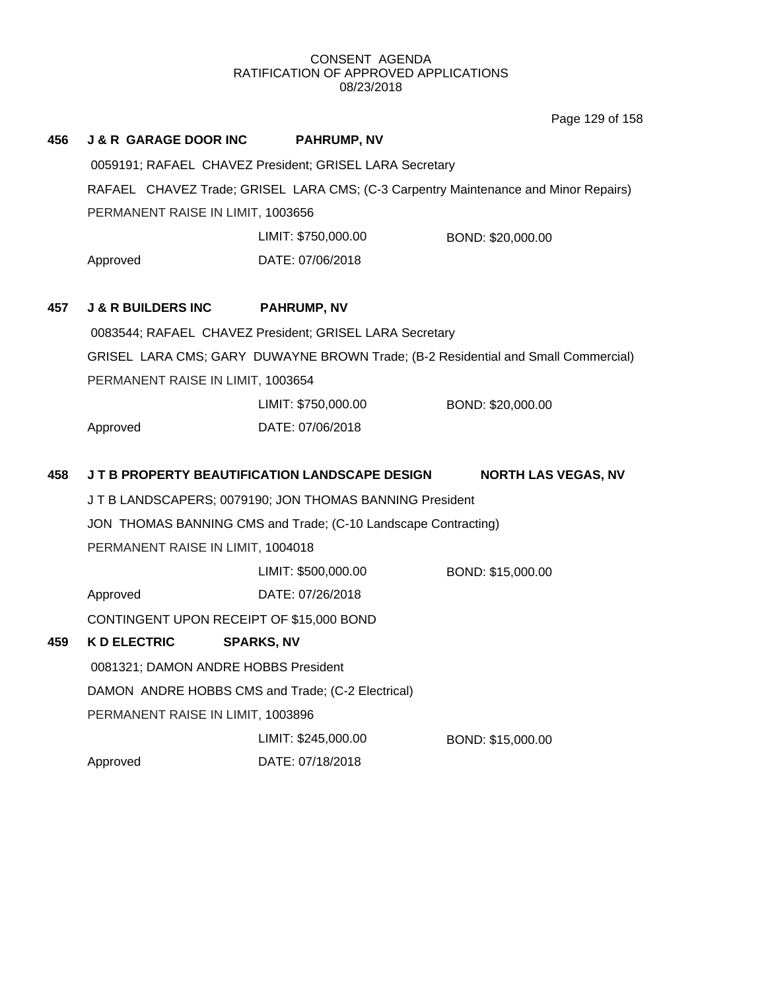Page 129 of 158

| 456 | <b>J &amp; R GARAGE DOOR INC</b>                  | <b>PAHRUMP, NV</b>                                             |                                                                                     |
|-----|---------------------------------------------------|----------------------------------------------------------------|-------------------------------------------------------------------------------------|
|     |                                                   | 0059191; RAFAEL CHAVEZ President; GRISEL LARA Secretary        |                                                                                     |
|     |                                                   |                                                                | RAFAEL CHAVEZ Trade; GRISEL LARA CMS; (C-3 Carpentry Maintenance and Minor Repairs) |
|     | PERMANENT RAISE IN LIMIT, 1003656                 |                                                                |                                                                                     |
|     |                                                   | LIMIT: \$750,000.00                                            | BOND: \$20,000.00                                                                   |
|     | Approved                                          | DATE: 07/06/2018                                               |                                                                                     |
|     |                                                   |                                                                |                                                                                     |
| 457 | <b>J &amp; R BUILDERS INC</b>                     | <b>PAHRUMP, NV</b>                                             |                                                                                     |
|     |                                                   | 0083544; RAFAEL CHAVEZ President; GRISEL LARA Secretary        |                                                                                     |
|     |                                                   |                                                                | GRISEL LARA CMS; GARY DUWAYNE BROWN Trade; (B-2 Residential and Small Commercial)   |
|     | PERMANENT RAISE IN LIMIT, 1003654                 |                                                                |                                                                                     |
|     |                                                   | LIMIT: \$750,000.00                                            | BOND: \$20,000.00                                                                   |
|     | Approved                                          | DATE: 07/06/2018                                               |                                                                                     |
|     |                                                   |                                                                |                                                                                     |
| 458 |                                                   | J T B PROPERTY BEAUTIFICATION LANDSCAPE DESIGN                 | <b>NORTH LAS VEGAS, NV</b>                                                          |
|     |                                                   | JT B LANDSCAPERS; 0079190; JON THOMAS BANNING President        |                                                                                     |
|     |                                                   | JON THOMAS BANNING CMS and Trade; (C-10 Landscape Contracting) |                                                                                     |
|     | PERMANENT RAISE IN LIMIT, 1004018                 |                                                                |                                                                                     |
|     |                                                   | LIMIT: \$500,000.00                                            | BOND: \$15,000.00                                                                   |
|     | Approved                                          | DATE: 07/26/2018                                               |                                                                                     |
|     | CONTINGENT UPON RECEIPT OF \$15,000 BOND          |                                                                |                                                                                     |
| 459 | <b>K D ELECTRIC</b>                               | <b>SPARKS, NV</b>                                              |                                                                                     |
|     | 0081321; DAMON ANDRE HOBBS President              |                                                                |                                                                                     |
|     | DAMON ANDRE HOBBS CMS and Trade; (C-2 Electrical) |                                                                |                                                                                     |
|     | PERMANENT RAISE IN LIMIT, 1003896                 |                                                                |                                                                                     |
|     |                                                   | LIMIT: \$245,000.00                                            | BOND: \$15,000.00                                                                   |
|     | Approved                                          | DATE: 07/18/2018                                               |                                                                                     |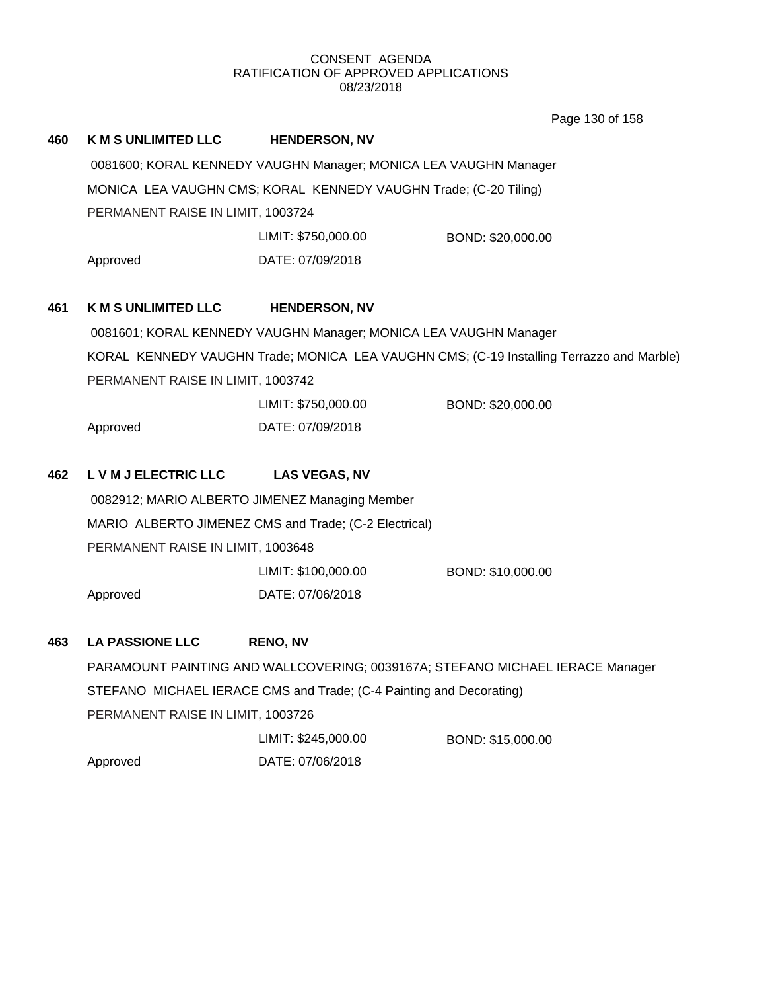Page 130 of 158

| 460 | <b>K M S UNLIMITED LLC</b>                                       | <b>HENDERSON, NV</b>                                                |                                                                                          |  |  |  |
|-----|------------------------------------------------------------------|---------------------------------------------------------------------|------------------------------------------------------------------------------------------|--|--|--|
|     |                                                                  | 0081600; KORAL KENNEDY VAUGHN Manager; MONICA LEA VAUGHN Manager    |                                                                                          |  |  |  |
|     | MONICA LEA VAUGHN CMS; KORAL KENNEDY VAUGHN Trade; (C-20 Tiling) |                                                                     |                                                                                          |  |  |  |
|     | PERMANENT RAISE IN LIMIT, 1003724                                |                                                                     |                                                                                          |  |  |  |
|     |                                                                  | LIMIT: \$750,000.00                                                 | BOND: \$20,000.00                                                                        |  |  |  |
|     | Approved                                                         | DATE: 07/09/2018                                                    |                                                                                          |  |  |  |
| 461 | <b>K M S UNLIMITED LLC</b>                                       | <b>HENDERSON, NV</b>                                                |                                                                                          |  |  |  |
|     |                                                                  | 0081601; KORAL KENNEDY VAUGHN Manager; MONICA LEA VAUGHN Manager    |                                                                                          |  |  |  |
|     |                                                                  |                                                                     | KORAL KENNEDY VAUGHN Trade; MONICA LEA VAUGHN CMS; (C-19 Installing Terrazzo and Marble) |  |  |  |
|     | PERMANENT RAISE IN LIMIT, 1003742                                |                                                                     |                                                                                          |  |  |  |
|     |                                                                  | LIMIT: \$750,000.00                                                 | BOND: \$20,000.00                                                                        |  |  |  |
|     | Approved                                                         | DATE: 07/09/2018                                                    |                                                                                          |  |  |  |
| 462 | L V M J ELECTRIC LLC                                             | <b>LAS VEGAS, NV</b>                                                |                                                                                          |  |  |  |
|     |                                                                  | 0082912; MARIO ALBERTO JIMENEZ Managing Member                      |                                                                                          |  |  |  |
|     |                                                                  | MARIO ALBERTO JIMENEZ CMS and Trade; (C-2 Electrical)               |                                                                                          |  |  |  |
|     | PERMANENT RAISE IN LIMIT, 1003648                                |                                                                     |                                                                                          |  |  |  |
|     |                                                                  | LIMIT: \$100,000.00                                                 | BOND: \$10,000.00                                                                        |  |  |  |
|     | Approved                                                         | DATE: 07/06/2018                                                    |                                                                                          |  |  |  |
| 463 | <b>LA PASSIONE LLC</b>                                           | <b>RENO, NV</b>                                                     |                                                                                          |  |  |  |
|     |                                                                  |                                                                     | PARAMOUNT PAINTING AND WALLCOVERING; 0039167A; STEFANO MICHAEL IERACE Manager            |  |  |  |
|     |                                                                  | STEFANO MICHAEL IERACE CMS and Trade; (C-4 Painting and Decorating) |                                                                                          |  |  |  |
|     | PERMANENT RAISE IN LIMIT, 1003726                                |                                                                     |                                                                                          |  |  |  |
|     |                                                                  | LIMIT: \$245,000.00                                                 | BOND: \$15,000.00                                                                        |  |  |  |
|     | Approved                                                         | DATE: 07/06/2018                                                    |                                                                                          |  |  |  |
|     |                                                                  |                                                                     |                                                                                          |  |  |  |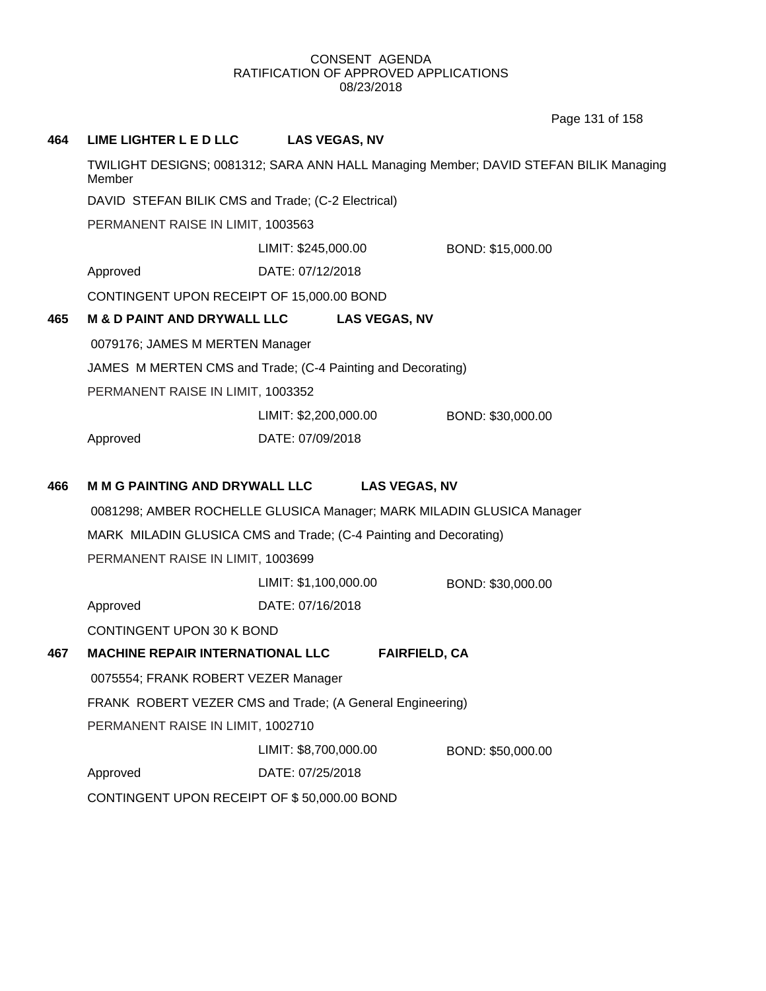Page 131 of 158

| 464 | <b>LIME LIGHTER L E D LLC</b>                                         | <b>LAS VEGAS, NV</b>  |                      |                                                                                       |
|-----|-----------------------------------------------------------------------|-----------------------|----------------------|---------------------------------------------------------------------------------------|
|     | Member                                                                |                       |                      | TWILIGHT DESIGNS; 0081312; SARA ANN HALL Managing Member; DAVID STEFAN BILIK Managing |
|     | DAVID STEFAN BILIK CMS and Trade; (C-2 Electrical)                    |                       |                      |                                                                                       |
|     | PERMANENT RAISE IN LIMIT, 1003563                                     |                       |                      |                                                                                       |
|     |                                                                       | LIMIT: \$245,000.00   |                      | BOND: \$15,000.00                                                                     |
|     | Approved                                                              | DATE: 07/12/2018      |                      |                                                                                       |
|     | CONTINGENT UPON RECEIPT OF 15,000.00 BOND                             |                       |                      |                                                                                       |
| 465 | <b>M &amp; D PAINT AND DRYWALL LLC</b>                                |                       | <b>LAS VEGAS, NV</b> |                                                                                       |
|     | 0079176; JAMES M MERTEN Manager                                       |                       |                      |                                                                                       |
|     | JAMES M MERTEN CMS and Trade; (C-4 Painting and Decorating)           |                       |                      |                                                                                       |
|     | PERMANENT RAISE IN LIMIT, 1003352                                     |                       |                      |                                                                                       |
|     |                                                                       | LIMIT: \$2,200,000.00 |                      | BOND: \$30,000.00                                                                     |
|     | Approved                                                              | DATE: 07/09/2018      |                      |                                                                                       |
| 466 | <b>M M G PAINTING AND DRYWALL LLC</b>                                 |                       | <b>LAS VEGAS, NV</b> |                                                                                       |
|     | 0081298; AMBER ROCHELLE GLUSICA Manager; MARK MILADIN GLUSICA Manager |                       |                      |                                                                                       |
|     | MARK MILADIN GLUSICA CMS and Trade; (C-4 Painting and Decorating)     |                       |                      |                                                                                       |
|     | PERMANENT RAISE IN LIMIT, 1003699                                     |                       |                      |                                                                                       |
|     |                                                                       | LIMIT: \$1,100,000.00 |                      | BOND: \$30,000.00                                                                     |
|     | Approved                                                              | DATE: 07/16/2018      |                      |                                                                                       |
|     | CONTINGENT UPON 30 K BOND                                             |                       |                      |                                                                                       |
| 467 | <b>MACHINE REPAIR INTERNATIONAL LLC</b>                               |                       | <b>FAIRFIELD, CA</b> |                                                                                       |
|     | 0075554; FRANK ROBERT VEZER Manager                                   |                       |                      |                                                                                       |
|     | FRANK ROBERT VEZER CMS and Trade; (A General Engineering)             |                       |                      |                                                                                       |
|     | PERMANENT RAISE IN LIMIT, 1002710                                     |                       |                      |                                                                                       |
|     |                                                                       | LIMIT: \$8,700,000.00 |                      | BOND: \$50,000.00                                                                     |
|     | Approved                                                              | DATE: 07/25/2018      |                      |                                                                                       |
|     | CONTINGENT UPON RECEIPT OF \$50,000.00 BOND                           |                       |                      |                                                                                       |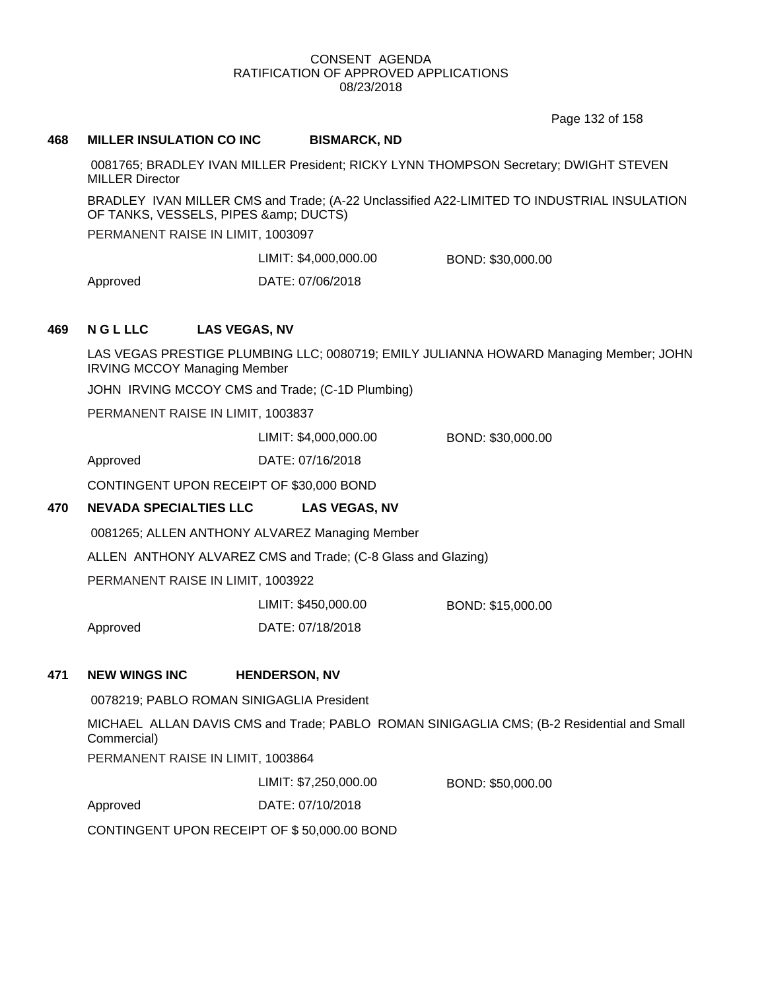Page 132 of 158

### **468 MILLER INSULATION CO INC BISMARCK, ND**

0081765; BRADLEY IVAN MILLER President; RICKY LYNN THOMPSON Secretary; DWIGHT STEVEN MILLER Director

BRADLEY IVAN MILLER CMS and Trade; (A-22 Unclassified A22-LIMITED TO INDUSTRIAL INSULATION OF TANKS, VESSELS, PIPES & amp; DUCTS)

PERMANENT RAISE IN LIMIT, 1003097

LIMIT: \$4,000,000.00 BOND: \$30,000.00

Approved DATE: 07/06/2018

# **469 N G L LLC LAS VEGAS, NV**

LAS VEGAS PRESTIGE PLUMBING LLC; 0080719; EMILY JULIANNA HOWARD Managing Member; JOHN IRVING MCCOY Managing Member

JOHN IRVING MCCOY CMS and Trade; (C-1D Plumbing)

PERMANENT RAISE IN LIMIT, 1003837

LIMIT: \$4,000,000.00 BOND: \$30,000.00

Approved DATE: 07/16/2018

CONTINGENT UPON RECEIPT OF \$30,000 BOND

# **470 NEVADA SPECIALTIES LLC LAS VEGAS, NV**

0081265; ALLEN ANTHONY ALVAREZ Managing Member

ALLEN ANTHONY ALVAREZ CMS and Trade; (C-8 Glass and Glazing)

PERMANENT RAISE IN LIMIT, 1003922

| LIMIT: \$450,000.00 | BOND: \$15,000.00 |
|---------------------|-------------------|
| DATE: 07/18/2018    |                   |

# **471 NEW WINGS INC HENDERSON, NV**

Approved

0078219; PABLO ROMAN SINIGAGLIA President

MICHAEL ALLAN DAVIS CMS and Trade; PABLO ROMAN SINIGAGLIA CMS; (B-2 Residential and Small Commercial)

PERMANENT RAISE IN LIMIT, 1003864

LIMIT: \$7,250,000.00 BOND: \$50,000.00

Approved DATE: 07/10/2018

CONTINGENT UPON RECEIPT OF \$ 50,000.00 BOND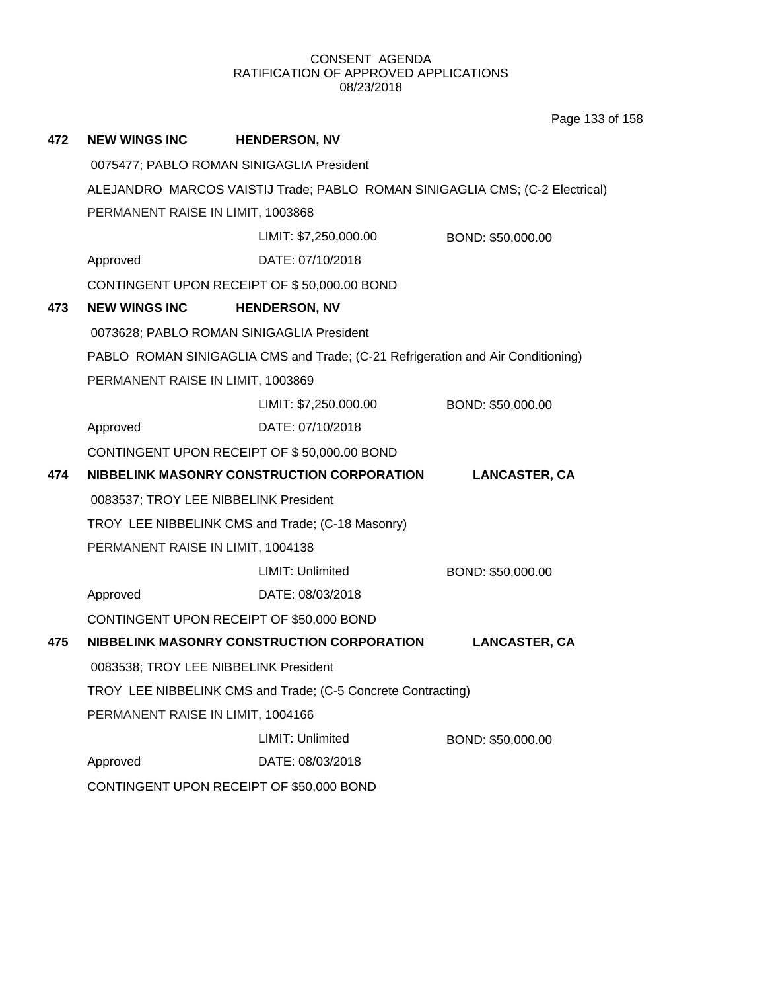**472 NEW WINGS INC HENDERSON, NV** 0075477; PABLO ROMAN SINIGAGLIA President ALEJANDRO MARCOS VAISTIJ Trade; PABLO ROMAN SINIGAGLIA CMS; (C-2 Electrical) PERMANENT RAISE IN LIMIT, 1003868 Approved DATE: 07/10/2018 LIMIT: \$7,250,000.00 BOND: \$50,000.00 CONTINGENT UPON RECEIPT OF \$ 50,000.00 BOND **473 NEW WINGS INC HENDERSON, NV** 0073628; PABLO ROMAN SINIGAGLIA President PABLO ROMAN SINIGAGLIA CMS and Trade; (C-21 Refrigeration and Air Conditioning) PERMANENT RAISE IN LIMIT, 1003869 Approved DATE: 07/10/2018 LIMIT: \$7,250,000.00 BOND: \$50,000.00 CONTINGENT UPON RECEIPT OF \$ 50,000.00 BOND **474 NIBBELINK MASONRY CONSTRUCTION CORPORATION LANCASTER, CA** 0083537; TROY LEE NIBBELINK President TROY LEE NIBBELINK CMS and Trade; (C-18 Masonry) PERMANENT RAISE IN LIMIT, 1004138 Approved DATE: 08/03/2018 LIMIT: Unlimited BOND: \$50,000.00 CONTINGENT UPON RECEIPT OF \$50,000 BOND **475 NIBBELINK MASONRY CONSTRUCTION CORPORATION LANCASTER, CA** 0083538; TROY LEE NIBBELINK President TROY LEE NIBBELINK CMS and Trade; (C-5 Concrete Contracting) PERMANENT RAISE IN LIMIT, 1004166 Approved DATE: 08/03/2018 LIMIT: Unlimited BOND: \$50,000.00 CONTINGENT UPON RECEIPT OF \$50,000 BOND

Page 133 of 158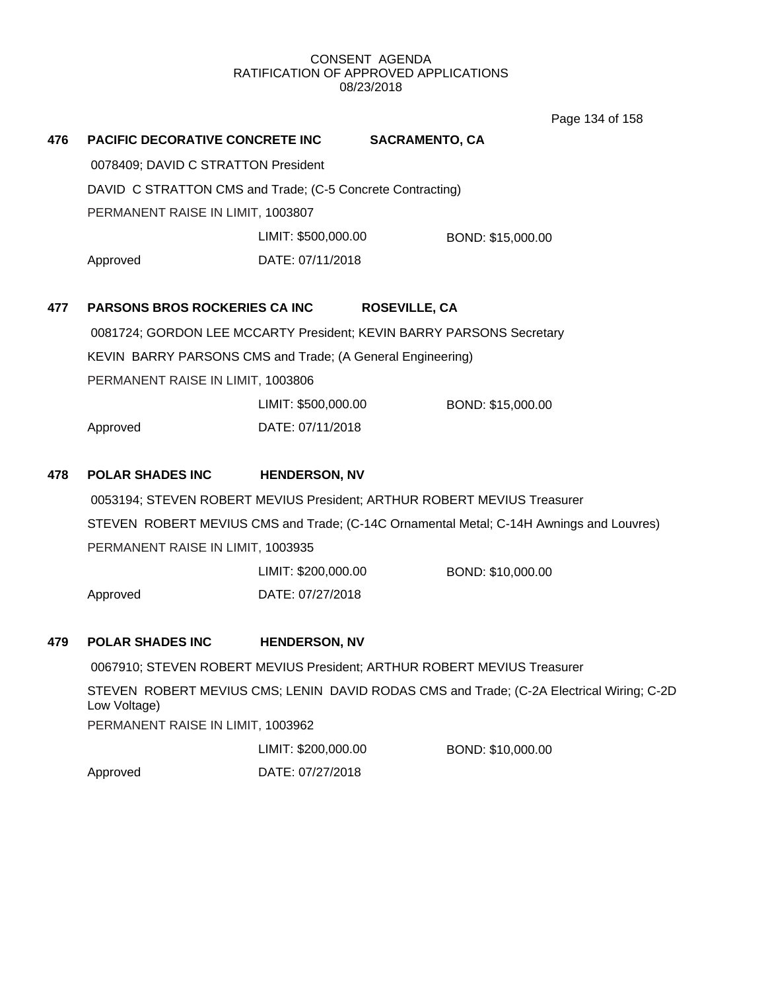Page 134 of 158

| 476                                 | <b>PACIFIC DECORATIVE CONCRETE INC</b>                               | <b>SACRAMENTO, CA</b> |                      |                                                                                          |
|-------------------------------------|----------------------------------------------------------------------|-----------------------|----------------------|------------------------------------------------------------------------------------------|
| 0078409; DAVID C STRATTON President |                                                                      |                       |                      |                                                                                          |
|                                     | DAVID C STRATTON CMS and Trade; (C-5 Concrete Contracting)           |                       |                      |                                                                                          |
|                                     | PERMANENT RAISE IN LIMIT, 1003807                                    |                       |                      |                                                                                          |
|                                     |                                                                      | LIMIT: \$500,000.00   |                      | BOND: \$15,000.00                                                                        |
|                                     | Approved                                                             | DATE: 07/11/2018      |                      |                                                                                          |
| 477                                 | <b>PARSONS BROS ROCKERIES CA INC</b>                                 |                       | <b>ROSEVILLE, CA</b> |                                                                                          |
|                                     | 0081724; GORDON LEE MCCARTY President; KEVIN BARRY PARSONS Secretary |                       |                      |                                                                                          |
|                                     | KEVIN BARRY PARSONS CMS and Trade; (A General Engineering)           |                       |                      |                                                                                          |
|                                     | PERMANENT RAISE IN LIMIT, 1003806                                    |                       |                      |                                                                                          |
|                                     |                                                                      | LIMIT: \$500,000.00   |                      | BOND: \$15,000.00                                                                        |
|                                     | Approved                                                             | DATE: 07/11/2018      |                      |                                                                                          |
| 478                                 | <b>POLAR SHADES INC</b>                                              | <b>HENDERSON, NV</b>  |                      |                                                                                          |
|                                     |                                                                      |                       |                      | 0053194; STEVEN ROBERT MEVIUS President; ARTHUR ROBERT MEVIUS Treasurer                  |
|                                     |                                                                      |                       |                      | STEVEN ROBERT MEVIUS CMS and Trade; (C-14C Ornamental Metal; C-14H Awnings and Louvres)  |
|                                     | PERMANENT RAISE IN LIMIT, 1003935                                    |                       |                      |                                                                                          |
|                                     |                                                                      | LIMIT: \$200,000.00   |                      | BOND: \$10,000.00                                                                        |
|                                     | Approved                                                             | DATE: 07/27/2018      |                      |                                                                                          |
| 479                                 | <b>POLAR SHADES INC</b>                                              | <b>HENDERSON, NV</b>  |                      |                                                                                          |
|                                     |                                                                      |                       |                      | 0067910; STEVEN ROBERT MEVIUS President; ARTHUR ROBERT MEVIUS Treasurer                  |
|                                     | Low Voltage)                                                         |                       |                      | STEVEN ROBERT MEVIUS CMS; LENIN DAVID RODAS CMS and Trade; (C-2A Electrical Wiring; C-2D |
|                                     | PERMANENT RAISE IN LIMIT, 1003962                                    |                       |                      |                                                                                          |
|                                     |                                                                      | LIMIT: \$200,000.00   |                      | BOND: \$10,000.00                                                                        |

Approved DATE: 07/27/2018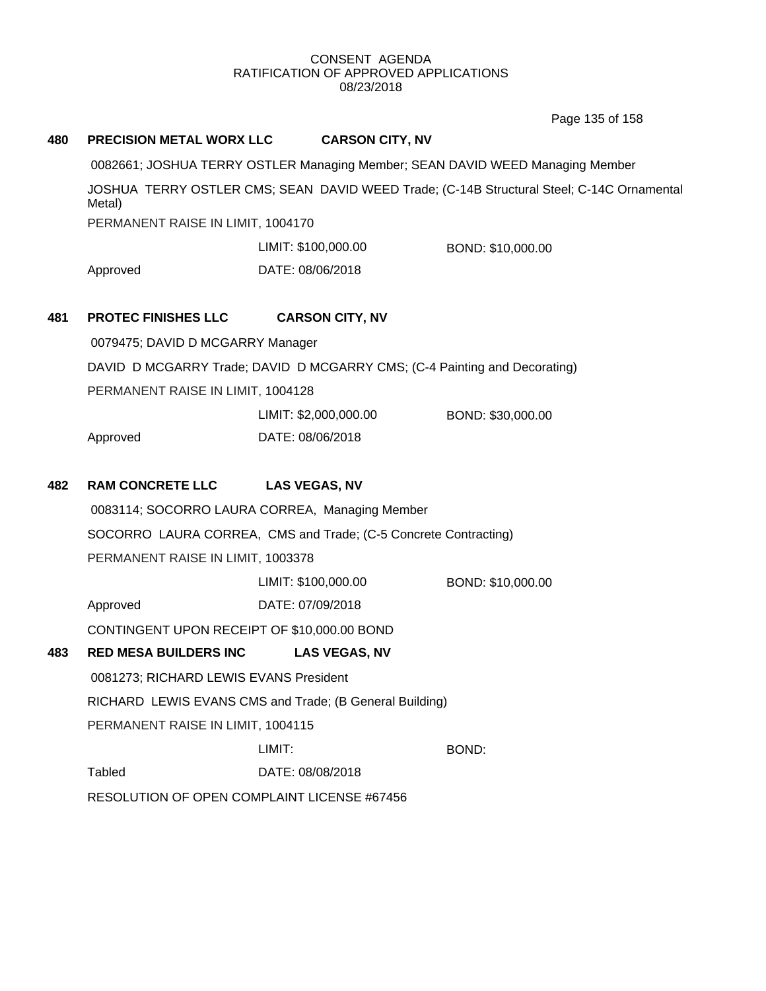Page 135 of 158

| 480 | PRECISION METAL WORX LLC                                                                            | <b>CARSON CITY, NV</b>                                                    |                                                                               |  |  |
|-----|-----------------------------------------------------------------------------------------------------|---------------------------------------------------------------------------|-------------------------------------------------------------------------------|--|--|
|     |                                                                                                     |                                                                           | 0082661; JOSHUA TERRY OSTLER Managing Member; SEAN DAVID WEED Managing Member |  |  |
|     | JOSHUA TERRY OSTLER CMS; SEAN DAVID WEED Trade; (C-14B Structural Steel; C-14C Ornamental<br>Metal) |                                                                           |                                                                               |  |  |
|     | PERMANENT RAISE IN LIMIT, 1004170                                                                   |                                                                           |                                                                               |  |  |
|     |                                                                                                     | LIMIT: \$100,000.00                                                       | BOND: \$10,000.00                                                             |  |  |
|     | Approved                                                                                            | DATE: 08/06/2018                                                          |                                                                               |  |  |
| 481 | <b>PROTEC FINISHES LLC</b>                                                                          | <b>CARSON CITY, NV</b>                                                    |                                                                               |  |  |
|     | 0079475; DAVID D MCGARRY Manager                                                                    |                                                                           |                                                                               |  |  |
|     |                                                                                                     | DAVID D MCGARRY Trade; DAVID D MCGARRY CMS; (C-4 Painting and Decorating) |                                                                               |  |  |
|     | PERMANENT RAISE IN LIMIT, 1004128                                                                   |                                                                           |                                                                               |  |  |
|     |                                                                                                     | LIMIT: \$2,000,000.00                                                     | BOND: \$30,000.00                                                             |  |  |
|     | Approved                                                                                            | DATE: 08/06/2018                                                          |                                                                               |  |  |
| 482 | <b>RAM CONCRETE LLC</b>                                                                             | <b>LAS VEGAS, NV</b>                                                      |                                                                               |  |  |
|     |                                                                                                     | 0083114; SOCORRO LAURA CORREA, Managing Member                            |                                                                               |  |  |
|     |                                                                                                     | SOCORRO LAURA CORREA, CMS and Trade; (C-5 Concrete Contracting)           |                                                                               |  |  |
|     | PERMANENT RAISE IN LIMIT, 1003378                                                                   |                                                                           |                                                                               |  |  |
|     |                                                                                                     | LIMIT: \$100,000.00                                                       | BOND: \$10,000.00                                                             |  |  |
|     | Approved                                                                                            | DATE: 07/09/2018                                                          |                                                                               |  |  |
|     | CONTINGENT UPON RECEIPT OF \$10,000.00 BOND                                                         |                                                                           |                                                                               |  |  |
| 483 | <b>RED MESA BUILDERS INC</b>                                                                        | <b>LAS VEGAS, NV</b>                                                      |                                                                               |  |  |
|     | 0081273; RICHARD LEWIS EVANS President                                                              |                                                                           |                                                                               |  |  |
|     |                                                                                                     | RICHARD LEWIS EVANS CMS and Trade; (B General Building)                   |                                                                               |  |  |
|     | PERMANENT RAISE IN LIMIT, 1004115                                                                   |                                                                           |                                                                               |  |  |
|     |                                                                                                     | LIMIT:                                                                    | <b>BOND:</b>                                                                  |  |  |
|     | <b>Tabled</b>                                                                                       | DATE: 08/08/2018                                                          |                                                                               |  |  |
|     | RESOLUTION OF OPEN COMPLAINT LICENSE #67456                                                         |                                                                           |                                                                               |  |  |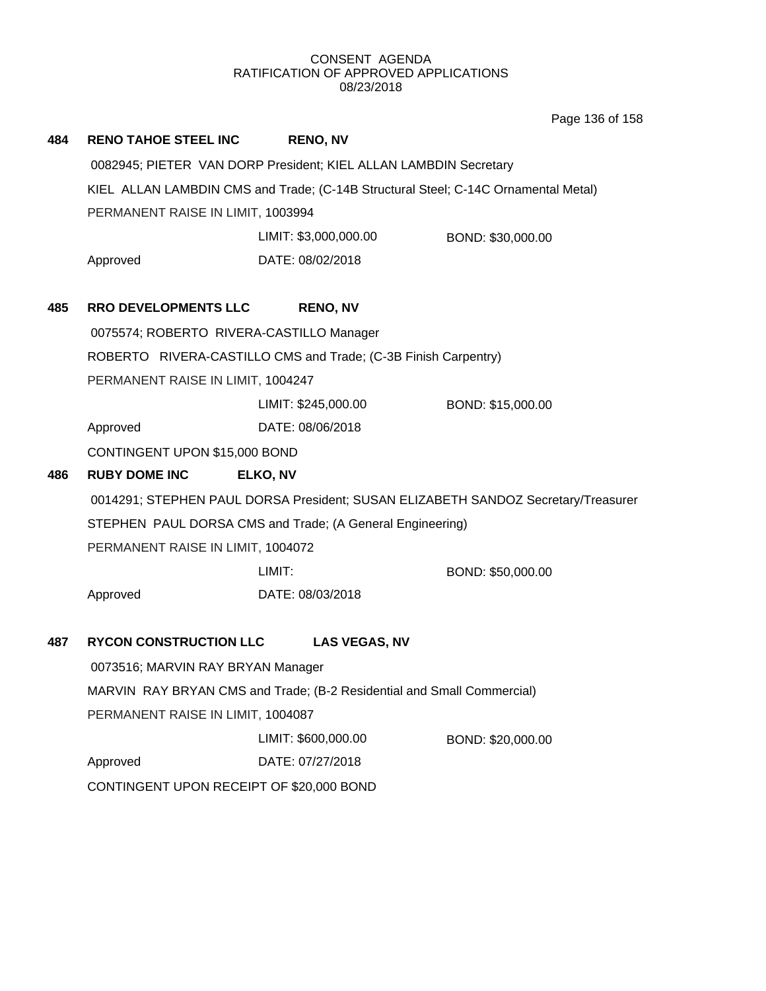Page 136 of 158

| 484 | <b>RENO TAHOE STEEL INC</b>                                                                                                                                                         | <b>RENO, NV</b>                   |                   |  |
|-----|-------------------------------------------------------------------------------------------------------------------------------------------------------------------------------------|-----------------------------------|-------------------|--|
|     | 0082945; PIETER VAN DORP President; KIEL ALLAN LAMBDIN Secretary                                                                                                                    |                                   |                   |  |
|     | KIEL ALLAN LAMBDIN CMS and Trade; (C-14B Structural Steel; C-14C Ornamental Metal)                                                                                                  |                                   |                   |  |
|     |                                                                                                                                                                                     | PERMANENT RAISE IN LIMIT, 1003994 |                   |  |
|     |                                                                                                                                                                                     | LIMIT: \$3,000,000.00             | BOND: \$30,000.00 |  |
|     | Approved                                                                                                                                                                            | DATE: 08/02/2018                  |                   |  |
|     |                                                                                                                                                                                     |                                   |                   |  |
| 485 | <b>RRO DEVELOPMENTS LLC</b>                                                                                                                                                         | <b>RENO, NV</b>                   |                   |  |
|     | 0075574; ROBERTO RIVERA-CASTILLO Manager                                                                                                                                            |                                   |                   |  |
|     | ROBERTO RIVERA-CASTILLO CMS and Trade; (C-3B Finish Carpentry)                                                                                                                      |                                   |                   |  |
|     | PERMANENT RAISE IN LIMIT, 1004247                                                                                                                                                   |                                   |                   |  |
|     |                                                                                                                                                                                     | LIMIT: \$245,000.00               | BOND: \$15,000.00 |  |
|     | Approved                                                                                                                                                                            | DATE: 08/06/2018                  |                   |  |
|     | CONTINGENT UPON \$15,000 BOND                                                                                                                                                       |                                   |                   |  |
| 486 | <b>RUBY DOME INC</b>                                                                                                                                                                | ELKO, NV                          |                   |  |
|     | 0014291; STEPHEN PAUL DORSA President; SUSAN ELIZABETH SANDOZ Secretary/Treasurer<br>STEPHEN PAUL DORSA CMS and Trade; (A General Engineering)<br>PERMANENT RAISE IN LIMIT, 1004072 |                                   |                   |  |
|     |                                                                                                                                                                                     |                                   |                   |  |
|     |                                                                                                                                                                                     |                                   |                   |  |
|     |                                                                                                                                                                                     | LIMIT:                            | BOND: \$50,000.00 |  |
|     | Approved                                                                                                                                                                            | DATE: 08/03/2018                  |                   |  |
| 487 | <b>RYCON CONSTRUCTION LLC</b>                                                                                                                                                       | <b>LAS VEGAS, NV</b>              |                   |  |
|     | 0073516; MARVIN RAY BRYAN Manager                                                                                                                                                   |                                   |                   |  |
|     | MARVIN RAY BRYAN CMS and Trade; (B-2 Residential and Small Commercial)<br>PERMANENT RAISE IN LIMIT, 1004087                                                                         |                                   |                   |  |
|     |                                                                                                                                                                                     |                                   |                   |  |
|     |                                                                                                                                                                                     | LIMIT: \$600,000.00               | BOND: \$20,000.00 |  |
|     | Approved                                                                                                                                                                            | DATE: 07/27/2018                  |                   |  |
|     | CONTINGENT UPON RECEIPT OF \$20,000 BOND                                                                                                                                            |                                   |                   |  |
|     |                                                                                                                                                                                     |                                   |                   |  |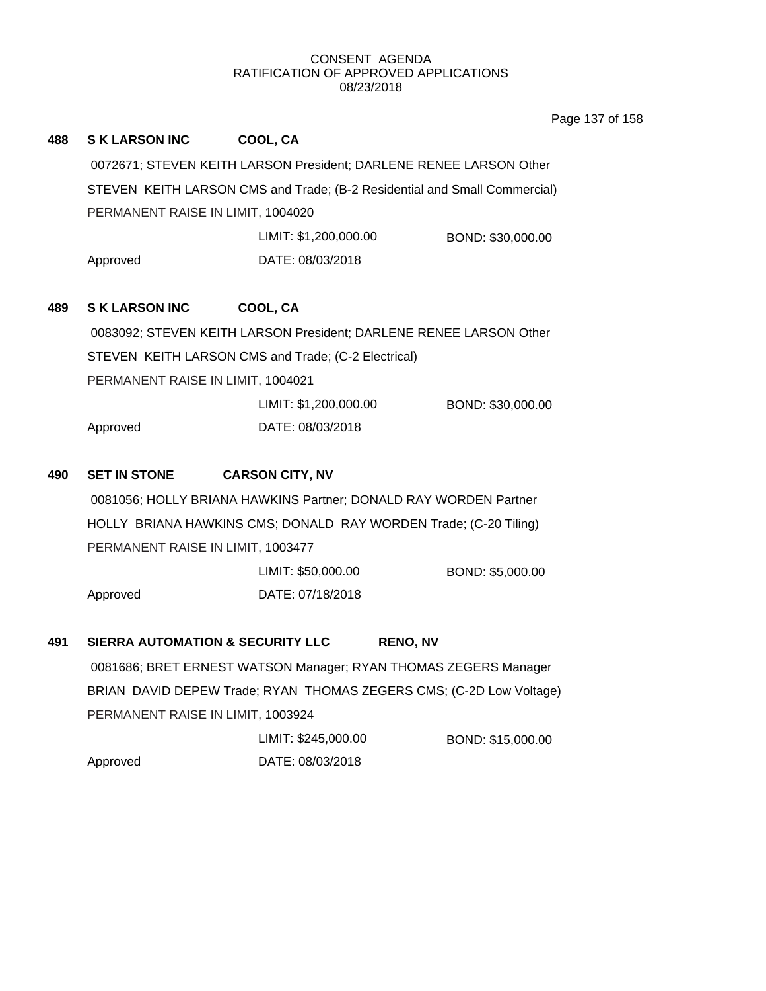Page 137 of 158

| 488 | <b>SK LARSON INC</b>                                                      | COOL, CA                                                           |                   |  |
|-----|---------------------------------------------------------------------------|--------------------------------------------------------------------|-------------------|--|
|     | 0072671; STEVEN KEITH LARSON President; DARLENE RENEE LARSON Other        |                                                                    |                   |  |
|     | STEVEN KEITH LARSON CMS and Trade; (B-2 Residential and Small Commercial) |                                                                    |                   |  |
|     | PERMANENT RAISE IN LIMIT, 1004020                                         |                                                                    |                   |  |
|     |                                                                           | LIMIT: \$1,200,000.00                                              | BOND: \$30,000.00 |  |
|     | Approved                                                                  | DATE: 08/03/2018                                                   |                   |  |
| 489 | <b>SK LARSON INC</b>                                                      | COOL, CA                                                           |                   |  |
|     |                                                                           | 0083092; STEVEN KEITH LARSON President; DARLENE RENEE LARSON Other |                   |  |
|     | STEVEN KEITH LARSON CMS and Trade; (C-2 Electrical)                       |                                                                    |                   |  |
|     | PERMANENT RAISE IN LIMIT, 1004021                                         |                                                                    |                   |  |
|     |                                                                           | LIMIT: \$1,200,000.00                                              | BOND: \$30,000.00 |  |
|     | Approved                                                                  | DATE: 08/03/2018                                                   |                   |  |
| 490 | <b>SET IN STONE</b>                                                       | <b>CARSON CITY, NV</b>                                             |                   |  |
|     | 0081056; HOLLY BRIANA HAWKINS Partner; DONALD RAY WORDEN Partner          |                                                                    |                   |  |
|     | HOLLY BRIANA HAWKINS CMS; DONALD RAY WORDEN Trade; (C-20 Tiling)          |                                                                    |                   |  |
|     | PERMANENT RAISE IN LIMIT, 1003477                                         |                                                                    |                   |  |
|     |                                                                           | LIMIT: \$50,000.00                                                 | BOND: \$5,000.00  |  |
|     | Approved                                                                  | DATE: 07/18/2018                                                   |                   |  |
| 491 | <b>SIERRA AUTOMATION &amp; SECURITY LLC</b>                               | <b>RENO, NV</b>                                                    |                   |  |
|     | 0081686; BRET ERNEST WATSON Manager; RYAN THOMAS ZEGERS Manager           |                                                                    |                   |  |
|     | BRIAN DAVID DEPEW Trade; RYAN THOMAS ZEGERS CMS; (C-2D Low Voltage)       |                                                                    |                   |  |
|     | PERMANENT RAISE IN LIMIT, 1003924                                         |                                                                    |                   |  |
|     |                                                                           | LIMIT: \$245,000.00                                                | BOND: \$15,000.00 |  |
|     | Approved                                                                  | DATE: 08/03/2018                                                   |                   |  |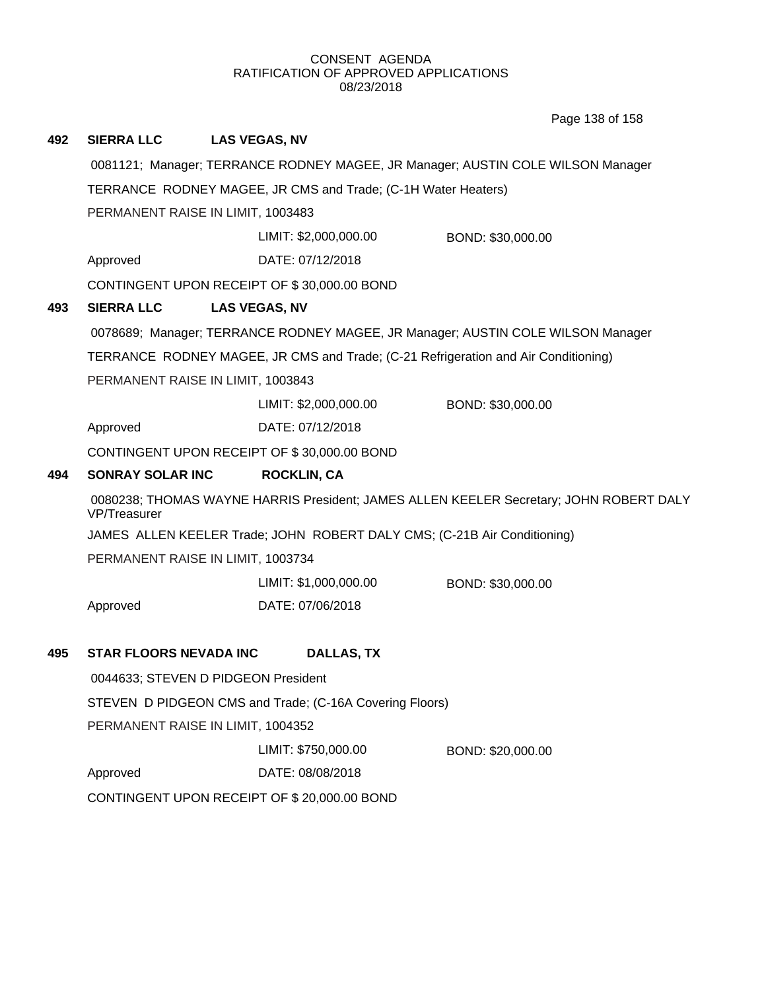Page 138 of 158

| 492 | <b>SIERRA LLC</b>                                                                                      | <b>LAS VEGAS, NV</b>                                            |                                                                                    |  |
|-----|--------------------------------------------------------------------------------------------------------|-----------------------------------------------------------------|------------------------------------------------------------------------------------|--|
|     | 0081121; Manager; TERRANCE RODNEY MAGEE, JR Manager; AUSTIN COLE WILSON Manager                        |                                                                 |                                                                                    |  |
|     | TERRANCE RODNEY MAGEE, JR CMS and Trade; (C-1H Water Heaters)                                          |                                                                 |                                                                                    |  |
|     | PERMANENT RAISE IN LIMIT, 1003483                                                                      |                                                                 |                                                                                    |  |
|     |                                                                                                        | LIMIT: \$2,000,000.00                                           | BOND: \$30,000.00                                                                  |  |
|     | Approved                                                                                               | DATE: 07/12/2018                                                |                                                                                    |  |
|     |                                                                                                        | CONTINGENT UPON RECEIPT OF \$30,000.00 BOND                     |                                                                                    |  |
| 493 | <b>SIERRA LLC</b>                                                                                      | <b>LAS VEGAS, NV</b>                                            |                                                                                    |  |
|     | 0078689; Manager; TERRANCE RODNEY MAGEE, JR Manager; AUSTIN COLE WILSON Manager                        |                                                                 |                                                                                    |  |
|     |                                                                                                        |                                                                 | TERRANCE RODNEY MAGEE, JR CMS and Trade; (C-21 Refrigeration and Air Conditioning) |  |
|     | PERMANENT RAISE IN LIMIT, 1003843                                                                      |                                                                 |                                                                                    |  |
|     |                                                                                                        | LIMIT: \$2,000,000.00                                           | BOND: \$30,000.00                                                                  |  |
|     | Approved                                                                                               | DATE: 07/12/2018                                                |                                                                                    |  |
|     |                                                                                                        | CONTINGENT UPON RECEIPT OF \$30,000.00 BOND                     |                                                                                    |  |
| 494 | <b>SONRAY SOLAR INC</b>                                                                                | <b>ROCKLIN, CA</b>                                              |                                                                                    |  |
|     | 0080238; THOMAS WAYNE HARRIS President; JAMES ALLEN KEELER Secretary; JOHN ROBERT DALY<br>VP/Treasurer |                                                                 |                                                                                    |  |
|     | JAMES ALLEN KEELER Trade; JOHN ROBERT DALY CMS; (C-21B Air Conditioning)                               |                                                                 |                                                                                    |  |
|     | PERMANENT RAISE IN LIMIT, 1003734                                                                      |                                                                 |                                                                                    |  |
|     |                                                                                                        | LIMIT: \$1,000,000.00                                           | BOND: \$30,000.00                                                                  |  |
|     | Approved                                                                                               | DATE: 07/06/2018                                                |                                                                                    |  |
| 495 | <b>STAR FLOORS NEVADA INC</b>                                                                          | <b>DALLAS, TX</b>                                               |                                                                                    |  |
|     |                                                                                                        |                                                                 |                                                                                    |  |
|     | 0044633; STEVEN D PIDGEON President<br>STEVEN D PIDGEON CMS and Trade; (C-16A Covering Floors)         |                                                                 |                                                                                    |  |
|     |                                                                                                        |                                                                 |                                                                                    |  |
|     |                                                                                                        | PERMANENT RAISE IN LIMIT, 1004352                               |                                                                                    |  |
|     |                                                                                                        | LIMIT: \$750,000.00                                             | BOND: \$20,000.00                                                                  |  |
|     |                                                                                                        |                                                                 |                                                                                    |  |
|     | Approved                                                                                               | DATE: 08/08/2018<br>CONTINGENT UPON RECEIPT OF \$20,000.00 BOND |                                                                                    |  |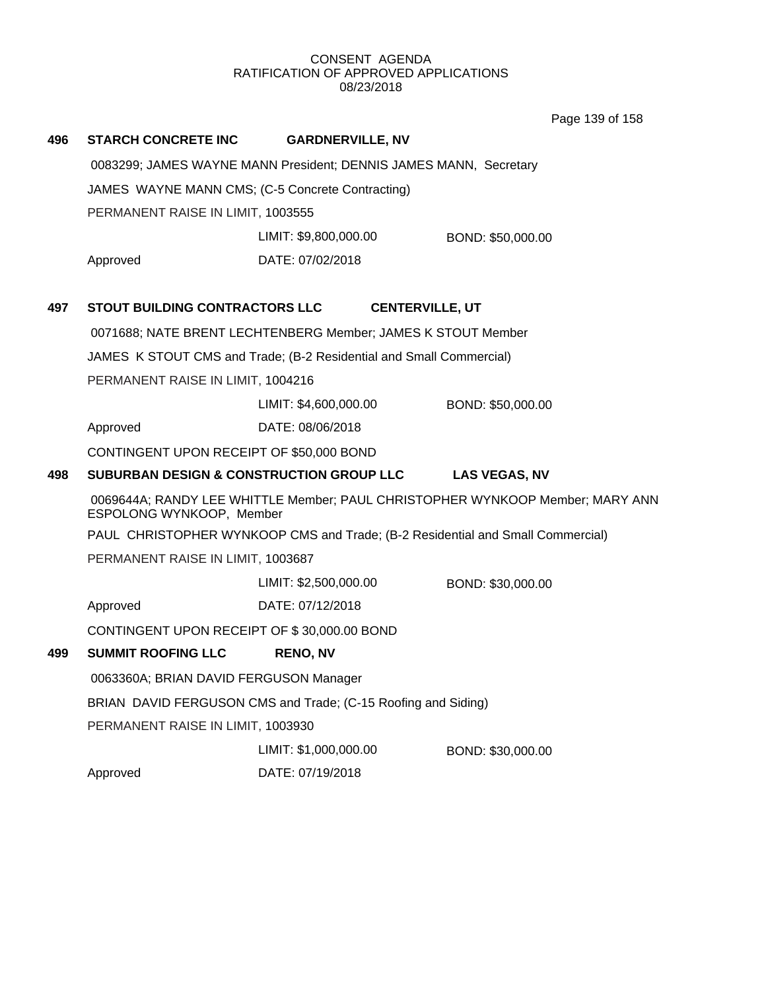Page 139 of 158

| 496 | <b>STARCH CONCRETE INC</b>                                        | <b>GARDNERVILLE, NV</b>                                             |                        |                                                                                |
|-----|-------------------------------------------------------------------|---------------------------------------------------------------------|------------------------|--------------------------------------------------------------------------------|
|     | 0083299; JAMES WAYNE MANN President; DENNIS JAMES MANN, Secretary |                                                                     |                        |                                                                                |
|     | JAMES WAYNE MANN CMS; (C-5 Concrete Contracting)                  |                                                                     |                        |                                                                                |
|     | PERMANENT RAISE IN LIMIT, 1003555                                 |                                                                     |                        |                                                                                |
|     |                                                                   | LIMIT: \$9,800,000.00                                               |                        | BOND: \$50,000.00                                                              |
|     | Approved                                                          | DATE: 07/02/2018                                                    |                        |                                                                                |
| 497 | <b>STOUT BUILDING CONTRACTORS LLC</b>                             |                                                                     | <b>CENTERVILLE, UT</b> |                                                                                |
|     | 0071688; NATE BRENT LECHTENBERG Member; JAMES K STOUT Member      |                                                                     |                        |                                                                                |
|     |                                                                   | JAMES K STOUT CMS and Trade; (B-2 Residential and Small Commercial) |                        |                                                                                |
|     | PERMANENT RAISE IN LIMIT, 1004216                                 |                                                                     |                        |                                                                                |
|     |                                                                   | LIMIT: \$4,600,000.00                                               |                        | BOND: \$50,000.00                                                              |
|     | Approved                                                          | DATE: 08/06/2018                                                    |                        |                                                                                |
|     | CONTINGENT UPON RECEIPT OF \$50,000 BOND                          |                                                                     |                        |                                                                                |
| 498 | <b>SUBURBAN DESIGN &amp; CONSTRUCTION GROUP LLC</b>               |                                                                     |                        | <b>LAS VEGAS, NV</b>                                                           |
|     | ESPOLONG WYNKOOP, Member                                          |                                                                     |                        | 0069644A; RANDY LEE WHITTLE Member; PAUL CHRISTOPHER WYNKOOP Member; MARY ANN  |
|     |                                                                   |                                                                     |                        | PAUL CHRISTOPHER WYNKOOP CMS and Trade; (B-2 Residential and Small Commercial) |
|     | PERMANENT RAISE IN LIMIT, 1003687                                 |                                                                     |                        |                                                                                |
|     |                                                                   | LIMIT: \$2,500,000.00                                               |                        | BOND: \$30,000.00                                                              |
|     | Approved                                                          | DATE: 07/12/2018                                                    |                        |                                                                                |
|     | CONTINGENT UPON RECEIPT OF \$30,000.00 BOND                       |                                                                     |                        |                                                                                |
| 499 | <b>SUMMIT ROOFING LLC</b>                                         | <b>RENO, NV</b>                                                     |                        |                                                                                |
|     | 0063360A; BRIAN DAVID FERGUSON Manager                            |                                                                     |                        |                                                                                |
|     | BRIAN DAVID FERGUSON CMS and Trade; (C-15 Roofing and Siding)     |                                                                     |                        |                                                                                |
|     | PERMANENT RAISE IN LIMIT, 1003930                                 |                                                                     |                        |                                                                                |
|     |                                                                   | LIMIT: \$1,000,000.00                                               |                        | BOND: \$30,000.00                                                              |
|     | Approved                                                          | DATE: 07/19/2018                                                    |                        |                                                                                |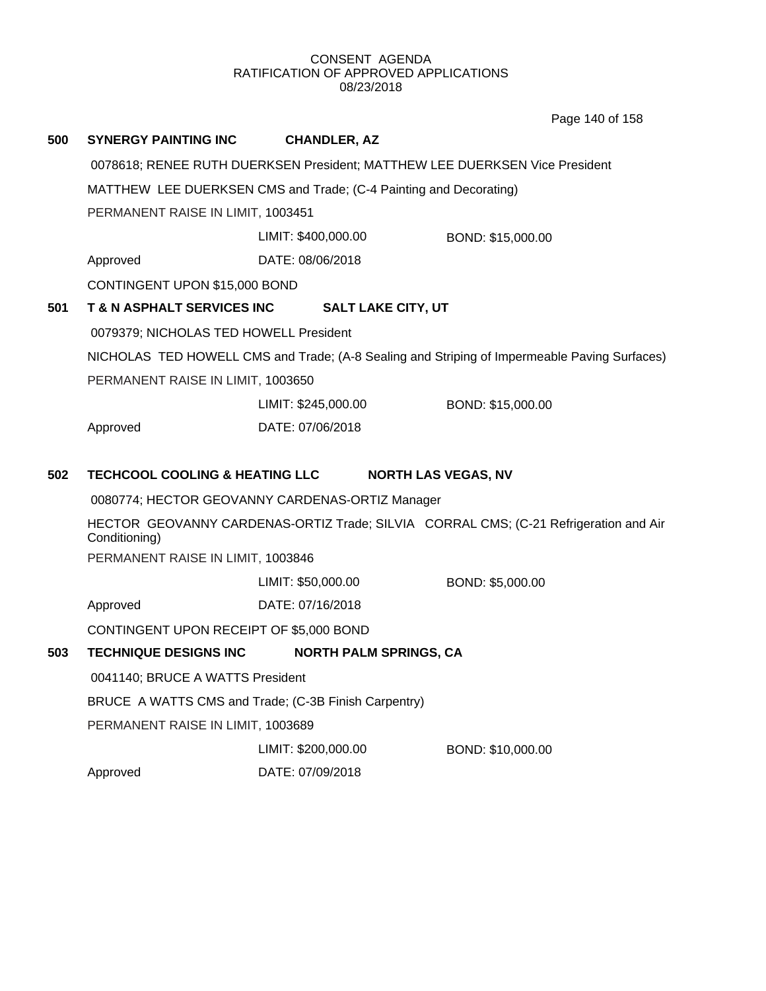Page 140 of 158

| 500                                              | <b>SYNERGY PAINTING INC</b>                                                 | <b>CHANDLER, AZ</b>                             |                                                                                              |  |
|--------------------------------------------------|-----------------------------------------------------------------------------|-------------------------------------------------|----------------------------------------------------------------------------------------------|--|
|                                                  | 0078618; RENEE RUTH DUERKSEN President; MATTHEW LEE DUERKSEN Vice President |                                                 |                                                                                              |  |
|                                                  | MATTHEW LEE DUERKSEN CMS and Trade; (C-4 Painting and Decorating)           |                                                 |                                                                                              |  |
|                                                  | PERMANENT RAISE IN LIMIT, 1003451                                           |                                                 |                                                                                              |  |
|                                                  |                                                                             | LIMIT: \$400,000.00                             | BOND: \$15,000.00                                                                            |  |
|                                                  | Approved                                                                    | DATE: 08/06/2018                                |                                                                                              |  |
|                                                  | CONTINGENT UPON \$15,000 BOND                                               |                                                 |                                                                                              |  |
| 501                                              | T & N ASPHALT SERVICES INC                                                  | <b>SALT LAKE CITY, UT</b>                       |                                                                                              |  |
|                                                  | 0079379; NICHOLAS TED HOWELL President                                      |                                                 |                                                                                              |  |
|                                                  |                                                                             |                                                 | NICHOLAS TED HOWELL CMS and Trade; (A-8 Sealing and Striping of Impermeable Paving Surfaces) |  |
|                                                  | PERMANENT RAISE IN LIMIT, 1003650                                           |                                                 |                                                                                              |  |
|                                                  |                                                                             | LIMIT: \$245,000.00                             | BOND: \$15,000.00                                                                            |  |
|                                                  | Approved                                                                    | DATE: 07/06/2018                                |                                                                                              |  |
| <b>TECHCOOL COOLING &amp; HEATING LLC</b><br>502 |                                                                             |                                                 | <b>NORTH LAS VEGAS, NV</b>                                                                   |  |
|                                                  |                                                                             | 0080774; HECTOR GEOVANNY CARDENAS-ORTIZ Manager |                                                                                              |  |
|                                                  | Conditioning)                                                               |                                                 | HECTOR GEOVANNY CARDENAS-ORTIZ Trade; SILVIA CORRAL CMS; (C-21 Refrigeration and Air         |  |
|                                                  | PERMANENT RAISE IN LIMIT, 1003846                                           |                                                 |                                                                                              |  |
|                                                  |                                                                             | LIMIT: \$50,000.00                              | BOND: \$5,000.00                                                                             |  |
|                                                  | Approved                                                                    | DATE: 07/16/2018                                |                                                                                              |  |
|                                                  | CONTINGENT UPON RECEIPT OF \$5,000 BOND                                     |                                                 |                                                                                              |  |
| 503                                              | <b>TECHNIQUE DESIGNS INC</b>                                                | <b>NORTH PALM SPRINGS, CA</b>                   |                                                                                              |  |
|                                                  | 0041140; BRUCE A WATTS President                                            |                                                 |                                                                                              |  |
|                                                  | BRUCE A WATTS CMS and Trade; (C-3B Finish Carpentry)                        |                                                 |                                                                                              |  |
|                                                  | PERMANENT RAISE IN LIMIT, 1003689                                           |                                                 |                                                                                              |  |
|                                                  |                                                                             | LIMIT: \$200,000.00                             | BOND: \$10,000.00                                                                            |  |
|                                                  | Approved                                                                    | DATE: 07/09/2018                                |                                                                                              |  |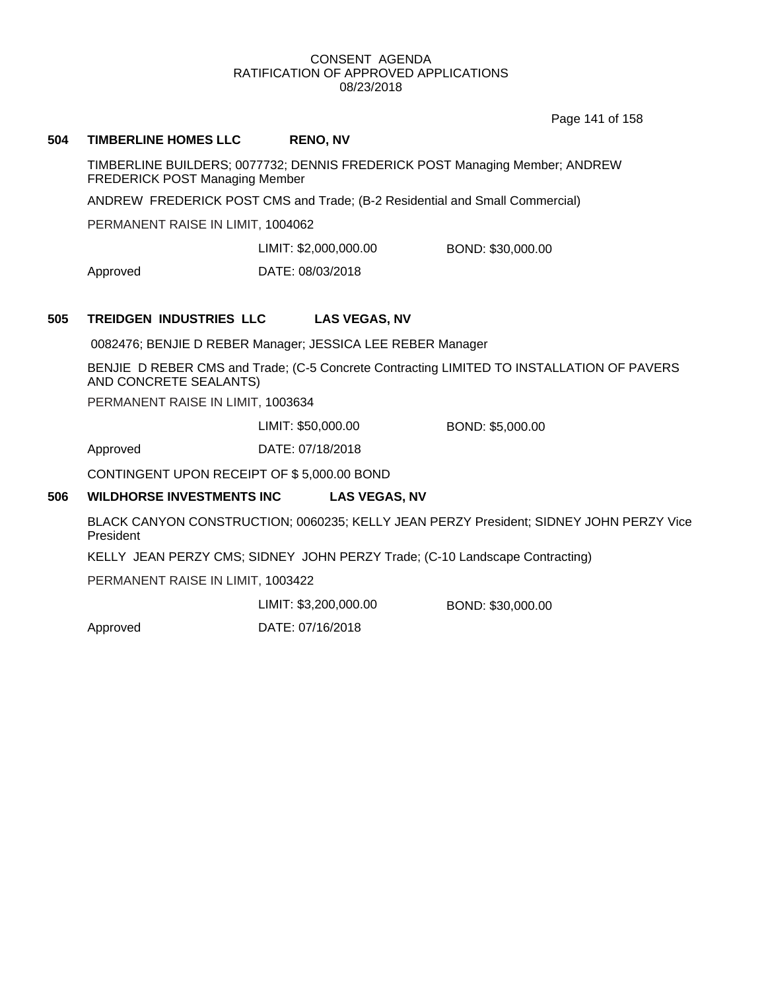Page 141 of 158

### **504 TIMBERLINE HOMES LLC RENO, NV**

TIMBERLINE BUILDERS; 0077732; DENNIS FREDERICK POST Managing Member; ANDREW FREDERICK POST Managing Member

ANDREW FREDERICK POST CMS and Trade; (B-2 Residential and Small Commercial)

PERMANENT RAISE IN LIMIT, 1004062

LIMIT: \$2,000,000.00 BOND: \$30,000.00

Approved DATE: 08/03/2018

## **505 TREIDGEN INDUSTRIES LLC LAS VEGAS, NV**

0082476; BENJIE D REBER Manager; JESSICA LEE REBER Manager

BENJIE D REBER CMS and Trade; (C-5 Concrete Contracting LIMITED TO INSTALLATION OF PAVERS AND CONCRETE SEALANTS)

PERMANENT RAISE IN LIMIT, 1003634

LIMIT: \$50,000.00 BOND: \$5,000.00

Approved DATE: 07/18/2018

CONTINGENT UPON RECEIPT OF \$ 5,000.00 BOND

### **506 WILDHORSE INVESTMENTS INC LAS VEGAS, NV**

BLACK CANYON CONSTRUCTION; 0060235; KELLY JEAN PERZY President; SIDNEY JOHN PERZY Vice President

KELLY JEAN PERZY CMS; SIDNEY JOHN PERZY Trade; (C-10 Landscape Contracting)

PERMANENT RAISE IN LIMIT, 1003422

LIMIT: \$3,200,000.00 BOND: \$30,000.00

Approved DATE: 07/16/2018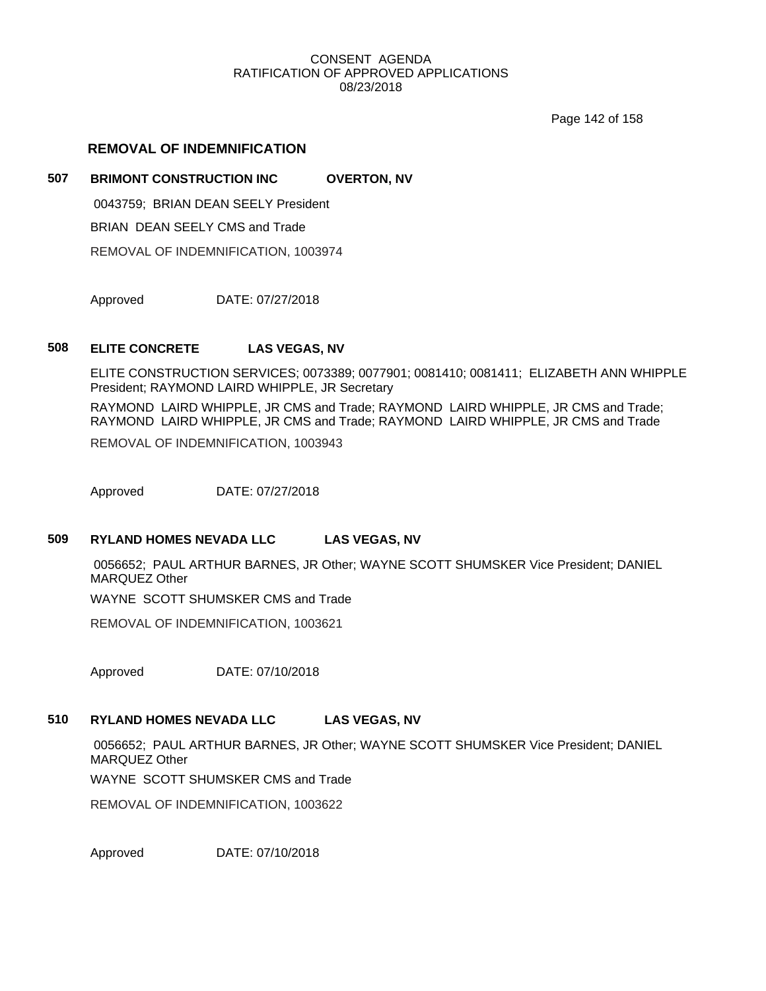Page 142 of 158

## **REMOVAL OF INDEMNIFICATION**

## **507 BRIMONT CONSTRUCTION INC OVERTON, NV**

0043759; BRIAN DEAN SEELY President

BRIAN DEAN SEELY CMS and Trade

REMOVAL OF INDEMNIFICATION, 1003974

Approved DATE: 07/27/2018

### **508 ELITE CONCRETE LAS VEGAS, NV**

ELITE CONSTRUCTION SERVICES; 0073389; 0077901; 0081410; 0081411; ELIZABETH ANN WHIPPLE President; RAYMOND LAIRD WHIPPLE, JR Secretary

RAYMOND LAIRD WHIPPLE, JR CMS and Trade; RAYMOND LAIRD WHIPPLE, JR CMS and Trade; RAYMOND LAIRD WHIPPLE, JR CMS and Trade; RAYMOND LAIRD WHIPPLE, JR CMS and Trade

REMOVAL OF INDEMNIFICATION, 1003943

Approved DATE: 07/27/2018

## **509 RYLAND HOMES NEVADA LLC LAS VEGAS, NV**

0056652; PAUL ARTHUR BARNES, JR Other; WAYNE SCOTT SHUMSKER Vice President; DANIEL MARQUEZ Other

WAYNE SCOTT SHUMSKER CMS and Trade

REMOVAL OF INDEMNIFICATION, 1003621

Approved DATE: 07/10/2018

## **510 RYLAND HOMES NEVADA LLC LAS VEGAS, NV**

0056652; PAUL ARTHUR BARNES, JR Other; WAYNE SCOTT SHUMSKER Vice President; DANIEL MARQUEZ Other

WAYNE SCOTT SHUMSKER CMS and Trade

REMOVAL OF INDEMNIFICATION, 1003622

Approved DATE: 07/10/2018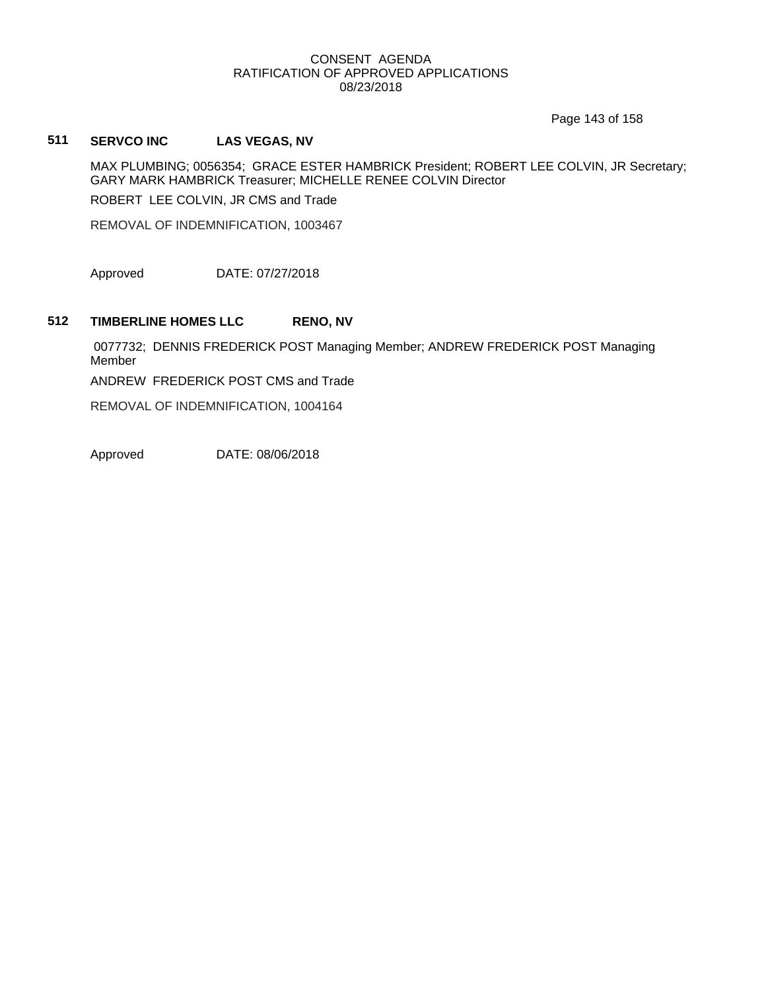Page 143 of 158

## **511 SERVCO INC LAS VEGAS, NV**

MAX PLUMBING; 0056354; GRACE ESTER HAMBRICK President; ROBERT LEE COLVIN, JR Secretary; GARY MARK HAMBRICK Treasurer; MICHELLE RENEE COLVIN Director ROBERT LEE COLVIN, JR CMS and Trade

REMOVAL OF INDEMNIFICATION, 1003467

Approved DATE: 07/27/2018

### **512 TIMBERLINE HOMES LLC RENO, NV**

0077732; DENNIS FREDERICK POST Managing Member; ANDREW FREDERICK POST Managing Member

ANDREW FREDERICK POST CMS and Trade

REMOVAL OF INDEMNIFICATION, 1004164

Approved DATE: 08/06/2018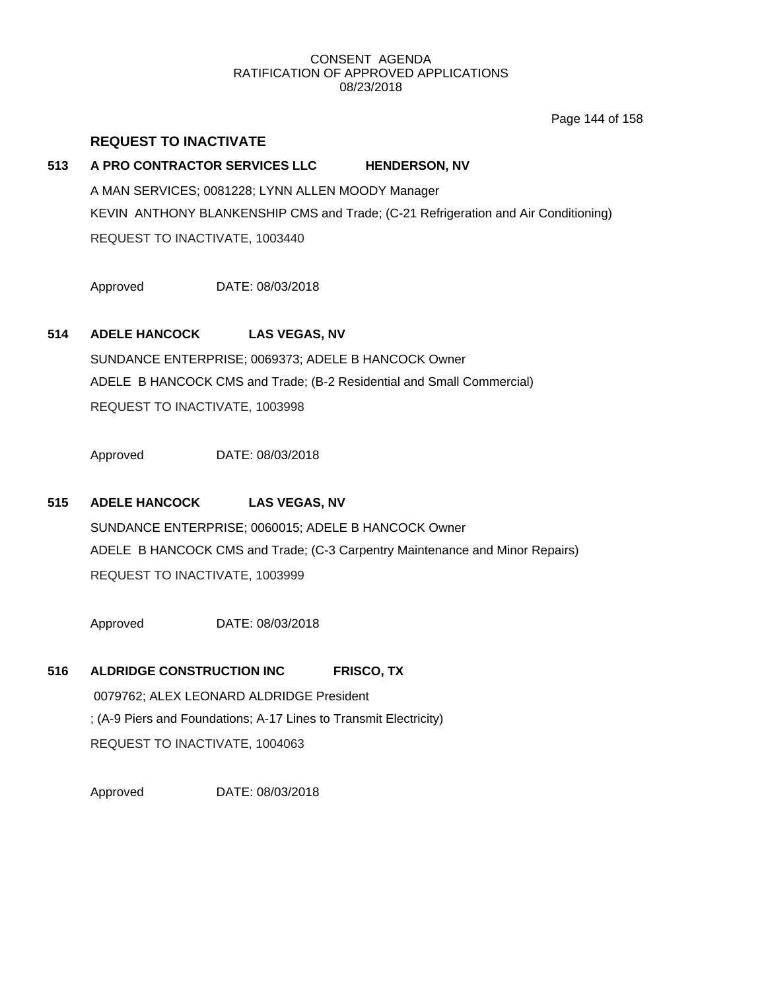Page 144 of 158

## **REQUEST TO INACTIVATE**

## **513 A PRO CONTRACTOR SERVICES LLC HENDERSON, NV**

A MAN SERVICES; 0081228; LYNN ALLEN MOODY Manager KEVIN ANTHONY BLANKENSHIP CMS and Trade; (C-21 Refrigeration and Air Conditioning) REQUEST TO INACTIVATE, 1003440

Approved DATE: 08/03/2018

## **514 ADELE HANCOCK LAS VEGAS, NV**

SUNDANCE ENTERPRISE; 0069373; ADELE B HANCOCK Owner ADELE B HANCOCK CMS and Trade; (B-2 Residential and Small Commercial) REQUEST TO INACTIVATE, 1003998

Approved DATE: 08/03/2018

## **515 ADELE HANCOCK LAS VEGAS, NV**

SUNDANCE ENTERPRISE; 0060015; ADELE B HANCOCK Owner ADELE B HANCOCK CMS and Trade; (C-3 Carpentry Maintenance and Minor Repairs) REQUEST TO INACTIVATE, 1003999

Approved DATE: 08/03/2018

## **516 ALDRIDGE CONSTRUCTION INC FRISCO, TX**

0079762; ALEX LEONARD ALDRIDGE President ; (A-9 Piers and Foundations; A-17 Lines to Transmit Electricity) REQUEST TO INACTIVATE, 1004063

Approved DATE: 08/03/2018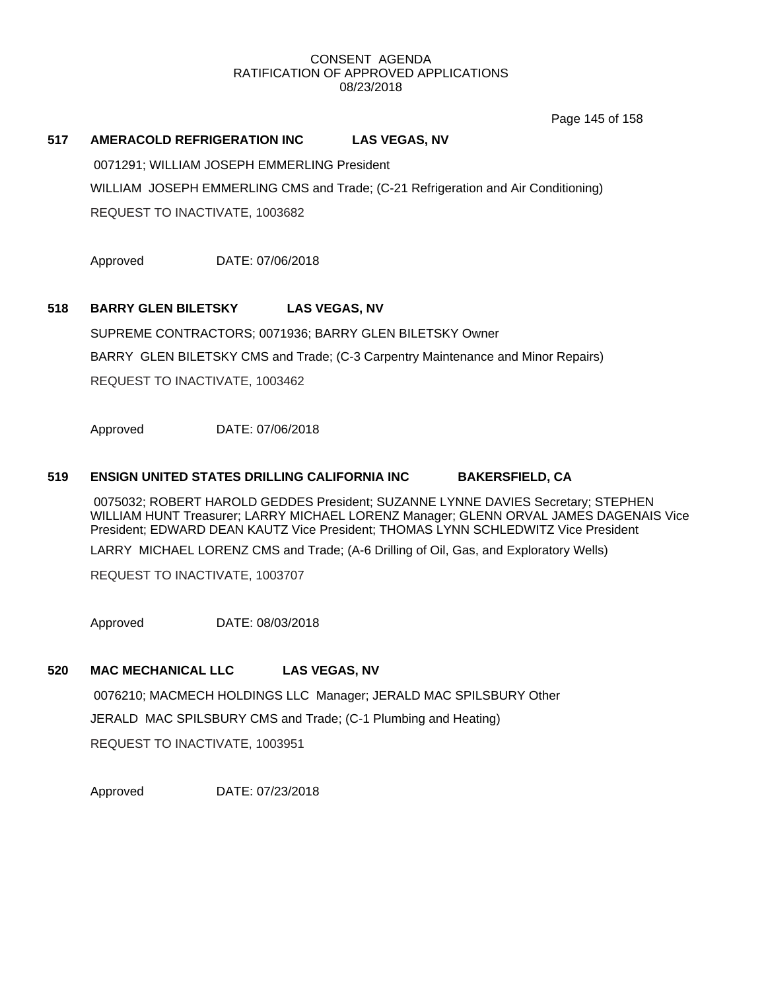Page 145 of 158

## **517 AMERACOLD REFRIGERATION INC LAS VEGAS, NV**

0071291; WILLIAM JOSEPH EMMERLING President

WILLIAM JOSEPH EMMERLING CMS and Trade; (C-21 Refrigeration and Air Conditioning)

REQUEST TO INACTIVATE, 1003682

Approved DATE: 07/06/2018

## **518 BARRY GLEN BILETSKY LAS VEGAS, NV**

SUPREME CONTRACTORS; 0071936; BARRY GLEN BILETSKY Owner BARRY GLEN BILETSKY CMS and Trade; (C-3 Carpentry Maintenance and Minor Repairs) REQUEST TO INACTIVATE, 1003462

Approved DATE: 07/06/2018

### **519 ENSIGN UNITED STATES DRILLING CALIFORNIA INC BAKERSFIELD, CA**

0075032; ROBERT HAROLD GEDDES President; SUZANNE LYNNE DAVIES Secretary; STEPHEN WILLIAM HUNT Treasurer; LARRY MICHAEL LORENZ Manager; GLENN ORVAL JAMES DAGENAIS Vice President; EDWARD DEAN KAUTZ Vice President; THOMAS LYNN SCHLEDWITZ Vice President

LARRY MICHAEL LORENZ CMS and Trade; (A-6 Drilling of Oil, Gas, and Exploratory Wells)

REQUEST TO INACTIVATE, 1003707

Approved DATE: 08/03/2018

## **520 MAC MECHANICAL LLC LAS VEGAS, NV**

0076210; MACMECH HOLDINGS LLC Manager; JERALD MAC SPILSBURY Other JERALD MAC SPILSBURY CMS and Trade; (C-1 Plumbing and Heating) REQUEST TO INACTIVATE, 1003951

Approved DATE: 07/23/2018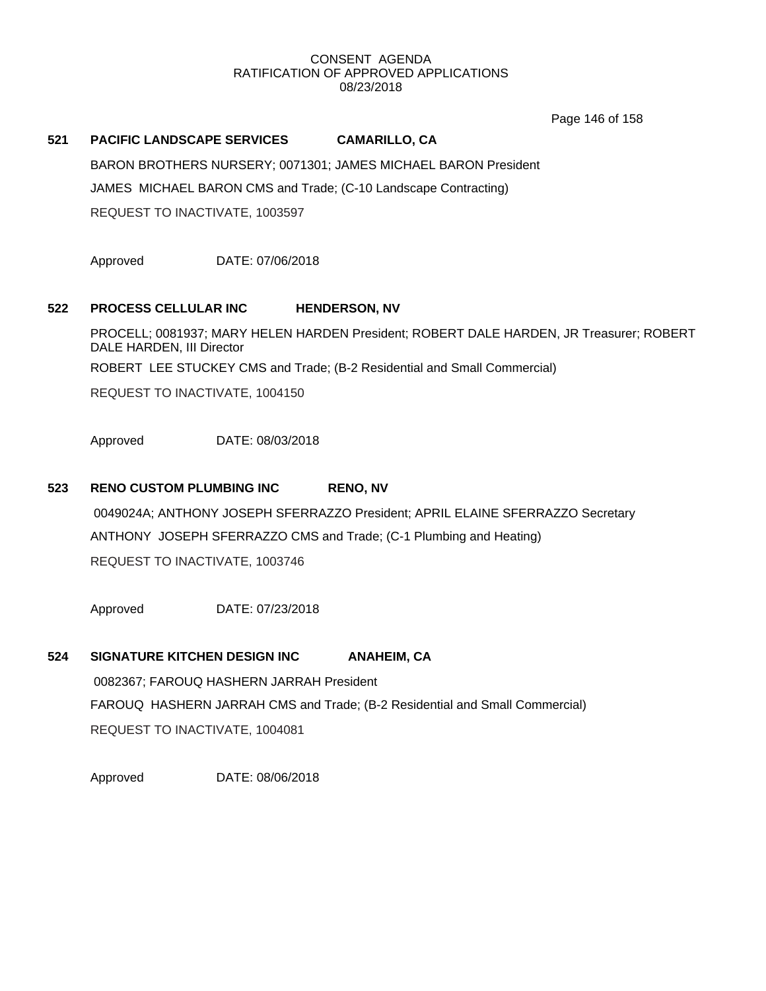Page 146 of 158

## **521 PACIFIC LANDSCAPE SERVICES CAMARILLO, CA**

BARON BROTHERS NURSERY; 0071301; JAMES MICHAEL BARON President JAMES MICHAEL BARON CMS and Trade; (C-10 Landscape Contracting) REQUEST TO INACTIVATE, 1003597

Approved DATE: 07/06/2018

## **522 PROCESS CELLULAR INC HENDERSON, NV**

PROCELL; 0081937; MARY HELEN HARDEN President; ROBERT DALE HARDEN, JR Treasurer; ROBERT DALE HARDEN, III Director ROBERT LEE STUCKEY CMS and Trade; (B-2 Residential and Small Commercial)

REQUEST TO INACTIVATE, 1004150

Approved DATE: 08/03/2018

## **523 RENO CUSTOM PLUMBING INC RENO, NV**

0049024A; ANTHONY JOSEPH SFERRAZZO President; APRIL ELAINE SFERRAZZO Secretary ANTHONY JOSEPH SFERRAZZO CMS and Trade; (C-1 Plumbing and Heating) REQUEST TO INACTIVATE, 1003746

Approved DATE: 07/23/2018

### **524 SIGNATURE KITCHEN DESIGN INC ANAHEIM, CA**

0082367; FAROUQ HASHERN JARRAH President FAROUQ HASHERN JARRAH CMS and Trade; (B-2 Residential and Small Commercial) REQUEST TO INACTIVATE, 1004081

Approved DATE: 08/06/2018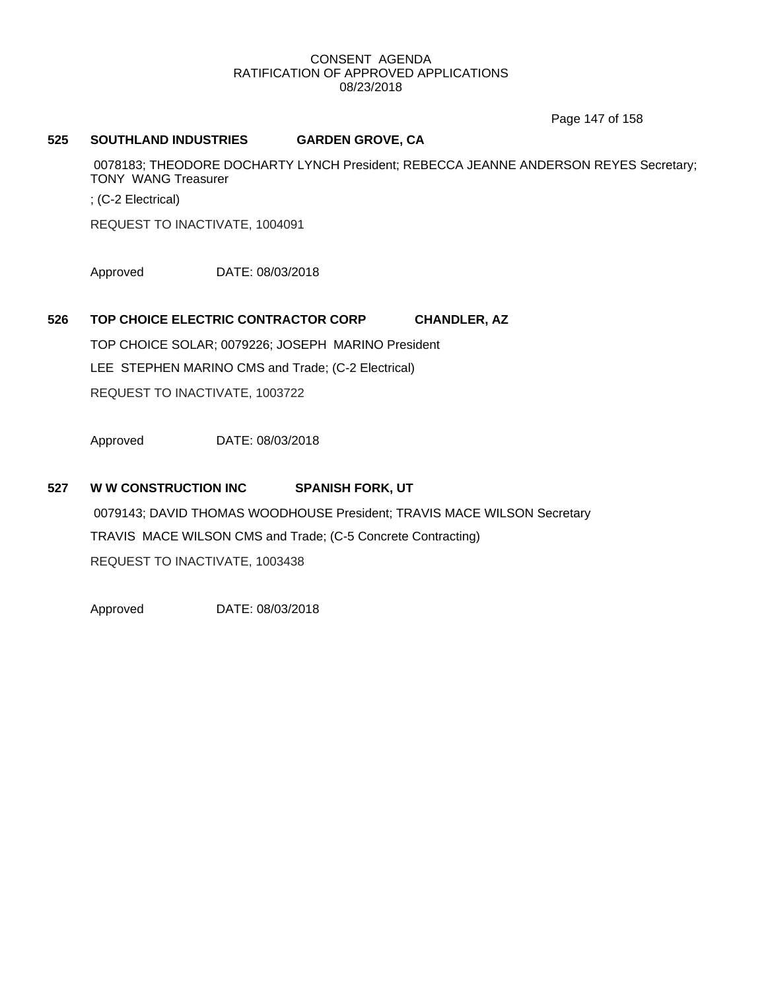Page 147 of 158

### **525 SOUTHLAND INDUSTRIES GARDEN GROVE, CA**

0078183; THEODORE DOCHARTY LYNCH President; REBECCA JEANNE ANDERSON REYES Secretary; TONY WANG Treasurer

; (C-2 Electrical)

REQUEST TO INACTIVATE, 1004091

Approved DATE: 08/03/2018

## **526 TOP CHOICE ELECTRIC CONTRACTOR CORP CHANDLER, AZ**

TOP CHOICE SOLAR; 0079226; JOSEPH MARINO President LEE STEPHEN MARINO CMS and Trade; (C-2 Electrical) REQUEST TO INACTIVATE, 1003722

Approved DATE: 08/03/2018

## **527 W W CONSTRUCTION INC SPANISH FORK, UT**

0079143; DAVID THOMAS WOODHOUSE President; TRAVIS MACE WILSON Secretary TRAVIS MACE WILSON CMS and Trade; (C-5 Concrete Contracting) REQUEST TO INACTIVATE, 1003438

Approved DATE: 08/03/2018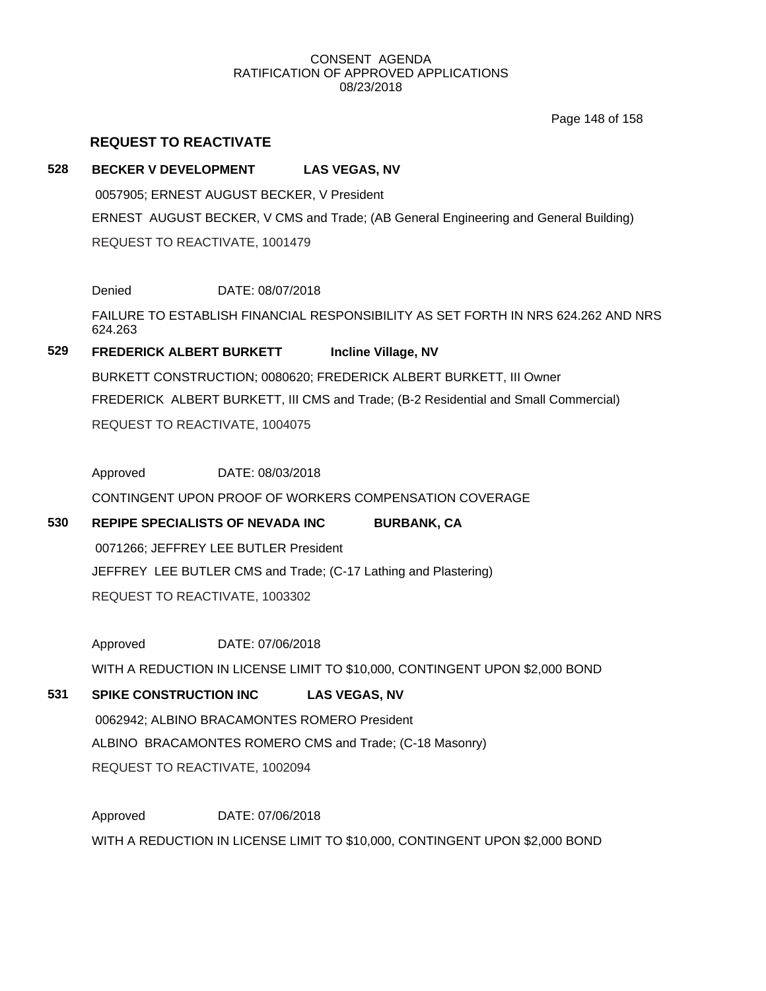Page 148 of 158

## **REQUEST TO REACTIVATE**

### **528 BECKER V DEVELOPMENT LAS VEGAS, NV**

0057905; ERNEST AUGUST BECKER, V President ERNEST AUGUST BECKER, V CMS and Trade; (AB General Engineering and General Building) REQUEST TO REACTIVATE, 1001479

Denied DATE: 08/07/2018

FAILURE TO ESTABLISH FINANCIAL RESPONSIBILITY AS SET FORTH IN NRS 624.262 AND NRS 624.263

## **529 FREDERICK ALBERT BURKETT Incline Village, NV**

BURKETT CONSTRUCTION; 0080620; FREDERICK ALBERT BURKETT, III Owner FREDERICK ALBERT BURKETT, III CMS and Trade; (B-2 Residential and Small Commercial) REQUEST TO REACTIVATE, 1004075

Approved DATE: 08/03/2018

CONTINGENT UPON PROOF OF WORKERS COMPENSATION COVERAGE

## **530 REPIPE SPECIALISTS OF NEVADA INC BURBANK, CA**

0071266; JEFFREY LEE BUTLER President JEFFREY LEE BUTLER CMS and Trade; (C-17 Lathing and Plastering) REQUEST TO REACTIVATE, 1003302

Approved DATE: 07/06/2018

WITH A REDUCTION IN LICENSE LIMIT TO \$10,000, CONTINGENT UPON \$2,000 BOND

## **531 SPIKE CONSTRUCTION INC LAS VEGAS, NV**

0062942; ALBINO BRACAMONTES ROMERO President ALBINO BRACAMONTES ROMERO CMS and Trade; (C-18 Masonry) REQUEST TO REACTIVATE, 1002094

Approved DATE: 07/06/2018 WITH A REDUCTION IN LICENSE LIMIT TO \$10,000, CONTINGENT UPON \$2,000 BOND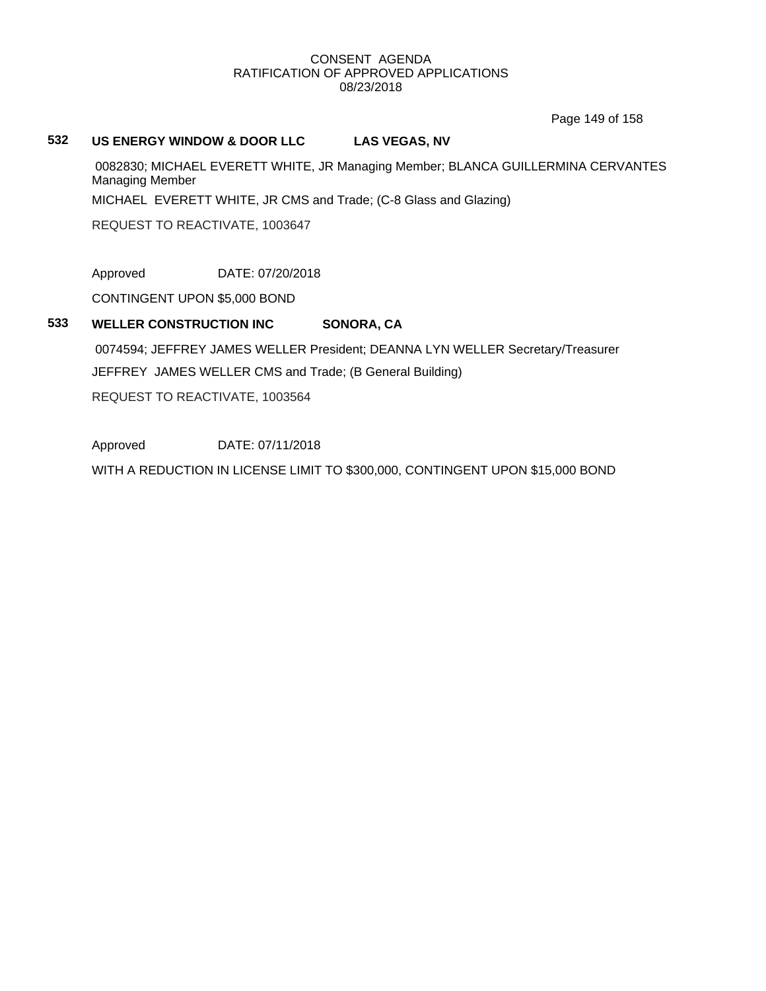Page 149 of 158

### **532 US ENERGY WINDOW & DOOR LLC LAS VEGAS, NV**

0082830; MICHAEL EVERETT WHITE, JR Managing Member; BLANCA GUILLERMINA CERVANTES Managing Member

MICHAEL EVERETT WHITE, JR CMS and Trade; (C-8 Glass and Glazing)

REQUEST TO REACTIVATE, 1003647

Approved DATE: 07/20/2018

CONTINGENT UPON \$5,000 BOND

## **533 WELLER CONSTRUCTION INC SONORA, CA**

0074594; JEFFREY JAMES WELLER President; DEANNA LYN WELLER Secretary/Treasurer JEFFREY JAMES WELLER CMS and Trade; (B General Building) REQUEST TO REACTIVATE, 1003564

Approved DATE: 07/11/2018 WITH A REDUCTION IN LICENSE LIMIT TO \$300,000, CONTINGENT UPON \$15,000 BOND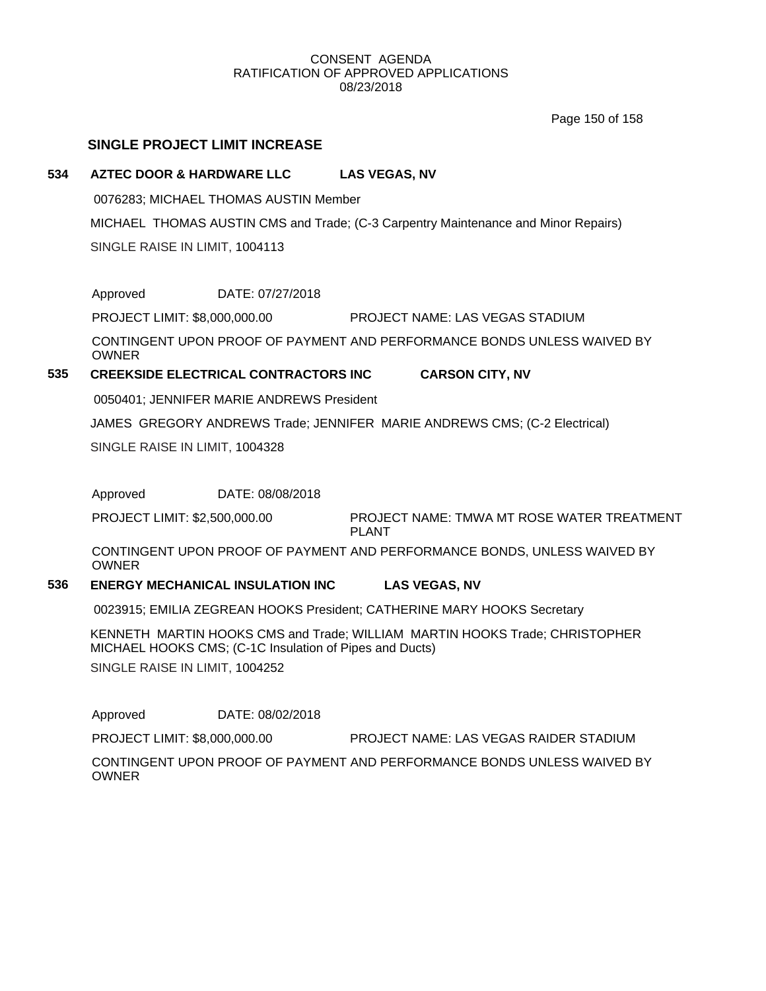Page 150 of 158

## **SINGLE PROJECT LIMIT INCREASE**

### **534 AZTEC DOOR & HARDWARE LLC LAS VEGAS, NV**

0076283; MICHAEL THOMAS AUSTIN Member

MICHAEL THOMAS AUSTIN CMS and Trade; (C-3 Carpentry Maintenance and Minor Repairs) SINGLE RAISE IN LIMIT, 1004113

Approved DATE: 07/27/2018

PROJECT LIMIT: \$8,000,000.00 PROJECT NAME: LAS VEGAS STADIUM

CONTINGENT UPON PROOF OF PAYMENT AND PERFORMANCE BONDS UNLESS WAIVED BY OWNER

## **535 CREEKSIDE ELECTRICAL CONTRACTORS INC CARSON CITY, NV**

0050401; JENNIFER MARIE ANDREWS President

JAMES GREGORY ANDREWS Trade; JENNIFER MARIE ANDREWS CMS; (C-2 Electrical)

SINGLE RAISE IN LIMIT, 1004328

Approved DATE: 08/08/2018

PROJECT NAME: TMWA MT ROSE WATER TREATMENT PLANT PROJECT LIMIT: \$2,500,000.00

CONTINGENT UPON PROOF OF PAYMENT AND PERFORMANCE BONDS, UNLESS WAIVED BY OWNER

### **536 ENERGY MECHANICAL INSULATION INC LAS VEGAS, NV**

0023915; EMILIA ZEGREAN HOOKS President; CATHERINE MARY HOOKS Secretary

KENNETH MARTIN HOOKS CMS and Trade; WILLIAM MARTIN HOOKS Trade; CHRISTOPHER MICHAEL HOOKS CMS; (C-1C Insulation of Pipes and Ducts)

SINGLE RAISE IN LIMIT, 1004252

Approved DATE: 08/02/2018

PROJECT LIMIT: \$8,000,000.00 PROJECT NAME: LAS VEGAS RAIDER STADIUM

CONTINGENT UPON PROOF OF PAYMENT AND PERFORMANCE BONDS UNLESS WAIVED BY OWNER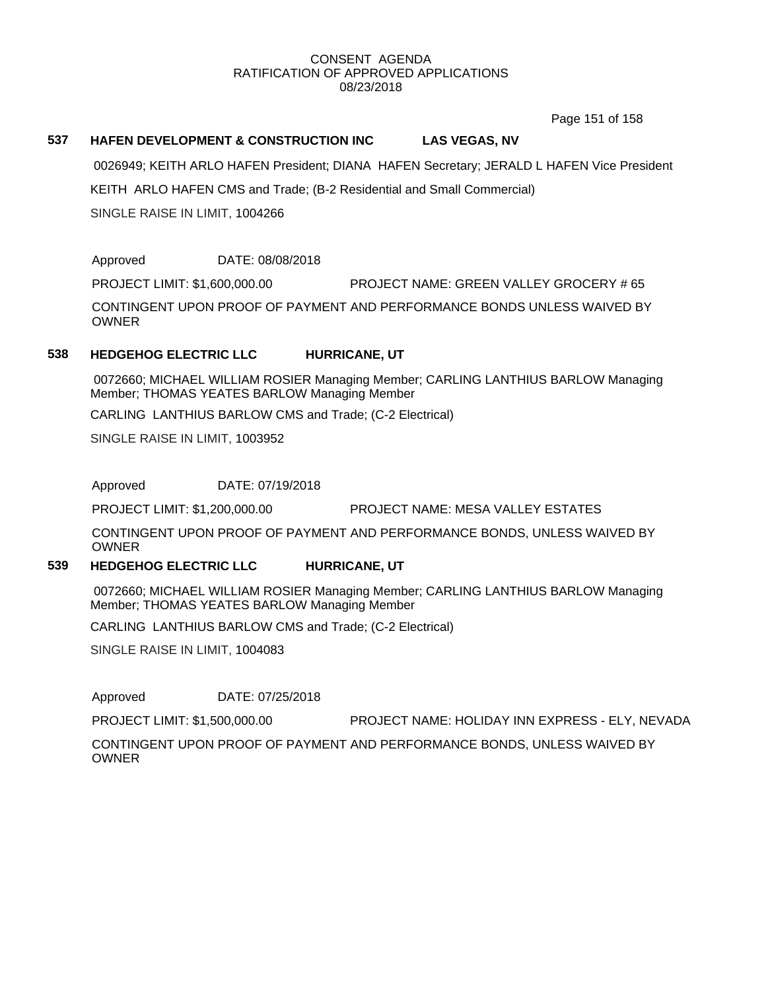Page 151 of 158

## **537 HAFEN DEVELOPMENT & CONSTRUCTION INC LAS VEGAS, NV**

0026949; KEITH ARLO HAFEN President; DIANA HAFEN Secretary; JERALD L HAFEN Vice President

KEITH ARLO HAFEN CMS and Trade; (B-2 Residential and Small Commercial)

SINGLE RAISE IN LIMIT, 1004266

Approved DATE: 08/08/2018

PROJECT LIMIT: \$1,600,000.00 PROJECT NAME: GREEN VALLEY GROCERY # 65

CONTINGENT UPON PROOF OF PAYMENT AND PERFORMANCE BONDS UNLESS WAIVED BY **OWNER** 

### **538 HEDGEHOG ELECTRIC LLC HURRICANE, UT**

0072660; MICHAEL WILLIAM ROSIER Managing Member; CARLING LANTHIUS BARLOW Managing Member; THOMAS YEATES BARLOW Managing Member

CARLING LANTHIUS BARLOW CMS and Trade; (C-2 Electrical)

SINGLE RAISE IN LIMIT, 1003952

Approved DATE: 07/19/2018

PROJECT LIMIT: \$1,200,000.00 PROJECT NAME: MESA VALLEY ESTATES

CONTINGENT UPON PROOF OF PAYMENT AND PERFORMANCE BONDS, UNLESS WAIVED BY OWNER

### **539 HEDGEHOG ELECTRIC LLC HURRICANE, UT**

0072660; MICHAEL WILLIAM ROSIER Managing Member; CARLING LANTHIUS BARLOW Managing Member; THOMAS YEATES BARLOW Managing Member

CARLING LANTHIUS BARLOW CMS and Trade; (C-2 Electrical)

SINGLE RAISE IN LIMIT, 1004083

Approved DATE: 07/25/2018

PROJECT LIMIT: \$1,500,000.00 PROJECT NAME: HOLIDAY INN EXPRESS - ELY, NEVADA

CONTINGENT UPON PROOF OF PAYMENT AND PERFORMANCE BONDS, UNLESS WAIVED BY OWNER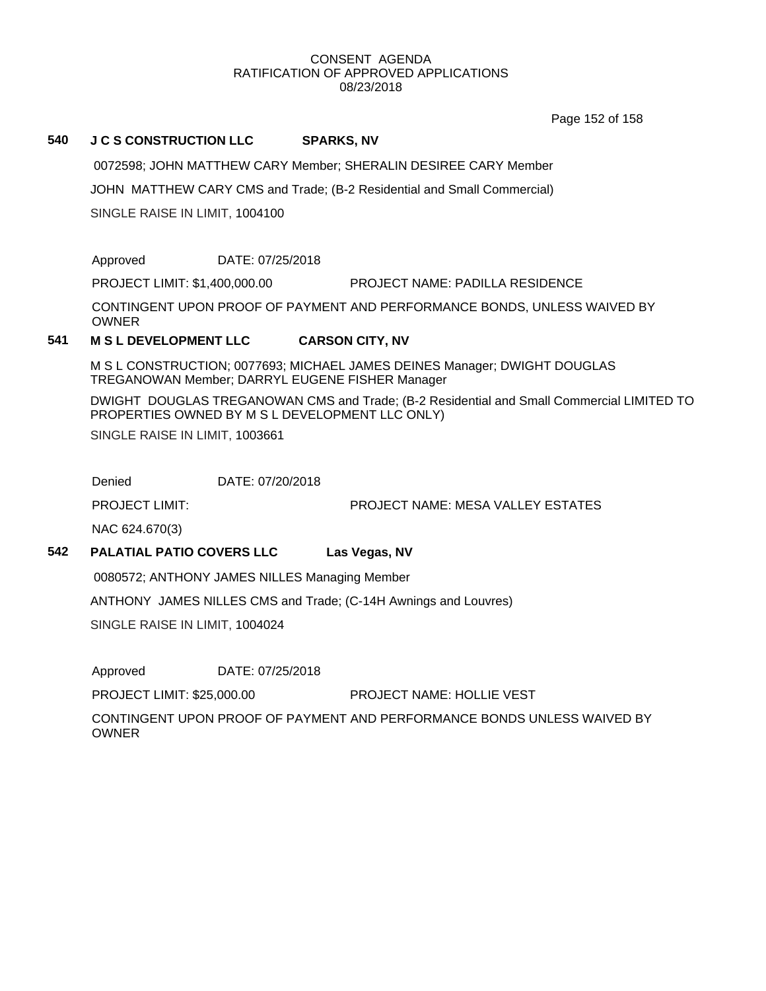Page 152 of 158

### **540 J C S CONSTRUCTION LLC SPARKS, NV**

0072598; JOHN MATTHEW CARY Member; SHERALIN DESIREE CARY Member

JOHN MATTHEW CARY CMS and Trade; (B-2 Residential and Small Commercial)

SINGLE RAISE IN LIMIT, 1004100

Approved DATE: 07/25/2018

PROJECT LIMIT: \$1,400,000.00 PROJECT NAME: PADILLA RESIDENCE

CONTINGENT UPON PROOF OF PAYMENT AND PERFORMANCE BONDS, UNLESS WAIVED BY OWNER

## **541 M S L DEVELOPMENT LLC CARSON CITY, NV**

M S L CONSTRUCTION; 0077693; MICHAEL JAMES DEINES Manager; DWIGHT DOUGLAS TREGANOWAN Member; DARRYL EUGENE FISHER Manager

DWIGHT DOUGLAS TREGANOWAN CMS and Trade; (B-2 Residential and Small Commercial LIMITED TO PROPERTIES OWNED BY M S L DEVELOPMENT LLC ONLY) SINGLE RAISE IN LIMIT, 1003661

Denied DATE: 07/20/2018

PROJECT LIMIT: PROJECT NAME: MESA VALLEY ESTATES

NAC 624.670(3)

## **542 PALATIAL PATIO COVERS LLC Las Vegas, NV**

0080572; ANTHONY JAMES NILLES Managing Member

ANTHONY JAMES NILLES CMS and Trade; (C-14H Awnings and Louvres)

SINGLE RAISE IN LIMIT, 1004024

Approved DATE: 07/25/2018

PROJECT LIMIT: \$25,000.00 PROJECT NAME: HOLLIE VEST

CONTINGENT UPON PROOF OF PAYMENT AND PERFORMANCE BONDS UNLESS WAIVED BY OWNER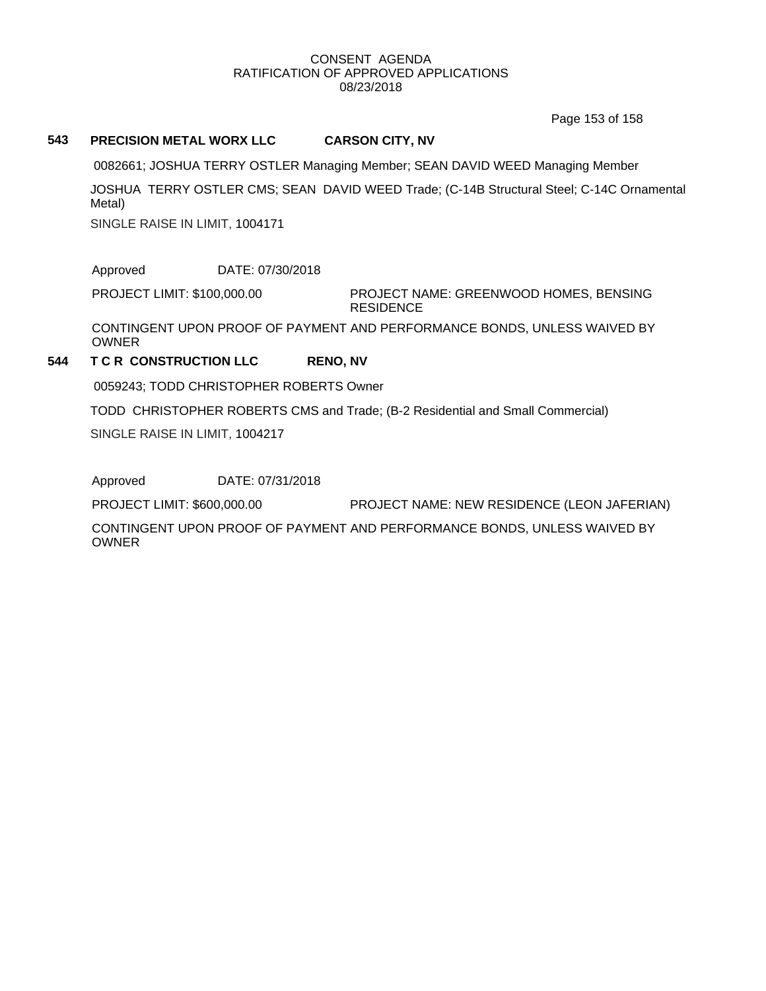Page 153 of 158

### **543 PRECISION METAL WORX LLC CARSON CITY, NV**

0082661; JOSHUA TERRY OSTLER Managing Member; SEAN DAVID WEED Managing Member

JOSHUA TERRY OSTLER CMS; SEAN DAVID WEED Trade; (C-14B Structural Steel; C-14C Ornamental Metal)

SINGLE RAISE IN LIMIT, 1004171

Approved DATE: 07/30/2018

PROJECT LIMIT: \$100,000.00

PROJECT NAME: GREENWOOD HOMES, BENSING **RESIDENCE** 

CONTINGENT UPON PROOF OF PAYMENT AND PERFORMANCE BONDS, UNLESS WAIVED BY OWNER

## **544 T C R CONSTRUCTION LLC RENO, NV**

0059243; TODD CHRISTOPHER ROBERTS Owner

TODD CHRISTOPHER ROBERTS CMS and Trade; (B-2 Residential and Small Commercial)

SINGLE RAISE IN LIMIT, 1004217

Approved DATE: 07/31/2018

PROJECT LIMIT: \$600,000.00 PROJECT NAME: NEW RESIDENCE (LEON JAFERIAN)

CONTINGENT UPON PROOF OF PAYMENT AND PERFORMANCE BONDS, UNLESS WAIVED BY **OWNER**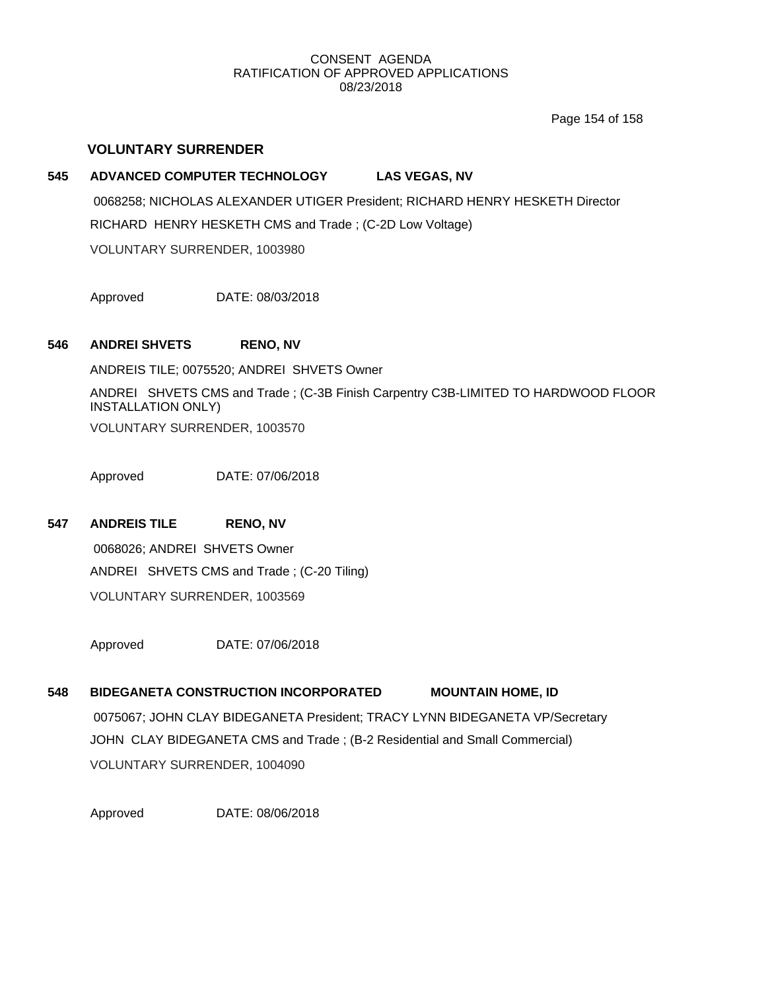Page 154 of 158

## **VOLUNTARY SURRENDER**

# **545 ADVANCED COMPUTER TECHNOLOGY LAS VEGAS, NV** 0068258; NICHOLAS ALEXANDER UTIGER President; RICHARD HENRY HESKETH Director RICHARD HENRY HESKETH CMS and Trade ; (C-2D Low Voltage) VOLUNTARY SURRENDER, 1003980

Approved DATE: 08/03/2018

### **546 ANDREI SHVETS RENO, NV**

ANDREIS TILE; 0075520; ANDREI SHVETS Owner

ANDREI SHVETS CMS and Trade ; (C-3B Finish Carpentry C3B-LIMITED TO HARDWOOD FLOOR INSTALLATION ONLY) VOLUNTARY SURRENDER, 1003570

Approved DATE: 07/06/2018

## **547 ANDREIS TILE RENO, NV**

0068026; ANDREI SHVETS Owner ANDREI SHVETS CMS and Trade ; (C-20 Tiling) VOLUNTARY SURRENDER, 1003569

Approved DATE: 07/06/2018

## **548 BIDEGANETA CONSTRUCTION INCORPORATED MOUNTAIN HOME, ID**

0075067; JOHN CLAY BIDEGANETA President; TRACY LYNN BIDEGANETA VP/Secretary JOHN CLAY BIDEGANETA CMS and Trade ; (B-2 Residential and Small Commercial) VOLUNTARY SURRENDER, 1004090

Approved DATE: 08/06/2018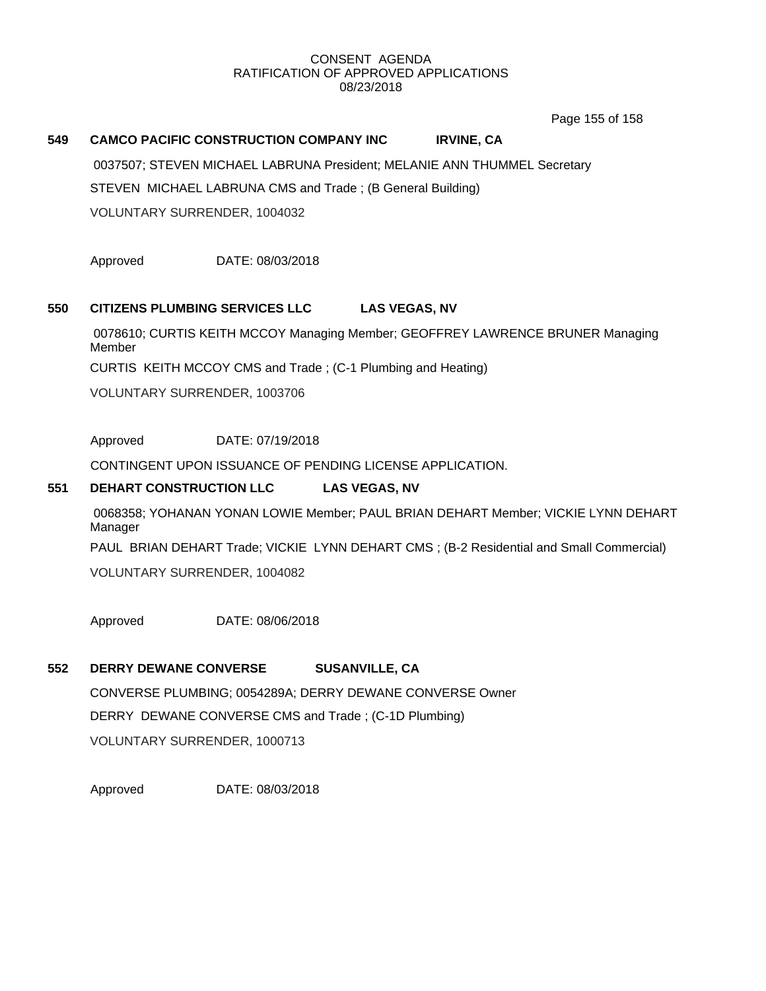Page 155 of 158

## **549 CAMCO PACIFIC CONSTRUCTION COMPANY INC IRVINE, CA**

0037507; STEVEN MICHAEL LABRUNA President; MELANIE ANN THUMMEL Secretary STEVEN MICHAEL LABRUNA CMS and Trade ; (B General Building)

VOLUNTARY SURRENDER, 1004032

Approved DATE: 08/03/2018

## **550 CITIZENS PLUMBING SERVICES LLC LAS VEGAS, NV**

0078610; CURTIS KEITH MCCOY Managing Member; GEOFFREY LAWRENCE BRUNER Managing Member

CURTIS KEITH MCCOY CMS and Trade ; (C-1 Plumbing and Heating)

VOLUNTARY SURRENDER, 1003706

Approved DATE: 07/19/2018

CONTINGENT UPON ISSUANCE OF PENDING LICENSE APPLICATION.

## **551 DEHART CONSTRUCTION LLC LAS VEGAS, NV**

0068358; YOHANAN YONAN LOWIE Member; PAUL BRIAN DEHART Member; VICKIE LYNN DEHART Manager

PAUL BRIAN DEHART Trade; VICKIE LYNN DEHART CMS ; (B-2 Residential and Small Commercial)

VOLUNTARY SURRENDER, 1004082

Approved DATE: 08/06/2018

## **552 DERRY DEWANE CONVERSE SUSANVILLE, CA**

CONVERSE PLUMBING; 0054289A; DERRY DEWANE CONVERSE Owner DERRY DEWANE CONVERSE CMS and Trade ; (C-1D Plumbing) VOLUNTARY SURRENDER, 1000713

Approved DATE: 08/03/2018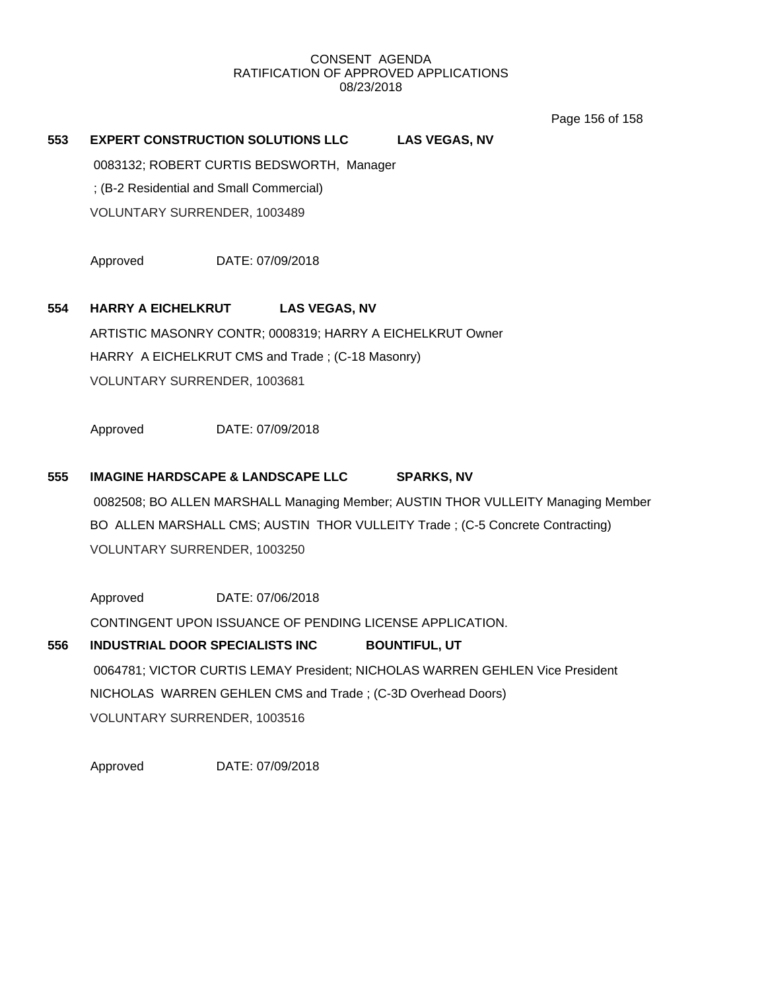Page 156 of 158

## **553 EXPERT CONSTRUCTION SOLUTIONS LLC LAS VEGAS, NV**

0083132; ROBERT CURTIS BEDSWORTH, Manager

; (B-2 Residential and Small Commercial)

VOLUNTARY SURRENDER, 1003489

Approved DATE: 07/09/2018

## **554 HARRY A EICHELKRUT LAS VEGAS, NV**

ARTISTIC MASONRY CONTR; 0008319; HARRY A EICHELKRUT Owner HARRY A EICHELKRUT CMS and Trade ; (C-18 Masonry) VOLUNTARY SURRENDER, 1003681

Approved DATE: 07/09/2018

## **555 IMAGINE HARDSCAPE & LANDSCAPE LLC SPARKS, NV**

0082508; BO ALLEN MARSHALL Managing Member; AUSTIN THOR VULLEITY Managing Member BO ALLEN MARSHALL CMS; AUSTIN THOR VULLEITY Trade ; (C-5 Concrete Contracting) VOLUNTARY SURRENDER, 1003250

Approved DATE: 07/06/2018

CONTINGENT UPON ISSUANCE OF PENDING LICENSE APPLICATION.

# **556 INDUSTRIAL DOOR SPECIALISTS INC BOUNTIFUL, UT** 0064781; VICTOR CURTIS LEMAY President; NICHOLAS WARREN GEHLEN Vice President NICHOLAS WARREN GEHLEN CMS and Trade ; (C-3D Overhead Doors) VOLUNTARY SURRENDER, 1003516

Approved DATE: 07/09/2018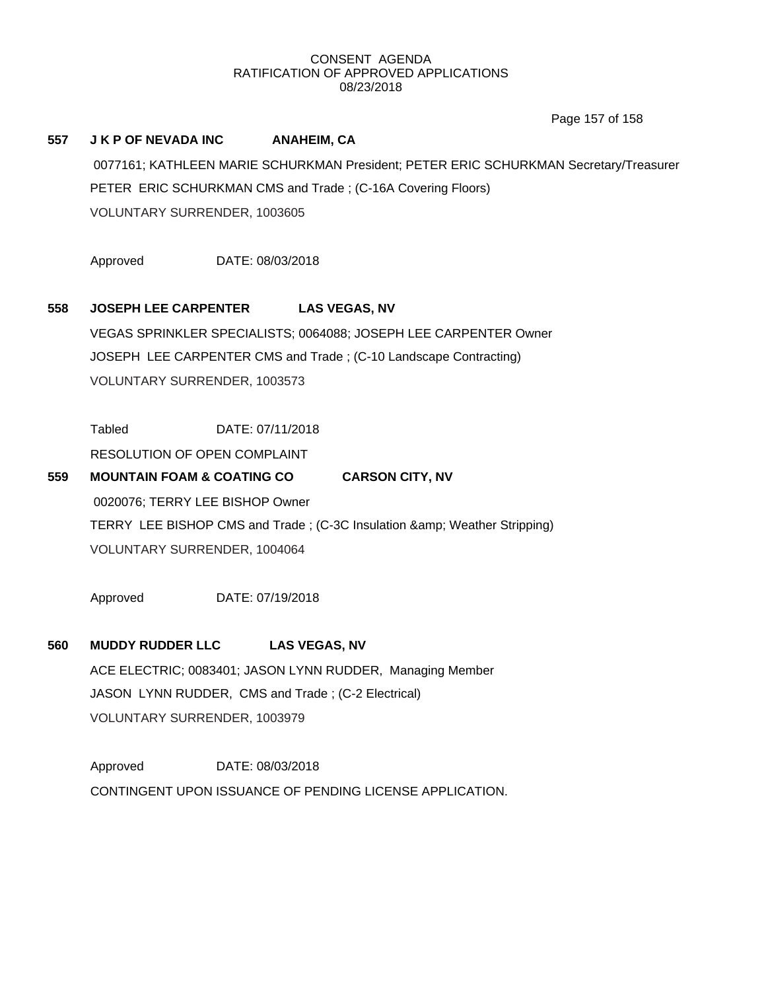Page 157 of 158

## **557 J K P OF NEVADA INC ANAHEIM, CA**

0077161; KATHLEEN MARIE SCHURKMAN President; PETER ERIC SCHURKMAN Secretary/Treasurer PETER ERIC SCHURKMAN CMS and Trade ; (C-16A Covering Floors) VOLUNTARY SURRENDER, 1003605

Approved DATE: 08/03/2018

## **558 JOSEPH LEE CARPENTER LAS VEGAS, NV**

VEGAS SPRINKLER SPECIALISTS; 0064088; JOSEPH LEE CARPENTER Owner JOSEPH LEE CARPENTER CMS and Trade ; (C-10 Landscape Contracting) VOLUNTARY SURRENDER, 1003573

Tabled DATE: 07/11/2018

RESOLUTION OF OPEN COMPLAINT

**559 MOUNTAIN FOAM & COATING CO CARSON CITY, NV** 0020076; TERRY LEE BISHOP Owner TERRY LEE BISHOP CMS and Trade ; (C-3C Insulation & amp; Weather Stripping) VOLUNTARY SURRENDER, 1004064

Approved DATE: 07/19/2018

## **560 MUDDY RUDDER LLC LAS VEGAS, NV**

ACE ELECTRIC; 0083401; JASON LYNN RUDDER, Managing Member JASON LYNN RUDDER, CMS and Trade ; (C-2 Electrical) VOLUNTARY SURRENDER, 1003979

Approved DATE: 08/03/2018 CONTINGENT UPON ISSUANCE OF PENDING LICENSE APPLICATION.